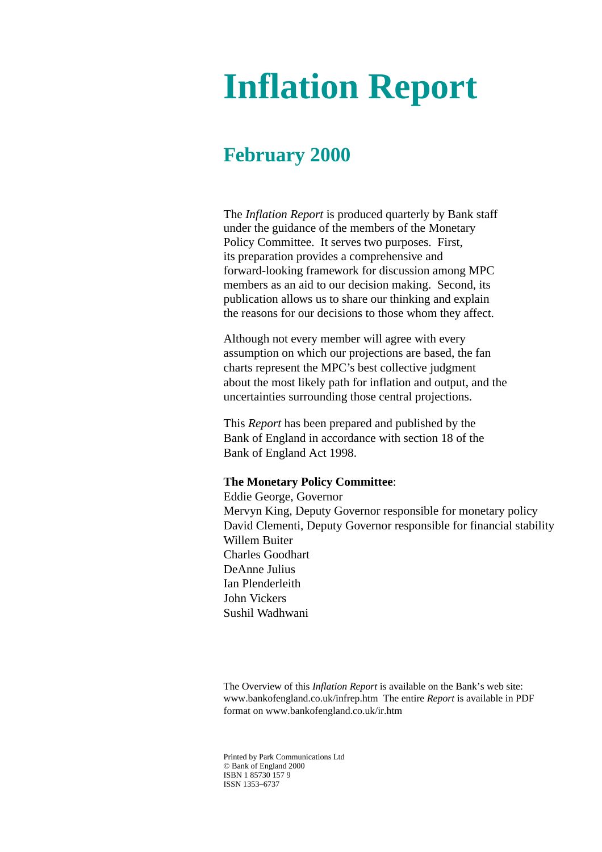# **Inflation Report**

# **February 2000**

The *Inflation Report* is produced quarterly by Bank staff under the guidance of the members of the Monetary Policy Committee. It serves two purposes. First, its preparation provides a comprehensive and forward-looking framework for discussion among MPC members as an aid to our decision making. Second, its publication allows us to share our thinking and explain the reasons for our decisions to those whom they affect.

Although not every member will agree with every assumption on which our projections are based, the fan charts represent the MPC's best collective judgment about the most likely path for inflation and output, and the uncertainties surrounding those central projections.

This *Report* has been prepared and published by the Bank of England in accordance with section 18 of the Bank of England Act 1998.

# **The Monetary Policy Committee**:

Eddie George, Governor Mervyn King, Deputy Governor responsible for monetary policy David Clementi, Deputy Governor responsible for financial stability Willem Buiter Charles Goodhart DeAnne Julius Ian Plenderleith John Vickers Sushil Wadhwani

The Overview of this *Inflation Report* is available on the Bank's web site: www.bankofengland.co.uk/infrep.htm The entire *Report* is available in PDF format on www.bankofengland.co.uk/ir.htm

Printed by Park Communications Ltd © Bank of England 2000 ISBN 1 85730 157 9 ISSN 1353–6737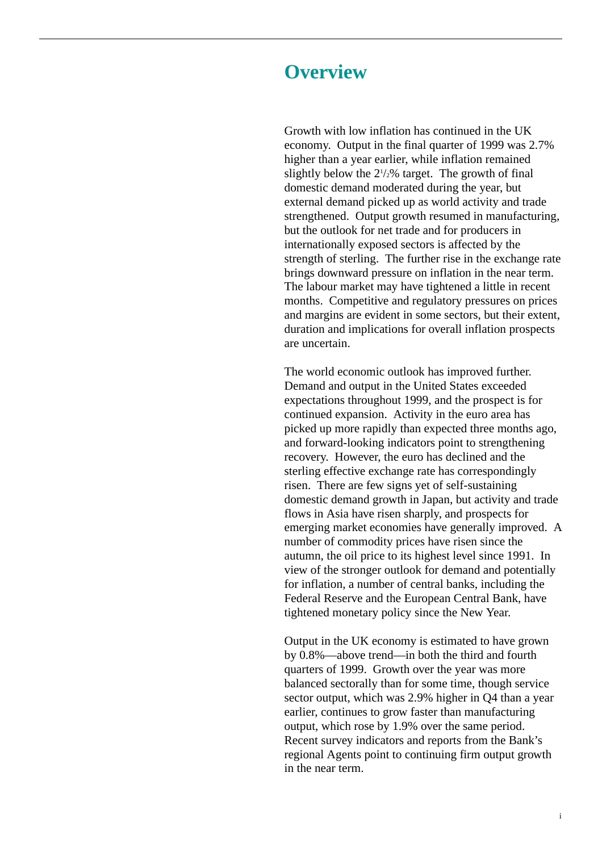# **Overview**

Growth with low inflation has continued in the UK economy. Output in the final quarter of 1999 was 2.7% higher than a year earlier, while inflation remained slightly below the  $2\frac{1}{2}\%$  target. The growth of final domestic demand moderated during the year, but external demand picked up as world activity and trade strengthened. Output growth resumed in manufacturing, but the outlook for net trade and for producers in internationally exposed sectors is affected by the strength of sterling. The further rise in the exchange rate brings downward pressure on inflation in the near term. The labour market may have tightened a little in recent months. Competitive and regulatory pressures on prices and margins are evident in some sectors, but their extent, duration and implications for overall inflation prospects are uncertain.

The world economic outlook has improved further. Demand and output in the United States exceeded expectations throughout 1999, and the prospect is for continued expansion. Activity in the euro area has picked up more rapidly than expected three months ago, and forward-looking indicators point to strengthening recovery. However, the euro has declined and the sterling effective exchange rate has correspondingly risen. There are few signs yet of self-sustaining domestic demand growth in Japan, but activity and trade flows in Asia have risen sharply, and prospects for emerging market economies have generally improved. A number of commodity prices have risen since the autumn, the oil price to its highest level since 1991. In view of the stronger outlook for demand and potentially for inflation, a number of central banks, including the Federal Reserve and the European Central Bank, have tightened monetary policy since the New Year.

Output in the UK economy is estimated to have grown by 0.8%—above trend—in both the third and fourth quarters of 1999. Growth over the year was more balanced sectorally than for some time, though service sector output, which was 2.9% higher in Q4 than a year earlier, continues to grow faster than manufacturing output, which rose by 1.9% over the same period. Recent survey indicators and reports from the Bank's regional Agents point to continuing firm output growth in the near term.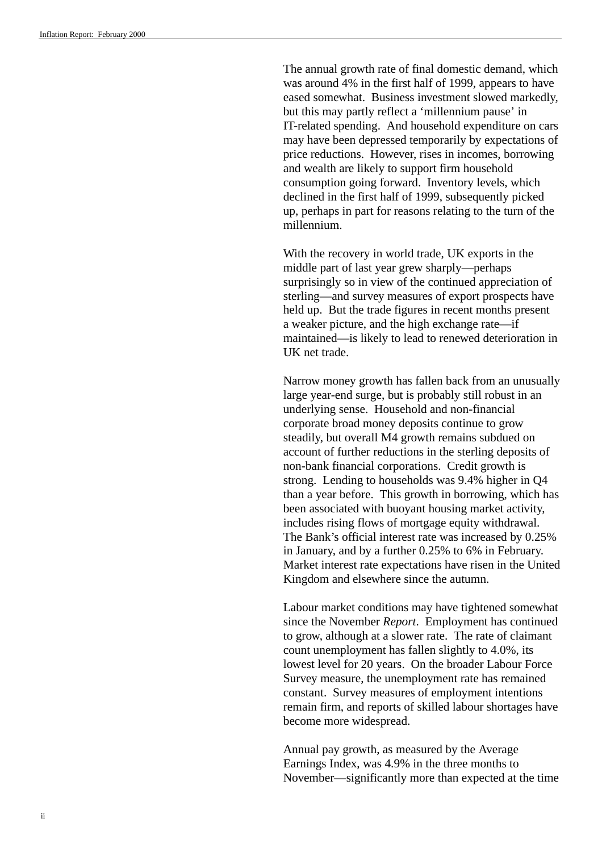The annual growth rate of final domestic demand, which was around 4% in the first half of 1999, appears to have eased somewhat. Business investment slowed markedly, but this may partly reflect a 'millennium pause' in IT-related spending. And household expenditure on cars may have been depressed temporarily by expectations of price reductions. However, rises in incomes, borrowing and wealth are likely to support firm household consumption going forward. Inventory levels, which declined in the first half of 1999, subsequently picked up, perhaps in part for reasons relating to the turn of the millennium.

With the recovery in world trade, UK exports in the middle part of last year grew sharply—perhaps surprisingly so in view of the continued appreciation of sterling—and survey measures of export prospects have held up. But the trade figures in recent months present a weaker picture, and the high exchange rate—if maintained—is likely to lead to renewed deterioration in UK net trade.

Narrow money growth has fallen back from an unusually large year-end surge, but is probably still robust in an underlying sense. Household and non-financial corporate broad money deposits continue to grow steadily, but overall M4 growth remains subdued on account of further reductions in the sterling deposits of non-bank financial corporations. Credit growth is strong. Lending to households was 9.4% higher in Q4 than a year before. This growth in borrowing, which has been associated with buoyant housing market activity, includes rising flows of mortgage equity withdrawal. The Bank's official interest rate was increased by 0.25% in January, and by a further 0.25% to 6% in February. Market interest rate expectations have risen in the United Kingdom and elsewhere since the autumn.

Labour market conditions may have tightened somewhat since the November *Report*. Employment has continued to grow, although at a slower rate. The rate of claimant count unemployment has fallen slightly to 4.0%, its lowest level for 20 years. On the broader Labour Force Survey measure, the unemployment rate has remained constant. Survey measures of employment intentions remain firm, and reports of skilled labour shortages have become more widespread.

Annual pay growth, as measured by the Average Earnings Index, was 4.9% in the three months to November—significantly more than expected at the time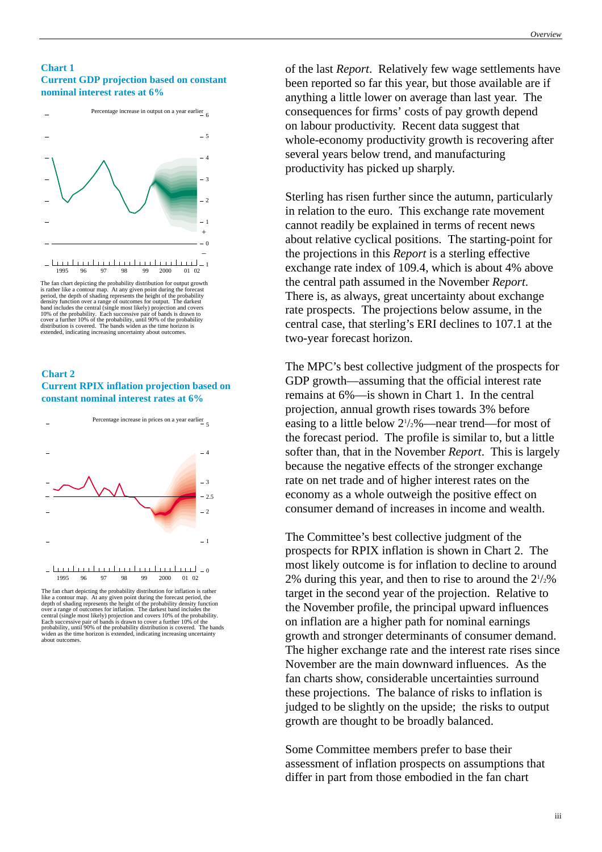### **Chart 1 Current GDP projection based on constant nominal interest rates at 6%**



is rather like a contour map. At any given point during the forecast<br>period, the depth of shading represents the height of the probability<br>density function over a range of outcomes for output. The darkest<br>band includes the

## **Chart 2 Current RPIX inflation projection based on constant nominal interest rates at 6%**



The fan chart depicting the probability distribution for inflation is rather like a contour map. At any given point during the forecast period, the depth of shading represents the height of the probability density function over a range of outcomes for inflation. The darkest band icludes the centra

of the last *Report*. Relatively few wage settlements have been reported so far this year, but those available are if anything a little lower on average than last year. The consequences for firms' costs of pay growth depend on labour productivity. Recent data suggest that whole-economy productivity growth is recovering after several years below trend, and manufacturing productivity has picked up sharply.

Sterling has risen further since the autumn, particularly in relation to the euro. This exchange rate movement cannot readily be explained in terms of recent news about relative cyclical positions. The starting-point for the projections in this *Report* is a sterling effective exchange rate index of 109.4, which is about 4% above the central path assumed in the November *Report*. There is, as always, great uncertainty about exchange rate prospects. The projections below assume, in the central case, that sterling's ERI declines to 107.1 at the two-year forecast horizon.

The MPC's best collective judgment of the prospects for GDP growth—assuming that the official interest rate remains at 6%—is shown in Chart 1. In the central projection, annual growth rises towards 3% before easing to a little below  $2\frac{1}{2}\%$  —near trend—for most of the forecast period. The profile is similar to, but a little softer than, that in the November *Report*. This is largely because the negative effects of the stronger exchange rate on net trade and of higher interest rates on the economy as a whole outweigh the positive effect on consumer demand of increases in income and wealth.

The Committee's best collective judgment of the prospects for RPIX inflation is shown in Chart 2. The most likely outcome is for inflation to decline to around 2% during this year, and then to rise to around the  $2\frac{1}{2}\%$ target in the second year of the projection. Relative to the November profile, the principal upward influences on inflation are a higher path for nominal earnings growth and stronger determinants of consumer demand. The higher exchange rate and the interest rate rises since November are the main downward influences. As the fan charts show, considerable uncertainties surround these projections. The balance of risks to inflation is judged to be slightly on the upside; the risks to output growth are thought to be broadly balanced.

Some Committee members prefer to base their assessment of inflation prospects on assumptions that differ in part from those embodied in the fan chart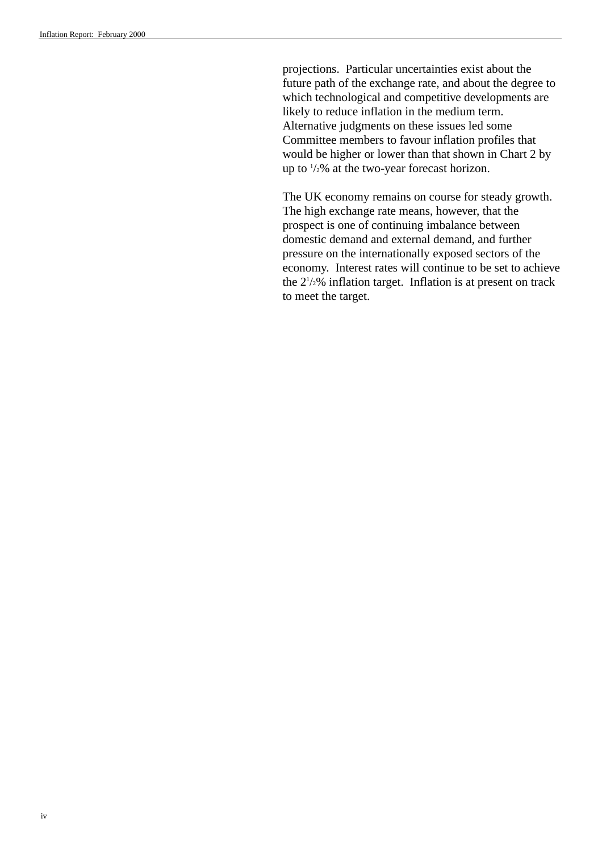projections. Particular uncertainties exist about the future path of the exchange rate, and about the degree to which technological and competitive developments are likely to reduce inflation in the medium term. Alternative judgments on these issues led some Committee members to favour inflation profiles that would be higher or lower than that shown in Chart 2 by up to  $\frac{1}{2}\%$  at the two-year forecast horizon.

The UK economy remains on course for steady growth. The high exchange rate means, however, that the prospect is one of continuing imbalance between domestic demand and external demand, and further pressure on the internationally exposed sectors of the economy. Interest rates will continue to be set to achieve the 21 /2% inflation target. Inflation is at present on track to meet the target.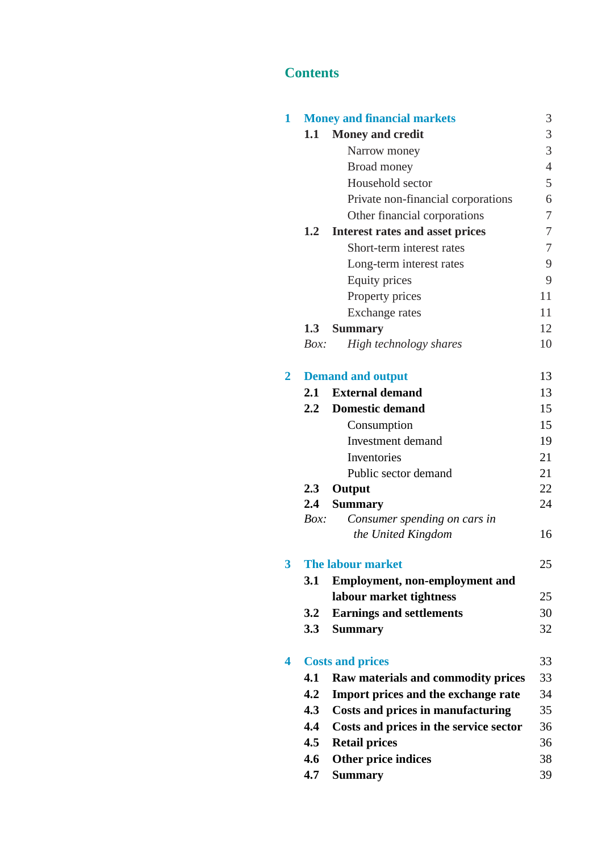# **Contents**

| 1              |             | <b>Money and financial markets</b>     | 3              |
|----------------|-------------|----------------------------------------|----------------|
|                | $1.1\,$     | <b>Money and credit</b>                | 3              |
|                |             | Narrow money                           | 3              |
|                |             | Broad money                            | $\overline{4}$ |
|                |             | Household sector                       | 5              |
|                |             | Private non-financial corporations     | 6              |
|                |             | Other financial corporations           | 7              |
|                | 1.2         | <b>Interest rates and asset prices</b> | 7              |
|                |             | Short-term interest rates              | 7              |
|                |             | Long-term interest rates               | 9              |
|                |             | Equity prices                          | 9              |
|                |             | Property prices                        | 11             |
|                |             | Exchange rates                         | 11             |
|                | 1.3         | <b>Summary</b>                         | 12             |
|                | Box:        | High technology shares                 | 10             |
| $\overline{2}$ |             | <b>Demand and output</b>               | 13             |
|                | 2.1         | <b>External demand</b>                 | 13             |
|                | 2.2         | <b>Domestic demand</b>                 | 15             |
|                |             | Consumption                            | 15             |
|                |             | <b>Investment</b> demand               | 19             |
|                |             | Inventories                            | 21             |
|                |             | Public sector demand                   | 21             |
|                | 2.3         | Output                                 | 22             |
|                | 2.4         | <b>Summary</b>                         | 24             |
|                | <i>Box:</i> | Consumer spending on cars in           |                |
|                |             | the United Kingdom                     | 16             |
| 3              |             | The labour market                      | 25             |
|                | <b>3.1</b>  | <b>Employment, non-employment and</b>  |                |
|                |             | labour market tightness                | 25             |
|                | 3.2         | <b>Earnings and settlements</b>        | 30             |
|                | 3.3         | <b>Summary</b>                         | 32             |
| 4              |             | <b>Costs and prices</b>                | 33             |
|                | 4.1         | Raw materials and commodity prices     | 33             |
|                | 4.2         | Import prices and the exchange rate    | 34             |
|                | 4.3         | Costs and prices in manufacturing      | 35             |
|                | 4.4         | Costs and prices in the service sector | 36             |
|                | 4.5         | <b>Retail prices</b>                   | 36             |
|                | 4.6         | Other price indices                    | 38             |
|                | 4.7         | <b>Summary</b>                         | 39             |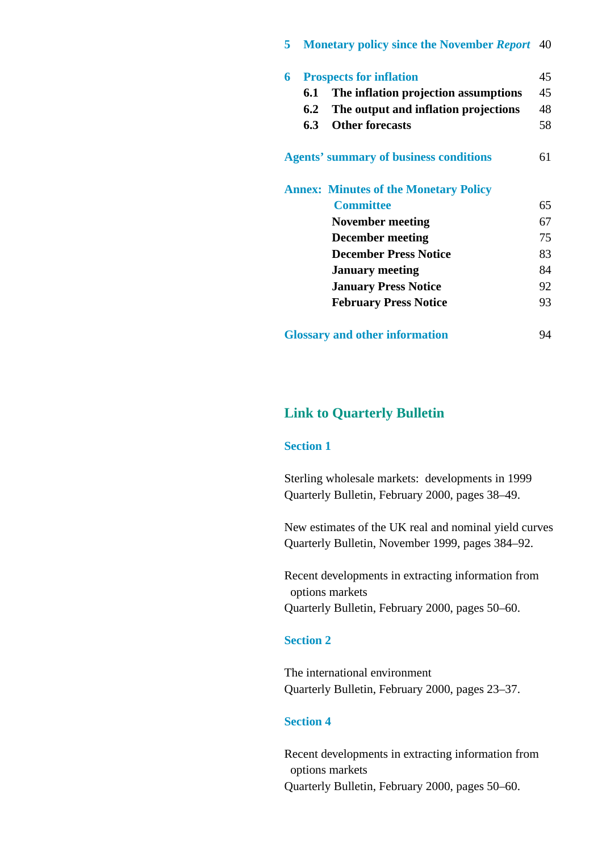# **5 [Monetary policy since the November](#page-44-0)** *Report* 40

| 6   | <b>Prospects for inflation</b>                | 45 |
|-----|-----------------------------------------------|----|
| 6.1 | The inflation projection assumptions          | 45 |
| 6.2 | The output and inflation projections          | 48 |
| 6.3 | <b>Other forecasts</b>                        | 58 |
|     | <b>Agents' summary of business conditions</b> | 61 |
|     | <b>Annex: Minutes of the Monetary Policy</b>  |    |
|     | <b>Committee</b>                              | 65 |
|     | November meeting                              | 67 |
|     | <b>December meeting</b>                       | 75 |
|     | <b>December Press Notice</b>                  | 83 |
|     | <b>January meeting</b>                        | 84 |
|     | <b>January Press Notice</b>                   | 92 |
|     | <b>February Press Notice</b>                  | 93 |
|     | <b>Glossary and other information</b>         | 94 |

# **Link to Quarterly Bulletin**

# **Section 1**

[Sterling wholesale markets: developments in 1999](http://www.bankofengland.co.uk/qb/sterl00.pdf) Quarterly Bulletin, February 2000, pages 38–49.

[New estimates of the UK real and nominal yield curves](http://www.bankofengland.co.uk/qb/qb990402.pdf) Quarterly Bulletin, November 1999, pages 384–92.

[Recent developments in extracting information from](http://www.bankofengland.co.uk/qb/qb000101)  options markets Quarterly Bulletin, February 2000, pages 50–60.

# **Section 2**

The international environment [Quarterly Bulletin, February 2000, pages 23–37.](http://www.bankofengland.co.uk/qb/int00feb.pdf)

# **Section 4**

[Recent developments in extracting information from](http://www.bankofengland.co.uk/qb/qb000101.pdf)  options markets Quarterly Bulletin, February 2000, pages 50–60.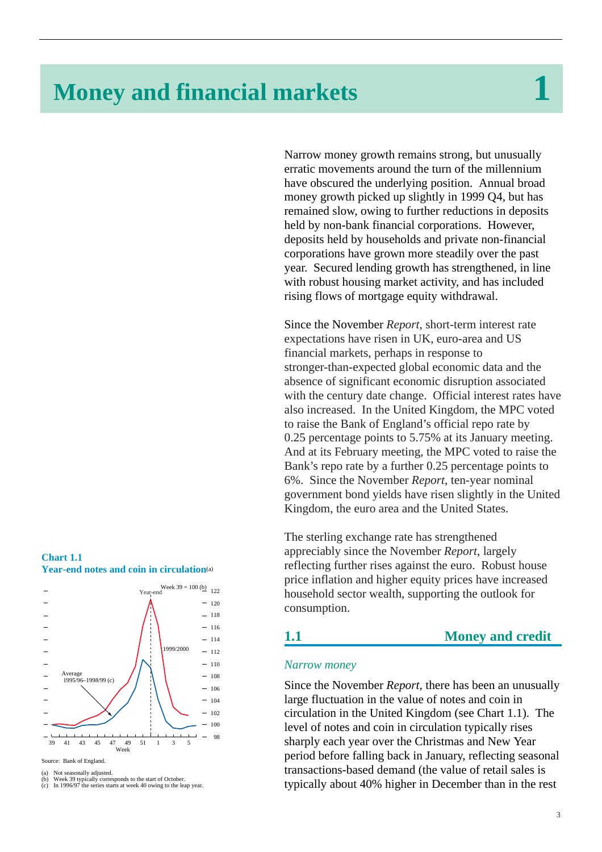# <span id="page-7-0"></span>**Money and financial markets 1**

Narrow money growth remains strong, but unusually erratic movements around the turn of the millennium have obscured the underlying position. Annual broad money growth picked up slightly in 1999 Q4, but has remained slow, owing to further reductions in deposits held by non-bank financial corporations. However, deposits held by households and private non-financial corporations have grown more steadily over the past year. Secured lending growth has strengthened, in line with robust housing market activity, and has included rising flows of mortgage equity withdrawal.

Since the November *Report*, short-term interest rate expectations have risen in UK, euro-area and US financial markets, perhaps in response to stronger-than-expected global economic data and the absence of significant economic disruption associated with the century date change. Official interest rates have also increased. In the United Kingdom, the MPC voted to raise the Bank of England's official repo rate by 0.25 percentage points to 5.75% at its January meeting. And at its February meeting, the MPC voted to raise the Bank's repo rate by a further 0.25 percentage points to 6%. Since the November *Report*, ten-year nominal government bond yields have risen slightly in the United Kingdom, the euro area and the United States.

The sterling exchange rate has strengthened appreciably since the November *Report*, largely reflecting further rises against the euro. Robust house price inflation and higher equity prices have increased household sector wealth, supporting the outlook for consumption.

# **1.1 Money and credit**

# *Narrow money*

Since the November *Report*, there has been an unusually large fluctuation in the value of notes and coin in circulation in the United Kingdom (see Chart 1.1). The level of notes and coin in circulation typically rises sharply each year over the Christmas and New Year period before falling back in January, reflecting seasonal transactions-based demand (the value of retail sales is typically about 40% higher in December than in the rest





Source: Bank of England.

<sup>(</sup>a) Not seasonally adjusted.<br>(b) Week 39 typically corre

<sup>(</sup>b) Week 39 typically corresponds to the start of October. (c) In 1996/97 the series starts at week 40 owing to the leap year.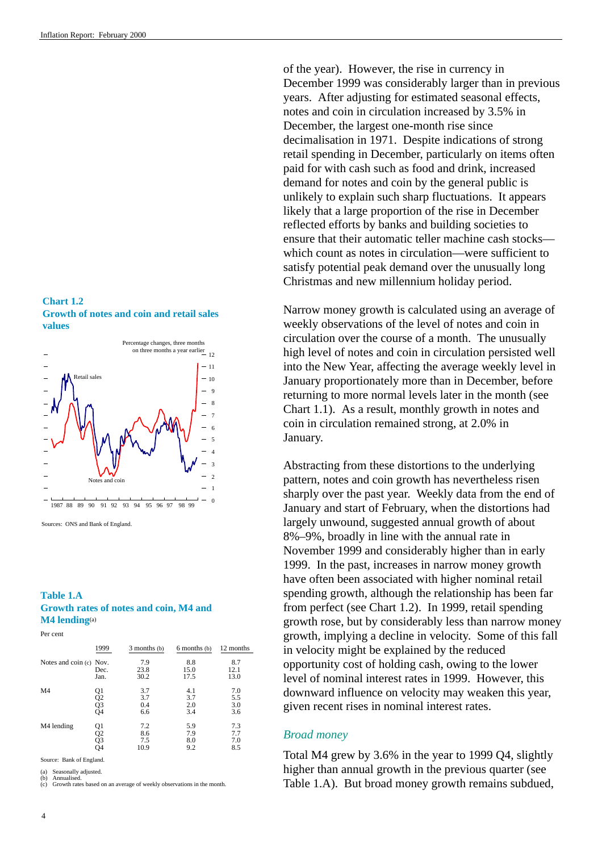<span id="page-8-0"></span>**Chart 1.2 Growth of notes and coin and retail sales values**



Sources: ONS and Bank of England.

### **Table 1.A Growth rates of notes and coin, M4 and M4 lending**(a)

Per cent

|                         | 1999                 | 3 months (b) | 6 months (b) | 12 months   |
|-------------------------|----------------------|--------------|--------------|-------------|
| Notes and coin (c) Nov. | Dec.                 | 7.9<br>23.8  | 8.8<br>15.0  | 8.7<br>12.1 |
|                         | Jan.                 | 30.2         | 17.5         | 13.0        |
| M <sub>4</sub>          | Q1<br>Q2<br>Q3<br>Q4 | 3.7          | 4.1          | 7.0         |
|                         |                      | 3.7          | 3.7          | 5.5         |
|                         |                      | 0.4          | 2.0          | 3.0         |
|                         |                      | 6.6          | 3.4          | 3.6         |
| M4 lending              |                      | 7.2          | 5.9          | 7.3         |
|                         |                      | 8.6          | 7.9          | 7.7         |
|                         |                      | 7.5          | 8.0          | 7.0         |
|                         | Q1<br>Q2<br>Q3<br>Q4 | 10.9         | 9.2          | 8.5         |

Source: Bank of England.

Seasonally adjusted.

(b) Annualised. (c) Growth rates based on an average of weekly observations in the month.

of the year). However, the rise in currency in December 1999 was considerably larger than in previous years. After adjusting for estimated seasonal effects, notes and coin in circulation increased by 3.5% in December, the largest one-month rise since decimalisation in 1971. Despite indications of strong retail spending in December, particularly on items often paid for with cash such as food and drink, increased demand for notes and coin by the general public is unlikely to explain such sharp fluctuations. It appears likely that a large proportion of the rise in December reflected efforts by banks and building societies to ensure that their automatic teller machine cash stocks which count as notes in circulation—were sufficient to satisfy potential peak demand over the unusually long Christmas and new millennium holiday period.

Narrow money growth is calculated using an average of weekly observations of the level of notes and coin in circulation over the course of a month. The unusually high level of notes and coin in circulation persisted well into the New Year, affecting the average weekly level in January proportionately more than in December, before returning to more normal levels later in the month (see Chart 1.1). As a result, monthly growth in notes and coin in circulation remained strong, at 2.0% in January.

Abstracting from these distortions to the underlying pattern, notes and coin growth has nevertheless risen sharply over the past year. Weekly data from the end of January and start of February, when the distortions had largely unwound, suggested annual growth of about 8%–9%, broadly in line with the annual rate in November 1999 and considerably higher than in early 1999. In the past, increases in narrow money growth have often been associated with higher nominal retail spending growth, although the relationship has been far from perfect (see Chart 1.2). In 1999, retail spending growth rose, but by considerably less than narrow money growth, implying a decline in velocity. Some of this fall in velocity might be explained by the reduced opportunity cost of holding cash, owing to the lower level of nominal interest rates in 1999. However, this downward influence on velocity may weaken this year, given recent rises in nominal interest rates.

# *Broad money*

Total M4 grew by 3.6% in the year to 1999 Q4, slightly higher than annual growth in the previous quarter (see Table 1.A). But broad money growth remains subdued,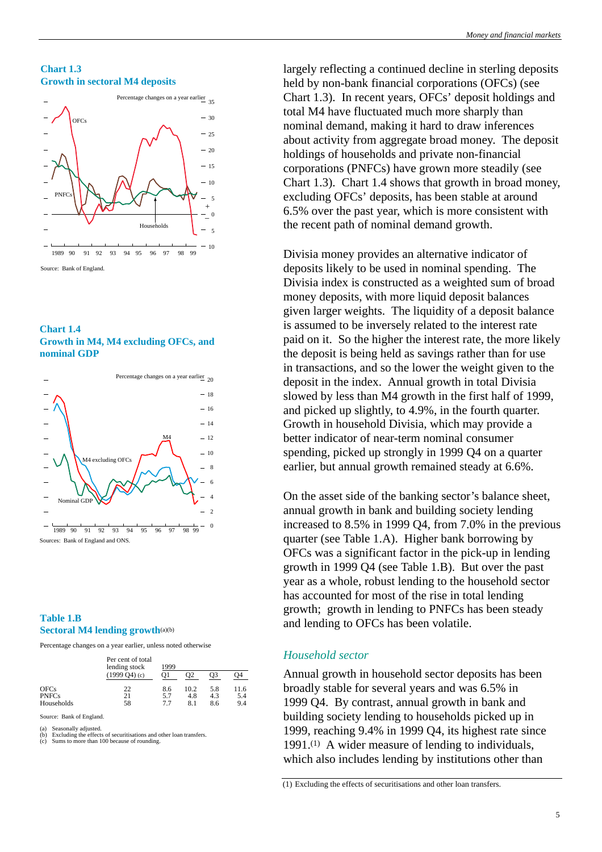<span id="page-9-0"></span>**Chart 1.3 Growth in sectoral M4 deposits**







# **Table 1.B Sectoral M4 lending growth**(a)(b)

Percentage changes on a year earlier, unless noted otherwise

|              | Per cent of total<br>lending stock | 1999 |      |     |      |
|--------------|------------------------------------|------|------|-----|------|
|              | $(1999 \text{ O}4)$ (c)            | O1   | O2   | OЗ  | 94   |
| <b>OFCs</b>  | 22                                 | 8.6  | 10.2 | 5.8 | 11.6 |
| <b>PNFCs</b> | 21                                 | 5.7  | 4.8  | 4.3 | 5.4  |
| Households   | 58                                 | 7.7  | 8.1  | 8.6 | 9.4  |

Source: Bank of England.

(a) Seasonally adjusted.

(b) Excluding the effects of securitisations and other loan transfers. (c) Sums to more than 100 because of rounding.

largely reflecting a continued decline in sterling deposits held by non-bank financial corporations (OFCs) (see Chart 1.3). In recent years, OFCs' deposit holdings and total M4 have fluctuated much more sharply than nominal demand, making it hard to draw inferences about activity from aggregate broad money. The deposit holdings of households and private non-financial corporations (PNFCs) have grown more steadily (see Chart 1.3). Chart 1.4 shows that growth in broad money, excluding OFCs' deposits, has been stable at around 6.5% over the past year, which is more consistent with the recent path of nominal demand growth.

Divisia money provides an alternative indicator of deposits likely to be used in nominal spending. The Divisia index is constructed as a weighted sum of broad money deposits, with more liquid deposit balances given larger weights. The liquidity of a deposit balance is assumed to be inversely related to the interest rate paid on it. So the higher the interest rate, the more likely the deposit is being held as savings rather than for use in transactions, and so the lower the weight given to the deposit in the index. Annual growth in total Divisia slowed by less than M4 growth in the first half of 1999, and picked up slightly, to 4.9%, in the fourth quarter. Growth in household Divisia, which may provide a better indicator of near-term nominal consumer spending, picked up strongly in 1999 Q4 on a quarter earlier, but annual growth remained steady at 6.6%.

On the asset side of the banking sector's balance sheet, annual growth in bank and building society lending increased to 8.5% in 1999 Q4, from 7.0% in the previous quarter (see Table 1.A). Higher bank borrowing by OFCs was a significant factor in the pick-up in lending growth in 1999 Q4 (see Table 1.B). But over the past year as a whole, robust lending to the household sector has accounted for most of the rise in total lending growth; growth in lending to PNFCs has been steady and lending to OFCs has been volatile.

# *Household sector*

Annual growth in household sector deposits has been broadly stable for several years and was 6.5% in 1999 Q4. By contrast, annual growth in bank and building society lending to households picked up in 1999, reaching 9.4% in 1999 Q4, its highest rate since 1991.(1) A wider measure of lending to individuals, which also includes lending by institutions other than

(1) Excluding the effects of securitisations and other loan transfers.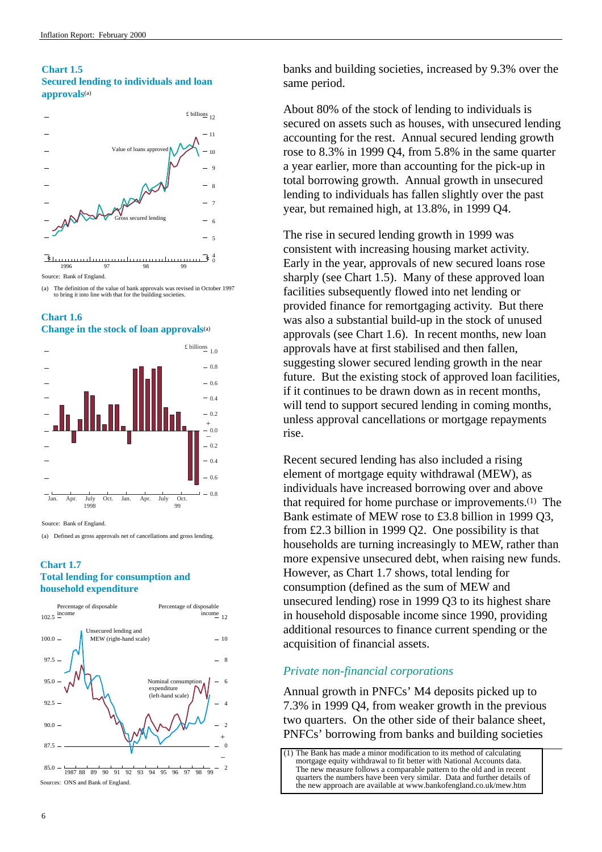# <span id="page-10-0"></span>**Chart 1.5 Secured lending to individuals and loan approvals**(a)



(a) The definition of the value of bank approvals was revised in October 1997 to bring it into line with that for the building societies.





Source: Bank of England.

(a) Defined as gross approvals net of cancellations and gross lending.

# **Chart 1.7 Total lending for consumption and household expenditure**



banks and building societies, increased by 9.3% over the same period.

About 80% of the stock of lending to individuals is secured on assets such as houses, with unsecured lending accounting for the rest. Annual secured lending growth rose to 8.3% in 1999 Q4, from 5.8% in the same quarter a year earlier, more than accounting for the pick-up in total borrowing growth. Annual growth in unsecured lending to individuals has fallen slightly over the past year, but remained high, at 13.8%, in 1999 Q4.

The rise in secured lending growth in 1999 was consistent with increasing housing market activity. Early in the year, approvals of new secured loans rose sharply (see Chart 1.5). Many of these approved loan facilities subsequently flowed into net lending or provided finance for remortgaging activity. But there was also a substantial build-up in the stock of unused approvals (see Chart 1.6). In recent months, new loan approvals have at first stabilised and then fallen, suggesting slower secured lending growth in the near future. But the existing stock of approved loan facilities, if it continues to be drawn down as in recent months, will tend to support secured lending in coming months, unless approval cancellations or mortgage repayments rise.

Recent secured lending has also included a rising element of mortgage equity withdrawal (MEW), as individuals have increased borrowing over and above that required for home purchase or improvements.(1) The Bank estimate of MEW rose to £3.8 billion in 1999 Q3, from £2.3 billion in 1999 Q2. One possibility is that households are turning increasingly to MEW, rather than more expensive unsecured debt, when raising new funds. However, as Chart 1.7 shows, total lending for consumption (defined as the sum of MEW and unsecured lending) rose in 1999 Q3 to its highest share in household disposable income since 1990, providing additional resources to finance current spending or the acquisition of financial assets.

# *Private non-financial corporations*

Annual growth in PNFCs' M4 deposits picked up to 7.3% in 1999 Q4, from weaker growth in the previous two quarters. On the other side of their balance sheet, PNFCs' borrowing from banks and building societies

[<sup>\(1\)</sup> The Bank has made a minor modification to its method of calculating](http://www.bankofengland.co.uk/mew.htm) mortgage equity withdrawal to fit better with National Accounts data. The new measure follows a comparable pattern to the old and in recent quarters the numbers have been very similar. Data and further details of the new approach are available at www.bankofengland.co.uk/mew.htm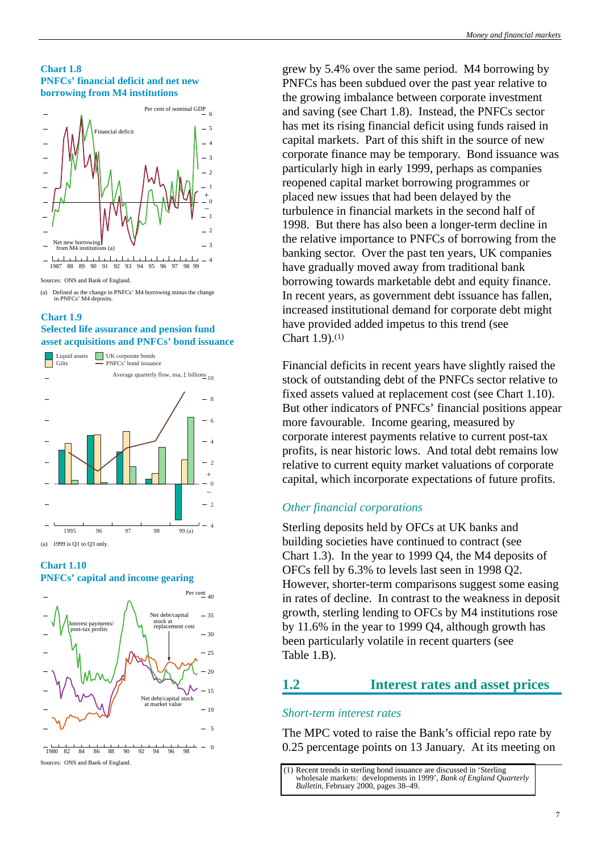# <span id="page-11-0"></span>**Chart 1.8 PNFCs' financial deficit and net new borrowing from M4 institutions**



## **Chart 1.9 Selected life assurance and pension fund asset acquisitions and PNFCs' bond issuance**



#### **Chart 1.10**

**PNFCs' capital and income gearing**



grew by 5.4% over the same period. M4 borrowing by PNFCs has been subdued over the past year relative to the growing imbalance between corporate investment and saving (see Chart 1.8). Instead, the PNFCs sector has met its rising financial deficit using funds raised in capital markets. Part of this shift in the source of new corporate finance may be temporary. Bond issuance was particularly high in early 1999, perhaps as companies reopened capital market borrowing programmes or placed new issues that had been delayed by the turbulence in financial markets in the second half of 1998. But there has also been a longer-term decline in the relative importance to PNFCs of borrowing from the banking sector. Over the past ten years, UK companies have gradually moved away from traditional bank borrowing towards marketable debt and equity finance. In recent years, as government debt issuance has fallen, increased institutional demand for corporate debt might have provided added impetus to this trend (see Chart 1.9).(1)

Financial deficits in recent years have slightly raised the stock of outstanding debt of the PNFCs sector relative to fixed assets valued at replacement cost (see Chart 1.10). But other indicators of PNFCs' financial positions appear more favourable. Income gearing, measured by corporate interest payments relative to current post-tax profits, is near historic lows. And total debt remains low relative to current equity market valuations of corporate capital, which incorporate expectations of future profits.

# *Other financial corporations*

Sterling deposits held by OFCs at UK banks and building societies have continued to contract (see Chart 1.3). In the year to 1999 Q4, the M4 deposits of OFCs fell by 6.3% to levels last seen in 1998 Q2. However, shorter-term comparisons suggest some easing in rates of decline. In contrast to the weakness in deposit growth, sterling lending to OFCs by M4 institutions rose by 11.6% in the year to 1999 Q4, although growth has been particularly volatile in recent quarters (see Table 1.B).

# **1.2 Interest rates and asset prices**

# *Short-term interest rates*

The MPC voted to raise the Bank's official repo rate by 0.25 percentage points on 13 January. At its meeting on

<sup>(</sup>a) Defined as the change in PNFCs' M4 borrowing minus the change in PNFCs' M4 deposits.

[<sup>\(1\)</sup> Recent trends in sterling bond issuance are discussed in 'Sterling](http://www.bankofengland.co.uk/qb/sterl00.pdf) wholesale markets: developments in 1999', *Bank of England Quarterly Bulletin*, February 2000, pages 38–49.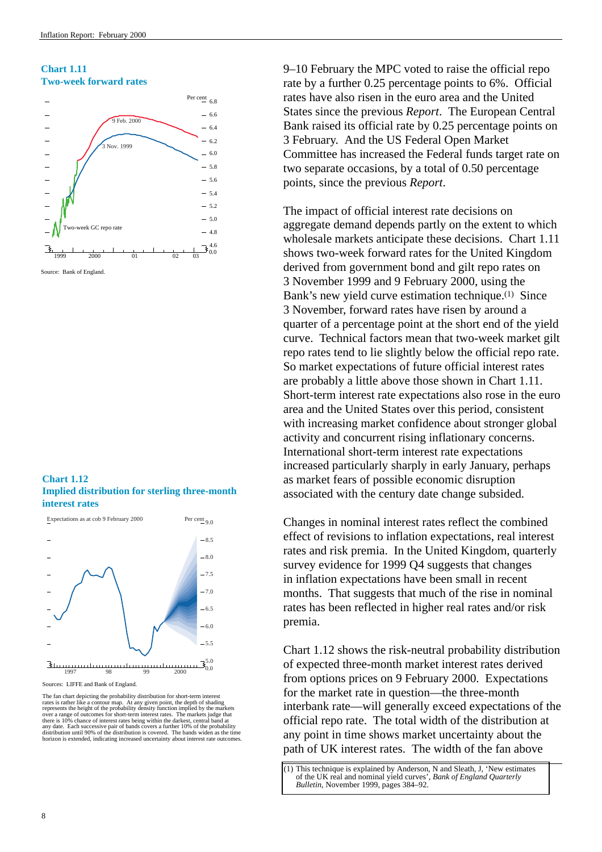# **Chart 1.11 Two-week forward rates**



Source: Bank of England.

**Chart 1.12 Implied distribution for sterling three-month interest rates**



Sources: LIFFE and Bank of England.

The fan chart depicting the probability distribution for short-term in rates is rather like a contour map. At any given point, the depth of shading represents the height of the probability density function implied by the markets over a range of outcomes for short-term interest rates. The markets judge that there is 10% chance of interest rates being within the darkest, central band at<br>any date. Each successive pair of bands covers a further 10% of the probability<br>distribution until 90% of the distribution is covered. The ban 9–10 February the MPC voted to raise the official repo rate by a further 0.25 percentage points to 6%. Official rates have also risen in the euro area and the United States since the previous *Report*. The European Central Bank raised its official rate by 0.25 percentage points on 3 February. And the US Federal Open Market Committee has increased the Federal funds target rate on two separate occasions, by a total of 0.50 percentage points, since the previous *Report*.

The impact of official interest rate decisions on aggregate demand depends partly on the extent to which wholesale markets anticipate these decisions. Chart 1.11 shows two-week forward rates for the United Kingdom derived from government bond and gilt repo rates on 3 November 1999 and 9 February 2000, using the Bank's new yield curve estimation technique.(1) Since 3 November, forward rates have risen by around a quarter of a percentage point at the short end of the yield curve. Technical factors mean that two-week market gilt repo rates tend to lie slightly below the official repo rate. So market expectations of future official interest rates are probably a little above those shown in Chart 1.11. Short-term interest rate expectations also rose in the euro area and the United States over this period, consistent with increasing market confidence about stronger global activity and concurrent rising inflationary concerns. International short-term interest rate expectations increased particularly sharply in early January, perhaps as market fears of possible economic disruption associated with the century date change subsided.

Changes in nominal interest rates reflect the combined effect of revisions to inflation expectations, real interest rates and risk premia. In the United Kingdom, quarterly survey evidence for 1999 Q4 suggests that changes in inflation expectations have been small in recent months. That suggests that much of the rise in nominal rates has been reflected in higher real rates and/or risk premia.

Chart 1.12 shows the risk-neutral probability distribution of expected three-month market interest rates derived from options prices on 9 February 2000. Expectations for the market rate in question—the three-month interbank rate—will generally exceed expectations of the official repo rate. The total width of the distribution at any point in time shows market uncertainty about the path of UK interest rates. The width of the fan above

[<sup>\(1\)</sup> This technique is explained by Anderson, N and Sleath, J, 'New estimates](http://www.bankofengland.co.uk/qb/qb990402.pdf) of the UK real and nominal yield curves', *Bank of England Quarterly Bulletin*, November 1999, pages 384–92.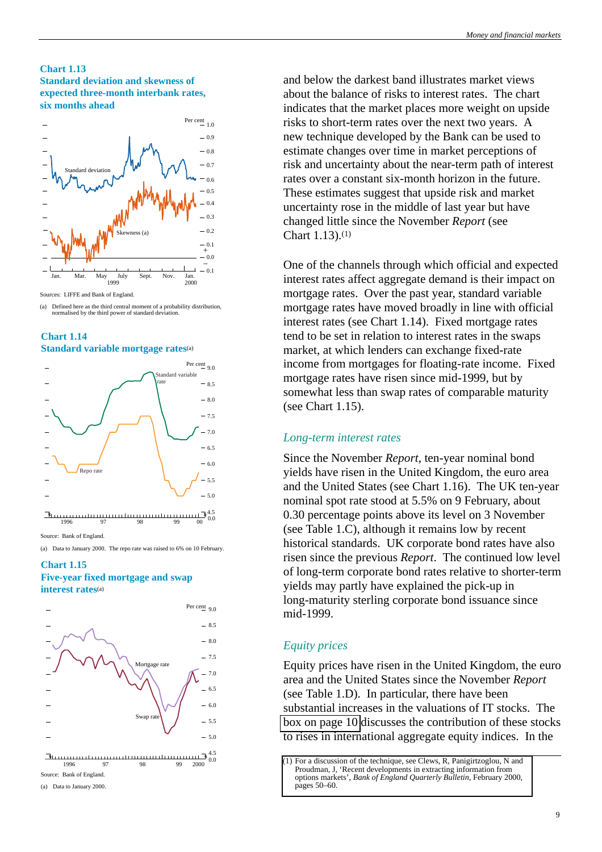# <span id="page-13-0"></span>**Chart 1.13 Standard deviation and skewness of expected three-month interbank rates, six months ahead**



Sources: LIFFE and Bank of England.

<sup>(</sup>a) Defined here as the third central moment of a probability distribution, normalised by the third power of standard deviation.





#### Source: Bank of England

(a) Data to January 2000. The repo rate was raised to 6% on 10 February.

### **Chart 1.15 Five-year fixed mortgage and swap interest rates**(a)



Source: Bank of England.

(a) Data to January 2000.

and below the darkest band illustrates market views about the balance of risks to interest rates. The chart indicates that the market places more weight on upside risks to short-term rates over the next two years. A new technique developed by the Bank can be used to estimate changes over time in market perceptions of risk and uncertainty about the near-term path of interest rates over a constant six-month horizon in the future. These estimates suggest that upside risk and market uncertainty rose in the middle of last year but have changed little since the November *Report* (see Chart 1.13).(1)

One of the channels through which official and expected interest rates affect aggregate demand is their impact on mortgage rates. Over the past year, standard variable mortgage rates have moved broadly in line with official interest rates (see Chart 1.14). Fixed mortgage rates tend to be set in relation to interest rates in the swaps market, at which lenders can exchange fixed-rate income from mortgages for floating-rate income. Fixed mortgage rates have risen since mid-1999, but by somewhat less than swap rates of comparable maturity (see Chart 1.15).

# *Long-term interest rates*

Since the November *Report*, ten-year nominal bond yields have risen in the United Kingdom, the euro area and the United States (see Chart 1.16). The UK ten-year nominal spot rate stood at 5.5% on 9 February, about 0.30 percentage points above its level on 3 November (see Table 1.C), although it remains low by recent historical standards. UK corporate bond rates have also risen since the previous *Report*. The continued low level of long-term corporate bond rates relative to shorter-term yields may partly have explained the pick-up in long-maturity sterling corporate bond issuance since mid-1999.

# *Equity prices*

Equity prices have risen in the United Kingdom, the euro area and the United States since the November *Report* (see Table 1.D). In particular, there have been substantial increases in the valuations of IT stocks. The [box on page 10](#page-14-0) discusses the contribution of these stocks to rises in international aggregate equity indices. In the

[<sup>\(1\)</sup> For a discussion of the technique, see Clews, R, Panigirtzoglou, N and](http://www.bankofengland.co.uk/qb/qb000101.pdf) Proudman, J, 'Recent developments in extracting information from options markets', *Bank of England Quarterly Bulletin*, February 2000, pages 50–60.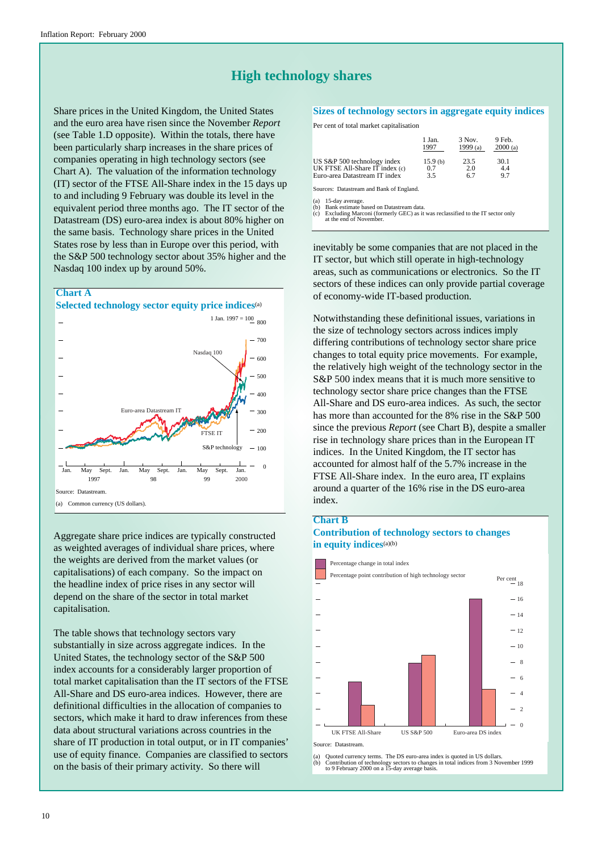# **High technology shares**

<span id="page-14-0"></span>Share prices in the United Kingdom, the United States and the euro area have risen since the November *Report* (see Table 1.D opposite). Within the totals, there have been particularly sharp increases in the share prices of companies operating in high technology sectors (see Chart A). The valuation of the information technology (IT) sector of the FTSE All-Share index in the 15 days up to and including 9 February was double its level in the equivalent period three months ago. The IT sector of the Datastream (DS) euro-area index is about 80% higher on the same basis. Technology share prices in the United States rose by less than in Europe over this period, with the S&P 500 technology sector about 35% higher and the Nasdaq 100 index up by around 50%.



Aggregate share price indices are typically constructed as weighted averages of individual share prices, where the weights are derived from the market values (or capitalisations) of each company. So the impact on the headline index of price rises in any sector will depend on the share of the sector in total market capitalisation.

The table shows that technology sectors vary substantially in size across aggregate indices. In the United States, the technology sector of the S&P 500 index accounts for a considerably larger proportion of total market capitalisation than the IT sectors of the FTSE All-Share and DS euro-area indices. However, there are definitional difficulties in the allocation of companies to sectors, which make it hard to draw inferences from these data about structural variations across countries in the share of IT production in total output, or in IT companies' use of equity finance. Companies are classified to sectors on the basis of their primary activity. So there will

#### **Sizes of technology sectors in aggregate equity indices**

Per cent of total market capitalisation

|                                | 1 Jan.  | 3 Nov.   | 9 Feb.  |
|--------------------------------|---------|----------|---------|
|                                | 1997    | 1999 (a) | 2000(a) |
| US S&P 500 technology index    | 15.9(b) | 23.5     | 30.1    |
| UK FTSE All-Share IT index (c) | 0.7     | 2.0      | 4.4     |
| Euro-area Datastream IT index  | 3.5     | 67       | 97      |

Sources: Datastream and Bank of England.

(a) 15-day average. (b) Bank estimate based on Datastream data. (c) Excluding Marconi (formerly GEC) as it was reclassified to the IT sector only at the end of November.

inevitably be some companies that are not placed in the IT sector, but which still operate in high-technology areas, such as communications or electronics. So the IT sectors of these indices can only provide partial coverage of economy-wide IT-based production.

Notwithstanding these definitional issues, variations in the size of technology sectors across indices imply differing contributions of technology sector share price changes to total equity price movements. For example, the relatively high weight of the technology sector in the S&P 500 index means that it is much more sensitive to technology sector share price changes than the FTSE All-Share and DS euro-area indices. As such, the sector has more than accounted for the 8% rise in the S&P 500 since the previous *Report* (see Chart B), despite a smaller rise in technology share prices than in the European IT indices. In the United Kingdom, the IT sector has accounted for almost half of the 5.7% increase in the FTSE All-Share index. In the euro area, IT explains around a quarter of the 16% rise in the DS euro-area index.

#### **Chart B**

## **Contribution of technology sectors to changes in equity indices**(a)(b)



Source: Datastream.

(a) Quoted currency terms. The DS euro-area index is quoted in US dollars. (b) Contribution of technology sectors to changes in total indices from 3 November 1999 to 9 February 2000 on a 15-day average basis.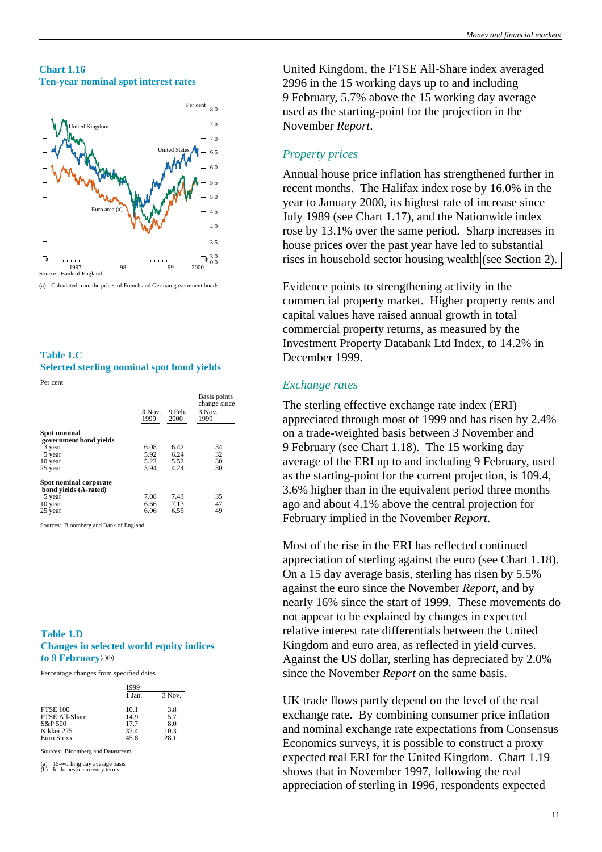### <span id="page-15-0"></span>**Chart 1.16 Ten-year nominal spot interest rates**



(a) Calculated from the prices of French and German government bonds.

# **Table 1.C Selected sterling nominal spot bond yields**

Per cent

|                                                 | $3$ Nov.<br>1999 | 9 Feb.<br>2000 | Basis points<br>change since<br>3 Nov.<br>1999 |
|-------------------------------------------------|------------------|----------------|------------------------------------------------|
| <b>Spot nominal</b><br>government bond vields   |                  |                |                                                |
| 3 year                                          | 6.08             | 6.42           | 34                                             |
| 5 year                                          | 5.92             | 6.24           | 32                                             |
| 10 year                                         | 5.22             | 5.52           | 30                                             |
| 25 year                                         | 3.94             | 4.24           | 30                                             |
| Spot nominal corporate<br>bond yields (A-rated) |                  |                |                                                |
| 5 year                                          | 7.08             | 7.43           | 35                                             |
| 10 year                                         | 6.66             | 7.13           | 47                                             |
| 25 year                                         | 6.06             | 6.55           | 49                                             |

Sources: Bloomberg and Bank of England.

### **Table 1.D Changes in selected world equity indices to 9 February**(a)(b)

Percentage changes from specified dates

|                 | 1999   |        |  |
|-----------------|--------|--------|--|
|                 | 1 Jan. | 3 Nov. |  |
| <b>FTSE 100</b> | 10.1   | 3.8    |  |
| FTSE All-Share  | 14.9   | 5.7    |  |
| S&P 500         | 17.7   | 8.0    |  |
| Nikkei 225      | 37.4   | 10.3   |  |
| Euro Stoxx      | 45.8   | 28.1   |  |

Sources: Bloomberg and Datastream.

(a) 15-working day average basis (b) In domestic currency terms.

United Kingdom, the FTSE All-Share index averaged 2996 in the 15 working days up to and including 9 February, 5.7% above the 15 working day average used as the starting-point for the projection in the November *Report*.

# *Property prices*

Annual house price inflation has strengthened further in recent months. The Halifax index rose by 16.0% in the year to January 2000, its highest rate of increase since July 1989 (see Chart 1.17), and the Nationwide index rose by 13.1% over the same period. Sharp increases in house prices over the past year have led to substantial rises in household sector housing wealth [\(see Section 2\).](#page-17-0)

Evidence points to strengthening activity in the commercial property market. Higher property rents and capital values have raised annual growth in total commercial property returns, as measured by the Investment Property Databank Ltd Index, to 14.2% in December 1999.

# *Exchange rates*

The sterling effective exchange rate index (ERI) appreciated through most of 1999 and has risen by 2.4% on a trade-weighted basis between 3 November and 9 February (see Chart 1.18). The 15 working day average of the ERI up to and including 9 February, used as the starting-point for the current projection, is 109.4, 3.6% higher than in the equivalent period three months ago and about 4.1% above the central projection for February implied in the November *Report*.

Most of the rise in the ERI has reflected continued appreciation of sterling against the euro (see Chart 1.18). On a 15 day average basis, sterling has risen by 5.5% against the euro since the November *Report*, and by nearly 16% since the start of 1999. These movements do not appear to be explained by changes in expected relative interest rate differentials between the United Kingdom and euro area, as reflected in yield curves. Against the US dollar, sterling has depreciated by 2.0% since the November *Report* on the same basis.

UK trade flows partly depend on the level of the real exchange rate. By combining consumer price inflation and nominal exchange rate expectations from Consensus Economics surveys, it is possible to construct a proxy expected real ERI for the United Kingdom. Chart 1.19 shows that in November 1997, following the real appreciation of sterling in 1996, respondents expected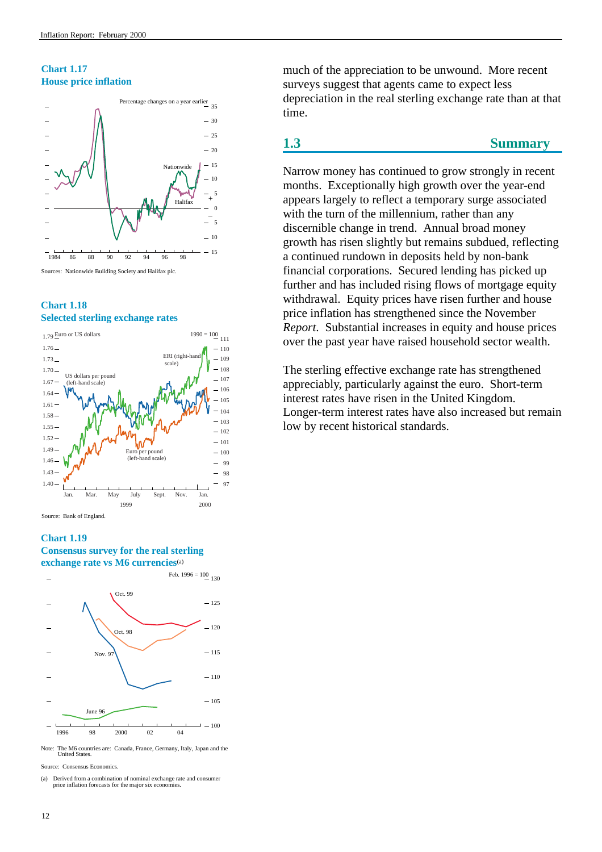# <span id="page-16-0"></span>**Chart 1.17 House price inflation**



# **Chart 1.18 Selected sterling exchange rates**



# **Chart 1.19**

**Consensus survey for the real sterling exchange rate vs M6 currencies**(a)



Note: The M6 countries are: Canada, France, Germany, Italy, Japan and the United States.

Source: Consensus Economics.

(a) Derived from a combination of nominal exchange rate and consumer price inflation forecasts for the major six economies.

much of the appreciation to be unwound. More recent surveys suggest that agents came to expect less depreciation in the real sterling exchange rate than at that time.

# **1.3 Summary**

Narrow money has continued to grow strongly in recent months. Exceptionally high growth over the year-end appears largely to reflect a temporary surge associated with the turn of the millennium, rather than any discernible change in trend. Annual broad money growth has risen slightly but remains subdued, reflecting a continued rundown in deposits held by non-bank financial corporations. Secured lending has picked up further and has included rising flows of mortgage equity withdrawal. Equity prices have risen further and house price inflation has strengthened since the November *Report*. Substantial increases in equity and house prices over the past year have raised household sector wealth.

The sterling effective exchange rate has strengthened appreciably, particularly against the euro. Short-term interest rates have risen in the United Kingdom. Longer-term interest rates have also increased but remain low by recent historical standards.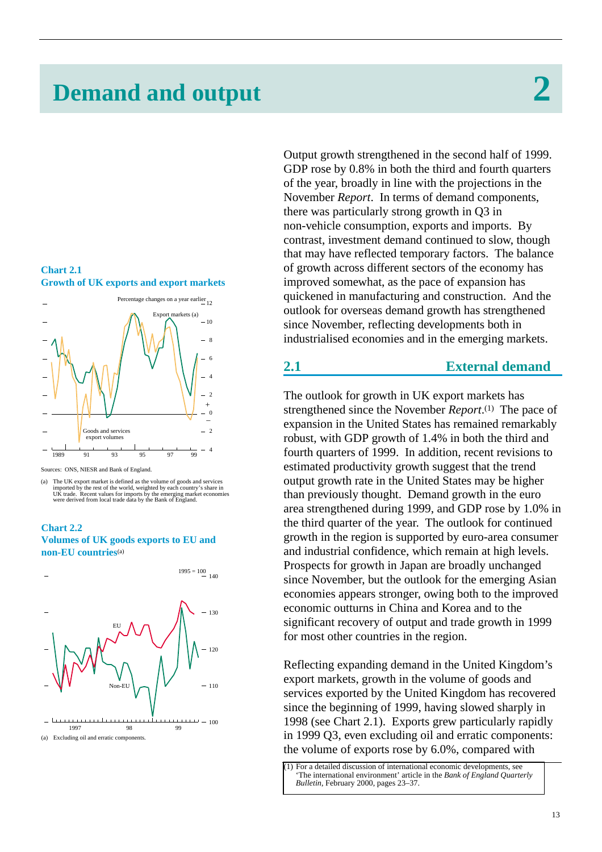# <span id="page-17-0"></span>**Demand and output 2**





Sources: ONS, NIESR and Bank of England.

## **Chart 2.2 Volumes of UK goods exports to EU and non-EU countries**(a)



Output growth strengthened in the second half of 1999. GDP rose by 0.8% in both the third and fourth quarters of the year, broadly in line with the projections in the November *Report*. In terms of demand components, there was particularly strong growth in Q3 in non-vehicle consumption, exports and imports. By contrast, investment demand continued to slow, though that may have reflected temporary factors. The balance of growth across different sectors of the economy has improved somewhat, as the pace of expansion has quickened in manufacturing and construction. And the outlook for overseas demand growth has strengthened since November, reflecting developments both in industrialised economies and in the emerging markets.

# **2.1 External demand**

The outlook for growth in UK export markets has strengthened since the November *Report*.(1) The pace of expansion in the United States has remained remarkably robust, with GDP growth of 1.4% in both the third and fourth quarters of 1999. In addition, recent revisions to estimated productivity growth suggest that the trend output growth rate in the United States may be higher than previously thought. Demand growth in the euro area strengthened during 1999, and GDP rose by 1.0% in the third quarter of the year. The outlook for continued growth in the region is supported by euro-area consumer and industrial confidence, which remain at high levels. Prospects for growth in Japan are broadly unchanged since November, but the outlook for the emerging Asian economies appears stronger, owing both to the improved economic outturns in China and Korea and to the significant recovery of output and trade growth in 1999 for most other countries in the region.

Reflecting expanding demand in the United Kingdom's export markets, growth in the volume of goods and services exported by the United Kingdom has recovered since the beginning of 1999, having slowed sharply in 1998 (see Chart 2.1). Exports grew particularly rapidly in 1999 Q3, even excluding oil and erratic components: the volume of exports rose by 6.0%, compared with

<sup>(</sup>a) The UK export market is defined as the volume of goods and services<br>imported by the rest of the world, weighted by each country's share in<br>UK trade. Recent values for imports by the emerging market economies<br>were deriv

[<sup>\(1\)</sup> For a detailed discussion of international economic developments, see](http://www.bankofengland.co.uk/qb/int00feb.pdf) 'The international environment' article in the *Bank of England Quarterly Bulletin*, February 2000, pages 23–37.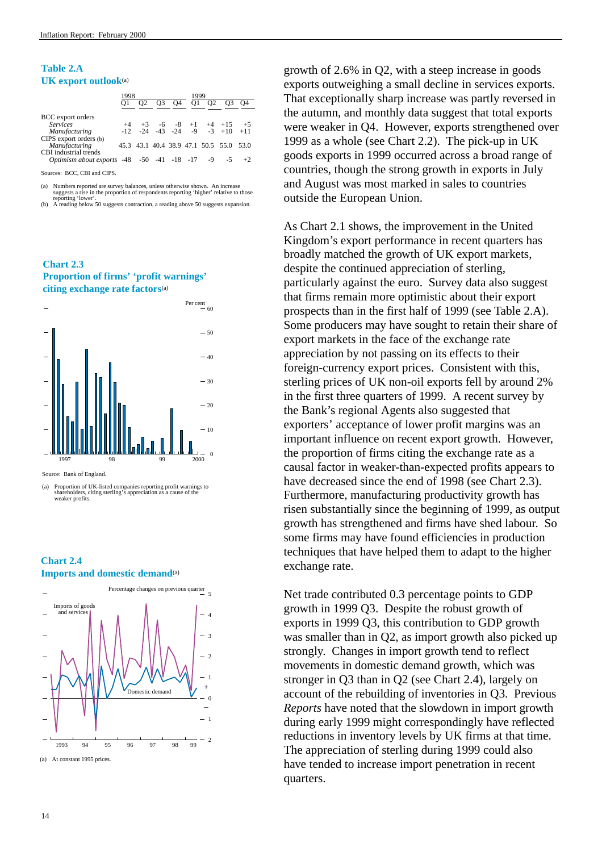# **Table 2.A UK export outlook**(a)

|                                               | 1998 |    |                |                | 1999 |                                    |                                         |       |
|-----------------------------------------------|------|----|----------------|----------------|------|------------------------------------|-----------------------------------------|-------|
|                                               |      | O2 | O <sub>3</sub> | O <sub>4</sub> | 01   | O <sub>2</sub>                     | O <sub>3</sub>                          | O4    |
| BCC export orders                             |      |    |                |                |      |                                    |                                         |       |
| <b>Services</b>                               | $+4$ |    |                |                |      | $+3$ -6 -8 +1 +4 +15               |                                         | $+5$  |
| Manufacturing                                 |      |    |                |                |      |                                    | $-12$ $-24$ $-43$ $-24$ $-9$ $-3$ $+10$ | $+11$ |
| CIPS export orders (b)                        |      |    |                |                |      |                                    |                                         |       |
| Manufacturing                                 |      |    |                |                |      | 45.3 43.1 40.4 38.9 47.1 50.5 55.0 |                                         | 53.0  |
| CBI industrial trends                         |      |    |                |                |      |                                    |                                         |       |
| Optimism about exports -48 -50 -41 -18 -17 -9 |      |    |                |                |      |                                    | -5.                                     | $+2$  |
| Sources: RCC CRI and CIDS                     |      |    |                |                |      |                                    |                                         |       |

BCC, CBI and CIPS.

(a) Numbers reported are survey balances, unless otherwise shown. An increase

suggests a rise in the proportion of respondents reporting 'hower'.<br>
(b) A reading below 50 suggests contraction, a reading above 50 suggests expansion.

**Chart 2.3 Proportion of firms' 'profit warnings' citing exchange rate factors**(a)



Source: Bank of England.

(a) Proportion of UK-listed companies reporting profit warnings to shareholders, citing sterling's appreciation as a cause of the weaker profits.

# **Chart 2.4 Imports and domestic demand**<sup>(a)</sup>



growth of 2.6% in Q2, with a steep increase in goods exports outweighing a small decline in services exports. That exceptionally sharp increase was partly reversed in the autumn, and monthly data suggest that total exports were weaker in Q4. However, exports strengthened over 1999 as a whole (see Chart 2.2). The pick-up in UK goods exports in 1999 occurred across a broad range of countries, though the strong growth in exports in July and August was most marked in sales to countries outside the European Union.

As Chart 2.1 shows, the improvement in the United Kingdom's export performance in recent quarters has broadly matched the growth of UK export markets, despite the continued appreciation of sterling, particularly against the euro. Survey data also suggest that firms remain more optimistic about their export prospects than in the first half of 1999 (see Table 2.A). Some producers may have sought to retain their share of export markets in the face of the exchange rate appreciation by not passing on its effects to their foreign-currency export prices. Consistent with this, sterling prices of UK non-oil exports fell by around 2% in the first three quarters of 1999. A recent survey by the Bank's regional Agents also suggested that exporters' acceptance of lower profit margins was an important influence on recent export growth. However, the proportion of firms citing the exchange rate as a causal factor in weaker-than-expected profits appears to have decreased since the end of 1998 (see Chart 2.3). Furthermore, manufacturing productivity growth has risen substantially since the beginning of 1999, as output growth has strengthened and firms have shed labour. So some firms may have found efficiencies in production techniques that have helped them to adapt to the higher exchange rate.

Net trade contributed 0.3 percentage points to GDP growth in 1999 Q3. Despite the robust growth of exports in 1999 Q3, this contribution to GDP growth was smaller than in Q2, as import growth also picked up strongly. Changes in import growth tend to reflect movements in domestic demand growth, which was stronger in Q3 than in Q2 (see Chart 2.4), largely on account of the rebuilding of inventories in Q3. Previous *Reports* have noted that the slowdown in import growth during early 1999 might correspondingly have reflected reductions in inventory levels by UK firms at that time. The appreciation of sterling during 1999 could also have tended to increase import penetration in recent quarters.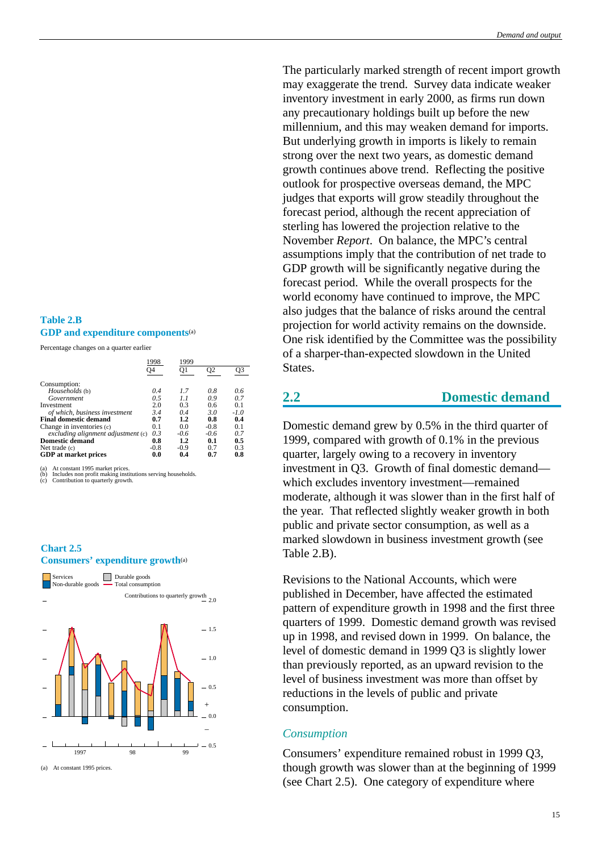# The particularly marked strength of recent import growth may exaggerate the trend. Survey data indicate weaker inventory investment in early 2000, as firms run down any precautionary holdings built up before the new millennium, and this may weaken demand for imports. But underlying growth in imports is likely to remain strong over the next two years, as domestic demand growth continues above trend. Reflecting the positive outlook for prospective overseas demand, the MPC judges that exports will grow steadily throughout the forecast period, although the recent appreciation of sterling has lowered the projection relative to the November *Report*. On balance, the MPC's central assumptions imply that the contribution of net trade to GDP growth will be significantly negative during the forecast period. While the overall prospects for the world economy have continued to improve, the MPC also judges that the balance of risks around the central projection for world activity remains on the downside. One risk identified by the Committee was the possibility of a sharper-than-expected slowdown in the United States.

# **2.2 Domestic demand**

Domestic demand grew by 0.5% in the third quarter of 1999, compared with growth of 0.1% in the previous quarter, largely owing to a recovery in inventory investment in Q3. Growth of final domestic demand which excludes inventory investment—remained moderate, although it was slower than in the first half of the year. That reflected slightly weaker growth in both public and private sector consumption, as well as a marked slowdown in business investment growth (see Table 2.B).

Revisions to the National Accounts, which were published in December, have affected the estimated pattern of expenditure growth in 1998 and the first three quarters of 1999. Domestic demand growth was revised up in 1998, and revised down in 1999. On balance, the level of domestic demand in 1999 Q3 is slightly lower than previously reported, as an upward revision to the level of business investment was more than offset by reductions in the levels of public and private consumption.

# *Consumption*

Consumers' expenditure remained robust in 1999 Q3*,* though growth was slower than at the beginning of 1999 (see Chart 2.5). One category of expenditure where

# <span id="page-19-0"></span>**Table 2.B GDP and expenditure components**(a)

Percentage changes on a quarter earlier

|                                    | 1998   | 1999   |        |        |
|------------------------------------|--------|--------|--------|--------|
|                                    | O4     | O1     | O2     | O3     |
| Consumption:                       |        |        |        |        |
| Households (b)                     | 0.4    | 1.7    | 0.8    | 0.6    |
| Government                         | 0.5    | 1.1    | 0.9    | 0.7    |
| Investment                         | 2.0    | 0.3    | 0.6    | 0.1    |
| of which, business investment      | 3.4    | 0.4    | 3.0    | $-1.0$ |
| <b>Final domestic demand</b>       | 0.7    | 1.2    | 0.8    | 0.4    |
| Change in inventories (c)          | 0.1    | 0.0    | $-0.8$ | 0.1    |
| excluding alignment adjustment (c) | 0.3    | $-0.6$ | $-0.6$ | 0.7    |
| <b>Domestic demand</b>             | 0.8    | 1.2    | 0.1    | 0.5    |
| Net trade $(c)$                    | $-0.8$ | $-0.9$ | 0.7    | 0.3    |
| <b>GDP</b> at market prices        | 0.0    | 0.4    | 0.7    | 0.8    |

(a) At constant 1995 market prices. (b) Includes non profit making institutions serving households. (c) Contribution to quarterly growth.

# **Chart 2.5 Consumers' expenditure growth**(a)

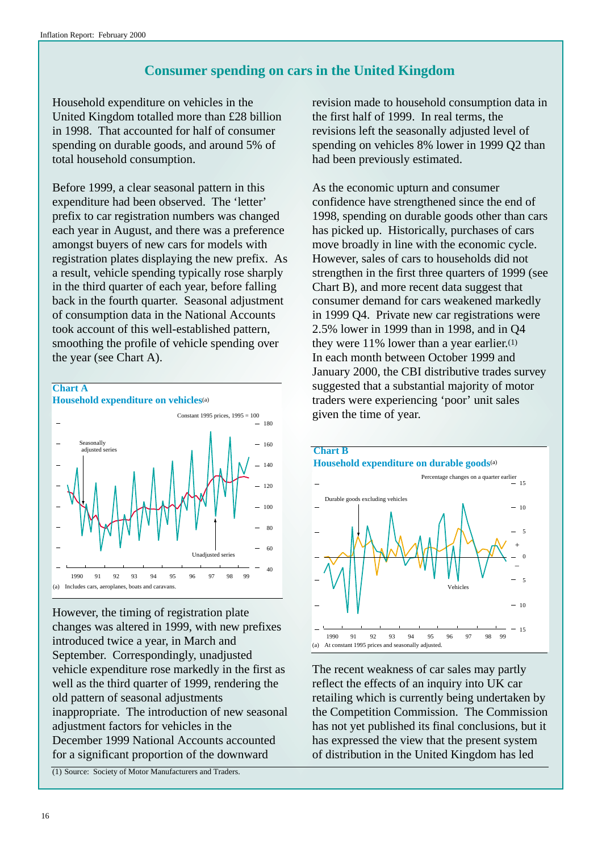# **Consumer spending on cars in the United Kingdom**

<span id="page-20-0"></span>Household expenditure on vehicles in the United Kingdom totalled more than £28 billion in 1998. That accounted for half of consumer spending on durable goods, and around 5% of total household consumption.

Before 1999, a clear seasonal pattern in this expenditure had been observed. The 'letter' prefix to car registration numbers was changed each year in August, and there was a preference amongst buyers of new cars for models with registration plates displaying the new prefix. As a result, vehicle spending typically rose sharply in the third quarter of each year, before falling back in the fourth quarter. Seasonal adjustment of consumption data in the National Accounts took account of this well-established pattern, smoothing the profile of vehicle spending over the year (see Chart A).



However, the timing of registration plate changes was altered in 1999, with new prefixes introduced twice a year, in March and September. Correspondingly, unadjusted vehicle expenditure rose markedly in the first as well as the third quarter of 1999, rendering the old pattern of seasonal adjustments inappropriate. The introduction of new seasonal adjustment factors for vehicles in the December 1999 National Accounts accounted for a significant proportion of the downward

(1) Source: Society of Motor Manufacturers and Traders.

revision made to household consumption data in the first half of 1999. In real terms, the revisions left the seasonally adjusted level of spending on vehicles 8% lower in 1999 Q2 than had been previously estimated.

As the economic upturn and consumer confidence have strengthened since the end of 1998, spending on durable goods other than cars has picked up. Historically, purchases of cars move broadly in line with the economic cycle. However, sales of cars to households did not strengthen in the first three quarters of 1999 (see Chart B), and more recent data suggest that consumer demand for cars weakened markedly in 1999 Q4. Private new car registrations were 2.5% lower in 1999 than in 1998, and in Q4 they were 11% lower than a year earlier.(1) In each month between October 1999 and January 2000, the CBI distributive trades survey suggested that a substantial majority of motor traders were experiencing 'poor' unit sales given the time of year.



The recent weakness of car sales may partly reflect the effects of an inquiry into UK car retailing which is currently being undertaken by the Competition Commission. The Commission has not yet published its final conclusions, but it has expressed the view that the present system of distribution in the United Kingdom has led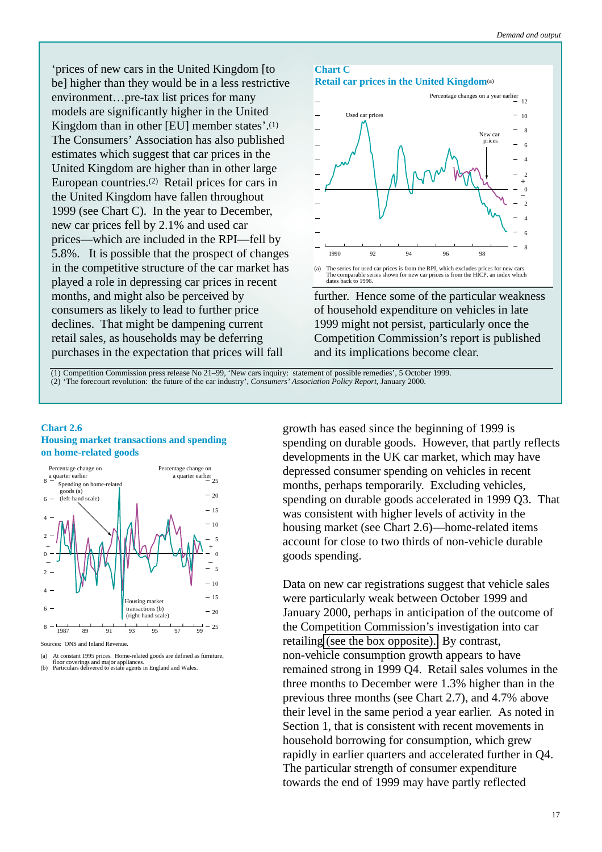'prices of new cars in the United Kingdom [to be] higher than they would be in a less restrictive environment…pre-tax list prices for many models are significantly higher in the United Kingdom than in other [EU] member states'.(1) The Consumers' Association has also published estimates which suggest that car prices in the United Kingdom are higher than in other large European countries.(2) Retail prices for cars in the United Kingdom have fallen throughout 1999 (see Chart C). In the year to December, new car prices fell by 2.1% and used car prices—which are included in the RPI—fell by 5.8%. It is possible that the prospect of changes in the competitive structure of the car market has played a role in depressing car prices in recent months, and might also be perceived by consumers as likely to lead to further price declines. That might be dampening current retail sales, as households may be deferring purchases in the expectation that prices will fall





further. Hence some of the particular weakness of household expenditure on vehicles in late 1999 might not persist, particularly once the Competition Commission's report is published and its implications become clear.

(1) Competition Commission press release No 21–99, 'New cars inquiry: statement of possible remedies', 5 October 1999. (2) 'The forecourt revolution: the future of the car industry', *Consumers' Association Policy Report*, January 2000.

# **Chart 2.6 Housing market transactions and spending on home-related goods**



Sources: ONS and Inland Revenue.

growth has eased since the beginning of 1999 is spending on durable goods. However, that partly reflects developments in the UK car market, which may have depressed consumer spending on vehicles in recent months, perhaps temporarily. Excluding vehicles, spending on durable goods accelerated in 1999 Q3. That was consistent with higher levels of activity in the housing market (see Chart 2.6)—home-related items account for close to two thirds of non-vehicle durable goods spending.

Data on new car registrations suggest that vehicle sales were particularly weak between October 1999 and January 2000, perhaps in anticipation of the outcome of the Competition Commission's investigation into car retailing [\(see the box opposite\).](#page-20-0) By contrast, non-vehicle consumption growth appears to have remained strong in 1999 Q4. Retail sales volumes in the three months to December were 1.3% higher than in the previous three months (see Chart 2.7), and 4.7% above their level in the same period a year earlier. As noted in Section 1, that is consistent with recent movements in household borrowing for consumption, which grew rapidly in earlier quarters and accelerated further in Q4. The particular strength of consumer expenditure towards the end of 1999 may have partly reflected

<sup>(</sup>a) At constant 1995 prices. Home-related goods are defined as furniture, floor coverings and major appliances. (b) Particulars delivered to estate agents in England and Wales.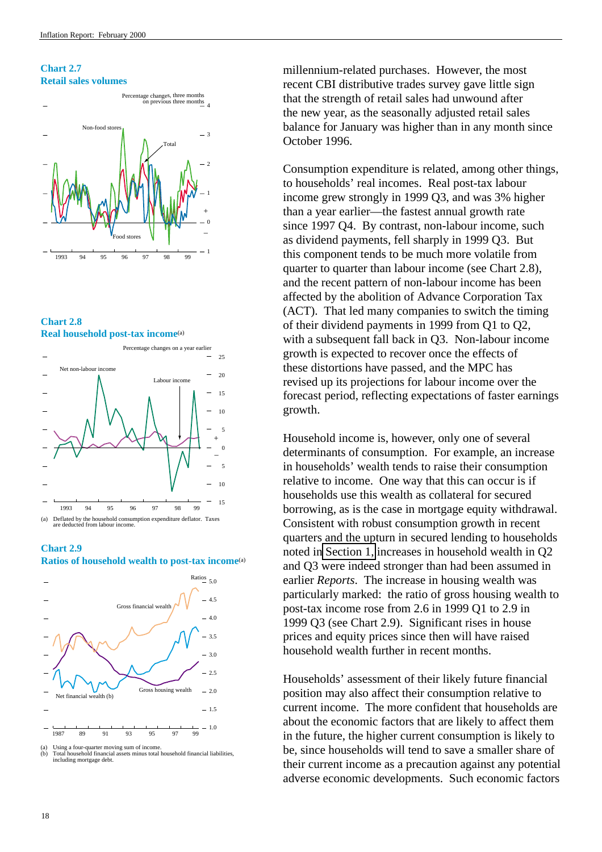**Chart 2.7 Retail sales volumes**













<sup>(</sup>a) Using a four-quarter moving sum of income. (b) Total household financial assets minus total household financial liabilities, including mortgage debt.

millennium-related purchases. However, the most recent CBI distributive trades survey gave little sign that the strength of retail sales had unwound after the new year, as the seasonally adjusted retail sales balance for January was higher than in any month since October 1996.

Consumption expenditure is related, among other things, to households' real incomes. Real post-tax labour income grew strongly in 1999 Q3, and was 3% higher than a year earlier—the fastest annual growth rate since 1997 Q4. By contrast, non-labour income, such as dividend payments, fell sharply in 1999 Q3. But this component tends to be much more volatile from quarter to quarter than labour income (see Chart 2.8), and the recent pattern of non-labour income has been affected by the abolition of Advance Corporation Tax (ACT). That led many companies to switch the timing of their dividend payments in 1999 from Q1 to Q2, with a subsequent fall back in Q3. Non-labour income growth is expected to recover once the effects of these distortions have passed, and the MPC has revised up its projections for labour income over the forecast period, reflecting expectations of faster earnings growth.

Household income is, however, only one of several determinants of consumption. For example, an increase in households' wealth tends to raise their consumption relative to income. One way that this can occur is if households use this wealth as collateral for secured borrowing, as is the case in mortgage equity withdrawal. Consistent with robust consumption growth in recent quarters and the upturn in secured lending to households noted in [Section 1,](#page-7-0) increases in household wealth in Q2 and Q3 were indeed stronger than had been assumed in earlier *Reports*. The increase in housing wealth was particularly marked: the ratio of gross housing wealth to post-tax income rose from 2.6 in 1999 Q1 to 2.9 in 1999 Q3 (see Chart 2.9). Significant rises in house prices and equity prices since then will have raised household wealth further in recent months.

Households' assessment of their likely future financial position may also affect their consumption relative to current income. The more confident that households are about the economic factors that are likely to affect them in the future, the higher current consumption is likely to be, since households will tend to save a smaller share of their current income as a precaution against any potential adverse economic developments. Such economic factors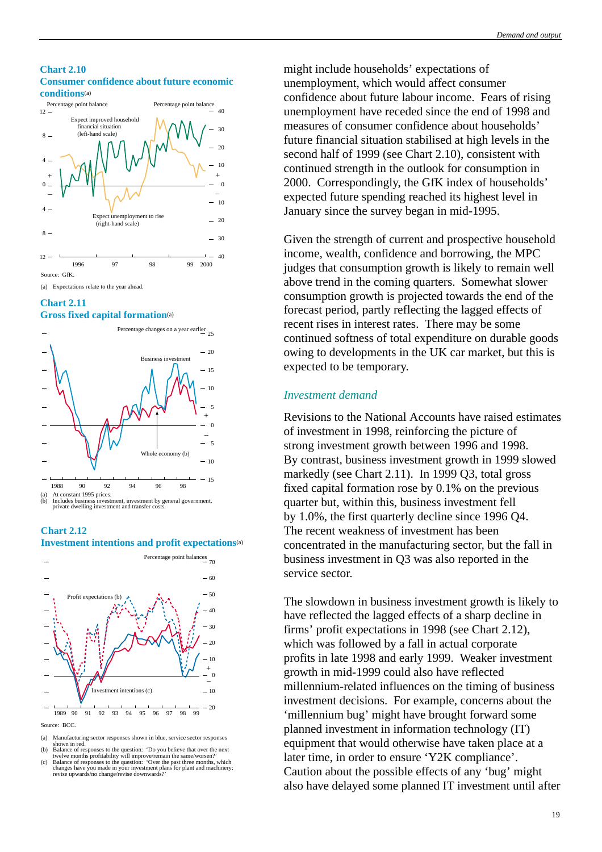#### *Demand and output*

#### <span id="page-23-0"></span>**Chart 2.10 Consumer confidence about future economic conditions**(a)



(a) Expectations relate to the year ahead.

# **Chart 2.11**

# **Gross fixed capital formation**(a)







- (a) Manufacturing sector responses shown in blue, service sector responses<br>shown in red.<br>(b) Balance of responses to the question: 'Do you believe that over the next
- 
- twelve months profitability will improve/remain the same/worsen?'<br>
(c) Balance of responses to the question: 'Over the past three months, which<br>
changes have you made in your investment plans for plant and machinery:<br>
revi

might include households' expectations of unemployment, which would affect consumer confidence about future labour income. Fears of rising unemployment have receded since the end of 1998 and measures of consumer confidence about households' future financial situation stabilised at high levels in the second half of 1999 (see Chart 2.10), consistent with continued strength in the outlook for consumption in 2000. Correspondingly, the GfK index of households' expected future spending reached its highest level in January since the survey began in mid-1995.

Given the strength of current and prospective household income, wealth, confidence and borrowing, the MPC judges that consumption growth is likely to remain well above trend in the coming quarters. Somewhat slower consumption growth is projected towards the end of the forecast period, partly reflecting the lagged effects of recent rises in interest rates. There may be some continued softness of total expenditure on durable goods owing to developments in the UK car market, but this is expected to be temporary.

# *Investment demand*

Revisions to the National Accounts have raised estimates of investment in 1998, reinforcing the picture of strong investment growth between 1996 and 1998. By contrast, business investment growth in 1999 slowed markedly (see Chart 2.11). In 1999 Q3, total gross fixed capital formation rose by 0.1% on the previous quarter but, within this, business investment fell by 1.0%, the first quarterly decline since 1996 Q4. The recent weakness of investment has been concentrated in the manufacturing sector, but the fall in business investment in Q3 was also reported in the service sector.

The slowdown in business investment growth is likely to have reflected the lagged effects of a sharp decline in firms' profit expectations in 1998 (see Chart 2.12), which was followed by a fall in actual corporate profits in late 1998 and early 1999. Weaker investment growth in mid-1999 could also have reflected millennium-related influences on the timing of business investment decisions. For example, concerns about the 'millennium bug' might have brought forward some planned investment in information technology (IT) equipment that would otherwise have taken place at a later time, in order to ensure 'Y2K compliance'. Caution about the possible effects of any 'bug' might also have delayed some planned IT investment until after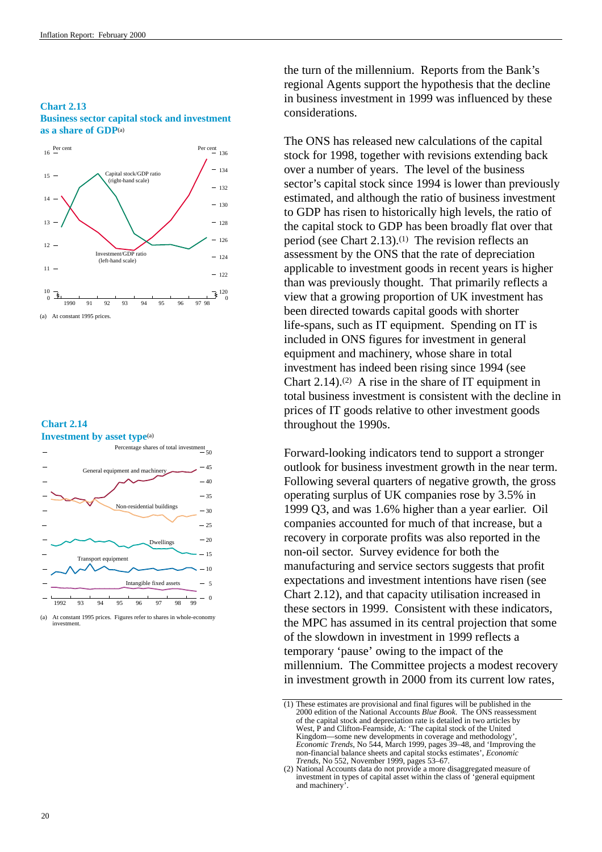# **Chart 2.13 Business sector capital stock and investment as a share of GDP**(a)



#### **Chart 2.14 Investment by asset type**<sup>(a)</sup>



<sup>(</sup>a) At constant 1995 prices. Figures refer to shares in whole-economy investment.

the turn of the millennium. Reports from the Bank's regional Agents support the hypothesis that the decline in business investment in 1999 was influenced by these considerations.

The ONS has released new calculations of the capital stock for 1998, together with revisions extending back over a number of years. The level of the business sector's capital stock since 1994 is lower than previously estimated, and although the ratio of business investment to GDP has risen to historically high levels, the ratio of the capital stock to GDP has been broadly flat over that period (see Chart 2.13).(1) The revision reflects an assessment by the ONS that the rate of depreciation applicable to investment goods in recent years is higher than was previously thought. That primarily reflects a view that a growing proportion of UK investment has been directed towards capital goods with shorter life-spans, such as IT equipment. Spending on IT is included in ONS figures for investment in general equipment and machinery, whose share in total investment has indeed been rising since 1994 (see Chart  $2.14$ ).<sup>(2)</sup> A rise in the share of IT equipment in total business investment is consistent with the decline in prices of IT goods relative to other investment goods throughout the 1990s.

Forward-looking indicators tend to support a stronger outlook for business investment growth in the near term. Following several quarters of negative growth, the gross operating surplus of UK companies rose by 3.5% in 1999 Q3, and was 1.6% higher than a year earlier. Oil companies accounted for much of that increase, but a recovery in corporate profits was also reported in the non-oil sector. Survey evidence for both the manufacturing and service sectors suggests that profit expectations and investment intentions have risen (see Chart 2.12), and that capacity utilisation increased in these sectors in 1999. Consistent with these indicators, the MPC has assumed in its central projection that some of the slowdown in investment in 1999 reflects a temporary 'pause' owing to the impact of the millennium. The Committee projects a modest recovery in investment growth in 2000 from its current low rates,

<sup>(1)</sup> These estimates are provisional and final figures will be published in the 2000 edition of the National Accounts *Blue Book*. The ONS reassessment of the capital stock and depreciation rate is detailed in two articles by West, P and Clifton-Fearnside, A: 'The capital stock of the United Kingdom—some new developments in coverage and methodology', *Economic Trends*, No 544, March 1999, pages 39–48, and 'Improving the non-financial balance sheets and capital stocks estimates', *Economic Trends*, No 552, November 1999, pages 53–67.

<sup>(2)</sup> National Accounts data do not provide a more disaggregated measure of investment in types of capital asset within the class of 'general equipment and machinery'.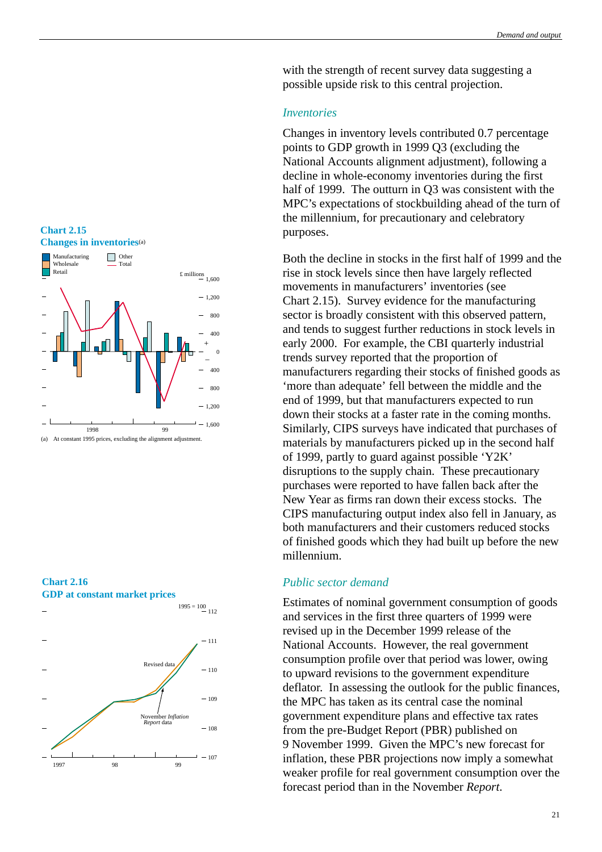with the strength of recent survey data suggesting a possible upside risk to this central projection.

# *Inventories*

Changes in inventory levels contributed 0.7 percentage points to GDP growth in 1999 Q3 (excluding the National Accounts alignment adjustment), following a decline in whole-economy inventories during the first half of 1999. The outturn in Q3 was consistent with the MPC's expectations of stockbuilding ahead of the turn of the millennium, for precautionary and celebratory purposes.

Both the decline in stocks in the first half of 1999 and the rise in stock levels since then have largely reflected movements in manufacturers' inventories (see Chart 2.15). Survey evidence for the manufacturing sector is broadly consistent with this observed pattern, and tends to suggest further reductions in stock levels in early 2000. For example, the CBI quarterly industrial trends survey reported that the proportion of manufacturers regarding their stocks of finished goods as 'more than adequate' fell between the middle and the end of 1999, but that manufacturers expected to run down their stocks at a faster rate in the coming months. Similarly, CIPS surveys have indicated that purchases of materials by manufacturers picked up in the second half of 1999, partly to guard against possible 'Y2K' disruptions to the supply chain. These precautionary purchases were reported to have fallen back after the New Year as firms ran down their excess stocks. The CIPS manufacturing output index also fell in January, as both manufacturers and their customers reduced stocks of finished goods which they had built up before the new millennium.

# *Public sector demand*

Estimates of nominal government consumption of goods and services in the first three quarters of 1999 were revised up in the December 1999 release of the National Accounts. However, the real government consumption profile over that period was lower, owing to upward revisions to the government expenditure deflator. In assessing the outlook for the public finances, the MPC has taken as its central case the nominal government expenditure plans and effective tax rates from the pre-Budget Report (PBR) published on 9 November 1999. Given the MPC's new forecast for inflation, these PBR projections now imply a somewhat weaker profile for real government consumption over the forecast period than in the November *Report*.



<span id="page-25-0"></span>**Chart 2.15**

**Chart 2.16 GDP at constant market prices**

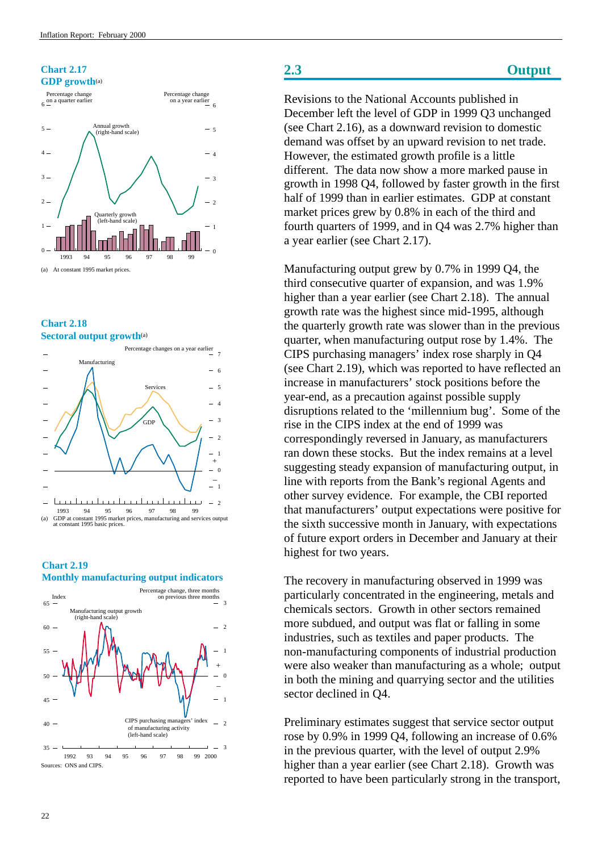# <span id="page-26-0"></span>**Chart 2.17 GDP growth**(a)



# **Chart 2.18 Sectoral output growth**(a)



# **Chart 2.19**

**Monthly manufacturing output indicators**



# **2.3 Output**

Revisions to the National Accounts published in December left the level of GDP in 1999 Q3 unchanged (see Chart 2.16), as a downward revision to domestic demand was offset by an upward revision to net trade. However, the estimated growth profile is a little different. The data now show a more marked pause in growth in 1998 Q4, followed by faster growth in the first half of 1999 than in earlier estimates. GDP at constant market prices grew by 0.8% in each of the third and fourth quarters of 1999, and in Q4 was 2.7% higher than a year earlier (see Chart 2.17).

Manufacturing output grew by 0.7% in 1999 Q4, the third consecutive quarter of expansion, and was 1.9% higher than a year earlier (see Chart 2.18). The annual growth rate was the highest since mid-1995, although the quarterly growth rate was slower than in the previous quarter, when manufacturing output rose by 1.4%. The CIPS purchasing managers' index rose sharply in Q4 (see Chart 2.19), which was reported to have reflected an increase in manufacturers' stock positions before the year-end, as a precaution against possible supply disruptions related to the 'millennium bug'. Some of the rise in the CIPS index at the end of 1999 was correspondingly reversed in January, as manufacturers ran down these stocks. But the index remains at a level suggesting steady expansion of manufacturing output, in line with reports from the Bank's regional Agents and other survey evidence. For example, the CBI reported that manufacturers' output expectations were positive for the sixth successive month in January, with expectations of future export orders in December and January at their highest for two years.

The recovery in manufacturing observed in 1999 was particularly concentrated in the engineering, metals and chemicals sectors. Growth in other sectors remained more subdued, and output was flat or falling in some industries, such as textiles and paper products. The non-manufacturing components of industrial production were also weaker than manufacturing as a whole; output in both the mining and quarrying sector and the utilities sector declined in Q4.

Preliminary estimates suggest that service sector output rose by 0.9% in 1999 Q4, following an increase of 0.6% in the previous quarter, with the level of output 2.9% higher than a year earlier (see Chart 2.18). Growth was reported to have been particularly strong in the transport,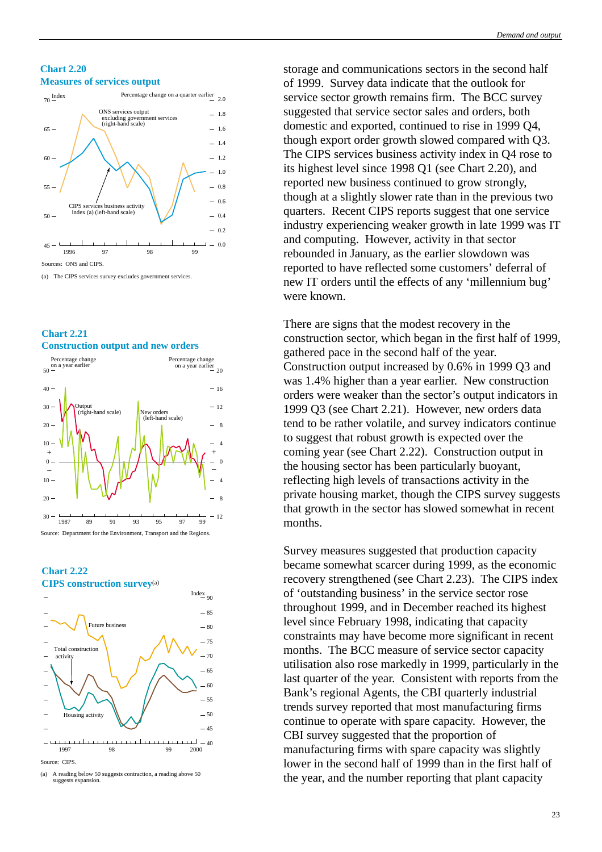#### **Chart 2.20 Measures of services output**



(a) The CIPS services survey excludes government services.





**Chart 2.22 CIPS construction survey**(a)



<sup>(</sup>a) A reading below 50 suggests contraction, a reading above 50 suggests e

storage and communications sectors in the second half of 1999. Survey data indicate that the outlook for service sector growth remains firm. The BCC survey suggested that service sector sales and orders, both domestic and exported, continued to rise in 1999 Q4, though export order growth slowed compared with Q3. The CIPS services business activity index in Q4 rose to its highest level since 1998 Q1 (see Chart 2.20), and reported new business continued to grow strongly, though at a slightly slower rate than in the previous two quarters. Recent CIPS reports suggest that one service industry experiencing weaker growth in late 1999 was IT and computing. However, activity in that sector rebounded in January, as the earlier slowdown was reported to have reflected some customers' deferral of new IT orders until the effects of any 'millennium bug' were known.

There are signs that the modest recovery in the construction sector, which began in the first half of 1999, gathered pace in the second half of the year. Construction output increased by 0.6% in 1999 Q3 and was 1.4% higher than a year earlier. New construction orders were weaker than the sector's output indicators in 1999 Q3 (see Chart 2.21). However, new orders data tend to be rather volatile, and survey indicators continue to suggest that robust growth is expected over the coming year (see Chart 2.22). Construction output in the housing sector has been particularly buoyant, reflecting high levels of transactions activity in the private housing market, though the CIPS survey suggests that growth in the sector has slowed somewhat in recent months.

Survey measures suggested that production capacity became somewhat scarcer during 1999, as the economic recovery strengthened (see Chart 2.23). The CIPS index of 'outstanding business' in the service sector rose throughout 1999, and in December reached its highest level since February 1998, indicating that capacity constraints may have become more significant in recent months. The BCC measure of service sector capacity utilisation also rose markedly in 1999, particularly in the last quarter of the year. Consistent with reports from the Bank's regional Agents, the CBI quarterly industrial trends survey reported that most manufacturing firms continue to operate with spare capacity. However, the CBI survey suggested that the proportion of manufacturing firms with spare capacity was slightly lower in the second half of 1999 than in the first half of the year, and the number reporting that plant capacity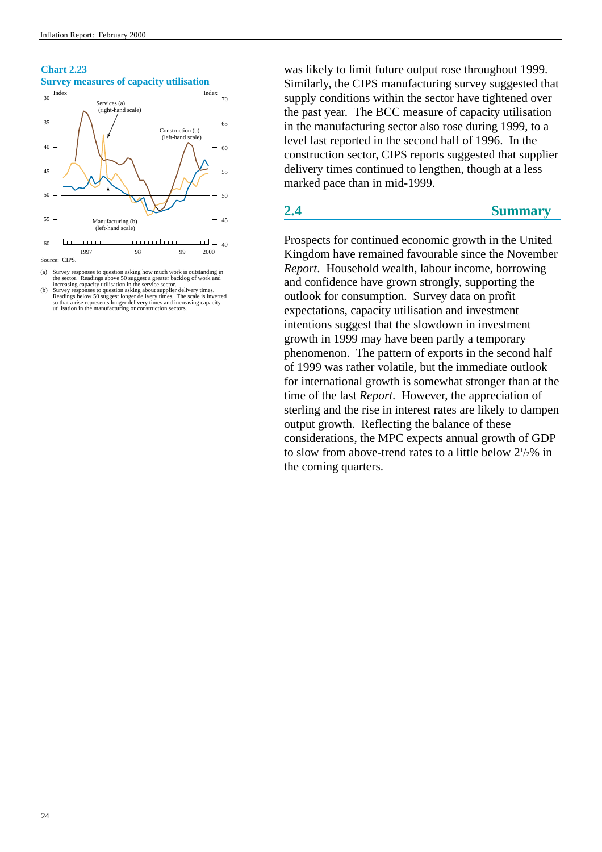# <span id="page-28-0"></span>**Chart 2.23 Survey measures of capacity utilisation**



(a) Survey responses to question asking how much work is outstanding in the sector. Readings above 50 suggest a greater backlog of work and increasing capacity utilisation in the service sector.

was likely to limit future output rose throughout 1999. Similarly, the CIPS manufacturing survey suggested that supply conditions within the sector have tightened over the past year. The BCC measure of capacity utilisation in the manufacturing sector also rose during 1999, to a level last reported in the second half of 1996. In the construction sector, CIPS reports suggested that supplier delivery times continued to lengthen, though at a less marked pace than in mid-1999.

# **2.4 Summary**

Prospects for continued economic growth in the United Kingdom have remained favourable since the November *Report*. Household wealth, labour income, borrowing and confidence have grown strongly, supporting the outlook for consumption. Survey data on profit expectations, capacity utilisation and investment intentions suggest that the slowdown in investment growth in 1999 may have been partly a temporary phenomenon. The pattern of exports in the second half of 1999 was rather volatile, but the immediate outlook for international growth is somewhat stronger than at the time of the last *Report*. However, the appreciation of sterling and the rise in interest rates are likely to dampen output growth. Reflecting the balance of these considerations, the MPC expects annual growth of GDP to slow from above-trend rates to a little below 21 /2% in the coming quarters.

<sup>(</sup>b) Survey responses to question asking about supplier delivery times.<br>Readings below 50 suggest longer delivery times. The scale is inverted<br>so that a rise represents longer delivery times and increasing capacity<br>utilisat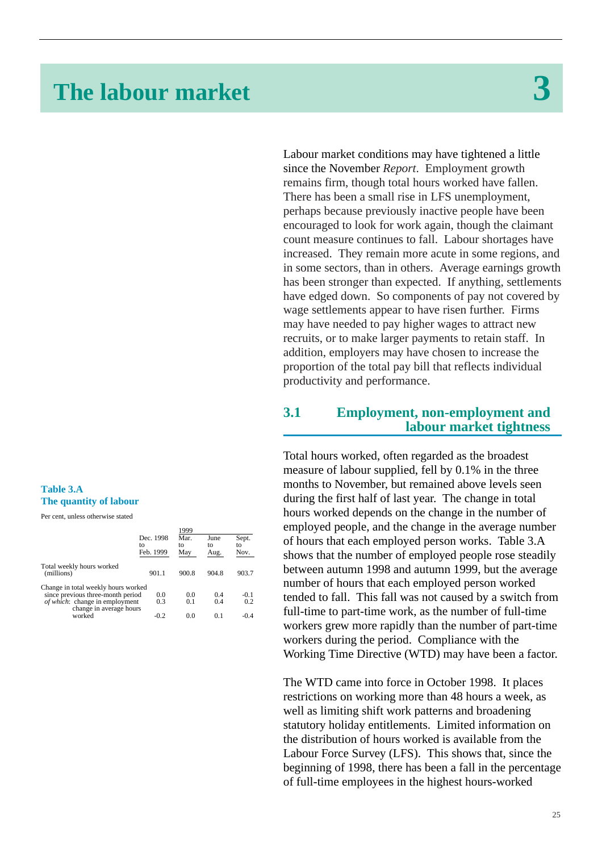# <span id="page-29-0"></span>**The labour market 3**

# **Table 3.A The quantity of labour**

Per cent, unless otherwise stated

|                                                                   | Dec. 1998<br>tο<br>Feb. 1999 | 1999<br>Mar.<br>tΩ<br>May | June<br>tΩ<br>Aug. | Sept.<br>tο<br>Nov. |
|-------------------------------------------------------------------|------------------------------|---------------------------|--------------------|---------------------|
| Total weekly hours worked<br>(millions)                           | 901.1                        | 900.8                     | 904.8              | 903.7               |
| Change in total weekly hours worked                               |                              |                           |                    |                     |
| since previous three-month period                                 | 0.0                          | 0.0                       | 0.4                | $-0.1$              |
| <i>of which</i> : change in employment<br>change in average hours | 0.3                          | 0.1                       | 0.4                | 0.2                 |
| worked                                                            | $-0.2$                       | 0.0                       | 0.1                | $-0.4$              |
|                                                                   |                              |                           |                    |                     |

Labour market conditions may have tightened a little since the November *Report*. Employment growth remains firm, though total hours worked have fallen. There has been a small rise in LFS unemployment, perhaps because previously inactive people have been encouraged to look for work again, though the claimant count measure continues to fall. Labour shortages have increased. They remain more acute in some regions, and in some sectors, than in others. Average earnings growth has been stronger than expected. If anything, settlements have edged down. So components of pay not covered by wage settlements appear to have risen further. Firms may have needed to pay higher wages to attract new recruits, or to make larger payments to retain staff. In addition, employers may have chosen to increase the proportion of the total pay bill that reflects individual productivity and performance.

# **3.1 Employment, non-employment and labour market tightness**

Total hours worked, often regarded as the broadest measure of labour supplied, fell by 0.1% in the three months to November, but remained above levels seen during the first half of last year. The change in total hours worked depends on the change in the number of employed people, and the change in the average number of hours that each employed person works. Table 3.A shows that the number of employed people rose steadily between autumn 1998 and autumn 1999, but the average number of hours that each employed person worked tended to fall. This fall was not caused by a switch from full-time to part-time work, as the number of full-time workers grew more rapidly than the number of part-time workers during the period. Compliance with the Working Time Directive (WTD) may have been a factor.

The WTD came into force in October 1998. It places restrictions on working more than 48 hours a week, as well as limiting shift work patterns and broadening statutory holiday entitlements. Limited information on the distribution of hours worked is available from the Labour Force Survey (LFS). This shows that, since the beginning of 1998, there has been a fall in the percentage of full-time employees in the highest hours-worked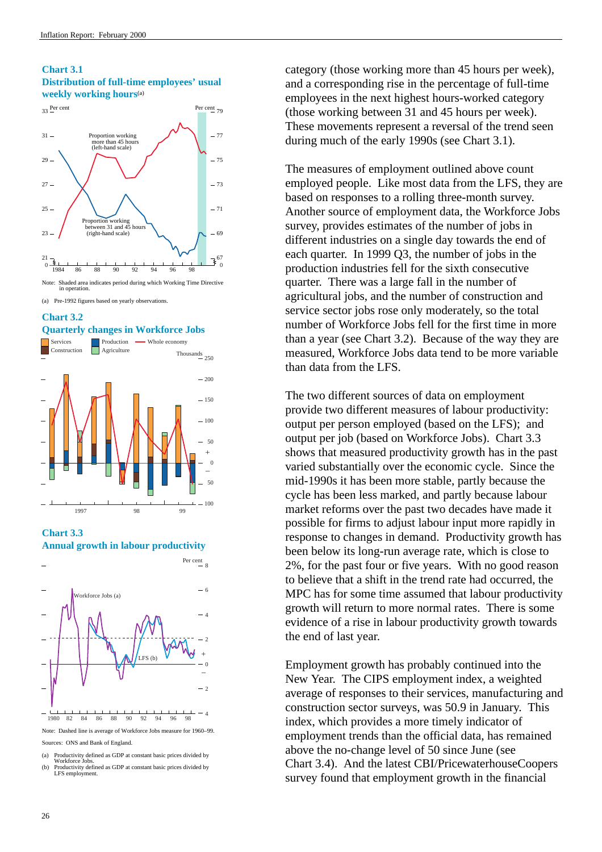# **Chart 3.1 Distribution of full-time employees' usual weekly working hours**(a)





#### **Chart 3.2 Quarterly changes in Workforce Jobs**



**Chart 3.3 Annual growth in labour productivity**



Sources: ONS and Bank of England.

- 
- (a) Productivity defined as GDP at constant basic prices divided by Workforce Jobs. (b) Productivity defined as GDP at constant basic prices divided by LFS employment

category (those working more than 45 hours per week), and a corresponding rise in the percentage of full-time employees in the next highest hours-worked category (those working between 31 and 45 hours per week). These movements represent a reversal of the trend seen during much of the early 1990s (see Chart 3.1).

The measures of employment outlined above count employed people. Like most data from the LFS, they are based on responses to a rolling three-month survey. Another source of employment data, the Workforce Jobs survey, provides estimates of the number of jobs in different industries on a single day towards the end of each quarter. In 1999 Q3, the number of jobs in the production industries fell for the sixth consecutive quarter. There was a large fall in the number of agricultural jobs, and the number of construction and service sector jobs rose only moderately, so the total number of Workforce Jobs fell for the first time in more than a year (see Chart 3.2). Because of the way they are measured, Workforce Jobs data tend to be more variable than data from the LFS.

The two different sources of data on employment provide two different measures of labour productivity: output per person employed (based on the LFS); and output per job (based on Workforce Jobs). Chart 3.3 shows that measured productivity growth has in the past varied substantially over the economic cycle. Since the mid-1990s it has been more stable, partly because the cycle has been less marked, and partly because labour market reforms over the past two decades have made it possible for firms to adjust labour input more rapidly in response to changes in demand. Productivity growth has been below its long-run average rate, which is close to 2%, for the past four or five years. With no good reason to believe that a shift in the trend rate had occurred, the MPC has for some time assumed that labour productivity growth will return to more normal rates. There is some evidence of a rise in labour productivity growth towards the end of last year.

Employment growth has probably continued into the New Year. The CIPS employment index, a weighted average of responses to their services, manufacturing and construction sector surveys, was 50.9 in January. This index, which provides a more timely indicator of employment trends than the official data, has remained above the no-change level of 50 since June (see Chart 3.4). And the latest CBI/PricewaterhouseCoopers survey found that employment growth in the financial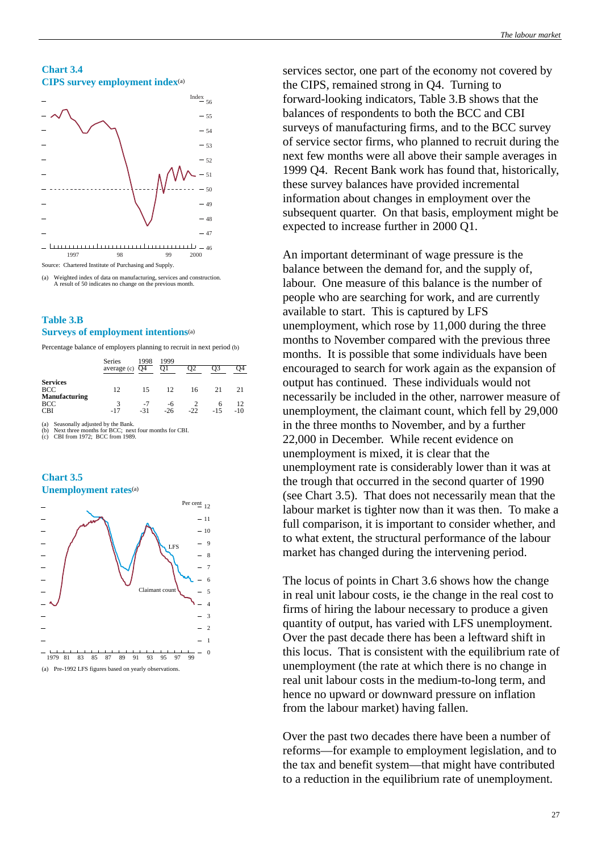# **Chart 3.4 CIPS survey employment index**(a)



(a) Weighted index of data on manufacturing, services and construction. A result of 50 indicates no change on the previous month.

# **Table 3.B Surveys of employment intentions**(a)

Percentage balance of employers planning to recruit in next period (b)

|                                                | Series<br>average (c) | 1998<br>O4    | 1999<br>O1  |       |        |             |
|------------------------------------------------|-----------------------|---------------|-------------|-------|--------|-------------|
| <b>Services</b><br><b>BCC</b><br>Manufacturing | 12                    | 15            | 12          | 16    | 21     | 21          |
| <b>BCC</b><br><b>CBI</b>                       | 3<br>$-17$            | $-7$<br>$-31$ | -6<br>$-26$ | $-22$ | $-1.5$ | 12<br>$-10$ |

Seasonally adjusted by the Bank.<br>Next three months for BCC: next  $\epsilon$  months for BCC; next four months for CBI.

(c) CBI from 1972; BCC from 1989.





services sector, one part of the economy not covered by the CIPS, remained strong in Q4. Turning to forward-looking indicators, Table 3.B shows that the balances of respondents to both the BCC and CBI surveys of manufacturing firms, and to the BCC survey of service sector firms, who planned to recruit during the next few months were all above their sample averages in 1999 Q4. Recent Bank work has found that, historically, these survey balances have provided incremental information about changes in employment over the subsequent quarter. On that basis, employment might be expected to increase further in 2000 Q1.

An important determinant of wage pressure is the balance between the demand for, and the supply of, labour. One measure of this balance is the number of people who are searching for work, and are currently available to start. This is captured by LFS unemployment, which rose by 11,000 during the three months to November compared with the previous three months. It is possible that some individuals have been encouraged to search for work again as the expansion of output has continued. These individuals would not necessarily be included in the other, narrower measure of unemployment, the claimant count, which fell by 29,000 in the three months to November, and by a further 22,000 in December. While recent evidence on unemployment is mixed, it is clear that the unemployment rate is considerably lower than it was at the trough that occurred in the second quarter of 1990 (see Chart 3.5). That does not necessarily mean that the labour market is tighter now than it was then. To make a full comparison, it is important to consider whether, and to what extent, the structural performance of the labour market has changed during the intervening period.

The locus of points in Chart 3.6 shows how the change in real unit labour costs, ie the change in the real cost to firms of hiring the labour necessary to produce a given quantity of output, has varied with LFS unemployment. Over the past decade there has been a leftward shift in this locus. That is consistent with the equilibrium rate of unemployment (the rate at which there is no change in real unit labour costs in the medium-to-long term, and hence no upward or downward pressure on inflation from the labour market) having fallen.

Over the past two decades there have been a number of reforms—for example to employment legislation, and to the tax and benefit system—that might have contributed to a reduction in the equilibrium rate of unemployment.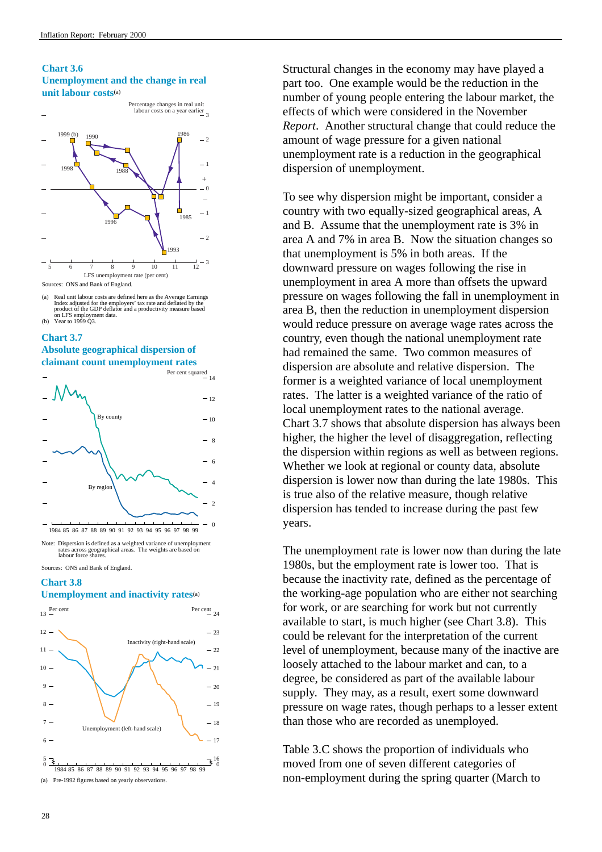# **Chart 3.6 Unemployment and the change in real unit labour costs**(a)



(a) Real unit labour costs are defined here as the Average Earnings Index adjusted for the employers' tax rate and deflated by the product of the GDP deflator and a productivity measure based on LFS employment data. (b) Year to 1999 Q3.

#### **Chart 3.7**

# **Absolute geographical dispersion of claimant count unemployment rates**



Note: Dispersion is defined as a weighted variance of unemployment rates across geographical areas. The weights are based on labour force shares.

Sources: ONS and Bank of England.

# **Chart 3.8**

### **Unemployment and inactivity rates**(a)





Structural changes in the economy may have played a part too. One example would be the reduction in the number of young people entering the labour market, the effects of which were considered in the November *Report*. Another structural change that could reduce the amount of wage pressure for a given national unemployment rate is a reduction in the geographical dispersion of unemployment.

To see why dispersion might be important, consider a country with two equally-sized geographical areas, A and B. Assume that the unemployment rate is 3% in area A and 7% in area B. Now the situation changes so that unemployment is 5% in both areas. If the downward pressure on wages following the rise in unemployment in area A more than offsets the upward pressure on wages following the fall in unemployment in area B, then the reduction in unemployment dispersion would reduce pressure on average wage rates across the country, even though the national unemployment rate had remained the same. Two common measures of dispersion are absolute and relative dispersion. The former is a weighted variance of local unemployment rates. The latter is a weighted variance of the ratio of local unemployment rates to the national average. Chart 3.7 shows that absolute dispersion has always been higher, the higher the level of disaggregation, reflecting the dispersion within regions as well as between regions. Whether we look at regional or county data, absolute dispersion is lower now than during the late 1980s. This is true also of the relative measure, though relative dispersion has tended to increase during the past few years.

The unemployment rate is lower now than during the late 1980s, but the employment rate is lower too. That is because the inactivity rate, defined as the percentage of the working-age population who are either not searching for work, or are searching for work but not currently available to start, is much higher (see Chart 3.8). This could be relevant for the interpretation of the current level of unemployment, because many of the inactive are loosely attached to the labour market and can, to a degree, be considered as part of the available labour supply. They may, as a result, exert some downward pressure on wage rates, though perhaps to a lesser extent than those who are recorded as unemployed.

Table 3.C shows the proportion of individuals who moved from one of seven different categories of non-employment during the spring quarter (March to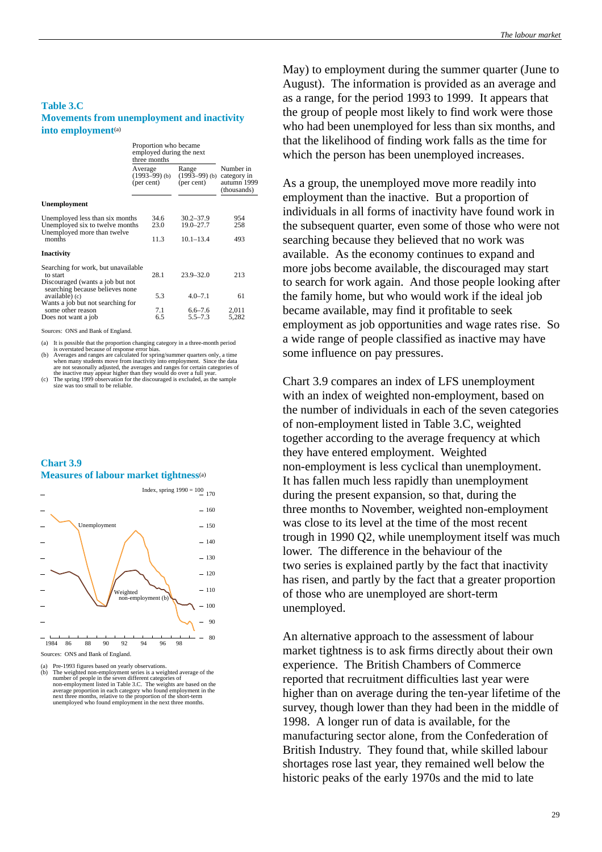# **Table 3.C Movements from unemployment and inactivity into employment**(a)

|                                                                                       | Proportion who became<br>employed during the next<br>three months |                                        |                                                        |
|---------------------------------------------------------------------------------------|-------------------------------------------------------------------|----------------------------------------|--------------------------------------------------------|
|                                                                                       | Average<br>$(1993-99)$ (b)<br>(per cent)                          | Range<br>$(1993-99)$ (b)<br>(per cent) | Number in<br>category in<br>autumn 1999<br>(thousands) |
| <b>Unemployment</b>                                                                   |                                                                   |                                        |                                                        |
| Unemployed less than six months<br>Unemployed six to twelve months                    | 34.6<br>23.0                                                      | $30.2 - 37.9$<br>19.0-27.7             | 954<br>258                                             |
| Unemployed more than twelve<br>months                                                 | 11.3                                                              | $10.1 - 13.4$                          | 493                                                    |
| Inactivity                                                                            |                                                                   |                                        |                                                        |
| Searching for work, but unavailable<br>to start                                       | 28.1                                                              | $23.9 - 32.0$                          | 213                                                    |
| Discouraged (wants a job but not<br>searching because believes none<br>available) (c) | 5.3                                                               | $4.0 - 7.1$                            | 61                                                     |
| Wants a job but not searching for<br>some other reason                                | 7.1                                                               | $6.6 - 7.6$                            | 2,011                                                  |
| Does not want a job                                                                   | 6.5                                                               | $5.5 - 7.3$                            | 5,282                                                  |

Sources: ONS and Bank of England.

(a) It is possible that the proportion changing category in a three-month period is overstated because of response error bias. (b) Averages and ranges are calculated for spring/summer quarters only, a time

when many students move from inactivity into employment. Since the data

are not seasonally adjusted, the averages and ranges for certain categories of<br>the inactive may appear higher than they would do over a full year.<br>(c) The spring 1999 observation for the discouraged is excluded, as the sam

# **Chart 3.9 Measures of labour market tightness**(a)



(a) Pre-1993 figures based on yearly observations.<br>
(b) The weighted non-employment series is a weighted average of the<br>
number of people in the seven different categories of<br>
non-employment listed in Table 3.C. The weight average proportion in each category who found employment in the next three months, relative to the proportion of the short-term unemployed who found employment in the next three months.

May) to employment during the summer quarter (June to August). The information is provided as an average and as a range, for the period 1993 to 1999. It appears that the group of people most likely to find work were those who had been unemployed for less than six months, and that the likelihood of finding work falls as the time for which the person has been unemployed increases.

As a group, the unemployed move more readily into employment than the inactive. But a proportion of individuals in all forms of inactivity have found work in the subsequent quarter, even some of those who were not searching because they believed that no work was available. As the economy continues to expand and more jobs become available, the discouraged may start to search for work again. And those people looking after the family home, but who would work if the ideal job became available, may find it profitable to seek employment as job opportunities and wage rates rise. So a wide range of people classified as inactive may have some influence on pay pressures.

Chart 3.9 compares an index of LFS unemployment with an index of weighted non-employment, based on the number of individuals in each of the seven categories of non-employment listed in Table 3.C, weighted together according to the average frequency at which they have entered employment. Weighted non-employment is less cyclical than unemployment. It has fallen much less rapidly than unemployment during the present expansion, so that, during the three months to November, weighted non-employment was close to its level at the time of the most recent trough in 1990 Q2, while unemployment itself was much lower. The difference in the behaviour of the two series is explained partly by the fact that inactivity has risen, and partly by the fact that a greater proportion of those who are unemployed are short-term unemployed.

An alternative approach to the assessment of labour market tightness is to ask firms directly about their own experience. The British Chambers of Commerce reported that recruitment difficulties last year were higher than on average during the ten-year lifetime of the survey, though lower than they had been in the middle of 1998. A longer run of data is available, for the manufacturing sector alone, from the Confederation of British Industry. They found that, while skilled labour shortages rose last year, they remained well below the historic peaks of the early 1970s and the mid to late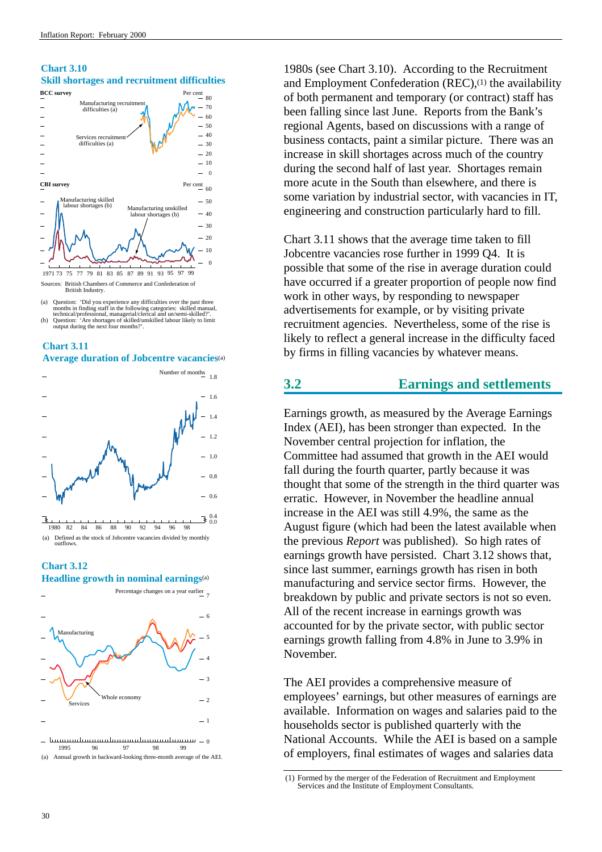<span id="page-34-0"></span>



<sup>(</sup>a) Question: "Did you experience any difficultes over the past three menths in finding staff in the following categories: skilled manual, technical/professional, managerial/clerical and un/semi-skilled?'. Question: "Are

**Average duration of Jobcentre vacancies**(a)

**Chart 3.11**



# **Chart 3.12 Headline growth in nominal earnings**(a)



1980s (see Chart 3.10). According to the Recruitment and Employment Confederation  $(REC)$ ,  $(1)$  the availability of both permanent and temporary (or contract) staff has been falling since last June. Reports from the Bank's regional Agents, based on discussions with a range of business contacts, paint a similar picture. There was an increase in skill shortages across much of the country during the second half of last year. Shortages remain more acute in the South than elsewhere, and there is some variation by industrial sector, with vacancies in IT, engineering and construction particularly hard to fill.

Chart 3.11 shows that the average time taken to fill Jobcentre vacancies rose further in 1999 Q4. It is possible that some of the rise in average duration could have occurred if a greater proportion of people now find work in other ways, by responding to newspaper advertisements for example, or by visiting private recruitment agencies. Nevertheless, some of the rise is likely to reflect a general increase in the difficulty faced by firms in filling vacancies by whatever means.

# **3.2 Earnings and settlements**

Earnings growth, as measured by the Average Earnings Index (AEI), has been stronger than expected. In the November central projection for inflation, the Committee had assumed that growth in the AEI would fall during the fourth quarter, partly because it was thought that some of the strength in the third quarter was erratic. However, in November the headline annual increase in the AEI was still 4.9%, the same as the August figure (which had been the latest available when the previous *Report* was published). So high rates of earnings growth have persisted. Chart 3.12 shows that, since last summer, earnings growth has risen in both manufacturing and service sector firms. However, the breakdown by public and private sectors is not so even. All of the recent increase in earnings growth was accounted for by the private sector, with public sector earnings growth falling from 4.8% in June to 3.9% in November.

The AEI provides a comprehensive measure of employees' earnings, but other measures of earnings are available. Information on wages and salaries paid to the households sector is published quarterly with the National Accounts. While the AEI is based on a sample of employers, final estimates of wages and salaries data

<sup>(1)</sup> Formed by the merger of the Federation of Recruitment and Employment Services and the Institute of Employment Consultants.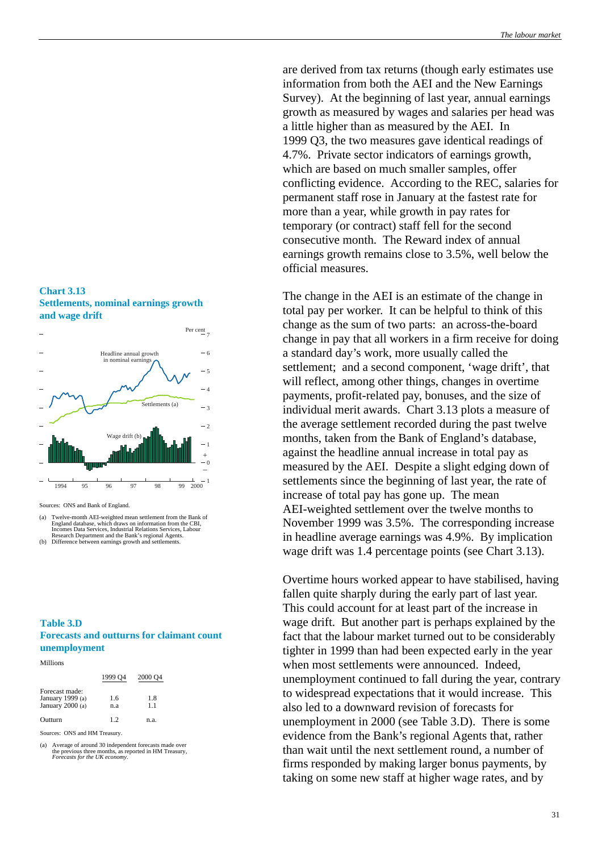are derived from tax returns (though early estimates use information from both the AEI and the New Earnings Survey). At the beginning of last year, annual earnings growth as measured by wages and salaries per head was a little higher than as measured by the AEI. In 1999 Q3, the two measures gave identical readings of 4.7%. Private sector indicators of earnings growth, which are based on much smaller samples, offer conflicting evidence. According to the REC, salaries for permanent staff rose in January at the fastest rate for more than a year, while growth in pay rates for temporary (or contract) staff fell for the second consecutive month. The Reward index of annual earnings growth remains close to 3.5%, well below the official measures.

The change in the AEI is an estimate of the change in total pay per worker. It can be helpful to think of this change as the sum of two parts: an across-the-board change in pay that all workers in a firm receive for doing a standard day's work, more usually called the settlement; and a second component, 'wage drift', that will reflect, among other things, changes in overtime payments, profit-related pay, bonuses, and the size of individual merit awards. Chart 3.13 plots a measure of the average settlement recorded during the past twelve months, taken from the Bank of England's database, against the headline annual increase in total pay as measured by the AEI. Despite a slight edging down of settlements since the beginning of last year, the rate of increase of total pay has gone up. The mean AEI-weighted settlement over the twelve months to November 1999 was 3.5%. The corresponding increase in headline average earnings was 4.9%. By implication wage drift was 1.4 percentage points (see Chart 3.13).

Overtime hours worked appear to have stabilised, having fallen quite sharply during the early part of last year. This could account for at least part of the increase in wage drift. But another part is perhaps explained by the fact that the labour market turned out to be considerably tighter in 1999 than had been expected early in the year when most settlements were announced. Indeed, unemployment continued to fall during the year, contrary to widespread expectations that it would increase. This also led to a downward revision of forecasts for unemployment in 2000 (see Table 3.D). There is some evidence from the Bank's regional Agents that, rather than wait until the next settlement round, a number of firms responded by making larger bonus payments, by taking on some new staff at higher wage rates, and by

# **Chart 3.13 Settlements, nominal earnings growth and wage drift**



Sources: ONS and Bank of England.

- (a) Twelve-month AEI-weighted mean settlement from the Bank of England database, which draws on information from the CBI, Incomes Data Services, Industrial Relations Services, Labour Research Department and the Bank's regional Agents. (b) Difference between earnings growth and settlements.
- 

### **Table 3.D Forecasts and outturns for claimant count unemployment**

Millions

|                                                        | 1999 O <sub>4</sub> | 2000 Q4   |
|--------------------------------------------------------|---------------------|-----------|
| Forecast made:<br>January 1999 (a)<br>January 2000 (a) | 1.6                 | 1.8<br>11 |
|                                                        | n.a                 |           |
| Outturn                                                | 12                  | n.a.      |

Sources: ONS and HM Treasury.

(a) Average of around 30 independent forecasts made over the previous three months, as reported in HM Treasury, *Forecasts for the UK economy*.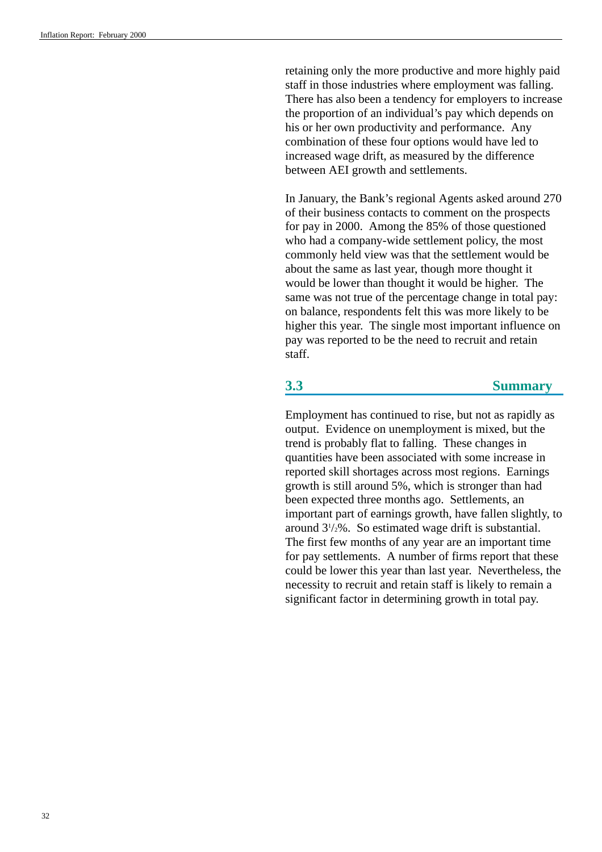retaining only the more productive and more highly paid staff in those industries where employment was falling. There has also been a tendency for employers to increase the proportion of an individual's pay which depends on his or her own productivity and performance. Any combination of these four options would have led to increased wage drift, as measured by the difference between AEI growth and settlements.

In January, the Bank's regional Agents asked around 270 of their business contacts to comment on the prospects for pay in 2000. Among the 85% of those questioned who had a company-wide settlement policy, the most commonly held view was that the settlement would be about the same as last year, though more thought it would be lower than thought it would be higher. The same was not true of the percentage change in total pay: on balance, respondents felt this was more likely to be higher this year. The single most important influence on pay was reported to be the need to recruit and retain staff.

## **3.3 Summary**

Employment has continued to rise, but not as rapidly as output. Evidence on unemployment is mixed, but the trend is probably flat to falling. These changes in quantities have been associated with some increase in reported skill shortages across most regions. Earnings growth is still around 5%, which is stronger than had been expected three months ago. Settlements, an important part of earnings growth, have fallen slightly, to around 31 /2%. So estimated wage drift is substantial. The first few months of any year are an important time for pay settlements. A number of firms report that these could be lower this year than last year. Nevertheless, the necessity to recruit and retain staff is likely to remain a significant factor in determining growth in total pay.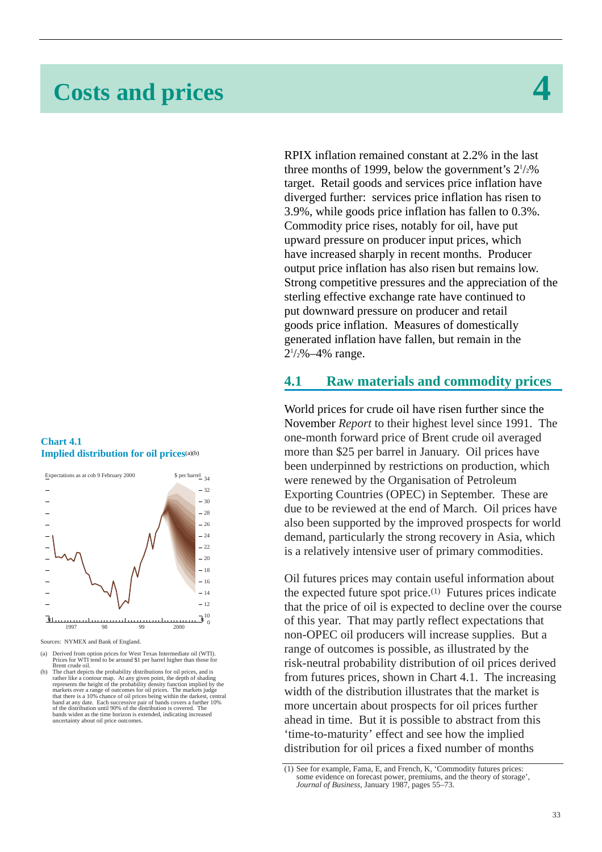# **Costs and prices 4**

#### **Chart 4.1 Implied distribution for oil prices**(a)(b)



Sources: NYMEX and Bank of England.

RPIX inflation remained constant at 2.2% in the last three months of 1999, below the government's  $2^{1/2}\%$ target. Retail goods and services price inflation have diverged further: services price inflation has risen to 3.9%, while goods price inflation has fallen to 0.3%. Commodity price rises, notably for oil, have put upward pressure on producer input prices, which have increased sharply in recent months. Producer output price inflation has also risen but remains low. Strong competitive pressures and the appreciation of the sterling effective exchange rate have continued to put downward pressure on producer and retail goods price inflation. Measures of domestically generated inflation have fallen, but remain in the  $2\frac{1}{2}\% - 4\%$  range.

## **4.1 Raw materials and commodity prices**

World prices for crude oil have risen further since the November *Report* to their highest level since 1991. The one-month forward price of Brent crude oil averaged more than \$25 per barrel in January. Oil prices have been underpinned by restrictions on production, which were renewed by the Organisation of Petroleum Exporting Countries (OPEC) in September. These are due to be reviewed at the end of March. Oil prices have also been supported by the improved prospects for world demand, particularly the strong recovery in Asia, which is a relatively intensive user of primary commodities.

Oil futures prices may contain useful information about the expected future spot price.(1) Futures prices indicate that the price of oil is expected to decline over the course of this year. That may partly reflect expectations that non-OPEC oil producers will increase supplies. But a range of outcomes is possible, as illustrated by the risk-neutral probability distribution of oil prices derived from futures prices, shown in Chart 4.1. The increasing width of the distribution illustrates that the market is more uncertain about prospects for oil prices further ahead in time. But it is possible to abstract from this 'time-to-maturity' effect and see how the implied distribution for oil prices a fixed number of months

<sup>(</sup>a) Derived from option prices for West Texas Intermediate oil (WTI). Prices for WTI tend to be around \$1 per barrel higher than those for Brent crude oil.

Brent crude oil.<br>The chart depicts the probability distributions for oil prices, and is<br>rather like a contour map. At any given point, the depth of shading<br>represents the height of the probability density function implied bands widen as the time horizon is extended, indicating increased uncertainty about oil price outcomes.

<sup>(1)</sup> See for example, Fama, E, and French, K, 'Commodity futures prices: some evidence on forecast power, premiums, and the theory of storage', *Journal of Business*, January 1987, pages 55–73.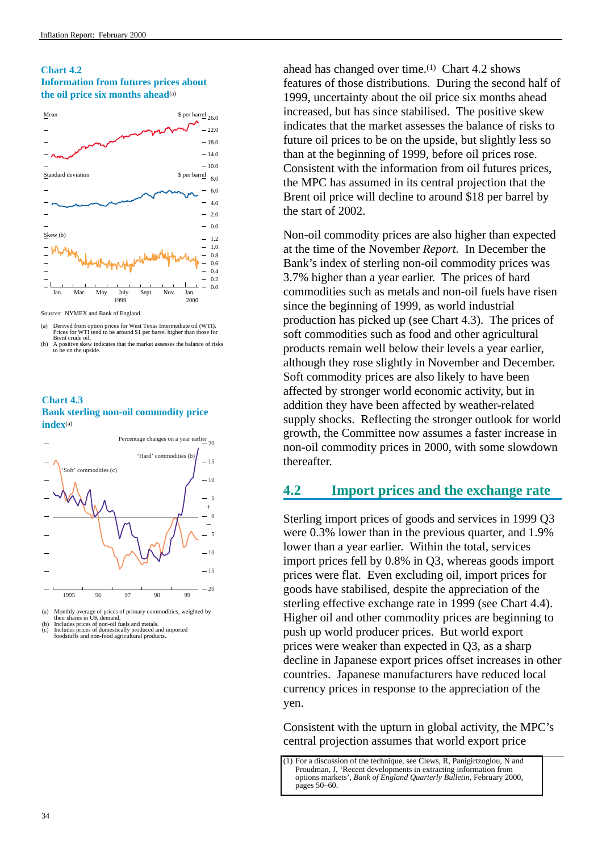#### **Chart 4.2 Information from futures prices about the oil price six months ahead**(a)



Sources: NYMEX and Bank of England.

(a) Derived from option prices for West Texas Intermediate oil (WTI). Prices for WTI tend to be around \$1 per barrel higher than those for

#### **Chart 4.3 Bank sterling non-oil commodity price index**(a)



(a) Monthly average of prices of primary commodities, weighted by<br>their shares in UK demand.<br>(b) Includes prices of non-oil fuels and metals.<br>(c) Includes prices of non-oil fuels and metals and imported

(c) Includes prices of domestically produced and imported foodstuffs and non-food agricultural products.

ahead has changed over time.(1) Chart 4.2 shows features of those distributions. During the second half of 1999, uncertainty about the oil price six months ahead increased, but has since stabilised. The positive skew indicates that the market assesses the balance of risks to future oil prices to be on the upside, but slightly less so than at the beginning of 1999, before oil prices rose. Consistent with the information from oil futures prices, the MPC has assumed in its central projection that the Brent oil price will decline to around \$18 per barrel by the start of 2002.

Non-oil commodity prices are also higher than expected at the time of the November *Report*. In December the Bank's index of sterling non-oil commodity prices was 3.7% higher than a year earlier. The prices of hard commodities such as metals and non-oil fuels have risen since the beginning of 1999, as world industrial production has picked up (see Chart 4.3). The prices of soft commodities such as food and other agricultural products remain well below their levels a year earlier, although they rose slightly in November and December. Soft commodity prices are also likely to have been affected by stronger world economic activity, but in addition they have been affected by weather-related supply shocks. Reflecting the stronger outlook for world growth, the Committee now assumes a faster increase in non-oil commodity prices in 2000, with some slowdown thereafter.

# **4.2 Import prices and the exchange rate**

Sterling import prices of goods and services in 1999 Q3 were 0.3% lower than in the previous quarter, and 1.9% lower than a year earlier. Within the total, services import prices fell by 0.8% in Q3, whereas goods import prices were flat. Even excluding oil, import prices for goods have stabilised, despite the appreciation of the sterling effective exchange rate in 1999 (see Chart 4.4). Higher oil and other commodity prices are beginning to push up world producer prices. But world export prices were weaker than expected in Q3, as a sharp decline in Japanese export prices offset increases in other countries. Japanese manufacturers have reduced local currency prices in response to the appreciation of the yen.

Consistent with the upturn in global activity, the MPC's central projection assumes that world export price

Brent crude oil. (b) A positive skew indicates that the market assesses the balance of risks to be on the upside.

 $(1)$  For a discussion of the technique, see Clews, R, Panigirtzoglou, N and Proudman, J, 'Recent developments in extracting information from options markets', *Bank of England Quarterly Bulletin*, February 2000, pages 50–60.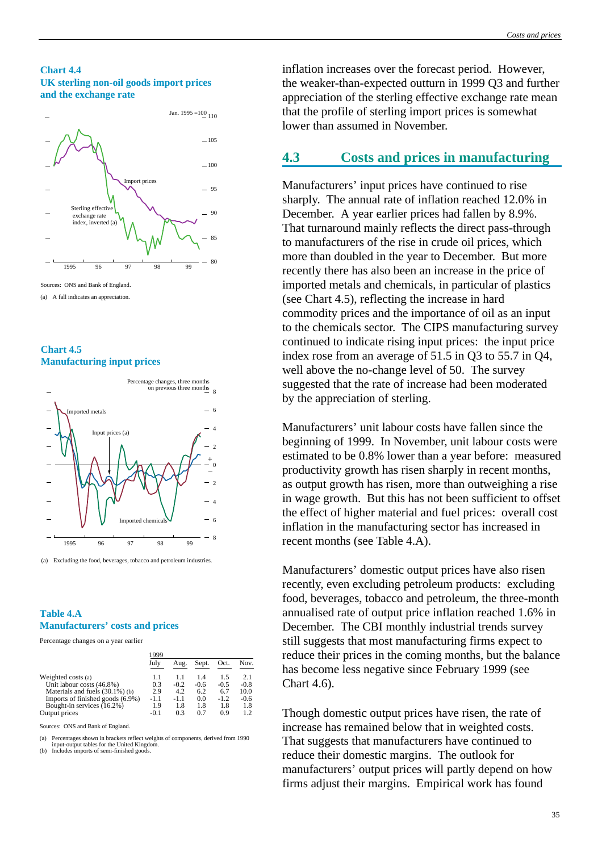#### **Chart 4.4 UK sterling non-oil goods import prices and the exchange rate**



 $(a)$  A fall indicates an appreciation.





(a) Excluding the food, beverages, tobacco and petroleum industries.

#### **Table 4.A Manufacturers' costs and prices**

Percentage changes on a year earlier

|                                                                     | 1999       |               |               |               |                |
|---------------------------------------------------------------------|------------|---------------|---------------|---------------|----------------|
|                                                                     | July       | Aug.          | Sept.         | Oct.          | Nov.           |
| Weighted costs (a)                                                  | 1.1        | 1.1           | 14            | 15            | 2.1            |
| Unit labour costs (46.8%)                                           | 0.3<br>2.9 | $-0.2$<br>4.2 | $-0.6$<br>6.2 | $-0.5$<br>6.7 | $-0.8$<br>10.0 |
| Materials and fuels (30.1%) (b)<br>Imports of finished goods (6.9%) | -1.1       | $-1.1$        | 0.0           | $-1.2$        | $-0.6$         |
| Bought-in services (16.2%)                                          | 1.9        | 1.8           | 1.8           | 1.8           | 1.8            |
| Output prices                                                       | $-0.1$     | 0.3           | 0.7           | 0.9           | 12             |
|                                                                     |            |               |               |               |                |

Sources: ONS and Bank of England.

(a) Percentages shown in brackets reflect weights of components, derived from 1990 input-output tables for the United Kingdom. (b) Includes imports of semi-finished goods.

inflation increases over the forecast period. However, the weaker-than-expected outturn in 1999 Q3 and further appreciation of the sterling effective exchange rate mean that the profile of sterling import prices is somewhat lower than assumed in November.

## **4.3 Costs and prices in manufacturing**

Manufacturers' input prices have continued to rise sharply. The annual rate of inflation reached 12.0% in December. A year earlier prices had fallen by 8.9%. That turnaround mainly reflects the direct pass-through to manufacturers of the rise in crude oil prices, which more than doubled in the year to December. But more recently there has also been an increase in the price of imported metals and chemicals, in particular of plastics (see Chart 4.5), reflecting the increase in hard commodity prices and the importance of oil as an input to the chemicals sector. The CIPS manufacturing survey continued to indicate rising input prices: the input price index rose from an average of 51.5 in Q3 to 55.7 in Q4, well above the no-change level of 50. The survey suggested that the rate of increase had been moderated by the appreciation of sterling.

Manufacturers' unit labour costs have fallen since the beginning of 1999. In November, unit labour costs were estimated to be 0.8% lower than a year before: measured productivity growth has risen sharply in recent months, as output growth has risen, more than outweighing a rise in wage growth. But this has not been sufficient to offset the effect of higher material and fuel prices: overall cost inflation in the manufacturing sector has increased in recent months (see Table 4.A).

Manufacturers' domestic output prices have also risen recently, even excluding petroleum products: excluding food, beverages, tobacco and petroleum, the three-month annualised rate of output price inflation reached 1.6% in December. The CBI monthly industrial trends survey still suggests that most manufacturing firms expect to reduce their prices in the coming months, but the balance has become less negative since February 1999 (see Chart 4.6).

Though domestic output prices have risen, the rate of increase has remained below that in weighted costs. That suggests that manufacturers have continued to reduce their domestic margins. The outlook for manufacturers' output prices will partly depend on how firms adjust their margins. Empirical work has found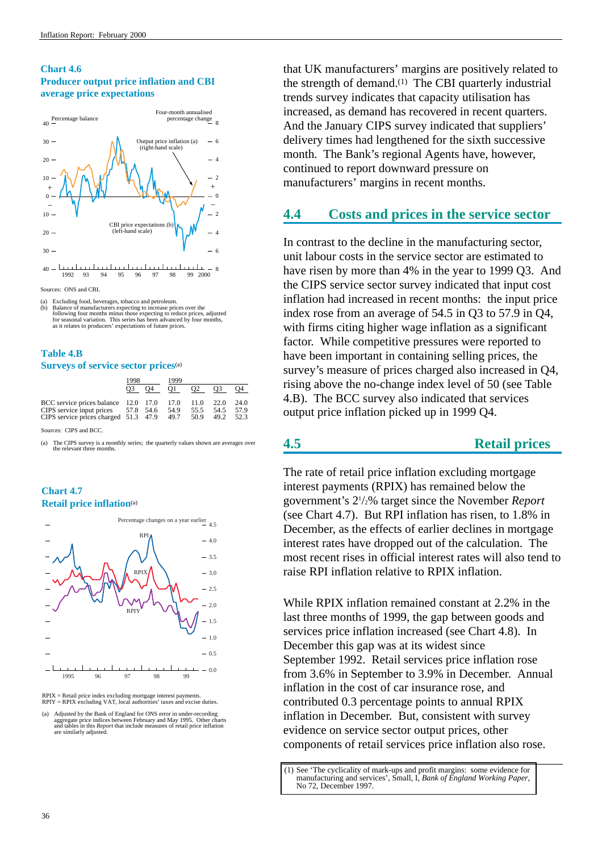#### **Chart 4.6 Producer output price inflation and CBI average price expectations**



1992 93 94 95 96 97 98 99 2000 <sup>8</sup>

Sources: ONS and CBI.

(a) Excluding food, beverages, tobacco and petroleum.<br>(b) Balance of manufacturers expecting to increase prior Exercising rood, beverages, tooleep and pediotelini. following four months minus those expecting to reduce prices, adjusted for seasonal variation. This series has been advanced by four months, as it relates to producers' expectations of future prices.

#### **Table 4.B Surveys of service sector prices**(a)

|                                                                                                                                  | 1998<br>O3. | O4 | 1999<br>O1. | O <sub>2</sub>       | O <sub>3</sub>       | O4                   |
|----------------------------------------------------------------------------------------------------------------------------------|-------------|----|-------------|----------------------|----------------------|----------------------|
| BCC service prices balance 12.0 17.0 17.0<br>CIPS service input prices 57.8 54.6<br>CIPS service prices charged $51.3$ 47.9 49.7 |             |    | 54.9        | 11.0<br>55.5<br>50.9 | 22.0<br>54.5<br>49.2 | 24.0<br>57.9<br>52.3 |

Sources: CIPS and BCC.

(a) The CIPS survey is a monthly series; the quarterly values shown are averages over the relevant three months.

#### **Chart 4.7 Retail price inflation**(a)



RPIX = Retail price index excluding mortgage interest payments. RPIY = RPIX excluding VAT, local authorities' taxes and excise duties.

that UK manufacturers' margins are positively related to the strength of demand.(1) The CBI quarterly industrial trends survey indicates that capacity utilisation has increased, as demand has recovered in recent quarters. And the January CIPS survey indicated that suppliers' delivery times had lengthened for the sixth successive month. The Bank's regional Agents have, however, continued to report downward pressure on manufacturers' margins in recent months.

# **4.4 Costs and prices in the service sector**

In contrast to the decline in the manufacturing sector, unit labour costs in the service sector are estimated to have risen by more than 4% in the year to 1999 Q3. And the CIPS service sector survey indicated that input cost inflation had increased in recent months: the input price index rose from an average of 54.5 in Q3 to 57.9 in Q4, with firms citing higher wage inflation as a significant factor. While competitive pressures were reported to have been important in containing selling prices, the survey's measure of prices charged also increased in Q4, rising above the no-change index level of 50 (see Table 4.B). The BCC survey also indicated that services output price inflation picked up in 1999 Q4.

# **4.5 Retail prices**

The rate of retail price inflation excluding mortgage interest payments (RPIX) has remained below the government's 21 /2% target since the November *Report* (see Chart 4.7). But RPI inflation has risen, to 1.8% in December, as the effects of earlier declines in mortgage interest rates have dropped out of the calculation. The most recent rises in official interest rates will also tend to raise RPI inflation relative to RPIX inflation.

While RPIX inflation remained constant at 2.2% in the last three months of 1999, the gap between goods and services price inflation increased (see Chart 4.8). In December this gap was at its widest since September 1992. Retail services price inflation rose from 3.6% in September to 3.9% in December. Annual inflation in the cost of car insurance rose, and contributed 0.3 percentage points to annual RPIX inflation in December. But, consistent with survey evidence on service sector output prices, other components of retail services price inflation also rose.

<sup>(</sup>a) Adjusted by the Bank of England for ONS error in under-recording aggregate price indices between February and May 1995. Other charts and tables in this *Report* that include measures of retail price inflation are similarly adjusted.

[<sup>\(1\)</sup> See 'The cyclicality of mark-ups and profit margins: some evidence for](http://www.bankofengland.co.uk/wp72.pdf) manufacturing and services', Small, I, *Bank of England Working Paper*, No 72, December 1997.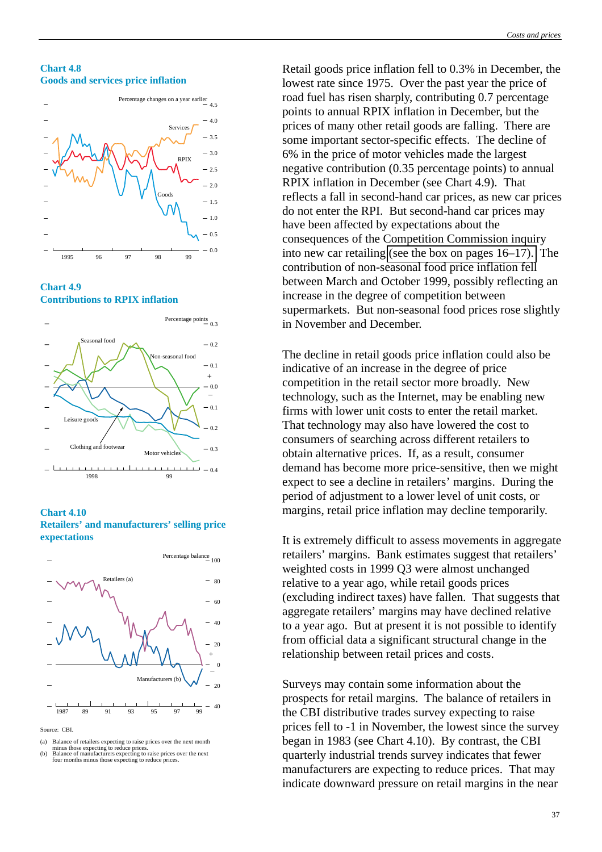#### **Chart 4.8 Goods and services price inflation**



**Chart 4.9 Contributions to RPIX inflation**



**Chart 4.10 Retailers' and manufacturers' selling price expectations**



Source: CBI.

(a) Balance of retailers expecting to raise prices over the next month minus those expecting to reduce prices. (b) Balance of manufacturers expecting to raise prices over the next

Retail goods price inflation fell to 0.3% in December, the lowest rate since 1975. Over the past year the price of road fuel has risen sharply, contributing 0.7 percentage points to annual RPIX inflation in December, but the prices of many other retail goods are falling. There are some important sector-specific effects. The decline of 6% in the price of motor vehicles made the largest negative contribution (0.35 percentage points) to annual RPIX inflation in December (see Chart 4.9). That reflects a fall in second-hand car prices, as new car prices do not enter the RPI. But second-hand car prices may have been affected by expectations about the consequences of the Competition Commission inquiry into new car retailing [\(see the box on pages 16–17\).](#page-20-0) The contribution of non-seasonal food price inflation fell between March and October 1999, possibly reflecting an increase in the degree of competition between supermarkets. But non-seasonal food prices rose slightly in November and December.

The decline in retail goods price inflation could also be indicative of an increase in the degree of price competition in the retail sector more broadly. New technology, such as the Internet, may be enabling new firms with lower unit costs to enter the retail market. That technology may also have lowered the cost to consumers of searching across different retailers to obtain alternative prices. If, as a result, consumer demand has become more price-sensitive, then we might expect to see a decline in retailers' margins. During the period of adjustment to a lower level of unit costs, or margins, retail price inflation may decline temporarily.

It is extremely difficult to assess movements in aggregate retailers' margins. Bank estimates suggest that retailers' weighted costs in 1999 Q3 were almost unchanged relative to a year ago, while retail goods prices (excluding indirect taxes) have fallen. That suggests that aggregate retailers' margins may have declined relative to a year ago. But at present it is not possible to identify from official data a significant structural change in the relationship between retail prices and costs.

Surveys may contain some information about the prospects for retail margins. The balance of retailers in the CBI distributive trades survey expecting to raise prices fell to -1 in November, the lowest since the survey began in 1983 (see Chart 4.10). By contrast, the CBI quarterly industrial trends survey indicates that fewer manufacturers are expecting to reduce prices. That may indicate downward pressure on retail margins in the near

four months minus those expecting to reduce prices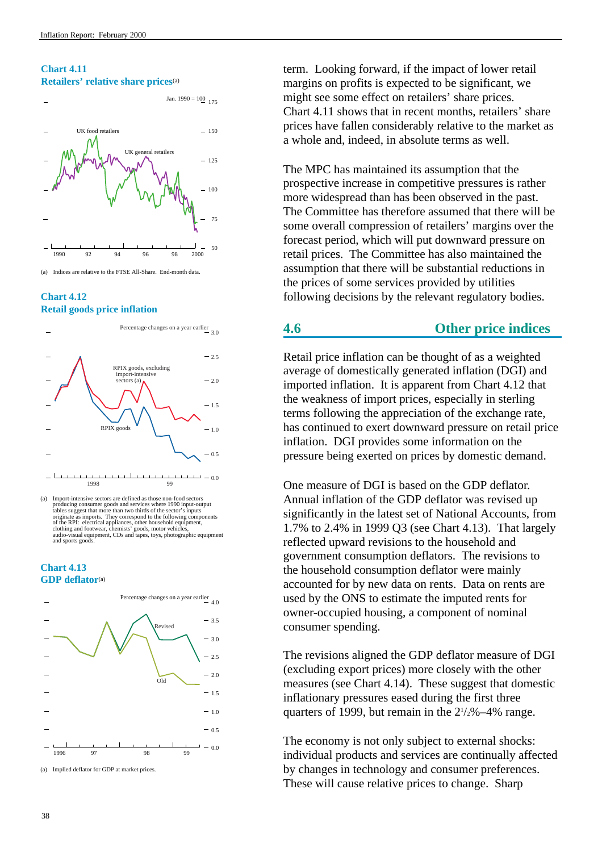#### **Chart 4.11 Retailers' relative share prices**(a)



(a) Indices are relative to the FTSE All-Share. End-month data.

#### **Chart 4.12 Retail goods price inflation**



 $-1 - 0.0$ 1998 99

#### **Chart 4.13 GDP deflator**(a)



term. Looking forward, if the impact of lower retail margins on profits is expected to be significant, we might see some effect on retailers' share prices. Chart 4.11 shows that in recent months, retailers' share prices have fallen considerably relative to the market as a whole and, indeed, in absolute terms as well.

The MPC has maintained its assumption that the prospective increase in competitive pressures is rather more widespread than has been observed in the past. The Committee has therefore assumed that there will be some overall compression of retailers' margins over the forecast period, which will put downward pressure on retail prices. The Committee has also maintained the assumption that there will be substantial reductions in the prices of some services provided by utilities following decisions by the relevant regulatory bodies.

# **4.6 Other price indices**

Retail price inflation can be thought of as a weighted average of domestically generated inflation (DGI) and imported inflation. It is apparent from Chart 4.12 that the weakness of import prices, especially in sterling terms following the appreciation of the exchange rate, has continued to exert downward pressure on retail price inflation. DGI provides some information on the pressure being exerted on prices by domestic demand.

One measure of DGI is based on the GDP deflator. Annual inflation of the GDP deflator was revised up significantly in the latest set of National Accounts, from 1.7% to 2.4% in 1999 Q3 (see Chart 4.13). That largely reflected upward revisions to the household and government consumption deflators. The revisions to the household consumption deflator were mainly accounted for by new data on rents. Data on rents are used by the ONS to estimate the imputed rents for owner-occupied housing, a component of nominal consumer spending.

The revisions aligned the GDP deflator measure of DGI (excluding export prices) more closely with the other measures (see Chart 4.14). These suggest that domestic inflationary pressures eased during the first three quarters of 1999, but remain in the  $2\frac{1}{2}\% - 4\%$  range.

The economy is not only subject to external shocks: individual products and services are continually affected by changes in technology and consumer preferences. These will cause relative prices to change. Sharp

<sup>(</sup>a) Import-intensive sectors are defined as those non-food sectors<br>producing consumer goods and services where 1990 input-output<br>tables suggest that more than two thirds of the sector's inputs<br>originate as imports. They co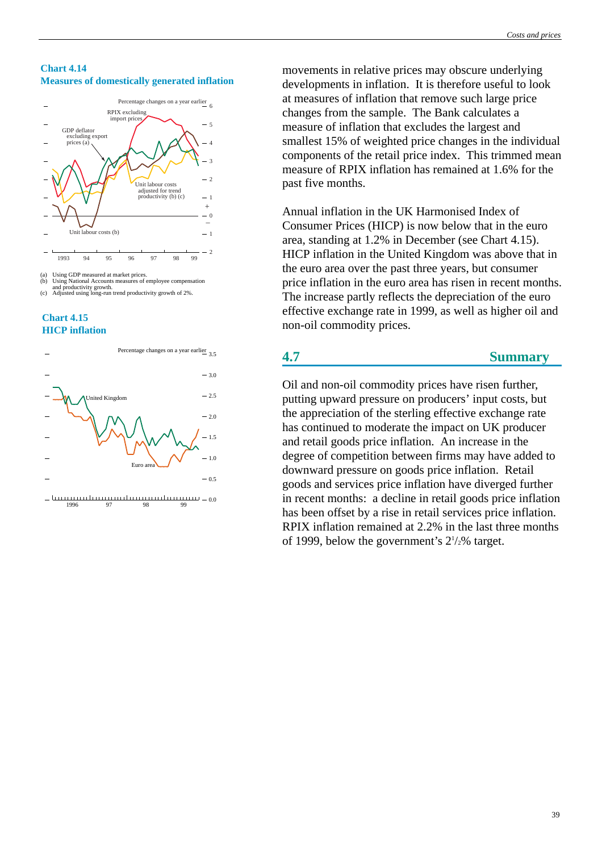#### **Chart 4.14 Measures of domestically generated inflation**



<sup>(</sup>a) Using GDP measured at market prices. (b) Using National Accounts measures of employee compensation and productivity growth. (c) Adjusted using long-run trend productivity growth of 2%.





<sup>0.0</sup> 1996 97 98 99

movements in relative prices may obscure underlying developments in inflation. It is therefore useful to look at measures of inflation that remove such large price changes from the sample. The Bank calculates a measure of inflation that excludes the largest and smallest 15% of weighted price changes in the individual components of the retail price index. This trimmed mean measure of RPIX inflation has remained at 1.6% for the past five months.

Annual inflation in the UK Harmonised Index of Consumer Prices (HICP) is now below that in the euro area, standing at 1.2% in December (see Chart 4.15). HICP inflation in the United Kingdom was above that in the euro area over the past three years, but consumer price inflation in the euro area has risen in recent months. The increase partly reflects the depreciation of the euro effective exchange rate in 1999, as well as higher oil and non-oil commodity prices.

## **4.7 Summary**

Oil and non-oil commodity prices have risen further, putting upward pressure on producers' input costs, but the appreciation of the sterling effective exchange rate has continued to moderate the impact on UK producer and retail goods price inflation. An increase in the degree of competition between firms may have added to downward pressure on goods price inflation. Retail goods and services price inflation have diverged further in recent months: a decline in retail goods price inflation has been offset by a rise in retail services price inflation. RPIX inflation remained at 2.2% in the last three months of 1999, below the government's  $2\frac{1}{2}\%$  target.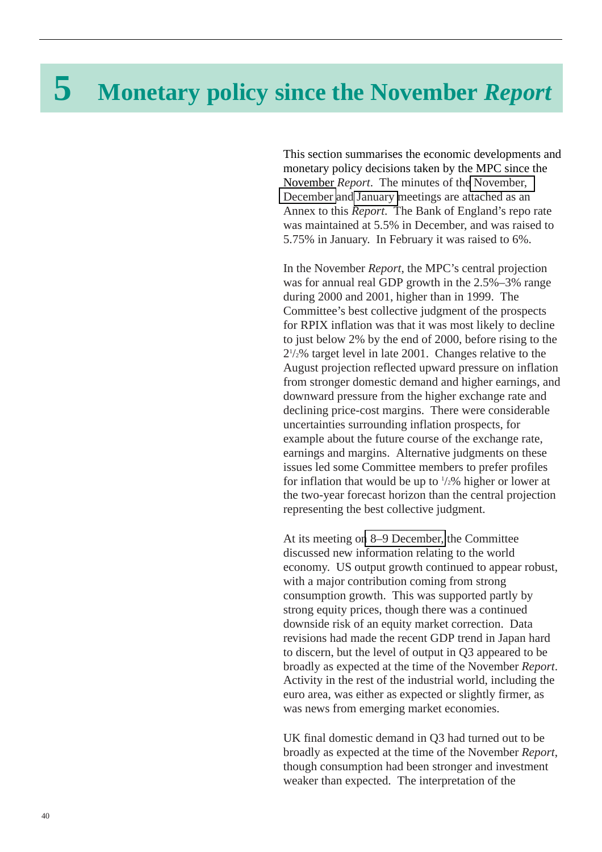# **5 Monetary policy since the November** *Report*

This section summarises the economic developments and monetary policy decisions taken by the MPC since the November *Report*. The minutes of th[e November,](#page-69-0) [December](#page-77-0) and [January m](#page-86-0)eetings are attached as an Annex to this *Report*. The Bank of England's repo rate was maintained at 5.5% in December, and was raised to 5.75% in January. In February it was raised to 6%.

In the November *Report*, the MPC's central projection was for annual real GDP growth in the 2.5%–3% range during 2000 and 2001, higher than in 1999. The Committee's best collective judgment of the prospects for RPIX inflation was that it was most likely to decline to just below 2% by the end of 2000, before rising to the 21 /2% target level in late 2001. Changes relative to the August projection reflected upward pressure on inflation from stronger domestic demand and higher earnings, and downward pressure from the higher exchange rate and declining price-cost margins. There were considerable uncertainties surrounding inflation prospects, for example about the future course of the exchange rate, earnings and margins. Alternative judgments on these issues led some Committee members to prefer profiles for inflation that would be up to  $\frac{1}{2}\%$  higher or lower at the two-year forecast horizon than the central projection representing the best collective judgment.

At its meeting o[n 8–9 December,](#page-77-0) the Committee discussed new information relating to the world economy. US output growth continued to appear robust, with a major contribution coming from strong consumption growth. This was supported partly by strong equity prices, though there was a continued downside risk of an equity market correction. Data revisions had made the recent GDP trend in Japan hard to discern, but the level of output in Q3 appeared to be broadly as expected at the time of the November *Report*. Activity in the rest of the industrial world, including the euro area, was either as expected or slightly firmer, as was news from emerging market economies.

UK final domestic demand in Q3 had turned out to be broadly as expected at the time of the November *Report*, though consumption had been stronger and investment weaker than expected. The interpretation of the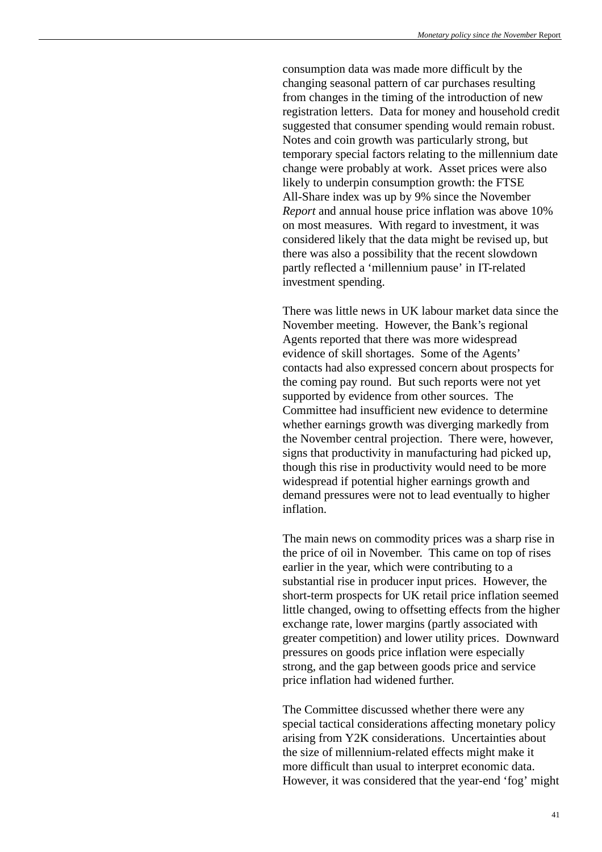consumption data was made more difficult by the changing seasonal pattern of car purchases resulting from changes in the timing of the introduction of new registration letters. Data for money and household credit suggested that consumer spending would remain robust. Notes and coin growth was particularly strong, but temporary special factors relating to the millennium date change were probably at work. Asset prices were also likely to underpin consumption growth: the FTSE All-Share index was up by 9% since the November *Report* and annual house price inflation was above 10% on most measures. With regard to investment, it was considered likely that the data might be revised up, but there was also a possibility that the recent slowdown partly reflected a 'millennium pause' in IT-related investment spending.

There was little news in UK labour market data since the November meeting. However, the Bank's regional Agents reported that there was more widespread evidence of skill shortages. Some of the Agents' contacts had also expressed concern about prospects for the coming pay round. But such reports were not yet supported by evidence from other sources. The Committee had insufficient new evidence to determine whether earnings growth was diverging markedly from the November central projection. There were, however, signs that productivity in manufacturing had picked up, though this rise in productivity would need to be more widespread if potential higher earnings growth and demand pressures were not to lead eventually to higher inflation.

The main news on commodity prices was a sharp rise in the price of oil in November. This came on top of rises earlier in the year, which were contributing to a substantial rise in producer input prices. However, the short-term prospects for UK retail price inflation seemed little changed, owing to offsetting effects from the higher exchange rate, lower margins (partly associated with greater competition) and lower utility prices. Downward pressures on goods price inflation were especially strong, and the gap between goods price and service price inflation had widened further.

The Committee discussed whether there were any special tactical considerations affecting monetary policy arising from Y2K considerations. Uncertainties about the size of millennium-related effects might make it more difficult than usual to interpret economic data. However, it was considered that the year-end 'fog' might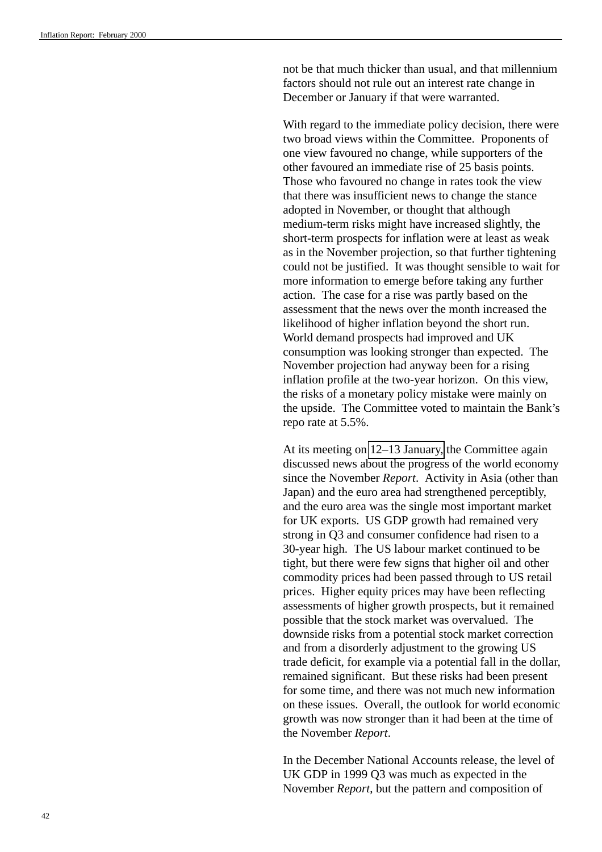not be that much thicker than usual, and that millennium factors should not rule out an interest rate change in December or January if that were warranted.

With regard to the immediate policy decision, there were two broad views within the Committee. Proponents of one view favoured no change, while supporters of the other favoured an immediate rise of 25 basis points. Those who favoured no change in rates took the view that there was insufficient news to change the stance adopted in November, or thought that although medium-term risks might have increased slightly, the short-term prospects for inflation were at least as weak as in the November projection, so that further tightening could not be justified. It was thought sensible to wait for more information to emerge before taking any further action. The case for a rise was partly based on the assessment that the news over the month increased the likelihood of higher inflation beyond the short run. World demand prospects had improved and UK consumption was looking stronger than expected. The November projection had anyway been for a rising inflation profile at the two-year horizon. On this view, the risks of a monetary policy mistake were mainly on the upside. The Committee voted to maintain the Bank's repo rate at 5.5%.

At its meeting on [12–13 January,](#page-86-0) the Committee again discussed news about the progress of the world economy since the November *Report*. Activity in Asia (other than Japan) and the euro area had strengthened perceptibly, and the euro area was the single most important market for UK exports. US GDP growth had remained very strong in Q3 and consumer confidence had risen to a 30-year high. The US labour market continued to be tight, but there were few signs that higher oil and other commodity prices had been passed through to US retail prices. Higher equity prices may have been reflecting assessments of higher growth prospects, but it remained possible that the stock market was overvalued. The downside risks from a potential stock market correction and from a disorderly adjustment to the growing US trade deficit, for example via a potential fall in the dollar, remained significant. But these risks had been present for some time, and there was not much new information on these issues. Overall, the outlook for world economic growth was now stronger than it had been at the time of the November *Report*.

In the December National Accounts release, the level of UK GDP in 1999 Q3 was much as expected in the November *Report*, but the pattern and composition of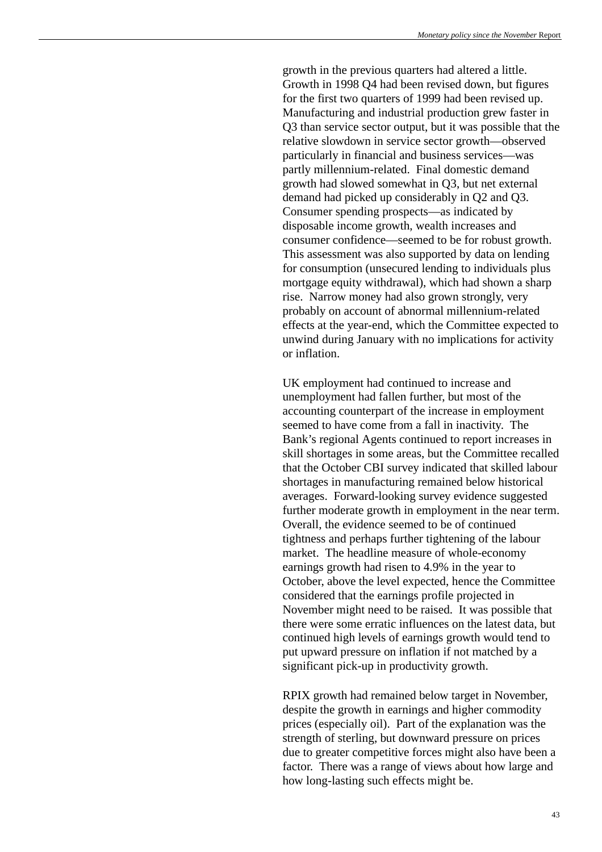growth in the previous quarters had altered a little. Growth in 1998 Q4 had been revised down, but figures for the first two quarters of 1999 had been revised up. Manufacturing and industrial production grew faster in Q3 than service sector output, but it was possible that the relative slowdown in service sector growth—observed particularly in financial and business services—was partly millennium-related. Final domestic demand growth had slowed somewhat in Q3, but net external demand had picked up considerably in Q2 and Q3. Consumer spending prospects—as indicated by disposable income growth, wealth increases and consumer confidence—seemed to be for robust growth. This assessment was also supported by data on lending for consumption (unsecured lending to individuals plus mortgage equity withdrawal), which had shown a sharp rise. Narrow money had also grown strongly, very probably on account of abnormal millennium-related effects at the year-end, which the Committee expected to unwind during January with no implications for activity or inflation.

UK employment had continued to increase and unemployment had fallen further, but most of the accounting counterpart of the increase in employment seemed to have come from a fall in inactivity. The Bank's regional Agents continued to report increases in skill shortages in some areas, but the Committee recalled that the October CBI survey indicated that skilled labour shortages in manufacturing remained below historical averages. Forward-looking survey evidence suggested further moderate growth in employment in the near term. Overall, the evidence seemed to be of continued tightness and perhaps further tightening of the labour market. The headline measure of whole-economy earnings growth had risen to 4.9% in the year to October, above the level expected, hence the Committee considered that the earnings profile projected in November might need to be raised. It was possible that there were some erratic influences on the latest data, but continued high levels of earnings growth would tend to put upward pressure on inflation if not matched by a significant pick-up in productivity growth.

RPIX growth had remained below target in November, despite the growth in earnings and higher commodity prices (especially oil). Part of the explanation was the strength of sterling, but downward pressure on prices due to greater competitive forces might also have been a factor. There was a range of views about how large and how long-lasting such effects might be.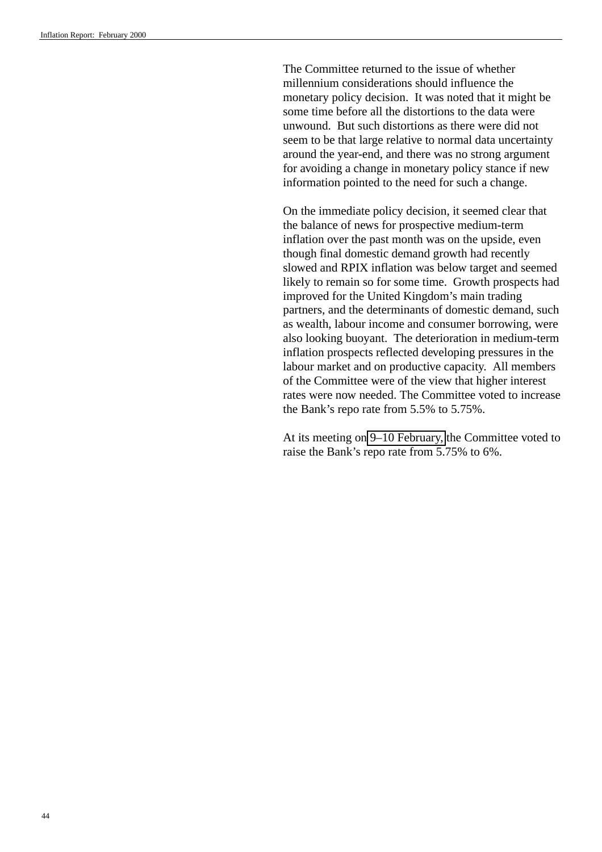The Committee returned to the issue of whether millennium considerations should influence the monetary policy decision. It was noted that it might be some time before all the distortions to the data were unwound. But such distortions as there were did not seem to be that large relative to normal data uncertainty around the year-end, and there was no strong argument for avoiding a change in monetary policy stance if new information pointed to the need for such a change.

On the immediate policy decision, it seemed clear that the balance of news for prospective medium-term inflation over the past month was on the upside, even though final domestic demand growth had recently slowed and RPIX inflation was below target and seemed likely to remain so for some time. Growth prospects had improved for the United Kingdom's main trading partners, and the determinants of domestic demand, such as wealth, labour income and consumer borrowing, were also looking buoyant. The deterioration in medium-term inflation prospects reflected developing pressures in the labour market and on productive capacity. All members of the Committee were of the view that higher interest rates were now needed. The Committee voted to increase the Bank's repo rate from 5.5% to 5.75%.

At its meeting on [9–10 February,](#page-95-0) the Committee voted to raise the Bank's repo rate from 5.75% to 6%.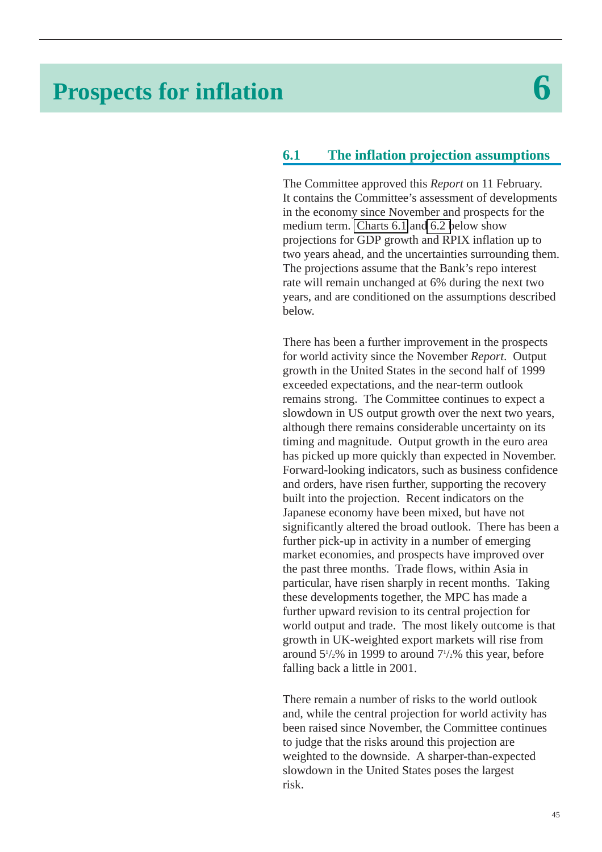# **Prospects for inflation 6**

# **6.1 The inflation projection assumptions**

The Committee approved this *Report* on 11 February. It contains the Committee's assessment of developments in the economy since November and prospects for the medium term. [Charts 6.1](#page-56-0) an[d 6.2 b](#page-59-0)elow show projections for GDP growth and RPIX inflation up to two years ahead, and the uncertainties surrounding them. The projections assume that the Bank's repo interest rate will remain unchanged at 6% during the next two years, and are conditioned on the assumptions described below.

There has been a further improvement in the prospects for world activity since the November *Report*. Output growth in the United States in the second half of 1999 exceeded expectations, and the near-term outlook remains strong. The Committee continues to expect a slowdown in US output growth over the next two years, although there remains considerable uncertainty on its timing and magnitude. Output growth in the euro area has picked up more quickly than expected in November. Forward-looking indicators, such as business confidence and orders, have risen further, supporting the recovery built into the projection. Recent indicators on the Japanese economy have been mixed, but have not significantly altered the broad outlook. There has been a further pick-up in activity in a number of emerging market economies, and prospects have improved over the past three months. Trade flows, within Asia in particular, have risen sharply in recent months. Taking these developments together, the MPC has made a further upward revision to its central projection for world output and trade. The most likely outcome is that growth in UK-weighted export markets will rise from around  $5\frac{1}{2}\%$  in 1999 to around  $7\frac{1}{2}\%$  this year, before falling back a little in 2001.

There remain a number of risks to the world outlook and, while the central projection for world activity has been raised since November, the Committee continues to judge that the risks around this projection are weighted to the downside. A sharper-than-expected slowdown in the United States poses the largest risk.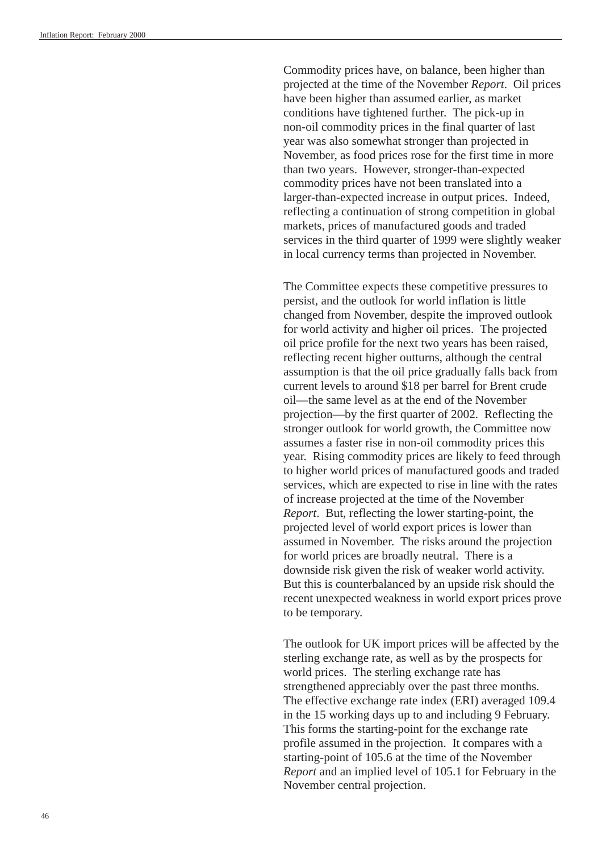Commodity prices have, on balance, been higher than projected at the time of the November *Report*. Oil prices have been higher than assumed earlier, as market conditions have tightened further. The pick-up in non-oil commodity prices in the final quarter of last year was also somewhat stronger than projected in November, as food prices rose for the first time in more than two years. However, stronger-than-expected commodity prices have not been translated into a larger-than-expected increase in output prices. Indeed, reflecting a continuation of strong competition in global markets, prices of manufactured goods and traded services in the third quarter of 1999 were slightly weaker in local currency terms than projected in November.

The Committee expects these competitive pressures to persist, and the outlook for world inflation is little changed from November, despite the improved outlook for world activity and higher oil prices. The projected oil price profile for the next two years has been raised, reflecting recent higher outturns, although the central assumption is that the oil price gradually falls back from current levels to around \$18 per barrel for Brent crude oil—the same level as at the end of the November projection—by the first quarter of 2002. Reflecting the stronger outlook for world growth, the Committee now assumes a faster rise in non-oil commodity prices this year. Rising commodity prices are likely to feed through to higher world prices of manufactured goods and traded services, which are expected to rise in line with the rates of increase projected at the time of the November *Report*. But, reflecting the lower starting-point, the projected level of world export prices is lower than assumed in November. The risks around the projection for world prices are broadly neutral. There is a downside risk given the risk of weaker world activity. But this is counterbalanced by an upside risk should the recent unexpected weakness in world export prices prove to be temporary.

The outlook for UK import prices will be affected by the sterling exchange rate, as well as by the prospects for world prices. The sterling exchange rate has strengthened appreciably over the past three months. The effective exchange rate index (ERI) averaged 109.4 in the 15 working days up to and including 9 February. This forms the starting-point for the exchange rate profile assumed in the projection. It compares with a starting-point of 105.6 at the time of the November *Report* and an implied level of 105.1 for February in the November central projection.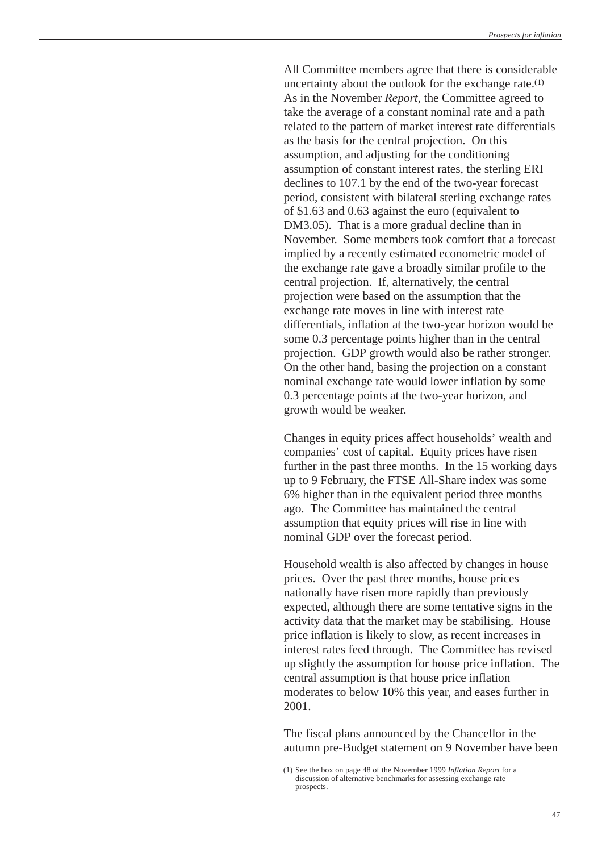All Committee members agree that there is considerable uncertainty about the outlook for the exchange rate.(1) As in the November *Report*, the Committee agreed to take the average of a constant nominal rate and a path related to the pattern of market interest rate differentials as the basis for the central projection. On this assumption, and adjusting for the conditioning assumption of constant interest rates, the sterling ERI declines to 107.1 by the end of the two-year forecast period, consistent with bilateral sterling exchange rates of \$1.63 and 0.63 against the euro (equivalent to DM3.05). That is a more gradual decline than in November. Some members took comfort that a forecast implied by a recently estimated econometric model of the exchange rate gave a broadly similar profile to the central projection. If, alternatively, the central projection were based on the assumption that the exchange rate moves in line with interest rate differentials, inflation at the two-year horizon would be some 0.3 percentage points higher than in the central projection. GDP growth would also be rather stronger. On the other hand, basing the projection on a constant nominal exchange rate would lower inflation by some 0.3 percentage points at the two-year horizon, and growth would be weaker.

Changes in equity prices affect households' wealth and companies' cost of capital. Equity prices have risen further in the past three months. In the 15 working days up to 9 February, the FTSE All-Share index was some 6% higher than in the equivalent period three months ago. The Committee has maintained the central assumption that equity prices will rise in line with nominal GDP over the forecast period.

Household wealth is also affected by changes in house prices. Over the past three months, house prices nationally have risen more rapidly than previously expected, although there are some tentative signs in the activity data that the market may be stabilising. House price inflation is likely to slow, as recent increases in interest rates feed through. The Committee has revised up slightly the assumption for house price inflation. The central assumption is that house price inflation moderates to below 10% this year, and eases further in 2001.

The fiscal plans announced by the Chancellor in the autumn pre-Budget statement on 9 November have been

<sup>(1)</sup> See the box on page 48 of the November 1999 *Inflation Report* for a discussion of alternative benchmarks for assessing exchange rate prospects.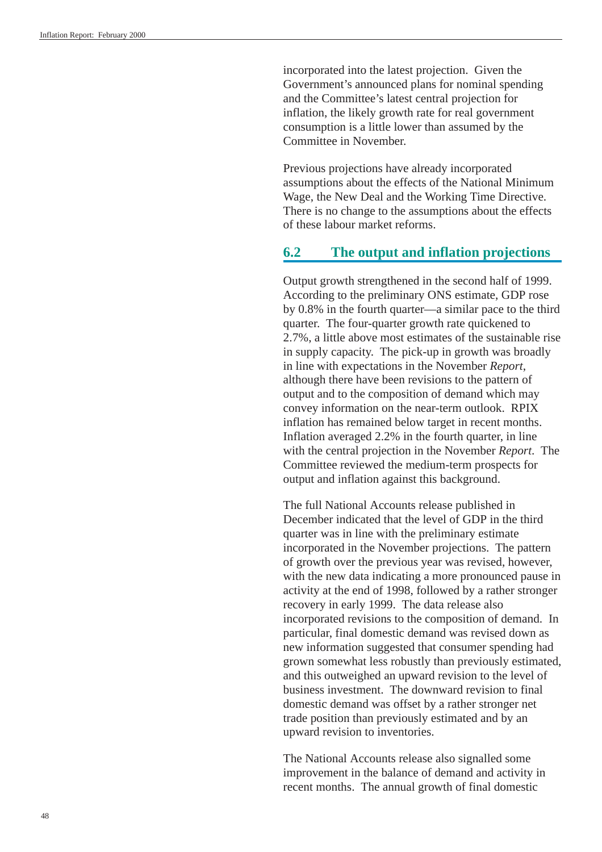incorporated into the latest projection. Given the Government's announced plans for nominal spending and the Committee's latest central projection for inflation, the likely growth rate for real government consumption is a little lower than assumed by the Committee in November.

Previous projections have already incorporated assumptions about the effects of the National Minimum Wage, the New Deal and the Working Time Directive. There is no change to the assumptions about the effects of these labour market reforms.

## **6.2 The output and inflation projections**

Output growth strengthened in the second half of 1999. According to the preliminary ONS estimate, GDP rose by 0.8% in the fourth quarter—a similar pace to the third quarter. The four-quarter growth rate quickened to 2.7%, a little above most estimates of the sustainable rise in supply capacity. The pick-up in growth was broadly in line with expectations in the November *Report*, although there have been revisions to the pattern of output and to the composition of demand which may convey information on the near-term outlook. RPIX inflation has remained below target in recent months. Inflation averaged 2.2% in the fourth quarter, in line with the central projection in the November *Report*. The Committee reviewed the medium-term prospects for output and inflation against this background.

The full National Accounts release published in December indicated that the level of GDP in the third quarter was in line with the preliminary estimate incorporated in the November projections. The pattern of growth over the previous year was revised, however, with the new data indicating a more pronounced pause in activity at the end of 1998, followed by a rather stronger recovery in early 1999. The data release also incorporated revisions to the composition of demand. In particular, final domestic demand was revised down as new information suggested that consumer spending had grown somewhat less robustly than previously estimated, and this outweighed an upward revision to the level of business investment. The downward revision to final domestic demand was offset by a rather stronger net trade position than previously estimated and by an upward revision to inventories.

The National Accounts release also signalled some improvement in the balance of demand and activity in recent months. The annual growth of final domestic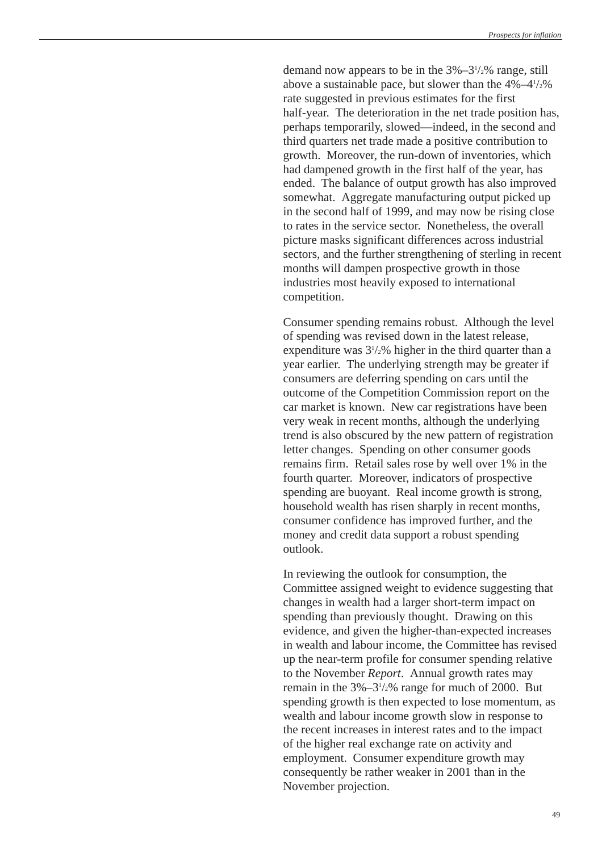demand now appears to be in the  $3\% - 3\frac{1}{2}\%$  range, still above a sustainable pace, but slower than the  $4\% - 4\frac{1}{2}\%$ rate suggested in previous estimates for the first half-year. The deterioration in the net trade position has, perhaps temporarily, slowed—indeed, in the second and third quarters net trade made a positive contribution to growth. Moreover, the run-down of inventories, which had dampened growth in the first half of the year, has ended. The balance of output growth has also improved somewhat. Aggregate manufacturing output picked up in the second half of 1999, and may now be rising close to rates in the service sector. Nonetheless, the overall picture masks significant differences across industrial sectors, and the further strengthening of sterling in recent months will dampen prospective growth in those industries most heavily exposed to international competition.

Consumer spending remains robust. Although the level of spending was revised down in the latest release, expenditure was  $3\frac{1}{2}\%$  higher in the third quarter than a year earlier. The underlying strength may be greater if consumers are deferring spending on cars until the outcome of the Competition Commission report on the car market is known. New car registrations have been very weak in recent months, although the underlying trend is also obscured by the new pattern of registration letter changes. Spending on other consumer goods remains firm. Retail sales rose by well over 1% in the fourth quarter. Moreover, indicators of prospective spending are buoyant. Real income growth is strong, household wealth has risen sharply in recent months, consumer confidence has improved further, and the money and credit data support a robust spending outlook.

In reviewing the outlook for consumption, the Committee assigned weight to evidence suggesting that changes in wealth had a larger short-term impact on spending than previously thought. Drawing on this evidence, and given the higher-than-expected increases in wealth and labour income, the Committee has revised up the near-term profile for consumer spending relative to the November *Report*. Annual growth rates may remain in the  $3\frac{3\frac{1}{2}\%}$  range for much of 2000. But spending growth is then expected to lose momentum, as wealth and labour income growth slow in response to the recent increases in interest rates and to the impact of the higher real exchange rate on activity and employment. Consumer expenditure growth may consequently be rather weaker in 2001 than in the November projection.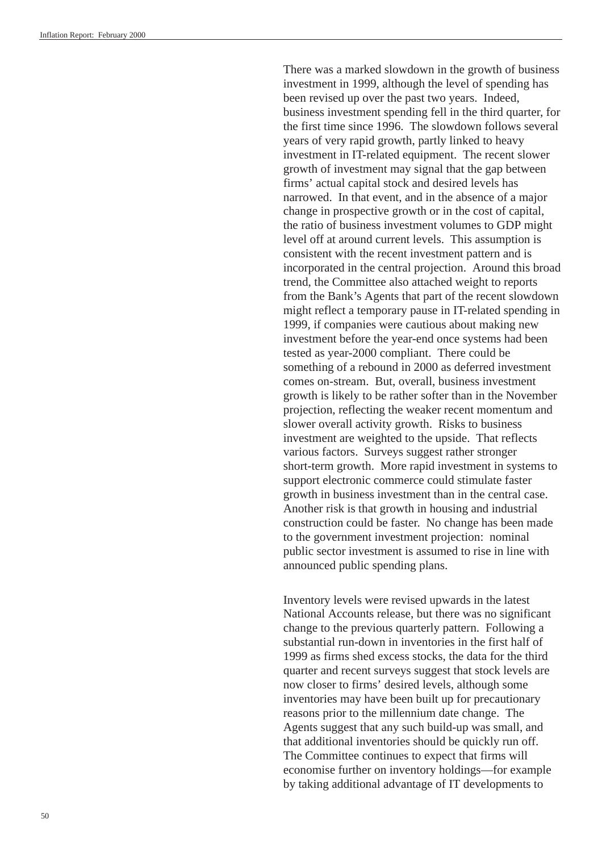There was a marked slowdown in the growth of business investment in 1999, although the level of spending has been revised up over the past two years. Indeed, business investment spending fell in the third quarter, for the first time since 1996. The slowdown follows several years of very rapid growth, partly linked to heavy investment in IT-related equipment. The recent slower growth of investment may signal that the gap between firms' actual capital stock and desired levels has narrowed. In that event, and in the absence of a major change in prospective growth or in the cost of capital, the ratio of business investment volumes to GDP might level off at around current levels. This assumption is consistent with the recent investment pattern and is incorporated in the central projection. Around this broad trend, the Committee also attached weight to reports from the Bank's Agents that part of the recent slowdown might reflect a temporary pause in IT-related spending in 1999, if companies were cautious about making new investment before the year-end once systems had been tested as year-2000 compliant. There could be something of a rebound in 2000 as deferred investment comes on-stream. But, overall, business investment growth is likely to be rather softer than in the November projection, reflecting the weaker recent momentum and slower overall activity growth. Risks to business investment are weighted to the upside. That reflects various factors. Surveys suggest rather stronger short-term growth. More rapid investment in systems to support electronic commerce could stimulate faster growth in business investment than in the central case. Another risk is that growth in housing and industrial construction could be faster. No change has been made to the government investment projection: nominal public sector investment is assumed to rise in line with announced public spending plans.

Inventory levels were revised upwards in the latest National Accounts release, but there was no significant change to the previous quarterly pattern. Following a substantial run-down in inventories in the first half of 1999 as firms shed excess stocks, the data for the third quarter and recent surveys suggest that stock levels are now closer to firms' desired levels, although some inventories may have been built up for precautionary reasons prior to the millennium date change. The Agents suggest that any such build-up was small, and that additional inventories should be quickly run off. The Committee continues to expect that firms will economise further on inventory holdings—for example by taking additional advantage of IT developments to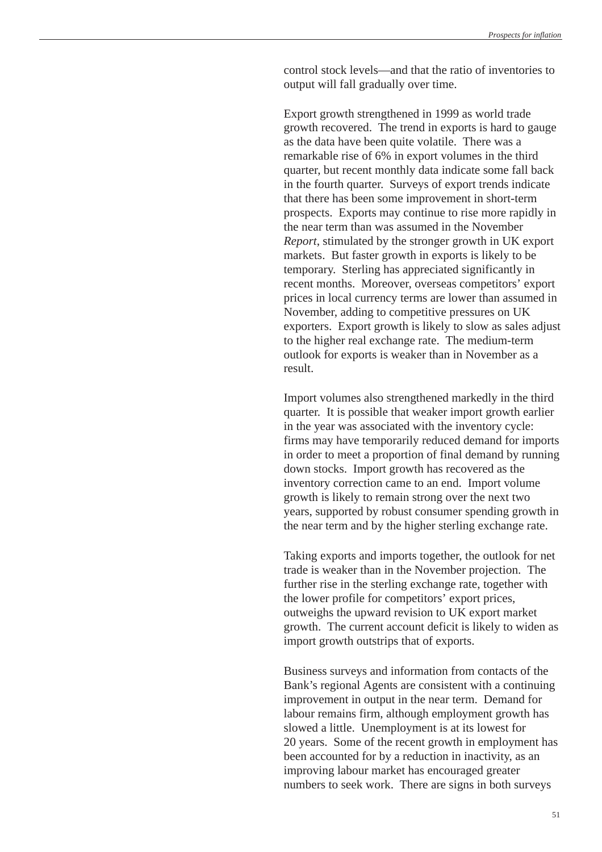control stock levels—and that the ratio of inventories to output will fall gradually over time.

Export growth strengthened in 1999 as world trade growth recovered. The trend in exports is hard to gauge as the data have been quite volatile. There was a remarkable rise of 6% in export volumes in the third quarter, but recent monthly data indicate some fall back in the fourth quarter. Surveys of export trends indicate that there has been some improvement in short-term prospects. Exports may continue to rise more rapidly in the near term than was assumed in the November *Report*, stimulated by the stronger growth in UK export markets. But faster growth in exports is likely to be temporary. Sterling has appreciated significantly in recent months. Moreover, overseas competitors' export prices in local currency terms are lower than assumed in November, adding to competitive pressures on UK exporters. Export growth is likely to slow as sales adjust to the higher real exchange rate. The medium-term outlook for exports is weaker than in November as a result.

Import volumes also strengthened markedly in the third quarter. It is possible that weaker import growth earlier in the year was associated with the inventory cycle: firms may have temporarily reduced demand for imports in order to meet a proportion of final demand by running down stocks. Import growth has recovered as the inventory correction came to an end. Import volume growth is likely to remain strong over the next two years, supported by robust consumer spending growth in the near term and by the higher sterling exchange rate.

Taking exports and imports together, the outlook for net trade is weaker than in the November projection. The further rise in the sterling exchange rate, together with the lower profile for competitors' export prices, outweighs the upward revision to UK export market growth. The current account deficit is likely to widen as import growth outstrips that of exports.

Business surveys and information from contacts of the Bank's regional Agents are consistent with a continuing improvement in output in the near term. Demand for labour remains firm, although employment growth has slowed a little. Unemployment is at its lowest for 20 years. Some of the recent growth in employment has been accounted for by a reduction in inactivity, as an improving labour market has encouraged greater numbers to seek work. There are signs in both surveys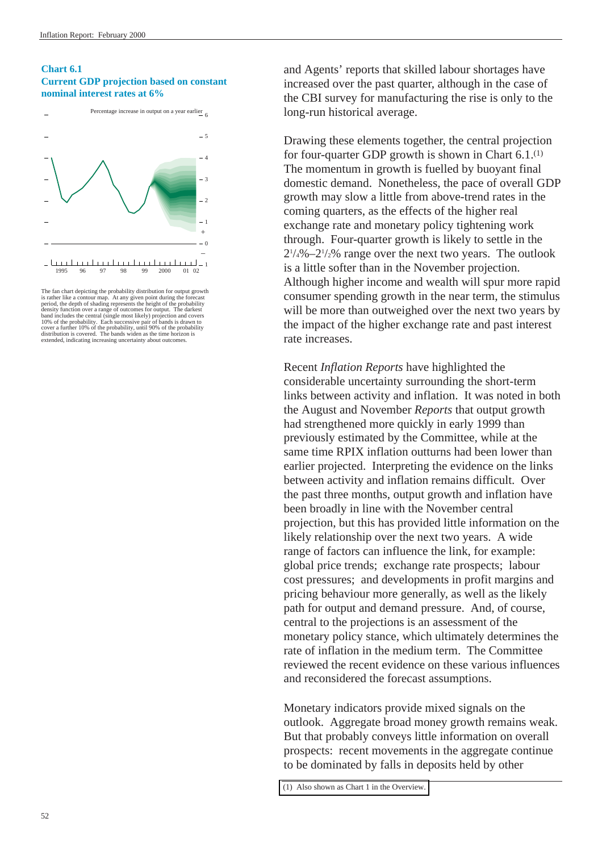#### <span id="page-56-0"></span>**Chart 6.1 Current GDP projection based on constant nominal interest rates at 6%**





The fan chart depicting the probability distribution for output growth<br>is rather like a contour map. At any given point during the forecast<br>period, the depth of shading represents the height of the probability<br>density func 10% of the probability. Each successive pair of bands is drawn to cover a further 10% of the probability, until 90% of the probability distribution is covered. The bands widen as the time horizon is extended, indicating in

and Agents' reports that skilled labour shortages have increased over the past quarter, although in the case of the CBI survey for manufacturing the rise is only to the long-run historical average.

Drawing these elements together, the central projection for four-quarter GDP growth is shown in Chart 6.1.(1) The momentum in growth is fuelled by buoyant final domestic demand. Nonetheless, the pace of overall GDP growth may slow a little from above-trend rates in the coming quarters, as the effects of the higher real exchange rate and monetary policy tightening work through. Four-quarter growth is likely to settle in the  $2^{1/4}\% - 2^{1/2}\%$  range over the next two years. The outlook is a little softer than in the November projection. Although higher income and wealth will spur more rapid consumer spending growth in the near term, the stimulus will be more than outweighed over the next two years by the impact of the higher exchange rate and past interest rate increases.

Recent *Inflation Reports* have highlighted the considerable uncertainty surrounding the short-term links between activity and inflation. It was noted in both the August and November *Reports* that output growth had strengthened more quickly in early 1999 than previously estimated by the Committee, while at the same time RPIX inflation outturns had been lower than earlier projected. Interpreting the evidence on the links between activity and inflation remains difficult. Over the past three months, output growth and inflation have been broadly in line with the November central projection, but this has provided little information on the likely relationship over the next two years. A wide range of factors can influence the link, for example: global price trends; exchange rate prospects; labour cost pressures; and developments in profit margins and pricing behaviour more generally, as well as the likely path for output and demand pressure. And, of course, central to the projections is an assessment of the monetary policy stance, which ultimately determines the rate of inflation in the medium term. The Committee reviewed the recent evidence on these various influences and reconsidered the forecast assumptions.

Monetary indicators provide mixed signals on the outlook. Aggregate broad money growth remains weak. But that probably conveys little information on overall prospects: recent movements in the aggregate continue to be dominated by falls in deposits held by other

[<sup>\(1\)</sup> Also shown as Chart 1 in the Overview.](#page-3-0)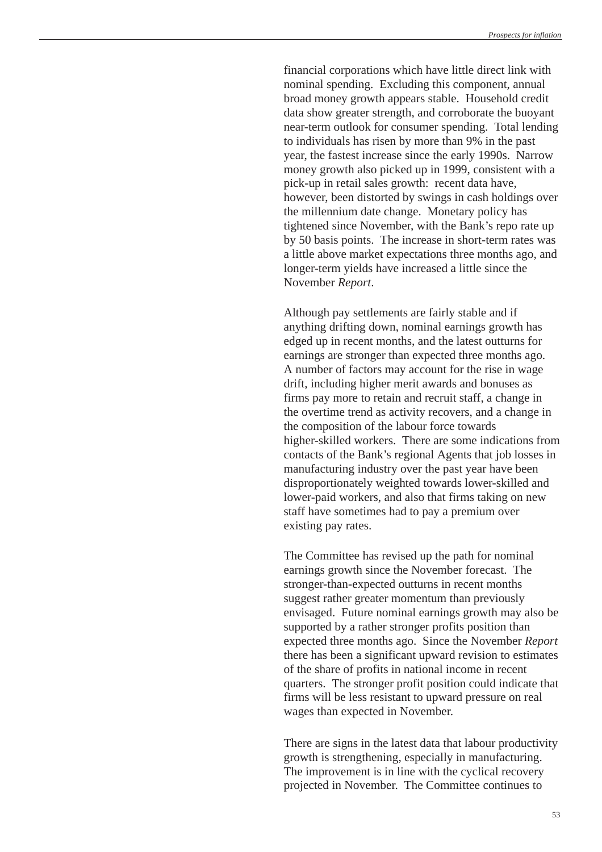financial corporations which have little direct link with nominal spending. Excluding this component, annual broad money growth appears stable. Household credit data show greater strength, and corroborate the buoyant near-term outlook for consumer spending. Total lending to individuals has risen by more than 9% in the past year, the fastest increase since the early 1990s. Narrow money growth also picked up in 1999, consistent with a pick-up in retail sales growth: recent data have, however, been distorted by swings in cash holdings over the millennium date change. Monetary policy has tightened since November, with the Bank's repo rate up by 50 basis points. The increase in short-term rates was a little above market expectations three months ago, and longer-term yields have increased a little since the November *Report*.

Although pay settlements are fairly stable and if anything drifting down, nominal earnings growth has edged up in recent months, and the latest outturns for earnings are stronger than expected three months ago. A number of factors may account for the rise in wage drift, including higher merit awards and bonuses as firms pay more to retain and recruit staff, a change in the overtime trend as activity recovers, and a change in the composition of the labour force towards higher-skilled workers. There are some indications from contacts of the Bank's regional Agents that job losses in manufacturing industry over the past year have been disproportionately weighted towards lower-skilled and lower-paid workers, and also that firms taking on new staff have sometimes had to pay a premium over existing pay rates.

The Committee has revised up the path for nominal earnings growth since the November forecast. The stronger-than-expected outturns in recent months suggest rather greater momentum than previously envisaged. Future nominal earnings growth may also be supported by a rather stronger profits position than expected three months ago. Since the November *Report* there has been a significant upward revision to estimates of the share of profits in national income in recent quarters. The stronger profit position could indicate that firms will be less resistant to upward pressure on real wages than expected in November.

There are signs in the latest data that labour productivity growth is strengthening, especially in manufacturing. The improvement is in line with the cyclical recovery projected in November. The Committee continues to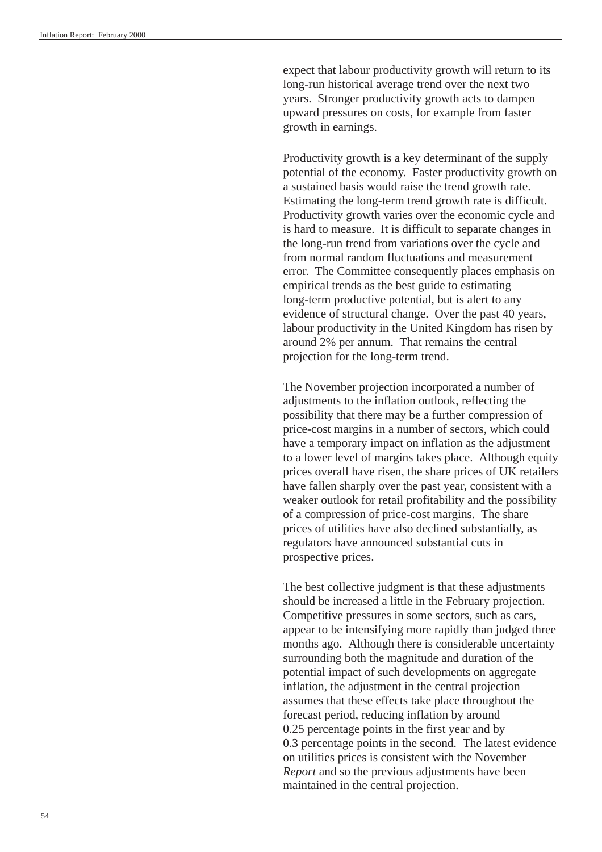expect that labour productivity growth will return to its long-run historical average trend over the next two years. Stronger productivity growth acts to dampen upward pressures on costs, for example from faster growth in earnings.

Productivity growth is a key determinant of the supply potential of the economy. Faster productivity growth on a sustained basis would raise the trend growth rate. Estimating the long-term trend growth rate is difficult. Productivity growth varies over the economic cycle and is hard to measure. It is difficult to separate changes in the long-run trend from variations over the cycle and from normal random fluctuations and measurement error. The Committee consequently places emphasis on empirical trends as the best guide to estimating long-term productive potential, but is alert to any evidence of structural change. Over the past 40 years, labour productivity in the United Kingdom has risen by around 2% per annum. That remains the central projection for the long-term trend.

The November projection incorporated a number of adjustments to the inflation outlook, reflecting the possibility that there may be a further compression of price-cost margins in a number of sectors, which could have a temporary impact on inflation as the adjustment to a lower level of margins takes place. Although equity prices overall have risen, the share prices of UK retailers have fallen sharply over the past year, consistent with a weaker outlook for retail profitability and the possibility of a compression of price-cost margins. The share prices of utilities have also declined substantially, as regulators have announced substantial cuts in prospective prices.

The best collective judgment is that these adjustments should be increased a little in the February projection. Competitive pressures in some sectors, such as cars, appear to be intensifying more rapidly than judged three months ago. Although there is considerable uncertainty surrounding both the magnitude and duration of the potential impact of such developments on aggregate inflation, the adjustment in the central projection assumes that these effects take place throughout the forecast period, reducing inflation by around 0.25 percentage points in the first year and by 0.3 percentage points in the second. The latest evidence on utilities prices is consistent with the November *Report* and so the previous adjustments have been maintained in the central projection.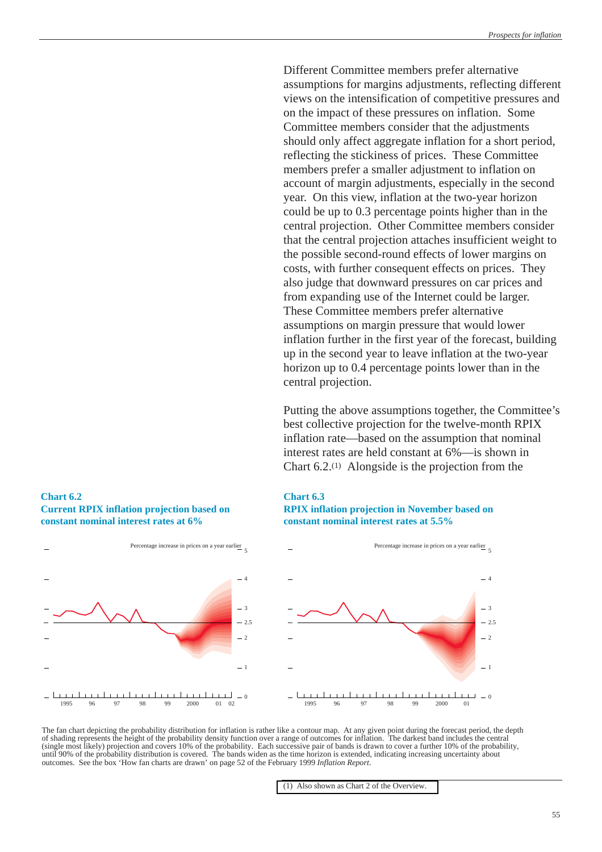<span id="page-59-0"></span>Different Committee members prefer alternative assumptions for margins adjustments, reflecting different views on the intensification of competitive pressures and on the impact of these pressures on inflation. Some Committee members consider that the adjustments should only affect aggregate inflation for a short period, reflecting the stickiness of prices. These Committee members prefer a smaller adjustment to inflation on account of margin adjustments, especially in the second year. On this view, inflation at the two-year horizon could be up to 0.3 percentage points higher than in the central projection. Other Committee members consider that the central projection attaches insufficient weight to the possible second-round effects of lower margins on costs, with further consequent effects on prices. They also judge that downward pressures on car prices and from expanding use of the Internet could be larger. These Committee members prefer alternative assumptions on margin pressure that would lower inflation further in the first year of the forecast, building up in the second year to leave inflation at the two-year horizon up to 0.4 percentage points lower than in the central projection.

Putting the above assumptions together, the Committee's best collective projection for the twelve-month RPIX inflation rate—based on the assumption that nominal interest rates are held constant at 6%—is shown in Chart 6.2.(1) Alongside is the projection from the

#### **Chart 6.2 Current RPIX inflation projection based on constant nominal interest rates at 6%**



## **Chart 6.3 RPIX inflation projection in November based on**





The fan chart depicting the probability distribution for inflation is rather like a contour map. At any given point during the forecast period, the depth of shading represents the height of the probability density function over a range of outcomes for inflation. The darkest band includes the central (single most likely) projection and covers 10% of the probability. Each successive pair of bands is drawn to cover a further 10% of the probability, until 90% of the probability distribution is covered. The bands widen as the time horizon is extended, indicating increasing uncertainty about outcomes. See the box 'How fan charts are drawn' on page 52 of the February 1999 *Inflation Report*.

[<sup>\(1\)</sup> Also shown as Chart 2 of the Overview.](#page-3-0)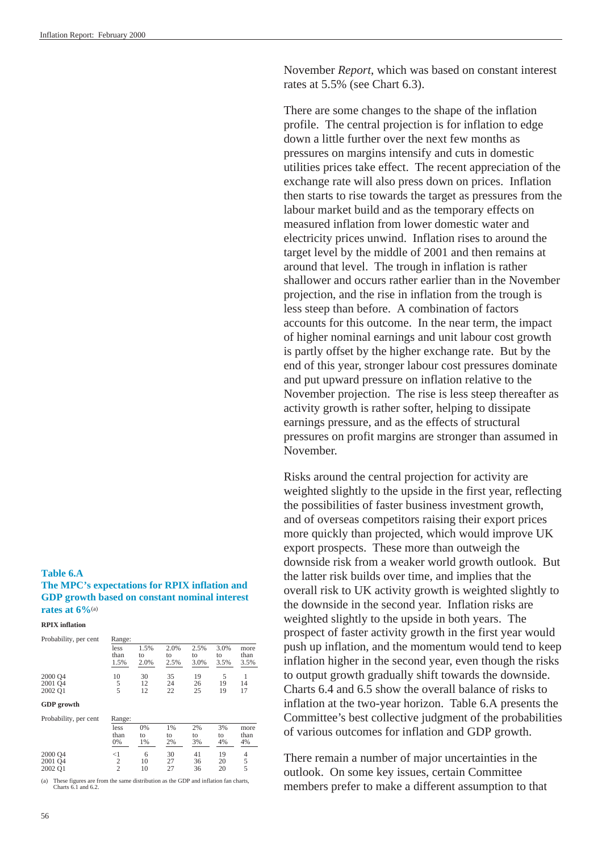November *Report*, which was based on constant interest rates at 5.5% (see Chart 6.3).

There are some changes to the shape of the inflation profile. The central projection is for inflation to edge down a little further over the next few months as pressures on margins intensify and cuts in domestic utilities prices take effect. The recent appreciation of the exchange rate will also press down on prices. Inflation then starts to rise towards the target as pressures from the labour market build and as the temporary effects on measured inflation from lower domestic water and electricity prices unwind. Inflation rises to around the target level by the middle of 2001 and then remains at around that level. The trough in inflation is rather shallower and occurs rather earlier than in the November projection, and the rise in inflation from the trough is less steep than before. A combination of factors accounts for this outcome. In the near term, the impact of higher nominal earnings and unit labour cost growth is partly offset by the higher exchange rate. But by the end of this year, stronger labour cost pressures dominate and put upward pressure on inflation relative to the November projection. The rise is less steep thereafter as activity growth is rather softer, helping to dissipate earnings pressure, and as the effects of structural pressures on profit margins are stronger than assumed in November.

Risks around the central projection for activity are weighted slightly to the upside in the first year, reflecting the possibilities of faster business investment growth, and of overseas competitors raising their export prices more quickly than projected, which would improve UK export prospects. These more than outweigh the downside risk from a weaker world growth outlook. But the latter risk builds over time, and implies that the overall risk to UK activity growth is weighted slightly to the downside in the second year. Inflation risks are weighted slightly to the upside in both years. The prospect of faster activity growth in the first year would push up inflation, and the momentum would tend to keep inflation higher in the second year, even though the risks to output growth gradually shift towards the downside. Charts 6.4 and 6.5 show the overall balance of risks to inflation at the two-year horizon. Table 6.A presents the Committee's best collective judgment of the probabilities of various outcomes for inflation and GDP growth.

There remain a number of major uncertainties in the outlook. On some key issues, certain Committee members prefer to make a different assumption to that

## **Table 6.A**

#### **The MPC's expectations for RPIX inflation and GDP growth based on constant nominal interest rates at 6%**(a)

**RPIX inflation**

| Probability, per cent                                                                                                | Range:        |            |            |            |            |               |
|----------------------------------------------------------------------------------------------------------------------|---------------|------------|------------|------------|------------|---------------|
|                                                                                                                      | less<br>than  | 1.5%<br>to | 2.0%<br>to | 2.5%<br>to | 3.0%<br>to | more<br>than  |
|                                                                                                                      | 1.5%          | 2.0%       | 2.5%       | 3.0%       | 3.5%       | 3.5%          |
| 2000 Q4                                                                                                              | 10            | 30         | 35         | 19         | 5          | 1             |
| 2001 Q4                                                                                                              | 5             | 12         | 24         | 26         | 19         | 14            |
| 2002 Q1                                                                                                              | 5             | 12         | 22         | 25         | 19         | 17            |
| <b>GDP</b> growth                                                                                                    |               |            |            |            |            |               |
| Probability, per cent                                                                                                | Range:        |            |            |            |            |               |
|                                                                                                                      | less          | 0%         | 1%         | 2%         | 3%         | more          |
|                                                                                                                      | than          | to         | to         | to         | to         | than          |
|                                                                                                                      | 0%            | 1%         | 2%         | 3%         | 4%         | 4%            |
| 2000 Q4                                                                                                              | $<$ $1$       | 6          | 30         | 41         | 19         | 4             |
| 2001 O <sub>4</sub>                                                                                                  | $\frac{2}{2}$ | 10         | 27         | 36         | 20         | $\frac{5}{5}$ |
| 2002 Q1                                                                                                              |               | 10         | 27         | 36         | 20         |               |
| These figures are from the same distribution as the GDP and inflation fan charts,<br>(a)<br>Charts $6.1$ and $6.2$ . |               |            |            |            |            |               |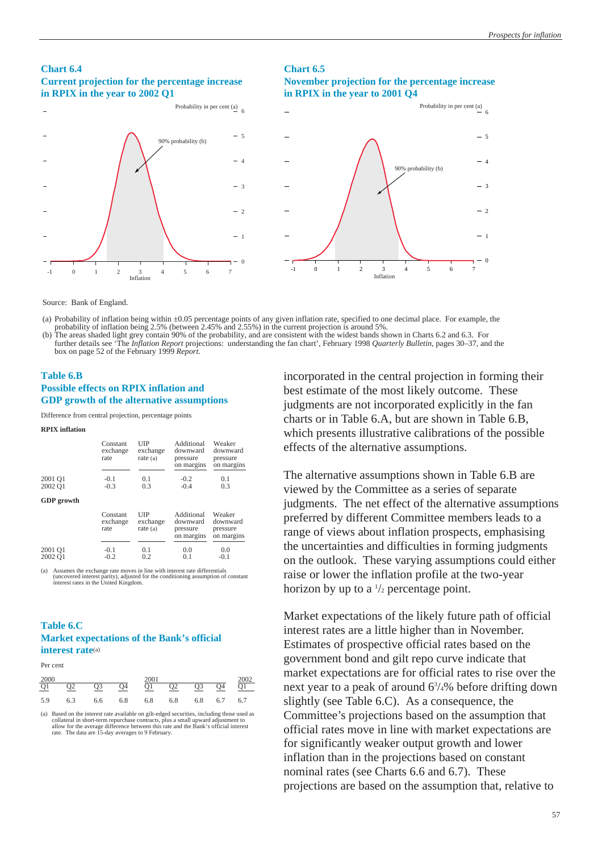#### **Chart 6.4 Current projection for the percentage increase in RPIX in the year to 2002 Q1**

## **Chart 6.5 November projection for the percentage increase in RPIX in the year to 2001 Q4**



Source: Bank of England.

**RPIX inflation**

(a) Probability of inflation being within ±0.05 percentage points of any given inflation rate, specified to one decimal place. For example, the probability of inflation being 2.5% (between 2.45% and 2.55%) in the current projection is around 5%.

(b) The areas shaded light grey contain 90% of the probability, and are consistent with the widest bands shown in Charts 6.2 and 6.3. For further details see 'The *Inflation Report* projections: understanding the fan chart', February 1998 *Quarterly Bulletin*, pages 30–37, and the box on page 52 of the February 1999 *Report*.

#### **Table 6.B Possible effects on RPIX inflation and GDP growth of the alternative assumptions**

Difference from central projection, percentage points

| вгіл шванон       |                              |                               |                                                  |                                              |
|-------------------|------------------------------|-------------------------------|--------------------------------------------------|----------------------------------------------|
|                   | Constant<br>exchange<br>rate | UIP<br>exchange<br>rate $(a)$ | Additional<br>downward<br>pressure<br>on margins | Weaker<br>downward<br>pressure<br>on margins |
| 2001 Q1           | $-0.1$                       | 0.1                           | $-0.2$                                           | 0.1                                          |
| 2002 Q1           | $-0.3$                       | 0.3                           | $-0.4$                                           | 0.3                                          |
| <b>GDP</b> growth |                              |                               |                                                  |                                              |
|                   | Constant<br>exchange<br>rate | UIP<br>exchange<br>rate $(a)$ | Additional<br>downward<br>pressure<br>on margins | Weaker<br>downward<br>pressure<br>on margins |
| 2001 Q1           | $-0.1$                       | 0.1                           | 0.0                                              | 0.0                                          |

(a) Assumes the exchange rate moves in line with interest rate differentials (uncovered interest parity), adjusted for the conditioning assumption of constant interest rates in the United Kingdom.

2002 Q1 -0.2 0.2 0.1 -0.1

#### **Table 6.C Market expectations of the Bank's official interest rate**(a)

Per cent

| 2000 |                |     |     | 2001 |     |                |                 |                   |
|------|----------------|-----|-----|------|-----|----------------|-----------------|-------------------|
| Q1   | Q <sub>2</sub> | Q3  | Q4  | Q1   | Q2  | Q <sub>3</sub> | $\overline{Q4}$ | $\frac{2002}{Q1}$ |
| 5.9  | 6.3            | 6.6 | 6.8 | 6.8  | 6.8 |                | 6.8 6.7         | 6.7               |

(a) Based on the interest rate available on gilt-edged securities, including those used as collateral in short-term repurchase contracts, plus a small upward adjustment to allow for the average difference between this rate and the Bank's official interest rate. The data are 15-day averages to 9 February.

incorporated in the central projection in forming their best estimate of the most likely outcome. These judgments are not incorporated explicitly in the fan charts or in Table 6.A, but are shown in Table 6.B, which presents illustrative calibrations of the possible effects of the alternative assumptions.

The alternative assumptions shown in Table 6.B are viewed by the Committee as a series of separate judgments. The net effect of the alternative assumptions preferred by different Committee members leads to a range of views about inflation prospects, emphasising the uncertainties and difficulties in forming judgments on the outlook. These varying assumptions could either raise or lower the inflation profile at the two-year horizon by up to a  $\frac{1}{2}$  percentage point.

Market expectations of the likely future path of official interest rates are a little higher than in November. Estimates of prospective official rates based on the government bond and gilt repo curve indicate that market expectations are for official rates to rise over the next year to a peak of around 63 /4% before drifting down slightly (see Table 6.C). As a consequence, the Committee's projections based on the assumption that official rates move in line with market expectations are for significantly weaker output growth and lower inflation than in the projections based on constant nominal rates (see Charts 6.6 and 6.7). These projections are based on the assumption that, relative to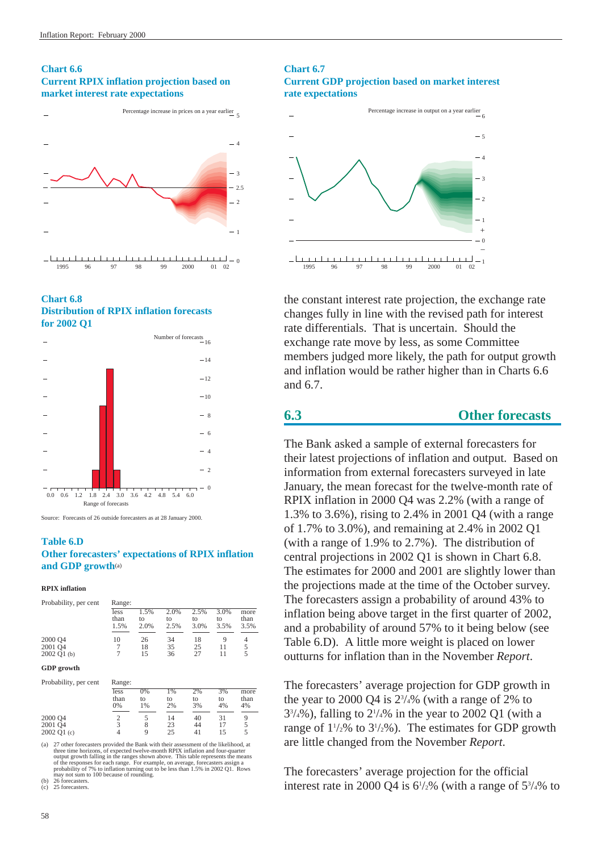#### **Chart 6.6 Current RPIX inflation projection based on market interest rate expectations**



#### **Chart 6.8 Distribution of RPIX inflation forecasts for 2002 Q1**



Source: Forecasts of 26 outside forecasters as at 28 January 2000.

#### **Table 6.D Other forecasters' expectations of RPIX inflation and GDP growth**(a)

**RPIX inflation**

| Probability, per cent | Range:               |                    |                    |                    |                    |                      |
|-----------------------|----------------------|--------------------|--------------------|--------------------|--------------------|----------------------|
|                       | less<br>than<br>1.5% | 1.5%<br>to<br>2.0% | 2.0%<br>to<br>2.5% | 2.5%<br>to<br>3.0% | 3.0%<br>to<br>3.5% | more<br>than<br>3.5% |
| 2000 Q4               | 10                   | 26                 | 34                 | 18                 | Q                  | 4                    |
| 2001 04               |                      | 18                 | 35                 | 25                 | 11                 | 5                    |
| 2002 Q1 (b)           |                      | 15                 | 36                 | 27                 | 11                 |                      |

#### **GDP growth**

| Probability, per cent | Range:             |                |                |                |                |                    |
|-----------------------|--------------------|----------------|----------------|----------------|----------------|--------------------|
|                       | less<br>than<br>0% | 0%<br>to<br>1% | 1%<br>to<br>2% | 2%<br>to<br>3% | 3%<br>to<br>4% | more<br>than<br>4% |
| 2000 Q4<br>2001 Q4    |                    | 8              | 14<br>23       | 40<br>44       | 31             |                    |
| 2002 Q1 (c)           | 4                  | 9              | 25             | 41             | 15             |                    |

(a) 27 other forecasters provided the Bank with their assessment of the likelihood, at three time horizons, of expected twelve-month RPIX inflation and four-quarter output growth falling in the ranges shown above. This table represents the means of the responses for each range. For example, on average, fore

#### **Chart 6.7 Current GDP projection based on market interest rate expectations**



the constant interest rate projection, the exchange rate changes fully in line with the revised path for interest rate differentials. That is uncertain. Should the exchange rate move by less, as some Committee members judged more likely, the path for output growth and inflation would be rather higher than in Charts 6.6 and 6.7.

#### **6.3 Other forecasts**

The Bank asked a sample of external forecasters for their latest projections of inflation and output. Based on information from external forecasters surveyed in late January, the mean forecast for the twelve-month rate of RPIX inflation in 2000 Q4 was 2.2% (with a range of 1.3% to 3.6%), rising to 2.4% in 2001 Q4 (with a range of 1.7% to 3.0%), and remaining at 2.4% in 2002 Q1 (with a range of 1.9% to 2.7%). The distribution of central projections in 2002 Q1 is shown in Chart 6.8. The estimates for 2000 and 2001 are slightly lower than the projections made at the time of the October survey. The forecasters assign a probability of around 43% to inflation being above target in the first quarter of 2002, and a probability of around 57% to it being below (see Table 6.D). A little more weight is placed on lower outturns for inflation than in the November *Report*.

The forecasters' average projection for GDP growth in the year to 2000 Q4 is  $2\frac{3}{4}\%$  (with a range of 2% to  $3^{3/4}\%$ ), falling to  $2^{1/4}\%$  in the year to 2002 Q1 (with a range of  $1\frac{1}{2}\%$  to  $3\frac{1}{2}\%$ ). The estimates for GDP growth are little changed from the November *Report*.

The forecasters' average projection for the official interest rate in 2000 Q4 is  $6\frac{1}{2}\%$  (with a range of  $5\frac{3}{4}\%$  to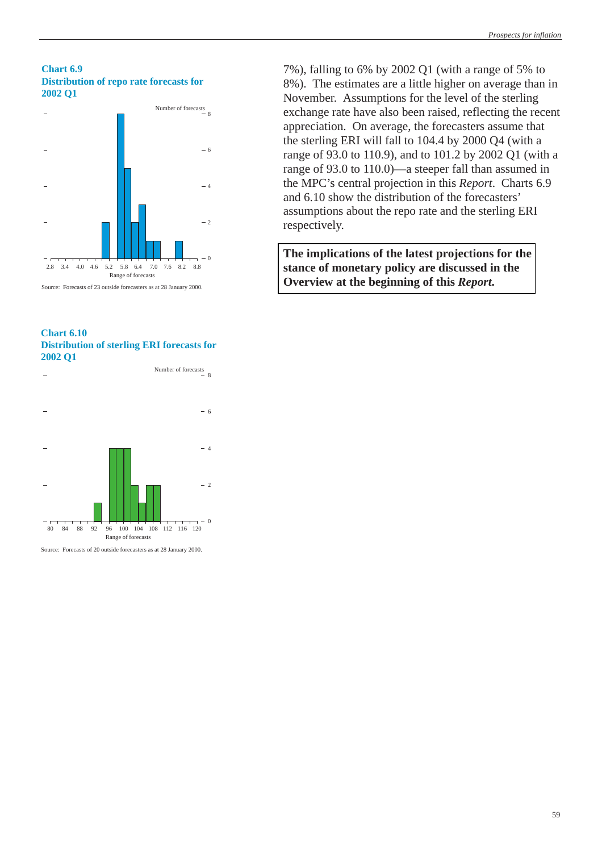#### **Chart 6.9 Distribution of repo rate forecasts for 2002 Q1**



Source: Forecasts of 23 outside forecasters as at 28 January 2000.

#### **Chart 6.10 Distribution of sterling ERI forecasts for 2002 Q1**



Source: Forecasts of 20 outside forecasters as at 28 January 2000.

7%), falling to 6% by 2002 Q1 (with a range of 5% to 8%). The estimates are a little higher on average than in November. Assumptions for the level of the sterling exchange rate have also been raised, reflecting the recent appreciation. On average, the forecasters assume that the sterling ERI will fall to 104.4 by 2000 Q4 (with a range of 93.0 to 110.9), and to 101.2 by 2002 Q1 (with a range of 93.0 to 110.0)—a steeper fall than assumed in the MPC's central projection in this *Report*. Charts 6.9 and 6.10 show the distribution of the forecasters' assumptions about the repo rate and the sterling ERI respectively.

**[The implications of the latest projections for the](#page-1-0) stance of monetary policy are discussed in the Overview at the beginning of this** *Report***.**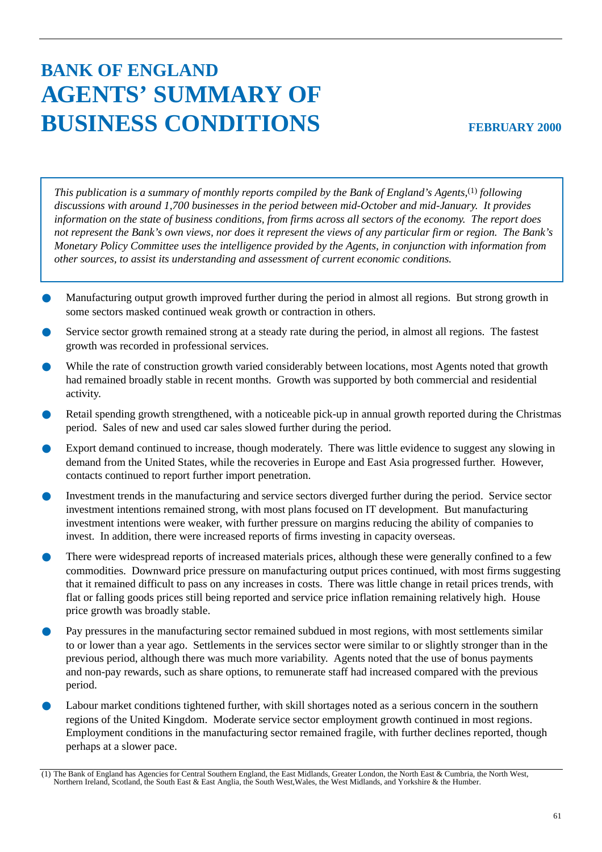# **BANK OF ENGLAND AGENTS' SUMMARY OF BUSINESS CONDITIONS**

*This publication is a summary of monthly reports compiled by the Bank of England's Agents,*(1) *following discussions with around 1,700 businesses in the period between mid-October and mid-January. It provides information on the state of business conditions, from firms across all sectors of the economy. The report does not represent the Bank's own views, nor does it represent the views of any particular firm or region. The Bank's Monetary Policy Committee uses the intelligence provided by the Agents, in conjunction with information from other sources, to assist its understanding and assessment of current economic conditions.*

- Manufacturing output growth improved further during the period in almost all regions. But strong growth in some sectors masked continued weak growth or contraction in others.
- Service sector growth remained strong at a steady rate during the period, in almost all regions. The fastest growth was recorded in professional services.
- While the rate of construction growth varied considerably between locations, most Agents noted that growth had remained broadly stable in recent months. Growth was supported by both commercial and residential activity.
- Retail spending growth strengthened, with a noticeable pick-up in annual growth reported during the Christmas period. Sales of new and used car sales slowed further during the period.
- Export demand continued to increase, though moderately. There was little evidence to suggest any slowing in demand from the United States, while the recoveries in Europe and East Asia progressed further. However, contacts continued to report further import penetration.
- Investment trends in the manufacturing and service sectors diverged further during the period. Service sector investment intentions remained strong, with most plans focused on IT development. But manufacturing investment intentions were weaker, with further pressure on margins reducing the ability of companies to invest. In addition, there were increased reports of firms investing in capacity overseas.
- There were widespread reports of increased materials prices, although these were generally confined to a few commodities. Downward price pressure on manufacturing output prices continued, with most firms suggesting that it remained difficult to pass on any increases in costs. There was little change in retail prices trends, with flat or falling goods prices still being reported and service price inflation remaining relatively high. House price growth was broadly stable.
- Pay pressures in the manufacturing sector remained subdued in most regions, with most settlements similar to or lower than a year ago. Settlements in the services sector were similar to or slightly stronger than in the previous period, although there was much more variability. Agents noted that the use of bonus payments and non-pay rewards, such as share options, to remunerate staff had increased compared with the previous period.
- Labour market conditions tightened further, with skill shortages noted as a serious concern in the southern regions of the United Kingdom. Moderate service sector employment growth continued in most regions. Employment conditions in the manufacturing sector remained fragile, with further declines reported, though perhaps at a slower pace.

<sup>(1)</sup> The Bank of England has Agencies for Central Southern England, the East Midlands, Greater London, the North East & Cumbria, the North West, Northern Ireland, Scotland, the South East & East Anglia, the South West,Wales, the West Midlands, and Yorkshire & the Humber.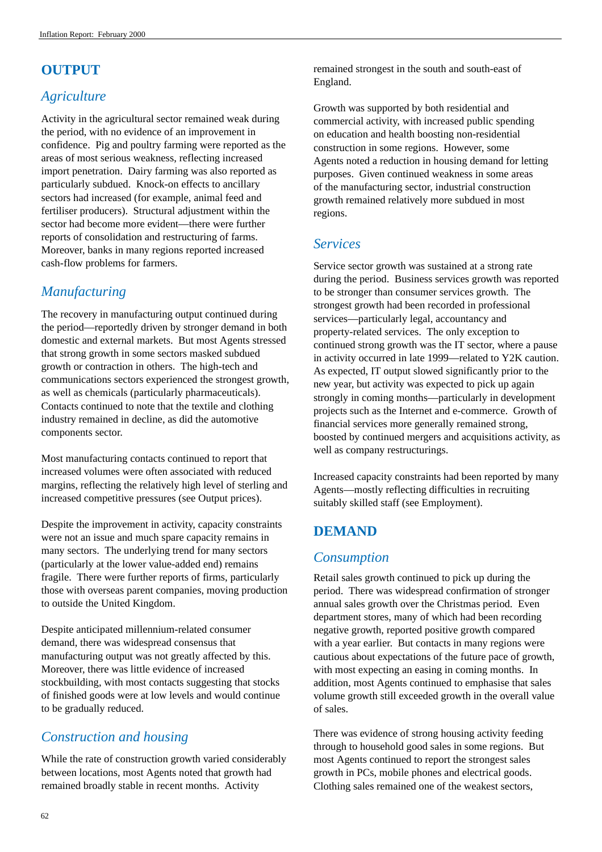# **OUTPUT**

# *Agriculture*

Activity in the agricultural sector remained weak during the period, with no evidence of an improvement in confidence. Pig and poultry farming were reported as the areas of most serious weakness, reflecting increased import penetration. Dairy farming was also reported as particularly subdued. Knock-on effects to ancillary sectors had increased (for example, animal feed and fertiliser producers). Structural adjustment within the sector had become more evident—there were further reports of consolidation and restructuring of farms. Moreover, banks in many regions reported increased cash-flow problems for farmers.

# *Manufacturing*

The recovery in manufacturing output continued during the period—reportedly driven by stronger demand in both domestic and external markets. But most Agents stressed that strong growth in some sectors masked subdued growth or contraction in others. The high-tech and communications sectors experienced the strongest growth, as well as chemicals (particularly pharmaceuticals). Contacts continued to note that the textile and clothing industry remained in decline, as did the automotive components sector.

Most manufacturing contacts continued to report that increased volumes were often associated with reduced margins, reflecting the relatively high level of sterling and increased competitive pressures (see Output prices).

Despite the improvement in activity, capacity constraints were not an issue and much spare capacity remains in many sectors. The underlying trend for many sectors (particularly at the lower value-added end) remains fragile. There were further reports of firms, particularly those with overseas parent companies, moving production to outside the United Kingdom.

Despite anticipated millennium-related consumer demand, there was widespread consensus that manufacturing output was not greatly affected by this. Moreover, there was little evidence of increased stockbuilding, with most contacts suggesting that stocks of finished goods were at low levels and would continue to be gradually reduced.

# *Construction and housing*

While the rate of construction growth varied considerably between locations, most Agents noted that growth had remained broadly stable in recent months. Activity

remained strongest in the south and south-east of England.

Growth was supported by both residential and commercial activity, with increased public spending on education and health boosting non-residential construction in some regions. However, some Agents noted a reduction in housing demand for letting purposes. Given continued weakness in some areas of the manufacturing sector, industrial construction growth remained relatively more subdued in most regions.

# *Services*

Service sector growth was sustained at a strong rate during the period. Business services growth was reported to be stronger than consumer services growth. The strongest growth had been recorded in professional services—particularly legal, accountancy and property-related services. The only exception to continued strong growth was the IT sector, where a pause in activity occurred in late 1999—related to Y2K caution. As expected, IT output slowed significantly prior to the new year, but activity was expected to pick up again strongly in coming months—particularly in development projects such as the Internet and e-commerce. Growth of financial services more generally remained strong, boosted by continued mergers and acquisitions activity, as well as company restructurings.

Increased capacity constraints had been reported by many Agents—mostly reflecting difficulties in recruiting suitably skilled staff (see Employment).

# **DEMAND**

# *Consumption*

Retail sales growth continued to pick up during the period. There was widespread confirmation of stronger annual sales growth over the Christmas period. Even department stores, many of which had been recording negative growth, reported positive growth compared with a year earlier. But contacts in many regions were cautious about expectations of the future pace of growth, with most expecting an easing in coming months. In addition, most Agents continued to emphasise that sales volume growth still exceeded growth in the overall value of sales.

There was evidence of strong housing activity feeding through to household good sales in some regions. But most Agents continued to report the strongest sales growth in PCs, mobile phones and electrical goods. Clothing sales remained one of the weakest sectors,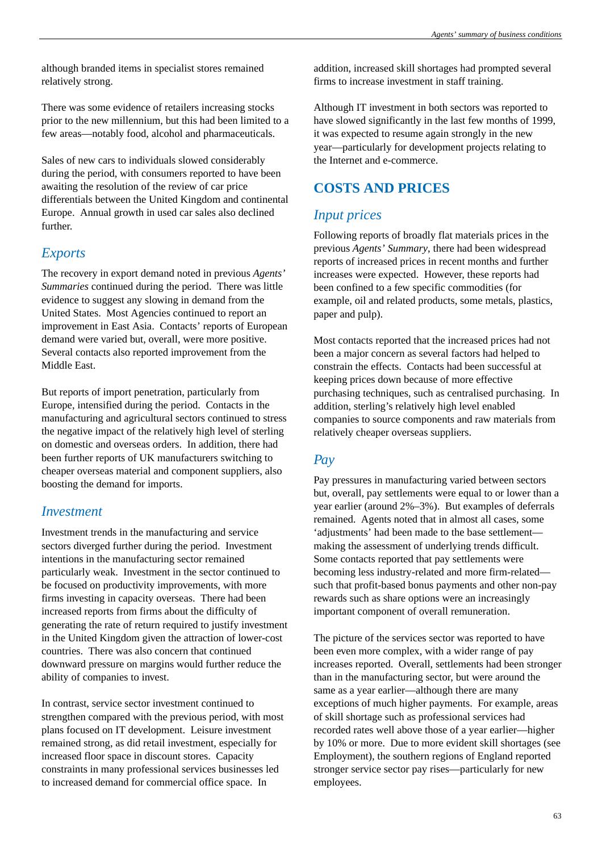although branded items in specialist stores remained relatively strong.

There was some evidence of retailers increasing stocks prior to the new millennium, but this had been limited to a few areas—notably food, alcohol and pharmaceuticals.

Sales of new cars to individuals slowed considerably during the period, with consumers reported to have been awaiting the resolution of the review of car price differentials between the United Kingdom and continental Europe. Annual growth in used car sales also declined further.

## *Exports*

The recovery in export demand noted in previous *Agents' Summaries* continued during the period. There was little evidence to suggest any slowing in demand from the United States. Most Agencies continued to report an improvement in East Asia. Contacts' reports of European demand were varied but, overall, were more positive. Several contacts also reported improvement from the Middle East.

But reports of import penetration, particularly from Europe, intensified during the period. Contacts in the manufacturing and agricultural sectors continued to stress the negative impact of the relatively high level of sterling on domestic and overseas orders. In addition, there had been further reports of UK manufacturers switching to cheaper overseas material and component suppliers, also boosting the demand for imports.

#### *Investment*

Investment trends in the manufacturing and service sectors diverged further during the period. Investment intentions in the manufacturing sector remained particularly weak. Investment in the sector continued to be focused on productivity improvements, with more firms investing in capacity overseas. There had been increased reports from firms about the difficulty of generating the rate of return required to justify investment in the United Kingdom given the attraction of lower-cost countries. There was also concern that continued downward pressure on margins would further reduce the ability of companies to invest.

In contrast, service sector investment continued to strengthen compared with the previous period, with most plans focused on IT development. Leisure investment remained strong, as did retail investment, especially for increased floor space in discount stores. Capacity constraints in many professional services businesses led to increased demand for commercial office space. In

addition, increased skill shortages had prompted several firms to increase investment in staff training.

Although IT investment in both sectors was reported to have slowed significantly in the last few months of 1999, it was expected to resume again strongly in the new year—particularly for development projects relating to the Internet and e-commerce.

# **COSTS AND PRICES**

# *Input prices*

Following reports of broadly flat materials prices in the previous *Agents' Summary*, there had been widespread reports of increased prices in recent months and further increases were expected. However, these reports had been confined to a few specific commodities (for example, oil and related products, some metals, plastics, paper and pulp).

Most contacts reported that the increased prices had not been a major concern as several factors had helped to constrain the effects. Contacts had been successful at keeping prices down because of more effective purchasing techniques, such as centralised purchasing. In addition, sterling's relatively high level enabled companies to source components and raw materials from relatively cheaper overseas suppliers.

## *Pay*

Pay pressures in manufacturing varied between sectors but, overall, pay settlements were equal to or lower than a year earlier (around 2%–3%). But examples of deferrals remained. Agents noted that in almost all cases, some 'adjustments' had been made to the base settlement making the assessment of underlying trends difficult. Some contacts reported that pay settlements were becoming less industry-related and more firm-related such that profit-based bonus payments and other non-pay rewards such as share options were an increasingly important component of overall remuneration.

The picture of the services sector was reported to have been even more complex, with a wider range of pay increases reported. Overall, settlements had been stronger than in the manufacturing sector, but were around the same as a year earlier—although there are many exceptions of much higher payments. For example, areas of skill shortage such as professional services had recorded rates well above those of a year earlier—higher by 10% or more. Due to more evident skill shortages (see Employment), the southern regions of England reported stronger service sector pay rises—particularly for new employees.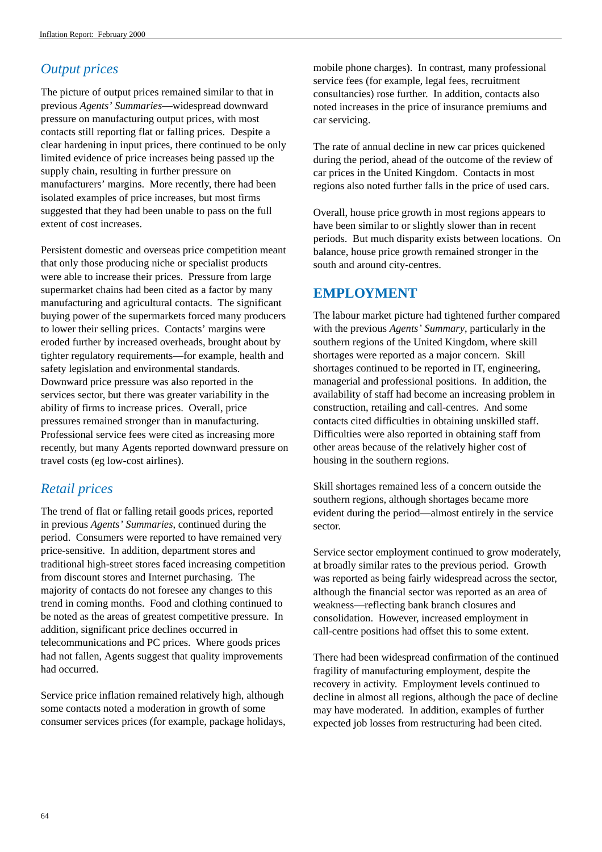# *Output prices*

The picture of output prices remained similar to that in previous *Agents' Summaries*—widespread downward pressure on manufacturing output prices, with most contacts still reporting flat or falling prices. Despite a clear hardening in input prices, there continued to be only limited evidence of price increases being passed up the supply chain, resulting in further pressure on manufacturers' margins. More recently, there had been isolated examples of price increases, but most firms suggested that they had been unable to pass on the full extent of cost increases.

Persistent domestic and overseas price competition meant that only those producing niche or specialist products were able to increase their prices. Pressure from large supermarket chains had been cited as a factor by many manufacturing and agricultural contacts. The significant buying power of the supermarkets forced many producers to lower their selling prices. Contacts' margins were eroded further by increased overheads, brought about by tighter regulatory requirements—for example, health and safety legislation and environmental standards. Downward price pressure was also reported in the services sector, but there was greater variability in the ability of firms to increase prices. Overall, price pressures remained stronger than in manufacturing. Professional service fees were cited as increasing more recently, but many Agents reported downward pressure on travel costs (eg low-cost airlines).

# *Retail prices*

The trend of flat or falling retail goods prices, reported in previous *Agents' Summaries*, continued during the period. Consumers were reported to have remained very price-sensitive. In addition, department stores and traditional high-street stores faced increasing competition from discount stores and Internet purchasing. The majority of contacts do not foresee any changes to this trend in coming months. Food and clothing continued to be noted as the areas of greatest competitive pressure. In addition, significant price declines occurred in telecommunications and PC prices. Where goods prices had not fallen, Agents suggest that quality improvements had occurred.

Service price inflation remained relatively high, although some contacts noted a moderation in growth of some consumer services prices (for example, package holidays, mobile phone charges). In contrast, many professional service fees (for example, legal fees, recruitment consultancies) rose further. In addition, contacts also noted increases in the price of insurance premiums and car servicing.

The rate of annual decline in new car prices quickened during the period, ahead of the outcome of the review of car prices in the United Kingdom. Contacts in most regions also noted further falls in the price of used cars.

Overall, house price growth in most regions appears to have been similar to or slightly slower than in recent periods. But much disparity exists between locations. On balance, house price growth remained stronger in the south and around city-centres.

# **EMPLOYMENT**

The labour market picture had tightened further compared with the previous *Agents' Summary*, particularly in the southern regions of the United Kingdom, where skill shortages were reported as a major concern. Skill shortages continued to be reported in IT, engineering, managerial and professional positions. In addition, the availability of staff had become an increasing problem in construction, retailing and call-centres. And some contacts cited difficulties in obtaining unskilled staff. Difficulties were also reported in obtaining staff from other areas because of the relatively higher cost of housing in the southern regions.

Skill shortages remained less of a concern outside the southern regions, although shortages became more evident during the period—almost entirely in the service sector.

Service sector employment continued to grow moderately, at broadly similar rates to the previous period. Growth was reported as being fairly widespread across the sector, although the financial sector was reported as an area of weakness—reflecting bank branch closures and consolidation. However, increased employment in call-centre positions had offset this to some extent.

There had been widespread confirmation of the continued fragility of manufacturing employment, despite the recovery in activity. Employment levels continued to decline in almost all regions, although the pace of decline may have moderated. In addition, examples of further expected job losses from restructuring had been cited.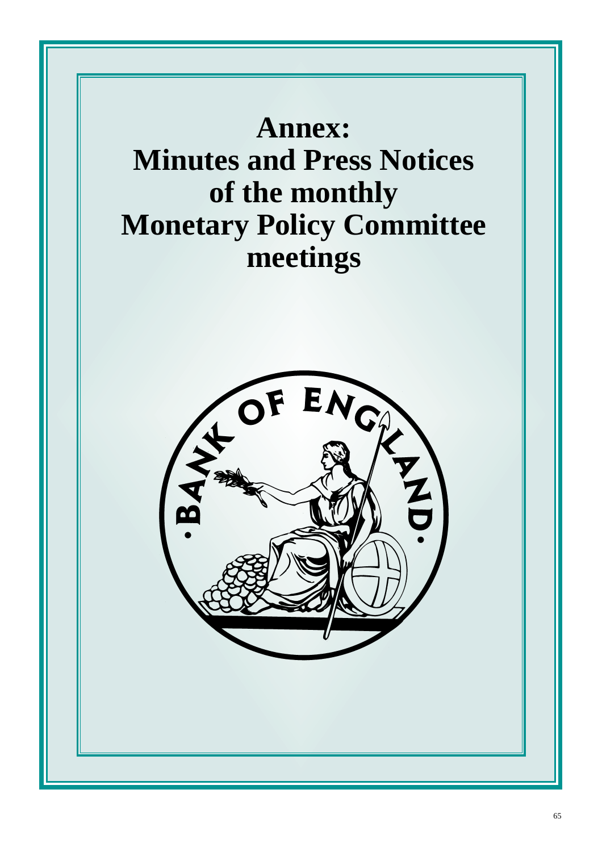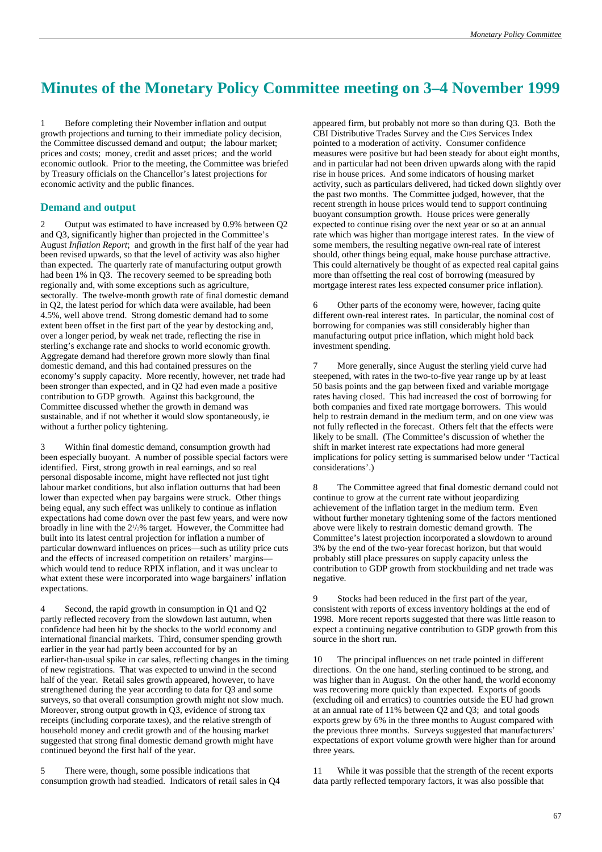# <span id="page-69-0"></span>**Minutes of the Monetary Policy Committee meeting on 3–4 November 1999**

1 Before completing their November inflation and output growth projections and turning to their immediate policy decision, the Committee discussed demand and output; the labour market; prices and costs; money, credit and asset prices; and the world economic outlook. Prior to the meeting, the Committee was briefed by Treasury officials on the Chancellor's latest projections for economic activity and the public finances.

#### **Demand and output**

2 Output was estimated to have increased by 0.9% between Q2 and Q3, significantly higher than projected in the Committee's August *Inflation Report*; and growth in the first half of the year had been revised upwards, so that the level of activity was also higher than expected. The quarterly rate of manufacturing output growth had been 1% in Q3. The recovery seemed to be spreading both regionally and, with some exceptions such as agriculture, sectorally. The twelve-month growth rate of final domestic demand in Q2, the latest period for which data were available, had been 4.5%, well above trend. Strong domestic demand had to some extent been offset in the first part of the year by destocking and, over a longer period, by weak net trade, reflecting the rise in sterling's exchange rate and shocks to world economic growth. Aggregate demand had therefore grown more slowly than final domestic demand, and this had contained pressures on the economy's supply capacity. More recently, however, net trade had been stronger than expected, and in Q2 had even made a positive contribution to GDP growth. Against this background, the Committee discussed whether the growth in demand was sustainable, and if not whether it would slow spontaneously, ie without a further policy tightening.

3 Within final domestic demand, consumption growth had been especially buoyant. A number of possible special factors were identified. First, strong growth in real earnings, and so real personal disposable income, might have reflected not just tight labour market conditions, but also inflation outturns that had been lower than expected when pay bargains were struck. Other things being equal, any such effect was unlikely to continue as inflation expectations had come down over the past few years, and were now broadly in line with the 2<sup>1</sup>/<sub>2</sub>% target. However, the Committee had built into its latest central projection for inflation a number of particular downward influences on prices—such as utility price cuts and the effects of increased competition on retailers' margins which would tend to reduce RPIX inflation, and it was unclear to what extent these were incorporated into wage bargainers' inflation expectations.

4 Second, the rapid growth in consumption in Q1 and Q2 partly reflected recovery from the slowdown last autumn, when confidence had been hit by the shocks to the world economy and international financial markets. Third, consumer spending growth earlier in the year had partly been accounted for by an earlier-than-usual spike in car sales, reflecting changes in the timing of new registrations. That was expected to unwind in the second half of the year. Retail sales growth appeared, however, to have strengthened during the year according to data for Q3 and some surveys, so that overall consumption growth might not slow much. Moreover, strong output growth in Q3, evidence of strong tax receipts (including corporate taxes), and the relative strength of household money and credit growth and of the housing market suggested that strong final domestic demand growth might have continued beyond the first half of the year.

5 There were, though, some possible indications that consumption growth had steadied. Indicators of retail sales in Q4 appeared firm, but probably not more so than during Q3. Both the CBI Distributive Trades Survey and the CIPS Services Index pointed to a moderation of activity. Consumer confidence measures were positive but had been steady for about eight months, and in particular had not been driven upwards along with the rapid rise in house prices. And some indicators of housing market activity, such as particulars delivered, had ticked down slightly over the past two months. The Committee judged, however, that the recent strength in house prices would tend to support continuing buoyant consumption growth. House prices were generally expected to continue rising over the next year or so at an annual rate which was higher than mortgage interest rates. In the view of some members, the resulting negative own-real rate of interest should, other things being equal, make house purchase attractive. This could alternatively be thought of as expected real capital gains more than offsetting the real cost of borrowing (measured by mortgage interest rates less expected consumer price inflation).

6 Other parts of the economy were, however, facing quite different own-real interest rates. In particular, the nominal cost of borrowing for companies was still considerably higher than manufacturing output price inflation, which might hold back investment spending.

More generally, since August the sterling yield curve had steepened, with rates in the two-to-five year range up by at least 50 basis points and the gap between fixed and variable mortgage rates having closed. This had increased the cost of borrowing for both companies and fixed rate mortgage borrowers. This would help to restrain demand in the medium term, and on one view was not fully reflected in the forecast. Others felt that the effects were likely to be small. (The Committee's discussion of whether the shift in market interest rate expectations had more general implications for policy setting is summarised below under 'Tactical considerations'.)

8 The Committee agreed that final domestic demand could not continue to grow at the current rate without jeopardizing achievement of the inflation target in the medium term. Even without further monetary tightening some of the factors mentioned above were likely to restrain domestic demand growth. The Committee's latest projection incorporated a slowdown to around 3% by the end of the two-year forecast horizon, but that would probably still place pressures on supply capacity unless the contribution to GDP growth from stockbuilding and net trade was negative.

9 Stocks had been reduced in the first part of the year, consistent with reports of excess inventory holdings at the end of 1998. More recent reports suggested that there was little reason to expect a continuing negative contribution to GDP growth from this source in the short run.

10 The principal influences on net trade pointed in different directions. On the one hand, sterling continued to be strong, and was higher than in August. On the other hand, the world economy was recovering more quickly than expected. Exports of goods (excluding oil and erratics) to countries outside the EU had grown at an annual rate of 11% between Q2 and Q3; and total goods exports grew by 6% in the three months to August compared with the previous three months. Surveys suggested that manufacturers' expectations of export volume growth were higher than for around three years.

11 While it was possible that the strength of the recent exports data partly reflected temporary factors, it was also possible that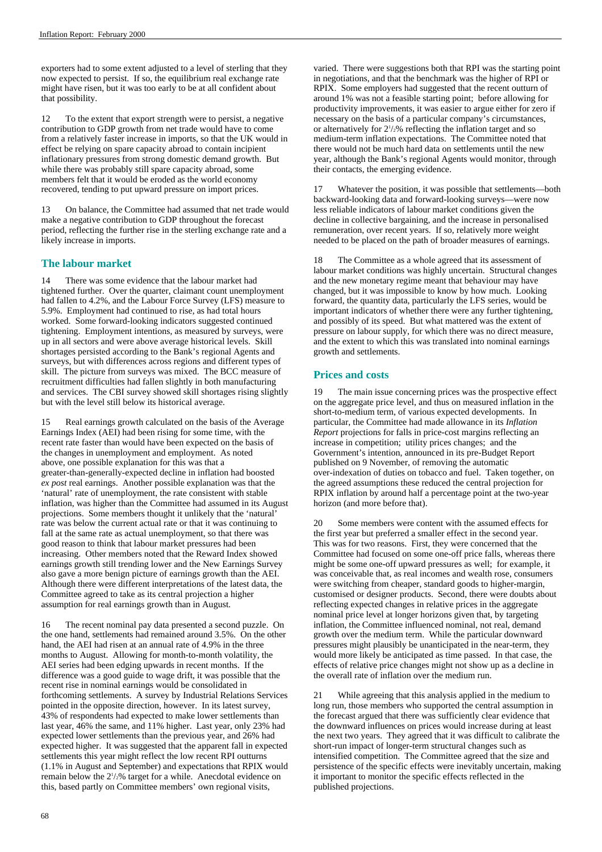exporters had to some extent adjusted to a level of sterling that they now expected to persist. If so, the equilibrium real exchange rate might have risen, but it was too early to be at all confident about that possibility.

12 To the extent that export strength were to persist, a negative contribution to GDP growth from net trade would have to come from a relatively faster increase in imports, so that the UK would in effect be relying on spare capacity abroad to contain incipient inflationary pressures from strong domestic demand growth. But while there was probably still spare capacity abroad, some members felt that it would be eroded as the world economy recovered, tending to put upward pressure on import prices.

13 On balance, the Committee had assumed that net trade would make a negative contribution to GDP throughout the forecast period, reflecting the further rise in the sterling exchange rate and a likely increase in imports.

#### **The labour market**

14 There was some evidence that the labour market had tightened further. Over the quarter, claimant count unemployment had fallen to 4.2%, and the Labour Force Survey (LFS) measure to 5.9%. Employment had continued to rise, as had total hours worked. Some forward-looking indicators suggested continued tightening. Employment intentions, as measured by surveys, were up in all sectors and were above average historical levels. Skill shortages persisted according to the Bank's regional Agents and surveys, but with differences across regions and different types of skill. The picture from surveys was mixed. The BCC measure of recruitment difficulties had fallen slightly in both manufacturing and services. The CBI survey showed skill shortages rising slightly but with the level still below its historical average.

15 Real earnings growth calculated on the basis of the Average Earnings Index (AEI) had been rising for some time, with the recent rate faster than would have been expected on the basis of the changes in unemployment and employment. As noted above, one possible explanation for this was that a greater-than-generally-expected decline in inflation had boosted *ex post* real earnings. Another possible explanation was that the 'natural' rate of unemployment, the rate consistent with stable inflation, was higher than the Committee had assumed in its August projections. Some members thought it unlikely that the 'natural' rate was below the current actual rate or that it was continuing to fall at the same rate as actual unemployment, so that there was good reason to think that labour market pressures had been increasing. Other members noted that the Reward Index showed earnings growth still trending lower and the New Earnings Survey also gave a more benign picture of earnings growth than the AEI. Although there were different interpretations of the latest data, the Committee agreed to take as its central projection a higher assumption for real earnings growth than in August.

16 The recent nominal pay data presented a second puzzle. On the one hand, settlements had remained around 3.5%. On the other hand, the AEI had risen at an annual rate of 4.9% in the three months to August. Allowing for month-to-month volatility, the AEI series had been edging upwards in recent months. If the difference was a good guide to wage drift, it was possible that the recent rise in nominal earnings would be consolidated in forthcoming settlements. A survey by Industrial Relations Services pointed in the opposite direction, however. In its latest survey, 43% of respondents had expected to make lower settlements than last year, 46% the same, and 11% higher. Last year, only 23% had expected lower settlements than the previous year, and 26% had expected higher. It was suggested that the apparent fall in expected settlements this year might reflect the low recent RPI outturns (1.1% in August and September) and expectations that RPIX would remain below the  $2\frac{1}{2}\%$  target for a while. Anecdotal evidence on this, based partly on Committee members' own regional visits,

varied. There were suggestions both that RPI was the starting point in negotiations, and that the benchmark was the higher of RPI or RPIX. Some employers had suggested that the recent outturn of around 1% was not a feasible starting point; before allowing for productivity improvements, it was easier to argue either for zero if necessary on the basis of a particular company's circumstances, or alternatively for  $2\frac{1}{2}\%$  reflecting the inflation target and so medium-term inflation expectations. The Committee noted that there would not be much hard data on settlements until the new year, although the Bank's regional Agents would monitor, through their contacts, the emerging evidence.

17 Whatever the position, it was possible that settlements—both backward-looking data and forward-looking surveys—were now less reliable indicators of labour market conditions given the decline in collective bargaining, and the increase in personalised remuneration, over recent years. If so, relatively more weight needed to be placed on the path of broader measures of earnings.

18 The Committee as a whole agreed that its assessment of labour market conditions was highly uncertain. Structural changes and the new monetary regime meant that behaviour may have changed, but it was impossible to know by how much. Looking forward, the quantity data, particularly the LFS series, would be important indicators of whether there were any further tightening, and possibly of its speed. But what mattered was the extent of pressure on labour supply, for which there was no direct measure, and the extent to which this was translated into nominal earnings growth and settlements.

#### **Prices and costs**

19 The main issue concerning prices was the prospective effect on the aggregate price level, and thus on measured inflation in the short-to-medium term, of various expected developments. In particular, the Committee had made allowance in its *Inflation Report* projections for falls in price-cost margins reflecting an increase in competition; utility prices changes; and the Government's intention, announced in its pre-Budget Report published on 9 November, of removing the automatic over-indexation of duties on tobacco and fuel. Taken together, on the agreed assumptions these reduced the central projection for RPIX inflation by around half a percentage point at the two-year horizon (and more before that).

20 Some members were content with the assumed effects for the first year but preferred a smaller effect in the second year. This was for two reasons. First, they were concerned that the Committee had focused on some one-off price falls, whereas there might be some one-off upward pressures as well; for example, it was conceivable that, as real incomes and wealth rose, consumers were switching from cheaper, standard goods to higher-margin, customised or designer products. Second, there were doubts about reflecting expected changes in relative prices in the aggregate nominal price level at longer horizons given that, by targeting inflation, the Committee influenced nominal, not real, demand growth over the medium term. While the particular downward pressures might plausibly be unanticipated in the near-term, they would more likely be anticipated as time passed. In that case, the effects of relative price changes might not show up as a decline in the overall rate of inflation over the medium run.

21 While agreeing that this analysis applied in the medium to long run, those members who supported the central assumption in the forecast argued that there was sufficiently clear evidence that the downward influences on prices would increase during at least the next two years. They agreed that it was difficult to calibrate the short-run impact of longer-term structural changes such as intensified competition. The Committee agreed that the size and persistence of the specific effects were inevitably uncertain, making it important to monitor the specific effects reflected in the published projections.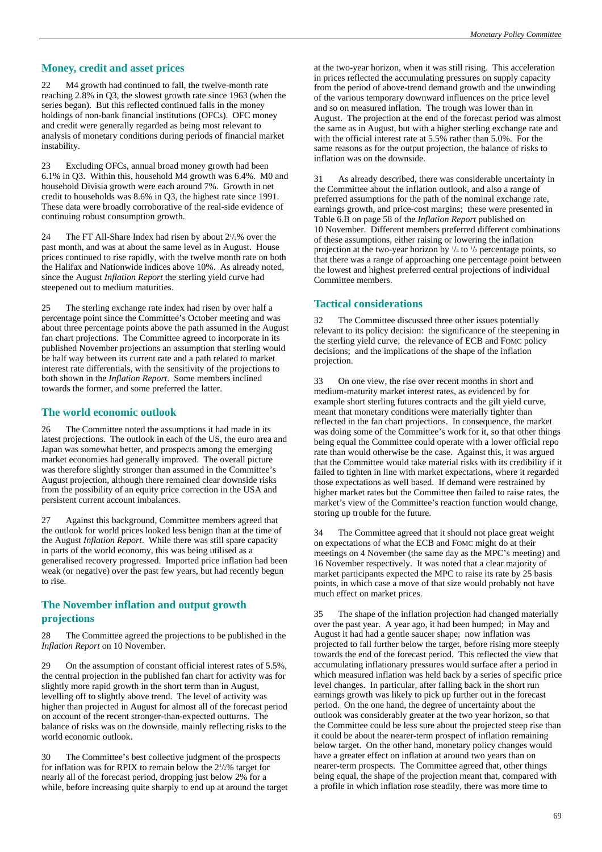#### **Money, credit and asset prices**

22 M4 growth had continued to fall, the twelve-month rate reaching 2.8% in Q3, the slowest growth rate since 1963 (when the series began). But this reflected continued falls in the money holdings of non-bank financial institutions (OFCs). OFC money and credit were generally regarded as being most relevant to analysis of monetary conditions during periods of financial market instability.

23 Excluding OFCs, annual broad money growth had been 6.1% in Q3. Within this, household M4 growth was 6.4%. M0 and household Divisia growth were each around 7%. Growth in net credit to households was 8.6% in Q3, the highest rate since 1991. These data were broadly corroborative of the real-side evidence of continuing robust consumption growth.

24 The FT All-Share Index had risen by about  $2\frac{1}{2}\%$  over the past month, and was at about the same level as in August. House prices continued to rise rapidly, with the twelve month rate on both the Halifax and Nationwide indices above 10%. As already noted, since the August *Inflation Report* the sterling yield curve had steepened out to medium maturities.

25 The sterling exchange rate index had risen by over half a percentage point since the Committee's October meeting and was about three percentage points above the path assumed in the August fan chart projections. The Committee agreed to incorporate in its published November projections an assumption that sterling would be half way between its current rate and a path related to market interest rate differentials, with the sensitivity of the projections to both shown in the *Inflation Report*. Some members inclined towards the former, and some preferred the latter.

#### **The world economic outlook**

26 The Committee noted the assumptions it had made in its latest projections. The outlook in each of the US, the euro area and Japan was somewhat better, and prospects among the emerging market economies had generally improved. The overall picture was therefore slightly stronger than assumed in the Committee's August projection, although there remained clear downside risks from the possibility of an equity price correction in the USA and persistent current account imbalances.

27 Against this background, Committee members agreed that the outlook for world prices looked less benign than at the time of the August *Inflation Report*. While there was still spare capacity in parts of the world economy, this was being utilised as a generalised recovery progressed. Imported price inflation had been weak (or negative) over the past few years, but had recently begun to rise.

#### **The November inflation and output growth projections**

28 The Committee agreed the projections to be published in the *Inflation Report* on 10 November.

29 On the assumption of constant official interest rates of 5.5%, the central projection in the published fan chart for activity was for slightly more rapid growth in the short term than in August, levelling off to slightly above trend. The level of activity was higher than projected in August for almost all of the forecast period on account of the recent stronger-than-expected outturns. The balance of risks was on the downside, mainly reflecting risks to the world economic outlook.

30 The Committee's best collective judgment of the prospects for inflation was for RPIX to remain below the 2<sup>1</sup>/<sub>2</sub>% target for nearly all of the forecast period, dropping just below 2% for a while, before increasing quite sharply to end up at around the target at the two-year horizon, when it was still rising. This acceleration in prices reflected the accumulating pressures on supply capacity from the period of above-trend demand growth and the unwinding of the various temporary downward influences on the price level and so on measured inflation. The trough was lower than in August. The projection at the end of the forecast period was almost the same as in August, but with a higher sterling exchange rate and with the official interest rate at 5.5% rather than 5.0%. For the same reasons as for the output projection, the balance of risks to inflation was on the downside.

31 As already described, there was considerable uncertainty in the Committee about the inflation outlook, and also a range of preferred assumptions for the path of the nominal exchange rate, earnings growth, and price-cost margins; these were presented in Table 6.B on page 58 of the *Inflation Report* published on 10 November. Different members preferred different combinations of these assumptions, either raising or lowering the inflation projection at the two-year horizon by  $\frac{1}{4}$  to  $\frac{1}{2}$  percentage points, so that there was a range of approaching one percentage point between the lowest and highest preferred central projections of individual Committee members.

#### **Tactical considerations**

The Committee discussed three other issues potentially relevant to its policy decision: the significance of the steepening in the sterling yield curve; the relevance of ECB and FOMC policy decisions; and the implications of the shape of the inflation projection.

33 On one view, the rise over recent months in short and medium-maturity market interest rates, as evidenced by for example short sterling futures contracts and the gilt yield curve, meant that monetary conditions were materially tighter than reflected in the fan chart projections. In consequence, the market was doing some of the Committee's work for it, so that other things being equal the Committee could operate with a lower official repo rate than would otherwise be the case. Against this, it was argued that the Committee would take material risks with its credibility if it failed to tighten in line with market expectations, where it regarded those expectations as well based. If demand were restrained by higher market rates but the Committee then failed to raise rates, the market's view of the Committee's reaction function would change, storing up trouble for the future.

34 The Committee agreed that it should not place great weight on expectations of what the ECB and FOMC might do at their meetings on 4 November (the same day as the MPC's meeting) and 16 November respectively. It was noted that a clear majority of market participants expected the MPC to raise its rate by 25 basis points, in which case a move of that size would probably not have much effect on market prices.

35 The shape of the inflation projection had changed materially over the past year. A year ago, it had been humped; in May and August it had had a gentle saucer shape; now inflation was projected to fall further below the target, before rising more steeply towards the end of the forecast period. This reflected the view that accumulating inflationary pressures would surface after a period in which measured inflation was held back by a series of specific price level changes. In particular, after falling back in the short run earnings growth was likely to pick up further out in the forecast period. On the one hand, the degree of uncertainty about the outlook was considerably greater at the two year horizon, so that the Committee could be less sure about the projected steep rise than it could be about the nearer-term prospect of inflation remaining below target. On the other hand, monetary policy changes would have a greater effect on inflation at around two years than on nearer-term prospects. The Committee agreed that, other things being equal, the shape of the projection meant that, compared with a profile in which inflation rose steadily, there was more time to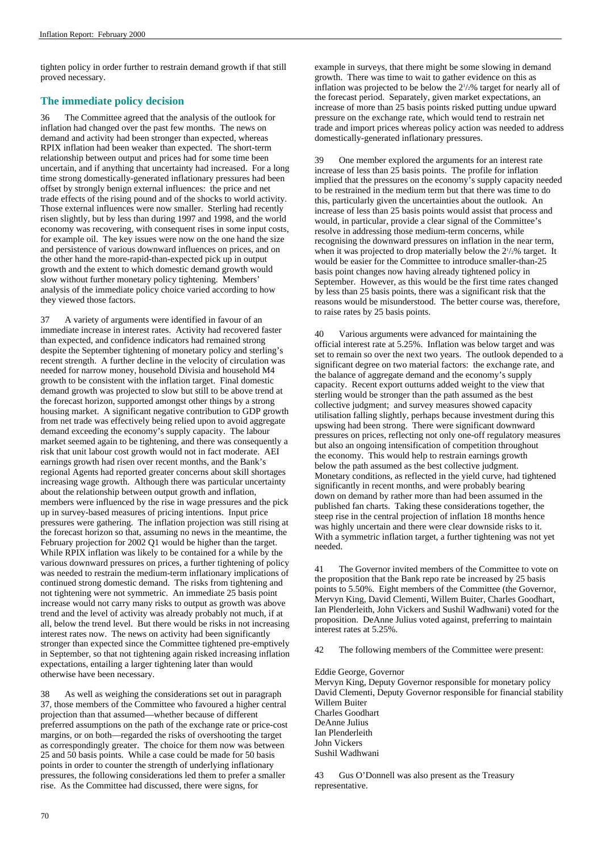tighten policy in order further to restrain demand growth if that still proved necessary.

### **The immediate policy decision**

36 The Committee agreed that the analysis of the outlook for inflation had changed over the past few months. The news on demand and activity had been stronger than expected, whereas RPIX inflation had been weaker than expected. The short-term relationship between output and prices had for some time been uncertain, and if anything that uncertainty had increased. For a long time strong domestically-generated inflationary pressures had been offset by strongly benign external influences: the price and net trade effects of the rising pound and of the shocks to world activity. Those external influences were now smaller. Sterling had recently risen slightly, but by less than during 1997 and 1998, and the world economy was recovering, with consequent rises in some input costs, for example oil. The key issues were now on the one hand the size and persistence of various downward influences on prices, and on the other hand the more-rapid-than-expected pick up in output growth and the extent to which domestic demand growth would slow without further monetary policy tightening. Members' analysis of the immediate policy choice varied according to how they viewed those factors.

37 A variety of arguments were identified in favour of an immediate increase in interest rates. Activity had recovered faster than expected, and confidence indicators had remained strong despite the September tightening of monetary policy and sterling's recent strength. A further decline in the velocity of circulation was needed for narrow money, household Divisia and household M4 growth to be consistent with the inflation target. Final domestic demand growth was projected to slow but still to be above trend at the forecast horizon, supported amongst other things by a strong housing market. A significant negative contribution to GDP growth from net trade was effectively being relied upon to avoid aggregate demand exceeding the economy's supply capacity. The labour market seemed again to be tightening, and there was consequently a risk that unit labour cost growth would not in fact moderate. AEI earnings growth had risen over recent months, and the Bank's regional Agents had reported greater concerns about skill shortages increasing wage growth. Although there was particular uncertainty about the relationship between output growth and inflation, members were influenced by the rise in wage pressures and the pick up in survey-based measures of pricing intentions. Input price pressures were gathering. The inflation projection was still rising at the forecast horizon so that, assuming no news in the meantime, the February projection for 2002 Q1 would be higher than the target. While RPIX inflation was likely to be contained for a while by the various downward pressures on prices, a further tightening of policy was needed to restrain the medium-term inflationary implications of continued strong domestic demand. The risks from tightening and not tightening were not symmetric. An immediate 25 basis point increase would not carry many risks to output as growth was above trend and the level of activity was already probably not much, if at all, below the trend level. But there would be risks in not increasing interest rates now. The news on activity had been significantly stronger than expected since the Committee tightened pre-emptively in September, so that not tightening again risked increasing inflation expectations, entailing a larger tightening later than would otherwise have been necessary.

38 As well as weighing the considerations set out in paragraph 37, those members of the Committee who favoured a higher central projection than that assumed—whether because of different preferred assumptions on the path of the exchange rate or price-cost margins, or on both—regarded the risks of overshooting the target as correspondingly greater. The choice for them now was between 25 and 50 basis points. While a case could be made for 50 basis points in order to counter the strength of underlying inflationary pressures, the following considerations led them to prefer a smaller rise. As the Committee had discussed, there were signs, for

example in surveys, that there might be some slowing in demand growth. There was time to wait to gather evidence on this as inflation was projected to be below the  $2\frac{1}{2}\%$  target for nearly all of the forecast period. Separately, given market expectations, an increase of more than 25 basis points risked putting undue upward pressure on the exchange rate, which would tend to restrain net trade and import prices whereas policy action was needed to address domestically-generated inflationary pressures.

39 One member explored the arguments for an interest rate increase of less than  $25$  basis points. The profile for inflation implied that the pressures on the economy's supply capacity needed to be restrained in the medium term but that there was time to do this, particularly given the uncertainties about the outlook. An increase of less than 25 basis points would assist that process and would, in particular, provide a clear signal of the Committee's resolve in addressing those medium-term concerns, while recognising the downward pressures on inflation in the near term, when it was projected to drop materially below the  $2\frac{1}{2}\%$  target. It would be easier for the Committee to introduce smaller-than-25 basis point changes now having already tightened policy in September. However, as this would be the first time rates changed by less than 25 basis points, there was a significant risk that the reasons would be misunderstood. The better course was, therefore, to raise rates by 25 basis points.

40 Various arguments were advanced for maintaining the official interest rate at 5.25%. Inflation was below target and was set to remain so over the next two years. The outlook depended to a significant degree on two material factors: the exchange rate, and the balance of aggregate demand and the economy's supply capacity. Recent export outturns added weight to the view that sterling would be stronger than the path assumed as the best collective judgment; and survey measures showed capacity utilisation falling slightly, perhaps because investment during this upswing had been strong. There were significant downward pressures on prices, reflecting not only one-off regulatory measures but also an ongoing intensification of competition throughout the economy. This would help to restrain earnings growth below the path assumed as the best collective judgment. Monetary conditions, as reflected in the yield curve, had tightened significantly in recent months, and were probably bearing down on demand by rather more than had been assumed in the published fan charts. Taking these considerations together, the steep rise in the central projection of inflation 18 months hence was highly uncertain and there were clear downside risks to it. With a symmetric inflation target, a further tightening was not yet needed.

41 The Governor invited members of the Committee to vote on the proposition that the Bank repo rate be increased by 25 basis points to 5.50%. Eight members of the Committee (the Governor, Mervyn King, David Clementi, Willem Buiter, Charles Goodhart, Ian Plenderleith, John Vickers and Sushil Wadhwani) voted for the proposition. DeAnne Julius voted against, preferring to maintain interest rates at 5.25%.

42 The following members of the Committee were present:

#### Eddie George, Governor

Mervyn King, Deputy Governor responsible for monetary policy David Clementi, Deputy Governor responsible for financial stability Willem Buiter Charles Goodhart DeAnne Julius Ian Plenderleith John Vickers Sushil Wadhwani

Gus O'Donnell was also present as the Treasury representative.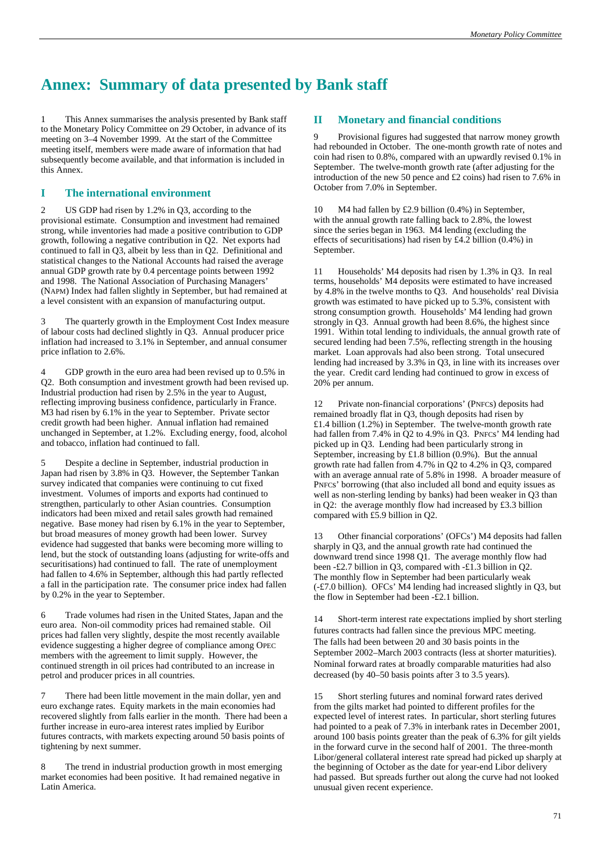# **Annex: Summary of data presented by Bank staff**

1 This Annex summarises the analysis presented by Bank staff to the Monetary Policy Committee on 29 October, in advance of its meeting on 3–4 November 1999. At the start of the Committee meeting itself, members were made aware of information that had subsequently become available, and that information is included in this Annex.

### **I The international environment**

US GDP had risen by 1.2% in Q3, according to the provisional estimate. Consumption and investment had remained strong, while inventories had made a positive contribution to GDP growth, following a negative contribution in Q2. Net exports had continued to fall in Q3, albeit by less than in Q2. Definitional and statistical changes to the National Accounts had raised the average annual GDP growth rate by 0.4 percentage points between 1992 and 1998. The National Association of Purchasing Managers' (NAPM) Index had fallen slightly in September, but had remained at a level consistent with an expansion of manufacturing output.

3 The quarterly growth in the Employment Cost Index measure of labour costs had declined slightly in Q3. Annual producer price inflation had increased to 3.1% in September, and annual consumer price inflation to 2.6%.

4 GDP growth in the euro area had been revised up to 0.5% in Q2. Both consumption and investment growth had been revised up. Industrial production had risen by 2.5% in the year to August, reflecting improving business confidence, particularly in France. M3 had risen by 6.1% in the year to September. Private sector credit growth had been higher. Annual inflation had remained unchanged in September, at 1.2%. Excluding energy, food, alcohol and tobacco, inflation had continued to fall.

5 Despite a decline in September, industrial production in Japan had risen by 3.8% in Q3. However, the September Tankan survey indicated that companies were continuing to cut fixed investment. Volumes of imports and exports had continued to strengthen, particularly to other Asian countries. Consumption indicators had been mixed and retail sales growth had remained negative. Base money had risen by 6.1% in the year to September, but broad measures of money growth had been lower. Survey evidence had suggested that banks were becoming more willing to lend, but the stock of outstanding loans (adjusting for write-offs and securitisations) had continued to fall. The rate of unemployment had fallen to 4.6% in September, although this had partly reflected a fall in the participation rate. The consumer price index had fallen by 0.2% in the year to September.

6 Trade volumes had risen in the United States, Japan and the euro area. Non-oil commodity prices had remained stable. Oil prices had fallen very slightly, despite the most recently available evidence suggesting a higher degree of compliance among OPEC members with the agreement to limit supply. However, the continued strength in oil prices had contributed to an increase in petrol and producer prices in all countries.

7 There had been little movement in the main dollar, yen and euro exchange rates. Equity markets in the main economies had recovered slightly from falls earlier in the month. There had been a further increase in euro-area interest rates implied by Euribor futures contracts, with markets expecting around 50 basis points of tightening by next summer.

8 The trend in industrial production growth in most emerging market economies had been positive. It had remained negative in Latin America.

### **II Monetary and financial conditions**

9 Provisional figures had suggested that narrow money growth had rebounded in October. The one-month growth rate of notes and coin had risen to 0.8%, compared with an upwardly revised 0.1% in September. The twelve-month growth rate (after adjusting for the introduction of the new 50 pence and £2 coins) had risen to 7.6% in October from 7.0% in September.

10 M4 had fallen by £2.9 billion (0.4%) in September, with the annual growth rate falling back to 2.8%, the lowest since the series began in 1963. M4 lending (excluding the effects of securitisations) had risen by £4.2 billion (0.4%) in September.

11 Households' M4 deposits had risen by 1.3% in Q3. In real terms, households' M4 deposits were estimated to have increased by 4.8% in the twelve months to Q3. And households' real Divisia growth was estimated to have picked up to 5.3%, consistent with strong consumption growth. Households' M4 lending had grown strongly in Q3. Annual growth had been 8.6%, the highest since 1991. Within total lending to individuals, the annual growth rate of secured lending had been 7.5%, reflecting strength in the housing market. Loan approvals had also been strong. Total unsecured lending had increased by 3.3% in Q3, in line with its increases over the year. Credit card lending had continued to grow in excess of 20% per annum.

12 Private non-financial corporations' (PNFCs) deposits had remained broadly flat in Q3, though deposits had risen by £1.4 billion (1.2%) in September. The twelve-month growth rate had fallen from 7.4% in Q2 to 4.9% in Q3. PNFCs' M4 lending had picked up in Q3. Lending had been particularly strong in September, increasing by £1.8 billion (0.9%). But the annual growth rate had fallen from 4.7% in Q2 to 4.2% in Q3, compared with an average annual rate of 5.8% in 1998. A broader measure of PNFCs' borrowing (that also included all bond and equity issues as well as non-sterling lending by banks) had been weaker in Q3 than in Q2: the average monthly flow had increased by £3.3 billion compared with £5.9 billion in Q2.

13 Other financial corporations' (OFCs') M4 deposits had fallen sharply in Q3, and the annual growth rate had continued the downward trend since 1998 Q1. The average monthly flow had been -£2.7 billion in Q3, compared with -£1.3 billion in Q2. The monthly flow in September had been particularly weak (-£7.0 billion). OFCs' M4 lending had increased slightly in Q3, but the flow in September had been -£2.1 billion.

14 Short-term interest rate expectations implied by short sterling futures contracts had fallen since the previous MPC meeting. The falls had been between 20 and 30 basis points in the September 2002–March 2003 contracts (less at shorter maturities). Nominal forward rates at broadly comparable maturities had also decreased (by 40–50 basis points after 3 to 3.5 years).

15 Short sterling futures and nominal forward rates derived from the gilts market had pointed to different profiles for the expected level of interest rates. In particular, short sterling futures had pointed to a peak of 7.3% in interbank rates in December 2001, around 100 basis points greater than the peak of 6.3% for gilt yields in the forward curve in the second half of 2001. The three-month Libor/general collateral interest rate spread had picked up sharply at the beginning of October as the date for year-end Libor delivery had passed. But spreads further out along the curve had not looked unusual given recent experience.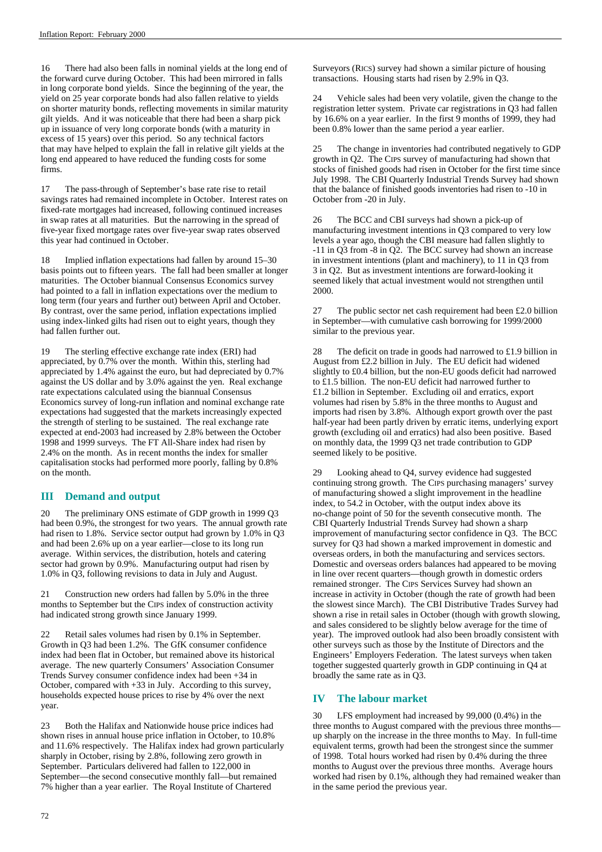16 There had also been falls in nominal yields at the long end of the forward curve during October. This had been mirrored in falls in long corporate bond yields. Since the beginning of the year, the yield on 25 year corporate bonds had also fallen relative to yields on shorter maturity bonds, reflecting movements in similar maturity gilt yields. And it was noticeable that there had been a sharp pick up in issuance of very long corporate bonds (with a maturity in excess of 15 years) over this period. So any technical factors that may have helped to explain the fall in relative gilt yields at the long end appeared to have reduced the funding costs for some firms.

17 The pass-through of September's base rate rise to retail savings rates had remained incomplete in October. Interest rates on fixed-rate mortgages had increased, following continued increases in swap rates at all maturities. But the narrowing in the spread of five-year fixed mortgage rates over five-year swap rates observed this year had continued in October.

18 Implied inflation expectations had fallen by around 15–30 basis points out to fifteen years. The fall had been smaller at longer maturities. The October biannual Consensus Economics survey had pointed to a fall in inflation expectations over the medium to long term (four years and further out) between April and October. By contrast, over the same period, inflation expectations implied using index-linked gilts had risen out to eight years, though they had fallen further out.

19 The sterling effective exchange rate index (ERI) had appreciated, by 0.7% over the month. Within this, sterling had appreciated by 1.4% against the euro, but had depreciated by 0.7% against the US dollar and by 3.0% against the yen. Real exchange rate expectations calculated using the biannual Consensus Economics survey of long-run inflation and nominal exchange rate expectations had suggested that the markets increasingly expected the strength of sterling to be sustained. The real exchange rate expected at end-2003 had increased by 2.8% between the October 1998 and 1999 surveys. The FT All-Share index had risen by 2.4% on the month. As in recent months the index for smaller capitalisation stocks had performed more poorly, falling by 0.8% on the month.

### **III Demand and output**

20 The preliminary ONS estimate of GDP growth in 1999 Q3 had been 0.9%, the strongest for two years. The annual growth rate had risen to 1.8%. Service sector output had grown by 1.0% in Q3 and had been 2.6% up on a year earlier—close to its long run average. Within services, the distribution, hotels and catering sector had grown by 0.9%. Manufacturing output had risen by 1.0% in Q3, following revisions to data in July and August.

21 Construction new orders had fallen by 5.0% in the three months to September but the CIPS index of construction activity had indicated strong growth since January 1999.

22 Retail sales volumes had risen by 0.1% in September. Growth in Q3 had been 1.2%. The GfK consumer confidence index had been flat in October, but remained above its historical average. The new quarterly Consumers' Association Consumer Trends Survey consumer confidence index had been +34 in October, compared with +33 in July. According to this survey, households expected house prices to rise by 4% over the next year.

23 Both the Halifax and Nationwide house price indices had shown rises in annual house price inflation in October, to 10.8% and 11.6% respectively. The Halifax index had grown particularly sharply in October, rising by 2.8%, following zero growth in September. Particulars delivered had fallen to 122,000 in September—the second consecutive monthly fall—but remained 7% higher than a year earlier. The Royal Institute of Chartered

Surveyors (RICS) survey had shown a similar picture of housing transactions. Housing starts had risen by 2.9% in Q3.

24 Vehicle sales had been very volatile, given the change to the registration letter system. Private car registrations in Q3 had fallen by 16.6% on a year earlier. In the first 9 months of 1999, they had been 0.8% lower than the same period a year earlier.

25 The change in inventories had contributed negatively to GDP growth in Q2. The CIPS survey of manufacturing had shown that stocks of finished goods had risen in October for the first time since July 1998. The CBI Quarterly Industrial Trends Survey had shown that the balance of finished goods inventories had risen to -10 in October from -20 in July.

26 The BCC and CBI surveys had shown a pick-up of manufacturing investment intentions in Q3 compared to very low levels a year ago, though the CBI measure had fallen slightly to -11 in Q3 from -8 in Q2. The BCC survey had shown an increase in investment intentions (plant and machinery), to 11 in Q3 from 3 in Q2. But as investment intentions are forward-looking it seemed likely that actual investment would not strengthen until 2000.

27 The public sector net cash requirement had been £2.0 billion in September—with cumulative cash borrowing for 1999/2000 similar to the previous year.

28 The deficit on trade in goods had narrowed to £1.9 billion in August from £2.2 billion in July. The EU deficit had widened slightly to £0.4 billion, but the non-EU goods deficit had narrowed to £1.5 billion. The non-EU deficit had narrowed further to £1.2 billion in September. Excluding oil and erratics, export volumes had risen by 5.8% in the three months to August and imports had risen by 3.8%. Although export growth over the past half-year had been partly driven by erratic items, underlying export growth (excluding oil and erratics) had also been positive. Based on monthly data, the 1999 Q3 net trade contribution to GDP seemed likely to be positive.

29 Looking ahead to Q4, survey evidence had suggested continuing strong growth. The CIPS purchasing managers' survey of manufacturing showed a slight improvement in the headline index, to 54.2 in October, with the output index above its no-change point of 50 for the seventh consecutive month. The CBI Quarterly Industrial Trends Survey had shown a sharp improvement of manufacturing sector confidence in Q3. The BCC survey for Q3 had shown a marked improvement in domestic and overseas orders, in both the manufacturing and services sectors. Domestic and overseas orders balances had appeared to be moving in line over recent quarters—though growth in domestic orders remained stronger. The CIPS Services Survey had shown an increase in activity in October (though the rate of growth had been the slowest since March). The CBI Distributive Trades Survey had shown a rise in retail sales in October (though with growth slowing, and sales considered to be slightly below average for the time of year). The improved outlook had also been broadly consistent with other surveys such as those by the Institute of Directors and the Engineers' Employers Federation. The latest surveys when taken together suggested quarterly growth in GDP continuing in Q4 at broadly the same rate as in Q3.

### **IV The labour market**

30 LFS employment had increased by 99,000 (0.4%) in the three months to August compared with the previous three months up sharply on the increase in the three months to May. In full-time equivalent terms, growth had been the strongest since the summer of 1998. Total hours worked had risen by 0.4% during the three months to August over the previous three months. Average hours worked had risen by 0.1%, although they had remained weaker than in the same period the previous year.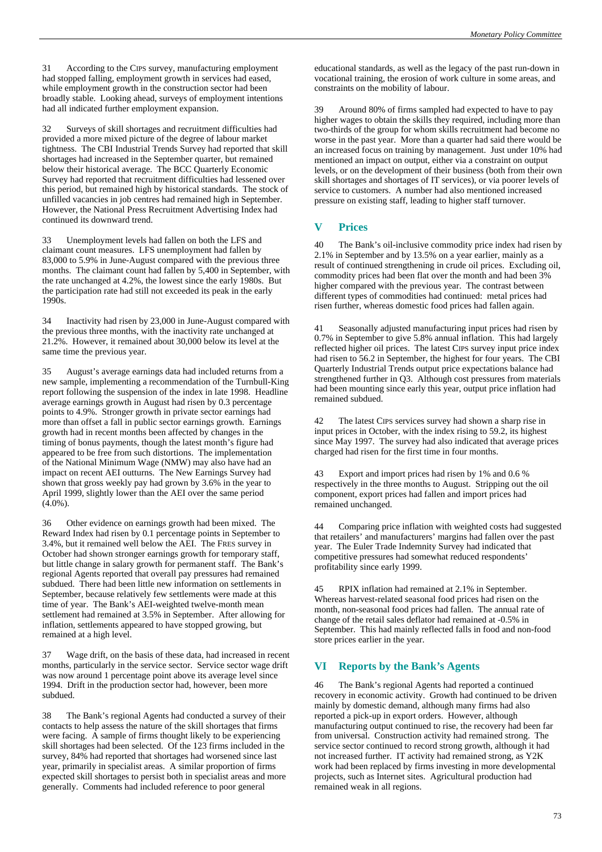31 According to the CIPS survey, manufacturing employment had stopped falling, employment growth in services had eased, while employment growth in the construction sector had been broadly stable. Looking ahead, surveys of employment intentions had all indicated further employment expansion.

32 Surveys of skill shortages and recruitment difficulties had provided a more mixed picture of the degree of labour market tightness. The CBI Industrial Trends Survey had reported that skill shortages had increased in the September quarter, but remained below their historical average. The BCC Quarterly Economic Survey had reported that recruitment difficulties had lessened over this period, but remained high by historical standards. The stock of unfilled vacancies in job centres had remained high in September. However, the National Press Recruitment Advertising Index had continued its downward trend.

33 Unemployment levels had fallen on both the LFS and claimant count measures. LFS unemployment had fallen by 83,000 to 5.9% in June-August compared with the previous three months. The claimant count had fallen by 5,400 in September, with the rate unchanged at 4.2%, the lowest since the early 1980s. But the participation rate had still not exceeded its peak in the early 1990s.

34 Inactivity had risen by 23,000 in June-August compared with the previous three months, with the inactivity rate unchanged at 21.2%. However, it remained about 30,000 below its level at the same time the previous year.

35 August's average earnings data had included returns from a new sample, implementing a recommendation of the Turnbull-King report following the suspension of the index in late 1998. Headline average earnings growth in August had risen by 0.3 percentage points to 4.9%. Stronger growth in private sector earnings had more than offset a fall in public sector earnings growth. Earnings growth had in recent months been affected by changes in the timing of bonus payments, though the latest month's figure had appeared to be free from such distortions. The implementation of the National Minimum Wage (NMW) may also have had an impact on recent AEI outturns. The New Earnings Survey had shown that gross weekly pay had grown by 3.6% in the year to April 1999, slightly lower than the AEI over the same period  $(4.0\%)$ .

36 Other evidence on earnings growth had been mixed. The Reward Index had risen by 0.1 percentage points in September to 3.4%, but it remained well below the AEI. The FRES survey in October had shown stronger earnings growth for temporary staff, but little change in salary growth for permanent staff. The Bank's regional Agents reported that overall pay pressures had remained subdued. There had been little new information on settlements in September, because relatively few settlements were made at this time of year. The Bank's AEI-weighted twelve-month mean settlement had remained at 3.5% in September. After allowing for inflation, settlements appeared to have stopped growing, but remained at a high level.

37 Wage drift, on the basis of these data, had increased in recent months, particularly in the service sector. Service sector wage drift was now around 1 percentage point above its average level since 1994. Drift in the production sector had, however, been more subdued.

38 The Bank's regional Agents had conducted a survey of their contacts to help assess the nature of the skill shortages that firms were facing. A sample of firms thought likely to be experiencing skill shortages had been selected. Of the 123 firms included in the survey, 84% had reported that shortages had worsened since last year, primarily in specialist areas. A similar proportion of firms expected skill shortages to persist both in specialist areas and more generally. Comments had included reference to poor general

educational standards, as well as the legacy of the past run-down in vocational training, the erosion of work culture in some areas, and constraints on the mobility of labour.

39 Around 80% of firms sampled had expected to have to pay higher wages to obtain the skills they required, including more than two-thirds of the group for whom skills recruitment had become no worse in the past year. More than a quarter had said there would be an increased focus on training by management. Just under 10% had mentioned an impact on output, either via a constraint on output levels, or on the development of their business (both from their own skill shortages and shortages of IT services), or via poorer levels of service to customers. A number had also mentioned increased pressure on existing staff, leading to higher staff turnover.

## **V Prices**

40 The Bank's oil-inclusive commodity price index had risen by 2.1% in September and by 13.5% on a year earlier, mainly as a result of continued strengthening in crude oil prices. Excluding oil, commodity prices had been flat over the month and had been 3% higher compared with the previous year. The contrast between different types of commodities had continued: metal prices had risen further, whereas domestic food prices had fallen again.

41 Seasonally adjusted manufacturing input prices had risen by 0.7% in September to give 5.8% annual inflation. This had largely reflected higher oil prices. The latest CIPS survey input price index had risen to 56.2 in September, the highest for four years. The CBI Quarterly Industrial Trends output price expectations balance had strengthened further in Q3. Although cost pressures from materials had been mounting since early this year, output price inflation had remained subdued.

42 The latest CIPS services survey had shown a sharp rise in input prices in October, with the index rising to 59.2, its highest since May 1997. The survey had also indicated that average prices charged had risen for the first time in four months.

43 Export and import prices had risen by 1% and 0.6 % respectively in the three months to August. Stripping out the oil component, export prices had fallen and import prices had remained unchanged.

44 Comparing price inflation with weighted costs had suggested that retailers' and manufacturers' margins had fallen over the past year. The Euler Trade Indemnity Survey had indicated that competitive pressures had somewhat reduced respondents' profitability since early 1999.

45 RPIX inflation had remained at 2.1% in September. Whereas harvest-related seasonal food prices had risen on the month, non-seasonal food prices had fallen. The annual rate of change of the retail sales deflator had remained at -0.5% in September. This had mainly reflected falls in food and non-food store prices earlier in the year.

### **VI Reports by the Bank's Agents**

46 The Bank's regional Agents had reported a continued recovery in economic activity. Growth had continued to be driven mainly by domestic demand, although many firms had also reported a pick-up in export orders. However, although manufacturing output continued to rise, the recovery had been far from universal. Construction activity had remained strong. The service sector continued to record strong growth, although it had not increased further. IT activity had remained strong, as Y2K work had been replaced by firms investing in more developmental projects, such as Internet sites. Agricultural production had remained weak in all regions.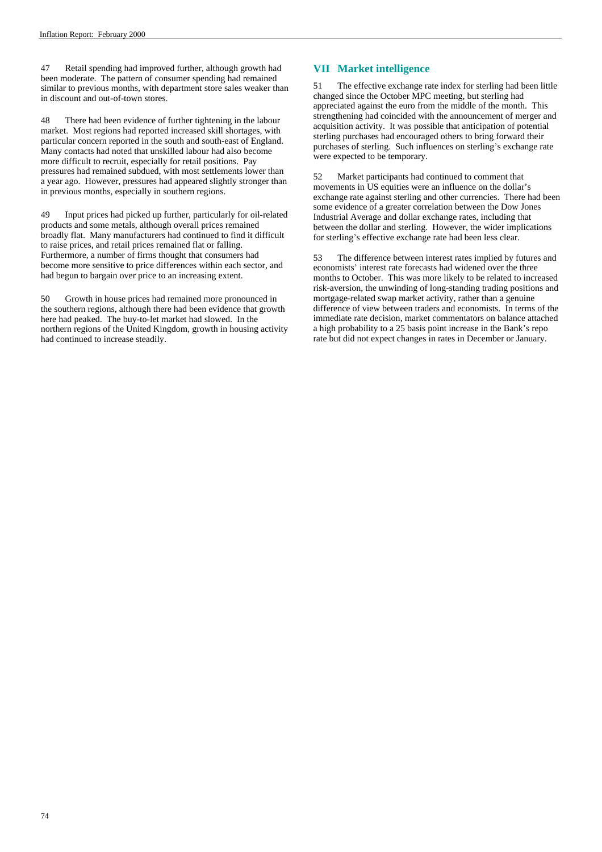47 Retail spending had improved further, although growth had been moderate. The pattern of consumer spending had remained similar to previous months, with department store sales weaker than in discount and out-of-town stores.

48 There had been evidence of further tightening in the labour market. Most regions had reported increased skill shortages, with particular concern reported in the south and south-east of England. Many contacts had noted that unskilled labour had also become more difficult to recruit, especially for retail positions. Pay pressures had remained subdued, with most settlements lower than a year ago. However, pressures had appeared slightly stronger than in previous months, especially in southern regions.

49 Input prices had picked up further, particularly for oil-related products and some metals, although overall prices remained broadly flat. Many manufacturers had continued to find it difficult to raise prices, and retail prices remained flat or falling. Furthermore, a number of firms thought that consumers had become more sensitive to price differences within each sector, and had begun to bargain over price to an increasing extent.

50 Growth in house prices had remained more pronounced in the southern regions, although there had been evidence that growth here had peaked. The buy-to-let market had slowed. In the northern regions of the United Kingdom, growth in housing activity had continued to increase steadily.

### **VII Market intelligence**

51 The effective exchange rate index for sterling had been little changed since the October MPC meeting, but sterling had appreciated against the euro from the middle of the month. This strengthening had coincided with the announcement of merger and acquisition activity. It was possible that anticipation of potential sterling purchases had encouraged others to bring forward their purchases of sterling. Such influences on sterling's exchange rate were expected to be temporary.

52 Market participants had continued to comment that movements in US equities were an influence on the dollar's exchange rate against sterling and other currencies. There had been some evidence of a greater correlation between the Dow Jones Industrial Average and dollar exchange rates, including that between the dollar and sterling. However, the wider implications for sterling's effective exchange rate had been less clear.

53 The difference between interest rates implied by futures and economists' interest rate forecasts had widened over the three months to October. This was more likely to be related to increased risk-aversion, the unwinding of long-standing trading positions and mortgage-related swap market activity, rather than a genuine difference of view between traders and economists. In terms of the immediate rate decision, market commentators on balance attached a high probability to a 25 basis point increase in the Bank's repo rate but did not expect changes in rates in December or January.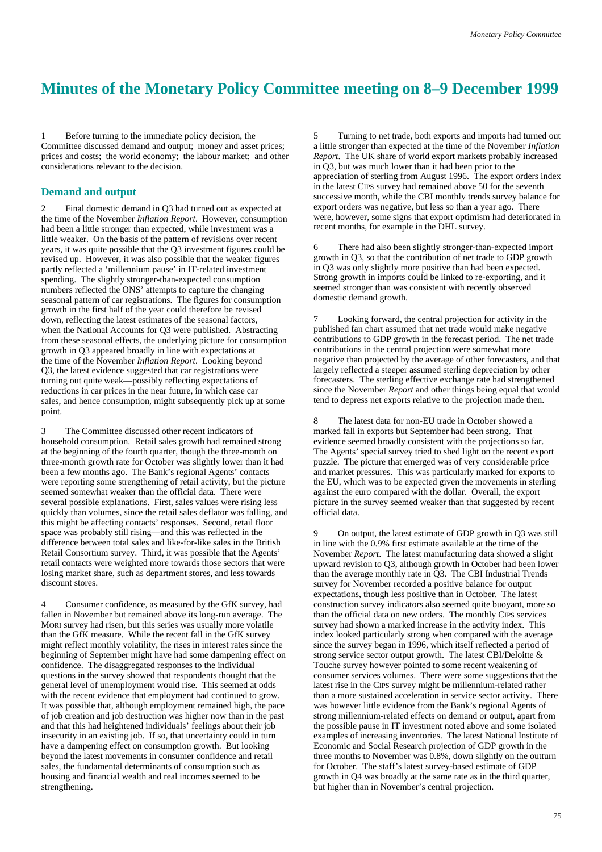# **Minutes of the Monetary Policy Committee meeting on 8–9 December 1999**

1 Before turning to the immediate policy decision, the Committee discussed demand and output; money and asset prices; prices and costs; the world economy; the labour market; and other considerations relevant to the decision.

### **Demand and output**

Final domestic demand in Q3 had turned out as expected at the time of the November *Inflation Report*. However, consumption had been a little stronger than expected, while investment was a little weaker. On the basis of the pattern of revisions over recent years, it was quite possible that the Q3 investment figures could be revised up. However, it was also possible that the weaker figures partly reflected a 'millennium pause' in IT-related investment spending. The slightly stronger-than-expected consumption numbers reflected the ONS' attempts to capture the changing seasonal pattern of car registrations. The figures for consumption growth in the first half of the year could therefore be revised down, reflecting the latest estimates of the seasonal factors, when the National Accounts for Q3 were published. Abstracting from these seasonal effects, the underlying picture for consumption growth in Q3 appeared broadly in line with expectations at the time of the November *Inflation Report*. Looking beyond Q3, the latest evidence suggested that car registrations were turning out quite weak—possibly reflecting expectations of reductions in car prices in the near future, in which case car sales, and hence consumption, might subsequently pick up at some point.

The Committee discussed other recent indicators of household consumption. Retail sales growth had remained strong at the beginning of the fourth quarter, though the three-month on three-month growth rate for October was slightly lower than it had been a few months ago. The Bank's regional Agents' contacts were reporting some strengthening of retail activity, but the picture seemed somewhat weaker than the official data. There were several possible explanations. First, sales values were rising less quickly than volumes, since the retail sales deflator was falling, and this might be affecting contacts' responses. Second, retail floor space was probably still rising—and this was reflected in the difference between total sales and like-for-like sales in the British Retail Consortium survey. Third, it was possible that the Agents' retail contacts were weighted more towards those sectors that were losing market share, such as department stores, and less towards discount stores.

4 Consumer confidence, as measured by the GfK survey, had fallen in November but remained above its long-run average. The MORI survey had risen, but this series was usually more volatile than the GfK measure. While the recent fall in the GfK survey might reflect monthly volatility, the rises in interest rates since the beginning of September might have had some dampening effect on confidence. The disaggregated responses to the individual questions in the survey showed that respondents thought that the general level of unemployment would rise. This seemed at odds with the recent evidence that employment had continued to grow. It was possible that, although employment remained high, the pace of job creation and job destruction was higher now than in the past and that this had heightened individuals' feelings about their job insecurity in an existing job. If so, that uncertainty could in turn have a dampening effect on consumption growth. But looking beyond the latest movements in consumer confidence and retail sales, the fundamental determinants of consumption such as housing and financial wealth and real incomes seemed to be strengthening.

5 Turning to net trade, both exports and imports had turned out a little stronger than expected at the time of the November *Inflation Report*. The UK share of world export markets probably increased in Q3, but was much lower than it had been prior to the appreciation of sterling from August 1996. The export orders index in the latest CIPS survey had remained above 50 for the seventh successive month, while the CBI monthly trends survey balance for export orders was negative, but less so than a year ago. There were, however, some signs that export optimism had deteriorated in recent months, for example in the DHL survey.

6 There had also been slightly stronger-than-expected import growth in Q3, so that the contribution of net trade to GDP growth in Q3 was only slightly more positive than had been expected. Strong growth in imports could be linked to re-exporting, and it seemed stronger than was consistent with recently observed domestic demand growth.

7 Looking forward, the central projection for activity in the published fan chart assumed that net trade would make negative contributions to GDP growth in the forecast period. The net trade contributions in the central projection were somewhat more negative than projected by the average of other forecasters, and that largely reflected a steeper assumed sterling depreciation by other forecasters. The sterling effective exchange rate had strengthened since the November *Report* and other things being equal that would tend to depress net exports relative to the projection made then.

8 The latest data for non-EU trade in October showed a marked fall in exports but September had been strong. That evidence seemed broadly consistent with the projections so far. The Agents' special survey tried to shed light on the recent export puzzle. The picture that emerged was of very considerable price and market pressures. This was particularly marked for exports to the EU, which was to be expected given the movements in sterling against the euro compared with the dollar. Overall, the export picture in the survey seemed weaker than that suggested by recent official data.

9 On output, the latest estimate of GDP growth in Q3 was still in line with the 0.9% first estimate available at the time of the November *Report*. The latest manufacturing data showed a slight upward revision to Q3, although growth in October had been lower than the average monthly rate in Q3. The CBI Industrial Trends survey for November recorded a positive balance for output expectations, though less positive than in October. The latest construction survey indicators also seemed quite buoyant, more so than the official data on new orders. The monthly CIPS services survey had shown a marked increase in the activity index. This index looked particularly strong when compared with the average since the survey began in 1996, which itself reflected a period of strong service sector output growth. The latest CBI/Deloitte & Touche survey however pointed to some recent weakening of consumer services volumes. There were some suggestions that the latest rise in the CIPS survey might be millennium-related rather than a more sustained acceleration in service sector activity. There was however little evidence from the Bank's regional Agents of strong millennium-related effects on demand or output, apart from the possible pause in IT investment noted above and some isolated examples of increasing inventories. The latest National Institute of Economic and Social Research projection of GDP growth in the three months to November was 0.8%, down slightly on the outturn for October. The staff's latest survey-based estimate of GDP growth in Q4 was broadly at the same rate as in the third quarter, but higher than in November's central projection.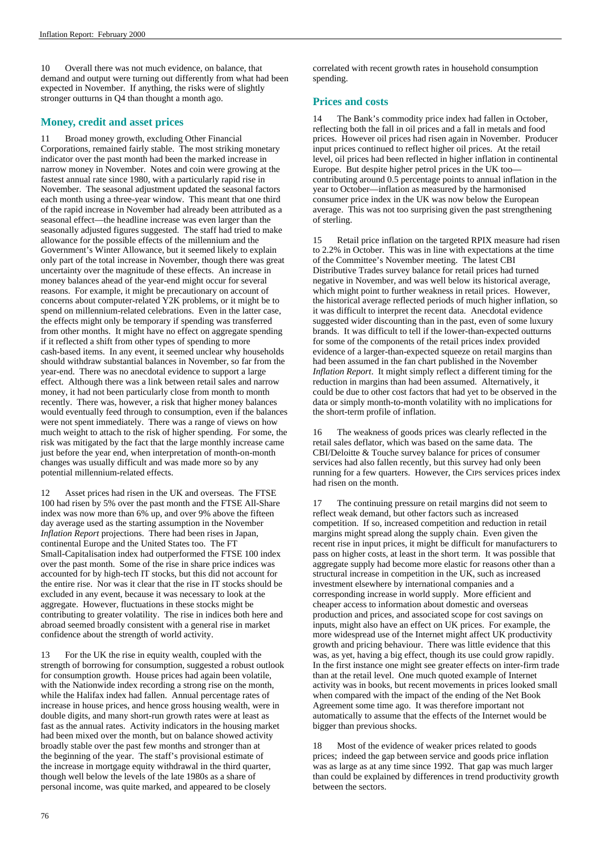10 Overall there was not much evidence, on balance, that demand and output were turning out differently from what had been expected in November. If anything, the risks were of slightly stronger outturns in Q4 than thought a month ago.

### **Money, credit and asset prices**

11 Broad money growth, excluding Other Financial Corporations, remained fairly stable. The most striking monetary indicator over the past month had been the marked increase in narrow money in November. Notes and coin were growing at the fastest annual rate since 1980, with a particularly rapid rise in November. The seasonal adjustment updated the seasonal factors each month using a three-year window. This meant that one third of the rapid increase in November had already been attributed as a seasonal effect—the headline increase was even larger than the seasonally adjusted figures suggested. The staff had tried to make allowance for the possible effects of the millennium and the Government's Winter Allowance, but it seemed likely to explain only part of the total increase in November, though there was great uncertainty over the magnitude of these effects. An increase in money balances ahead of the year-end might occur for several reasons. For example, it might be precautionary on account of concerns about computer-related Y2K problems, or it might be to spend on millennium-related celebrations. Even in the latter case, the effects might only be temporary if spending was transferred from other months. It might have no effect on aggregate spending if it reflected a shift from other types of spending to more cash-based items. In any event, it seemed unclear why households should withdraw substantial balances in November, so far from the year-end. There was no anecdotal evidence to support a large effect. Although there was a link between retail sales and narrow money, it had not been particularly close from month to month recently. There was, however, a risk that higher money balances would eventually feed through to consumption, even if the balances were not spent immediately. There was a range of views on how much weight to attach to the risk of higher spending. For some, the risk was mitigated by the fact that the large monthly increase came just before the year end, when interpretation of month-on-month changes was usually difficult and was made more so by any potential millennium-related effects.

12 Asset prices had risen in the UK and overseas. The FTSE 100 had risen by 5% over the past month and the FTSE All-Share index was now more than 6% up, and over 9% above the fifteen day average used as the starting assumption in the November *Inflation Report* projections. There had been rises in Japan, continental Europe and the United States too. The FT Small-Capitalisation index had outperformed the FTSE 100 index over the past month. Some of the rise in share price indices was accounted for by high-tech IT stocks, but this did not account for the entire rise. Nor was it clear that the rise in IT stocks should be excluded in any event, because it was necessary to look at the aggregate. However, fluctuations in these stocks might be contributing to greater volatility. The rise in indices both here and abroad seemed broadly consistent with a general rise in market confidence about the strength of world activity.

13 For the UK the rise in equity wealth, coupled with the strength of borrowing for consumption, suggested a robust outlook for consumption growth. House prices had again been volatile, with the Nationwide index recording a strong rise on the month, while the Halifax index had fallen. Annual percentage rates of increase in house prices, and hence gross housing wealth, were in double digits, and many short-run growth rates were at least as fast as the annual rates. Activity indicators in the housing market had been mixed over the month, but on balance showed activity broadly stable over the past few months and stronger than at the beginning of the year. The staff's provisional estimate of the increase in mortgage equity withdrawal in the third quarter, though well below the levels of the late 1980s as a share of personal income, was quite marked, and appeared to be closely

correlated with recent growth rates in household consumption spending.

### **Prices and costs**

14 The Bank's commodity price index had fallen in October, reflecting both the fall in oil prices and a fall in metals and food prices. However oil prices had risen again in November. Producer input prices continued to reflect higher oil prices. At the retail level, oil prices had been reflected in higher inflation in continental Europe. But despite higher petrol prices in the UK too contributing around 0.5 percentage points to annual inflation in the year to October—inflation as measured by the harmonised consumer price index in the UK was now below the European average. This was not too surprising given the past strengthening of sterling.

15 Retail price inflation on the targeted RPIX measure had risen to 2.2% in October. This was in line with expectations at the time of the Committee's November meeting. The latest CBI Distributive Trades survey balance for retail prices had turned negative in November, and was well below its historical average, which might point to further weakness in retail prices. However, the historical average reflected periods of much higher inflation, so it was difficult to interpret the recent data. Anecdotal evidence suggested wider discounting than in the past, even of some luxury brands. It was difficult to tell if the lower-than-expected outturns for some of the components of the retail prices index provided evidence of a larger-than-expected squeeze on retail margins than had been assumed in the fan chart published in the November *Inflation Report*. It might simply reflect a different timing for the reduction in margins than had been assumed. Alternatively, it could be due to other cost factors that had yet to be observed in the data or simply month-to-month volatility with no implications for the short-term profile of inflation.

16 The weakness of goods prices was clearly reflected in the retail sales deflator, which was based on the same data. The CBI/Deloitte & Touche survey balance for prices of consumer services had also fallen recently, but this survey had only been running for a few quarters. However, the CIPS services prices index had risen on the month.

17 The continuing pressure on retail margins did not seem to reflect weak demand, but other factors such as increased competition. If so, increased competition and reduction in retail margins might spread along the supply chain. Even given the recent rise in input prices, it might be difficult for manufacturers to pass on higher costs, at least in the short term. It was possible that aggregate supply had become more elastic for reasons other than a structural increase in competition in the UK, such as increased investment elsewhere by international companies and a corresponding increase in world supply. More efficient and cheaper access to information about domestic and overseas production and prices, and associated scope for cost savings on inputs, might also have an effect on UK prices. For example, the more widespread use of the Internet might affect UK productivity growth and pricing behaviour. There was little evidence that this was, as yet, having a big effect, though its use could grow rapidly. In the first instance one might see greater effects on inter-firm trade than at the retail level. One much quoted example of Internet activity was in books, but recent movements in prices looked small when compared with the impact of the ending of the Net Book Agreement some time ago. It was therefore important not automatically to assume that the effects of the Internet would be bigger than previous shocks.

18 Most of the evidence of weaker prices related to goods prices; indeed the gap between service and goods price inflation was as large as at any time since 1992. That gap was much larger than could be explained by differences in trend productivity growth between the sectors.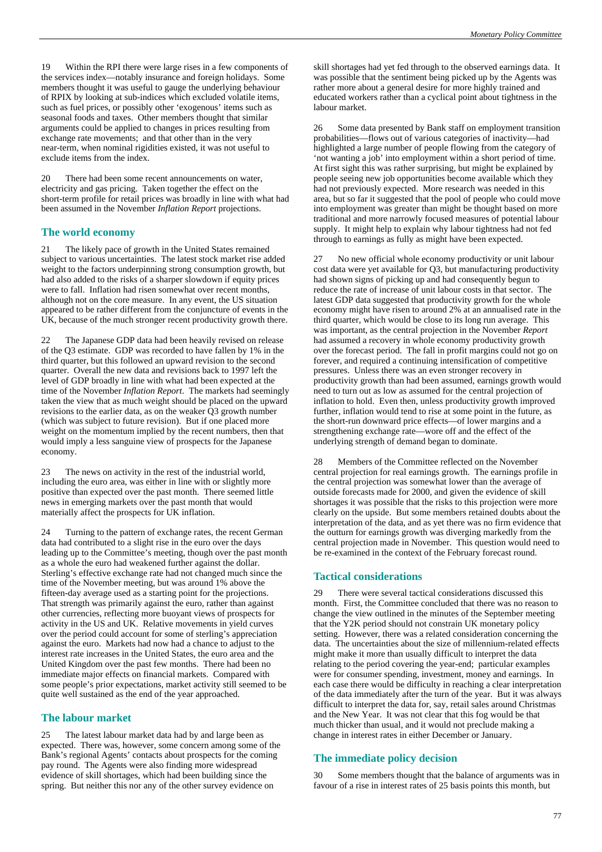19 Within the RPI there were large rises in a few components of the services index—notably insurance and foreign holidays. Some members thought it was useful to gauge the underlying behaviour of RPIX by looking at sub-indices which excluded volatile items, such as fuel prices, or possibly other 'exogenous' items such as seasonal foods and taxes. Other members thought that similar arguments could be applied to changes in prices resulting from exchange rate movements; and that other than in the very near-term, when nominal rigidities existed, it was not useful to exclude items from the index.

20 There had been some recent announcements on water, electricity and gas pricing. Taken together the effect on the short-term profile for retail prices was broadly in line with what had been assumed in the November *Inflation Report* projections.

### **The world economy**

21 The likely pace of growth in the United States remained subject to various uncertainties. The latest stock market rise added weight to the factors underpinning strong consumption growth, but had also added to the risks of a sharper slowdown if equity prices were to fall. Inflation had risen somewhat over recent months, although not on the core measure. In any event, the US situation appeared to be rather different from the conjuncture of events in the UK, because of the much stronger recent productivity growth there.

The Japanese GDP data had been heavily revised on release of the Q3 estimate. GDP was recorded to have fallen by 1% in the third quarter, but this followed an upward revision to the second quarter. Overall the new data and revisions back to 1997 left the level of GDP broadly in line with what had been expected at the time of the November *Inflation Report*. The markets had seemingly taken the view that as much weight should be placed on the upward revisions to the earlier data, as on the weaker Q3 growth number (which was subject to future revision). But if one placed more weight on the momentum implied by the recent numbers, then that would imply a less sanguine view of prospects for the Japanese economy.

23 The news on activity in the rest of the industrial world, including the euro area, was either in line with or slightly more positive than expected over the past month. There seemed little news in emerging markets over the past month that would materially affect the prospects for UK inflation.

24 Turning to the pattern of exchange rates, the recent German data had contributed to a slight rise in the euro over the days leading up to the Committee's meeting, though over the past month as a whole the euro had weakened further against the dollar. Sterling's effective exchange rate had not changed much since the time of the November meeting, but was around 1% above the fifteen-day average used as a starting point for the projections. That strength was primarily against the euro, rather than against other currencies, reflecting more buoyant views of prospects for activity in the US and UK. Relative movements in yield curves over the period could account for some of sterling's appreciation against the euro. Markets had now had a chance to adjust to the interest rate increases in the United States, the euro area and the United Kingdom over the past few months. There had been no immediate major effects on financial markets. Compared with some people's prior expectations, market activity still seemed to be quite well sustained as the end of the year approached.

### **The labour market**

25 The latest labour market data had by and large been as expected. There was, however, some concern among some of the Bank's regional Agents' contacts about prospects for the coming pay round. The Agents were also finding more widespread evidence of skill shortages, which had been building since the spring. But neither this nor any of the other survey evidence on

skill shortages had yet fed through to the observed earnings data. It was possible that the sentiment being picked up by the Agents was rather more about a general desire for more highly trained and educated workers rather than a cyclical point about tightness in the labour market.

26 Some data presented by Bank staff on employment transition probabilities—flows out of various categories of inactivity—had highlighted a large number of people flowing from the category of 'not wanting a job' into employment within a short period of time. At first sight this was rather surprising, but might be explained by people seeing new job opportunities become available which they had not previously expected. More research was needed in this area, but so far it suggested that the pool of people who could move into employment was greater than might be thought based on more traditional and more narrowly focused measures of potential labour supply. It might help to explain why labour tightness had not fed through to earnings as fully as might have been expected.

27 No new official whole economy productivity or unit labour cost data were yet available for Q3, but manufacturing productivity had shown signs of picking up and had consequently begun to reduce the rate of increase of unit labour costs in that sector. The latest GDP data suggested that productivity growth for the whole economy might have risen to around 2% at an annualised rate in the third quarter, which would be close to its long run average. This was important, as the central projection in the November *Report* had assumed a recovery in whole economy productivity growth over the forecast period. The fall in profit margins could not go on forever, and required a continuing intensification of competitive pressures. Unless there was an even stronger recovery in productivity growth than had been assumed, earnings growth would need to turn out as low as assumed for the central projection of inflation to hold. Even then, unless productivity growth improved further, inflation would tend to rise at some point in the future, as the short-run downward price effects—of lower margins and a strengthening exchange rate—wore off and the effect of the underlying strength of demand began to dominate.

28 Members of the Committee reflected on the November central projection for real earnings growth. The earnings profile in the central projection was somewhat lower than the average of outside forecasts made for 2000, and given the evidence of skill shortages it was possible that the risks to this projection were more clearly on the upside. But some members retained doubts about the interpretation of the data, and as yet there was no firm evidence that the outturn for earnings growth was diverging markedly from the central projection made in November. This question would need to be re-examined in the context of the February forecast round.

### **Tactical considerations**

29 There were several tactical considerations discussed this month. First, the Committee concluded that there was no reason to change the view outlined in the minutes of the September meeting that the Y2K period should not constrain UK monetary policy setting. However, there was a related consideration concerning the data. The uncertainties about the size of millennium-related effects might make it more than usually difficult to interpret the data relating to the period covering the year-end; particular examples were for consumer spending, investment, money and earnings. In each case there would be difficulty in reaching a clear interpretation of the data immediately after the turn of the year. But it was always difficult to interpret the data for, say, retail sales around Christmas and the New Year. It was not clear that this fog would be that much thicker than usual, and it would not preclude making a change in interest rates in either December or January.

### **The immediate policy decision**

Some members thought that the balance of arguments was in favour of a rise in interest rates of 25 basis points this month, but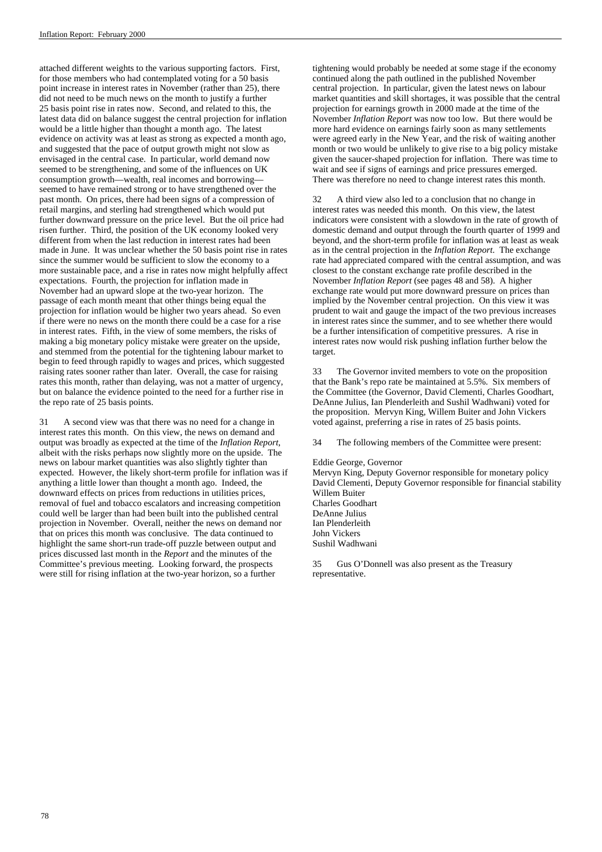attached different weights to the various supporting factors. First, for those members who had contemplated voting for a 50 basis point increase in interest rates in November (rather than 25), there did not need to be much news on the month to justify a further 25 basis point rise in rates now. Second, and related to this, the latest data did on balance suggest the central projection for inflation would be a little higher than thought a month ago. The latest evidence on activity was at least as strong as expected a month ago, and suggested that the pace of output growth might not slow as envisaged in the central case. In particular, world demand now seemed to be strengthening, and some of the influences on UK consumption growth—wealth, real incomes and borrowing seemed to have remained strong or to have strengthened over the past month. On prices, there had been signs of a compression of retail margins, and sterling had strengthened which would put further downward pressure on the price level. But the oil price had risen further. Third, the position of the UK economy looked very different from when the last reduction in interest rates had been made in June. It was unclear whether the 50 basis point rise in rates since the summer would be sufficient to slow the economy to a more sustainable pace, and a rise in rates now might helpfully affect expectations. Fourth, the projection for inflation made in November had an upward slope at the two-year horizon. The passage of each month meant that other things being equal the projection for inflation would be higher two years ahead. So even if there were no news on the month there could be a case for a rise in interest rates. Fifth, in the view of some members, the risks of making a big monetary policy mistake were greater on the upside, and stemmed from the potential for the tightening labour market to begin to feed through rapidly to wages and prices, which suggested raising rates sooner rather than later. Overall, the case for raising rates this month, rather than delaying, was not a matter of urgency, but on balance the evidence pointed to the need for a further rise in the repo rate of 25 basis points.

31 A second view was that there was no need for a change in interest rates this month. On this view, the news on demand and output was broadly as expected at the time of the *Inflation Report*, albeit with the risks perhaps now slightly more on the upside. The news on labour market quantities was also slightly tighter than expected. However, the likely short-term profile for inflation was if anything a little lower than thought a month ago. Indeed, the downward effects on prices from reductions in utilities prices, removal of fuel and tobacco escalators and increasing competition could well be larger than had been built into the published central projection in November. Overall, neither the news on demand nor that on prices this month was conclusive. The data continued to highlight the same short-run trade-off puzzle between output and prices discussed last month in the *Report* and the minutes of the Committee's previous meeting. Looking forward, the prospects were still for rising inflation at the two-year horizon, so a further

tightening would probably be needed at some stage if the economy continued along the path outlined in the published November central projection. In particular, given the latest news on labour market quantities and skill shortages, it was possible that the central projection for earnings growth in 2000 made at the time of the November *Inflation Report* was now too low. But there would be more hard evidence on earnings fairly soon as many settlements were agreed early in the New Year, and the risk of waiting another month or two would be unlikely to give rise to a big policy mistake given the saucer-shaped projection for inflation. There was time to wait and see if signs of earnings and price pressures emerged. There was therefore no need to change interest rates this month.

32 A third view also led to a conclusion that no change in interest rates was needed this month. On this view, the latest indicators were consistent with a slowdown in the rate of growth of domestic demand and output through the fourth quarter of 1999 and beyond, and the short-term profile for inflation was at least as weak as in the central projection in the *Inflation Report*. The exchange rate had appreciated compared with the central assumption, and was closest to the constant exchange rate profile described in the November *Inflation Report* (see pages 48 and 58). A higher exchange rate would put more downward pressure on prices than implied by the November central projection. On this view it was prudent to wait and gauge the impact of the two previous increases in interest rates since the summer, and to see whether there would be a further intensification of competitive pressures. A rise in interest rates now would risk pushing inflation further below the target.

33 The Governor invited members to vote on the proposition that the Bank's repo rate be maintained at 5.5%. Six members of the Committee (the Governor, David Clementi, Charles Goodhart, DeAnne Julius, Ian Plenderleith and Sushil Wadhwani) voted for the proposition. Mervyn King, Willem Buiter and John Vickers voted against, preferring a rise in rates of 25 basis points.

34 The following members of the Committee were present:

#### Eddie George, Governor

Mervyn King, Deputy Governor responsible for monetary policy David Clementi, Deputy Governor responsible for financial stability Willem Buiter Charles Goodhart DeAnne Julius Ian Plenderleith John Vickers Sushil Wadhwani

35 Gus O'Donnell was also present as the Treasury representative.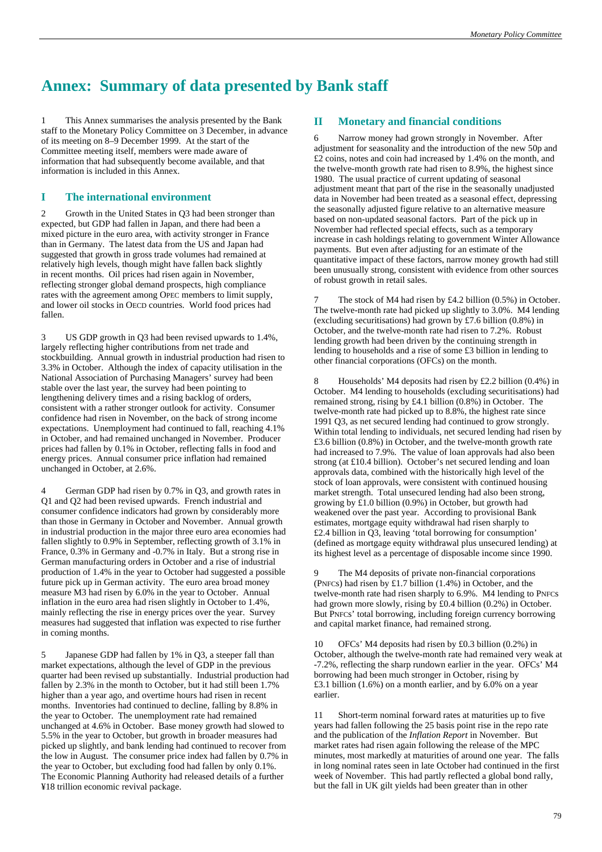# **Annex: Summary of data presented by Bank staff**

This Annex summarises the analysis presented by the Bank staff to the Monetary Policy Committee on 3 December, in advance of its meeting on 8–9 December 1999. At the start of the Committee meeting itself, members were made aware of information that had subsequently become available, and that information is included in this Annex.

### **I The international environment**

2 Growth in the United States in Q3 had been stronger than expected, but GDP had fallen in Japan, and there had been a mixed picture in the euro area, with activity stronger in France than in Germany. The latest data from the US and Japan had suggested that growth in gross trade volumes had remained at relatively high levels, though might have fallen back slightly in recent months. Oil prices had risen again in November, reflecting stronger global demand prospects, high compliance rates with the agreement among OPEC members to limit supply, and lower oil stocks in OECD countries. World food prices had fallen.

3 US GDP growth in Q3 had been revised upwards to 1.4%, largely reflecting higher contributions from net trade and stockbuilding. Annual growth in industrial production had risen to 3.3% in October. Although the index of capacity utilisation in the National Association of Purchasing Managers' survey had been stable over the last year, the survey had been pointing to lengthening delivery times and a rising backlog of orders, consistent with a rather stronger outlook for activity. Consumer confidence had risen in November, on the back of strong income expectations. Unemployment had continued to fall, reaching 4.1% in October, and had remained unchanged in November. Producer prices had fallen by 0.1% in October, reflecting falls in food and energy prices. Annual consumer price inflation had remained unchanged in October, at 2.6%.

German GDP had risen by 0.7% in Q3, and growth rates in Q1 and Q2 had been revised upwards. French industrial and consumer confidence indicators had grown by considerably more than those in Germany in October and November. Annual growth in industrial production in the major three euro area economies had fallen slightly to 0.9% in September, reflecting growth of 3.1% in France, 0.3% in Germany and -0.7% in Italy. But a strong rise in German manufacturing orders in October and a rise of industrial production of 1.4% in the year to October had suggested a possible future pick up in German activity. The euro area broad money measure M3 had risen by 6.0% in the year to October. Annual inflation in the euro area had risen slightly in October to 1.4%, mainly reflecting the rise in energy prices over the year. Survey measures had suggested that inflation was expected to rise further in coming months.

5 Japanese GDP had fallen by 1% in Q3, a steeper fall than market expectations, although the level of GDP in the previous quarter had been revised up substantially. Industrial production had fallen by 2.3% in the month to October, but it had still been 1.7% higher than a year ago, and overtime hours had risen in recent months. Inventories had continued to decline, falling by 8.8% in the year to October. The unemployment rate had remained unchanged at 4.6% in October. Base money growth had slowed to 5.5% in the year to October, but growth in broader measures had picked up slightly, and bank lending had continued to recover from the low in August. The consumer price index had fallen by 0.7% in the year to October, but excluding food had fallen by only 0.1%. The Economic Planning Authority had released details of a further ¥18 trillion economic revival package.

### **II Monetary and financial conditions**

6 Narrow money had grown strongly in November. After adjustment for seasonality and the introduction of the new 50p and £2 coins, notes and coin had increased by 1.4% on the month, and the twelve-month growth rate had risen to 8.9%, the highest since 1980. The usual practice of current updating of seasonal adjustment meant that part of the rise in the seasonally unadjusted data in November had been treated as a seasonal effect, depressing the seasonally adjusted figure relative to an alternative measure based on non-updated seasonal factors. Part of the pick up in November had reflected special effects, such as a temporary increase in cash holdings relating to government Winter Allowance payments. But even after adjusting for an estimate of the quantitative impact of these factors, narrow money growth had still been unusually strong, consistent with evidence from other sources of robust growth in retail sales.

The stock of M4 had risen by  $£4.2$  billion (0.5%) in October. The twelve-month rate had picked up slightly to 3.0%. M4 lending (excluding securitisations) had grown by £7.6 billion (0.8%) in October, and the twelve-month rate had risen to 7.2%. Robust lending growth had been driven by the continuing strength in lending to households and a rise of some £3 billion in lending to other financial corporations (OFCs) on the month.

8 Households' M4 deposits had risen by £2.2 billion (0.4%) in October. M4 lending to households (excluding securitisations) had remained strong, rising by £4.1 billion (0.8%) in October. The twelve-month rate had picked up to 8.8%, the highest rate since 1991 Q3, as net secured lending had continued to grow strongly. Within total lending to individuals, net secured lending had risen by £3.6 billion (0.8%) in October, and the twelve-month growth rate had increased to 7.9%. The value of loan approvals had also been strong (at £10.4 billion). October's net secured lending and loan approvals data, combined with the historically high level of the stock of loan approvals, were consistent with continued housing market strength. Total unsecured lending had also been strong, growing by £1.0 billion (0.9%) in October, but growth had weakened over the past year. According to provisional Bank estimates, mortgage equity withdrawal had risen sharply to £2.4 billion in Q3, leaving 'total borrowing for consumption' (defined as mortgage equity withdrawal plus unsecured lending) at its highest level as a percentage of disposable income since 1990.

The M4 deposits of private non-financial corporations (PNFCs) had risen by £1.7 billion (1.4%) in October, and the twelve-month rate had risen sharply to 6.9%. M4 lending to PNFCs had grown more slowly, rising by £0.4 billion (0.2%) in October. But PNFCs' total borrowing, including foreign currency borrowing and capital market finance, had remained strong.

10 OFCs' M4 deposits had risen by £0.3 billion (0.2%) in October, although the twelve-month rate had remained very weak at -7.2%, reflecting the sharp rundown earlier in the year. OFCs' M4 borrowing had been much stronger in October, rising by £3.1 billion (1.6%) on a month earlier, and by 6.0% on a year earlier.

11 Short-term nominal forward rates at maturities up to five years had fallen following the 25 basis point rise in the repo rate and the publication of the *Inflation Report* in November. But market rates had risen again following the release of the MPC minutes, most markedly at maturities of around one year. The falls in long nominal rates seen in late October had continued in the first week of November. This had partly reflected a global bond rally, but the fall in UK gilt yields had been greater than in other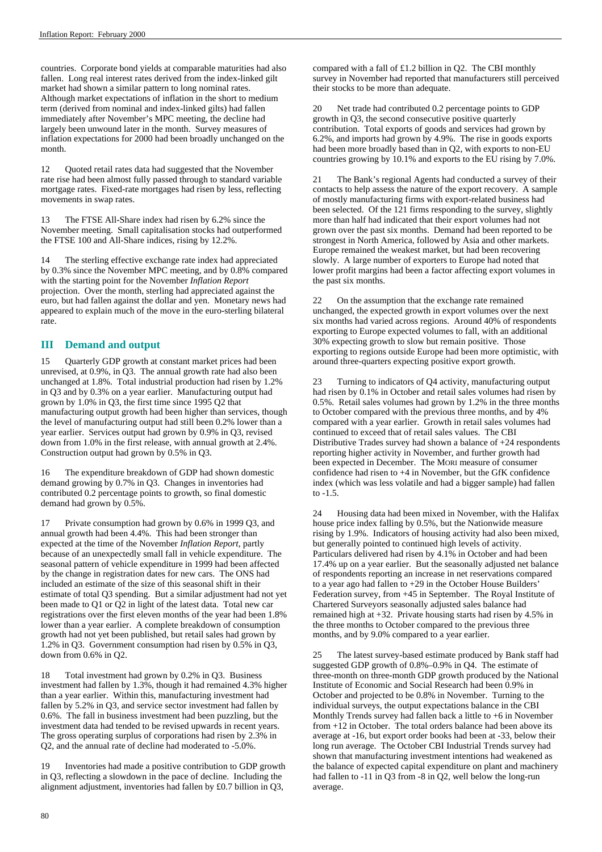countries. Corporate bond yields at comparable maturities had also fallen. Long real interest rates derived from the index-linked gilt market had shown a similar pattern to long nominal rates. Although market expectations of inflation in the short to medium term (derived from nominal and index-linked gilts) had fallen immediately after November's MPC meeting, the decline had largely been unwound later in the month. Survey measures of inflation expectations for 2000 had been broadly unchanged on the month.

12 Quoted retail rates data had suggested that the November rate rise had been almost fully passed through to standard variable mortgage rates. Fixed-rate mortgages had risen by less, reflecting movements in swap rates.

13 The FTSE All-Share index had risen by 6.2% since the November meeting. Small capitalisation stocks had outperformed the FTSE 100 and All-Share indices, rising by 12.2%.

14 The sterling effective exchange rate index had appreciated by 0.3% since the November MPC meeting, and by 0.8% compared with the starting point for the November *Inflation Report* projection. Over the month, sterling had appreciated against the euro, but had fallen against the dollar and yen. Monetary news had appeared to explain much of the move in the euro-sterling bilateral rate.

### **III Demand and output**

15 Quarterly GDP growth at constant market prices had been unrevised, at 0.9%, in Q3. The annual growth rate had also been unchanged at 1.8%. Total industrial production had risen by 1.2% in Q3 and by 0.3% on a year earlier. Manufacturing output had grown by 1.0% in Q3, the first time since 1995 Q2 that manufacturing output growth had been higher than services, though the level of manufacturing output had still been 0.2% lower than a year earlier. Services output had grown by 0.9% in Q3, revised down from 1.0% in the first release, with annual growth at 2.4%. Construction output had grown by 0.5% in Q3.

16 The expenditure breakdown of GDP had shown domestic demand growing by 0.7% in Q3. Changes in inventories had contributed 0.2 percentage points to growth, so final domestic demand had grown by 0.5%.

17 Private consumption had grown by 0.6% in 1999 Q3, and annual growth had been 4.4%. This had been stronger than expected at the time of the November *Inflation Report*, partly because of an unexpectedly small fall in vehicle expenditure. The seasonal pattern of vehicle expenditure in 1999 had been affected by the change in registration dates for new cars. The ONS had included an estimate of the size of this seasonal shift in their estimate of total Q3 spending. But a similar adjustment had not yet been made to Q1 or Q2 in light of the latest data. Total new car registrations over the first eleven months of the year had been 1.8% lower than a year earlier. A complete breakdown of consumption growth had not yet been published, but retail sales had grown by 1.2% in Q3. Government consumption had risen by 0.5% in Q3, down from 0.6% in Q2.

18 Total investment had grown by 0.2% in Q3. Business investment had fallen by 1.3%, though it had remained 4.3% higher than a year earlier. Within this, manufacturing investment had fallen by 5.2% in Q3, and service sector investment had fallen by 0.6%. The fall in business investment had been puzzling, but the investment data had tended to be revised upwards in recent years. The gross operating surplus of corporations had risen by 2.3% in Q2, and the annual rate of decline had moderated to -5.0%.

Inventories had made a positive contribution to GDP growth in Q3, reflecting a slowdown in the pace of decline. Including the alignment adjustment, inventories had fallen by £0.7 billion in Q3,

compared with a fall of £1.2 billion in Q2. The CBI monthly survey in November had reported that manufacturers still perceived their stocks to be more than adequate.

20 Net trade had contributed 0.2 percentage points to GDP growth in Q3, the second consecutive positive quarterly contribution. Total exports of goods and services had grown by 6.2%, and imports had grown by 4.9%. The rise in goods exports had been more broadly based than in Q2, with exports to non-EU countries growing by 10.1% and exports to the EU rising by 7.0%.

21 The Bank's regional Agents had conducted a survey of their contacts to help assess the nature of the export recovery. A sample of mostly manufacturing firms with export-related business had been selected. Of the 121 firms responding to the survey, slightly more than half had indicated that their export volumes had not grown over the past six months. Demand had been reported to be strongest in North America, followed by Asia and other markets. Europe remained the weakest market, but had been recovering slowly. A large number of exporters to Europe had noted that lower profit margins had been a factor affecting export volumes in the past six months.

22 On the assumption that the exchange rate remained unchanged, the expected growth in export volumes over the next six months had varied across regions. Around 40% of respondents exporting to Europe expected volumes to fall, with an additional 30% expecting growth to slow but remain positive. Those exporting to regions outside Europe had been more optimistic, with around three-quarters expecting positive export growth.

23 Turning to indicators of Q4 activity, manufacturing output had risen by 0.1% in October and retail sales volumes had risen by 0.5%. Retail sales volumes had grown by 1.2% in the three months to October compared with the previous three months, and by 4% compared with a year earlier. Growth in retail sales volumes had continued to exceed that of retail sales values. The CBI Distributive Trades survey had shown a balance of +24 respondents reporting higher activity in November, and further growth had been expected in December. The MORI measure of consumer confidence had risen to +4 in November, but the GfK confidence index (which was less volatile and had a bigger sample) had fallen to -1.5.

24 Housing data had been mixed in November, with the Halifax house price index falling by 0.5%, but the Nationwide measure rising by 1.9%. Indicators of housing activity had also been mixed, but generally pointed to continued high levels of activity. Particulars delivered had risen by 4.1% in October and had been 17.4% up on a year earlier. But the seasonally adjusted net balance of respondents reporting an increase in net reservations compared to a year ago had fallen to +29 in the October House Builders' Federation survey, from +45 in September. The Royal Institute of Chartered Surveyors seasonally adjusted sales balance had remained high at +32. Private housing starts had risen by 4.5% in the three months to October compared to the previous three months, and by 9.0% compared to a year earlier.

25 The latest survey-based estimate produced by Bank staff had suggested GDP growth of 0.8%–0.9% in Q4. The estimate of three-month on three-month GDP growth produced by the National Institute of Economic and Social Research had been 0.9% in October and projected to be 0.8% in November. Turning to the individual surveys, the output expectations balance in the CBI Monthly Trends survey had fallen back a little to +6 in November from +12 in October. The total orders balance had been above its average at -16, but export order books had been at -33, below their long run average. The October CBI Industrial Trends survey had shown that manufacturing investment intentions had weakened as the balance of expected capital expenditure on plant and machinery had fallen to -11 in Q3 from -8 in Q2, well below the long-run average.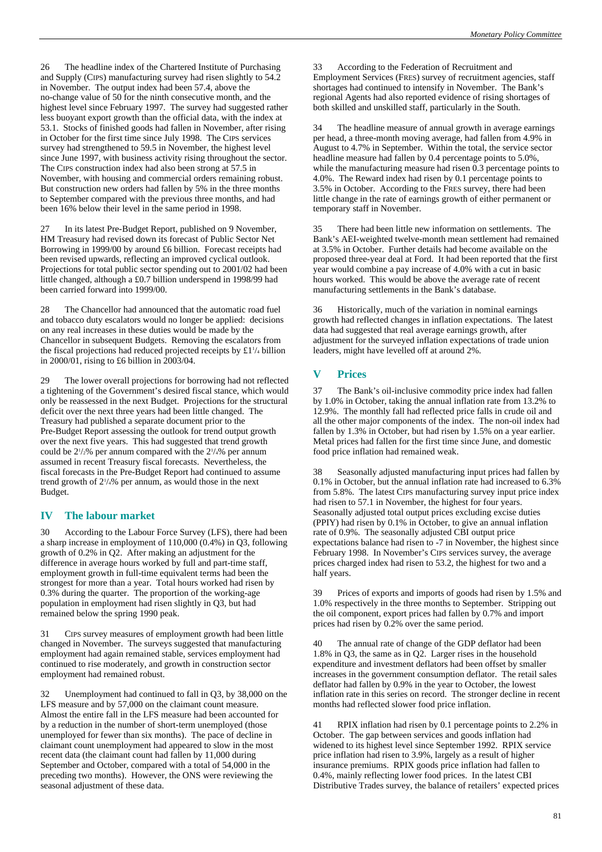26 The headline index of the Chartered Institute of Purchasing and Supply (CIPS) manufacturing survey had risen slightly to 54.2 in November. The output index had been 57.4, above the no-change value of 50 for the ninth consecutive month, and the highest level since February 1997. The survey had suggested rather less buoyant export growth than the official data, with the index at 53.1. Stocks of finished goods had fallen in November, after rising in October for the first time since July 1998. The CIPS services survey had strengthened to 59.5 in November, the highest level since June 1997, with business activity rising throughout the sector. The CIPS construction index had also been strong at 57.5 in November, with housing and commercial orders remaining robust. But construction new orders had fallen by 5% in the three months to September compared with the previous three months, and had been 16% below their level in the same period in 1998.

27 In its latest Pre-Budget Report, published on 9 November, HM Treasury had revised down its forecast of Public Sector Net Borrowing in 1999/00 by around £6 billion. Forecast receipts had been revised upwards, reflecting an improved cyclical outlook. Projections for total public sector spending out to 2001/02 had been little changed, although a £0.7 billion underspend in 1998/99 had been carried forward into 1999/00.

28 The Chancellor had announced that the automatic road fuel and tobacco duty escalators would no longer be applied: decisions on any real increases in these duties would be made by the Chancellor in subsequent Budgets. Removing the escalators from the fiscal projections had reduced projected receipts by  $£1<sup>1</sup>/<sub>4</sub>$  billion in 2000/01, rising to £6 billion in  $2003/04$ .

29 The lower overall projections for borrowing had not reflected a tightening of the Government's desired fiscal stance, which would only be reassessed in the next Budget. Projections for the structural deficit over the next three years had been little changed. The Treasury had published a separate document prior to the Pre-Budget Report assessing the outlook for trend output growth over the next five years. This had suggested that trend growth could be  $2\frac{1}{2}\%$  per annum compared with the  $2\frac{1}{4}\%$  per annum assumed in recent Treasury fiscal forecasts. Nevertheless, the fiscal forecasts in the Pre-Budget Report had continued to assume trend growth of 21 /4% per annum, as would those in the next Budget.

### **IV The labour market**

30 According to the Labour Force Survey (LFS), there had been a sharp increase in employment of 110,000 (0.4%) in Q3, following growth of 0.2% in Q2. After making an adjustment for the difference in average hours worked by full and part-time staff, employment growth in full-time equivalent terms had been the strongest for more than a year. Total hours worked had risen by 0.3% during the quarter. The proportion of the working-age population in employment had risen slightly in Q3, but had remained below the spring 1990 peak.

31 CIPS survey measures of employment growth had been little changed in November. The surveys suggested that manufacturing employment had again remained stable, services employment had continued to rise moderately, and growth in construction sector employment had remained robust.

32 Unemployment had continued to fall in Q3, by 38,000 on the LFS measure and by 57,000 on the claimant count measure. Almost the entire fall in the LFS measure had been accounted for by a reduction in the number of short-term unemployed (those unemployed for fewer than six months). The pace of decline in claimant count unemployment had appeared to slow in the most recent data (the claimant count had fallen by 11,000 during September and October, compared with a total of 54,000 in the preceding two months). However, the ONS were reviewing the seasonal adjustment of these data.

33 According to the Federation of Recruitment and Employment Services (FRES) survey of recruitment agencies, staff shortages had continued to intensify in November. The Bank's regional Agents had also reported evidence of rising shortages of both skilled and unskilled staff, particularly in the South.

The headline measure of annual growth in average earnings per head, a three-month moving average, had fallen from 4.9% in August to 4.7% in September. Within the total, the service sector headline measure had fallen by 0.4 percentage points to 5.0%, while the manufacturing measure had risen 0.3 percentage points to 4.0%. The Reward index had risen by 0.1 percentage points to 3.5% in October. According to the FRES survey, there had been little change in the rate of earnings growth of either permanent or temporary staff in November.

35 There had been little new information on settlements. The Bank's AEI-weighted twelve-month mean settlement had remained at 3.5% in October. Further details had become available on the proposed three-year deal at Ford. It had been reported that the first year would combine a pay increase of 4.0% with a cut in basic hours worked. This would be above the average rate of recent manufacturing settlements in the Bank's database.

36 Historically, much of the variation in nominal earnings growth had reflected changes in inflation expectations. The latest data had suggested that real average earnings growth, after adjustment for the surveyed inflation expectations of trade union leaders, might have levelled off at around 2%.

## **V Prices**

37 The Bank's oil-inclusive commodity price index had fallen by 1.0% in October, taking the annual inflation rate from 13.2% to 12.9%. The monthly fall had reflected price falls in crude oil and all the other major components of the index. The non-oil index had fallen by 1.3% in October, but had risen by 1.5% on a year earlier. Metal prices had fallen for the first time since June, and domestic food price inflation had remained weak.

38 Seasonally adjusted manufacturing input prices had fallen by 0.1% in October, but the annual inflation rate had increased to 6.3% from 5.8%. The latest CIPS manufacturing survey input price index had risen to 57.1 in November, the highest for four years. Seasonally adjusted total output prices excluding excise duties (PPIY) had risen by 0.1% in October, to give an annual inflation rate of 0.9%. The seasonally adjusted CBI output price expectations balance had risen to -7 in November, the highest since February 1998. In November's CIPS services survey, the average prices charged index had risen to 53.2, the highest for two and a half years.

39 Prices of exports and imports of goods had risen by 1.5% and 1.0% respectively in the three months to September. Stripping out the oil component, export prices had fallen by 0.7% and import prices had risen by 0.2% over the same period.

40 The annual rate of change of the GDP deflator had been 1.8% in Q3, the same as in Q2. Larger rises in the household expenditure and investment deflators had been offset by smaller increases in the government consumption deflator. The retail sales deflator had fallen by 0.9% in the year to October, the lowest inflation rate in this series on record. The stronger decline in recent months had reflected slower food price inflation.

41 RPIX inflation had risen by 0.1 percentage points to 2.2% in October. The gap between services and goods inflation had widened to its highest level since September 1992. RPIX service price inflation had risen to 3.9%, largely as a result of higher insurance premiums. RPIX goods price inflation had fallen to 0.4%, mainly reflecting lower food prices. In the latest CBI Distributive Trades survey, the balance of retailers' expected prices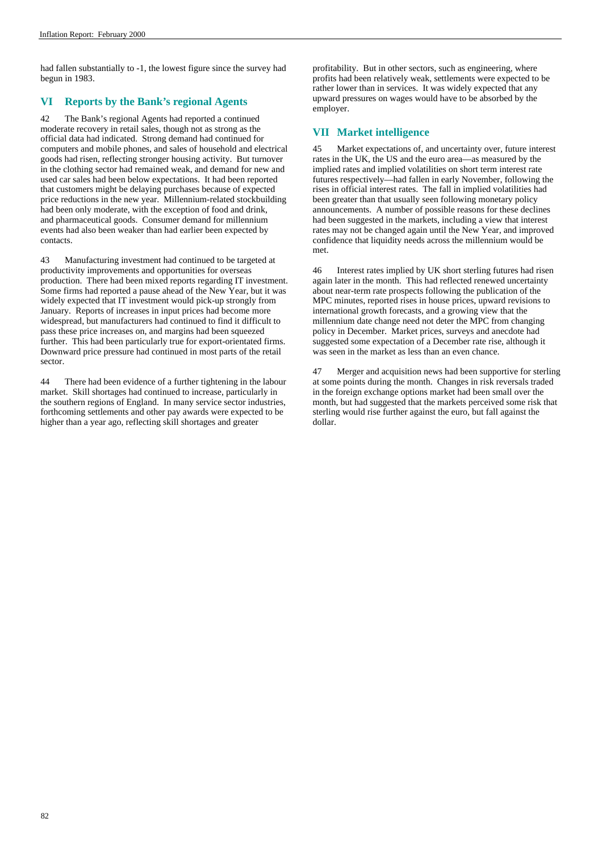had fallen substantially to -1, the lowest figure since the survey had begun in 1983.

### **VI Reports by the Bank's regional Agents**

42 The Bank's regional Agents had reported a continued moderate recovery in retail sales, though not as strong as the official data had indicated. Strong demand had continued for computers and mobile phones, and sales of household and electrical goods had risen, reflecting stronger housing activity. But turnover in the clothing sector had remained weak, and demand for new and used car sales had been below expectations. It had been reported that customers might be delaying purchases because of expected price reductions in the new year. Millennium-related stockbuilding had been only moderate, with the exception of food and drink, and pharmaceutical goods. Consumer demand for millennium events had also been weaker than had earlier been expected by contacts.

43 Manufacturing investment had continued to be targeted at productivity improvements and opportunities for overseas production. There had been mixed reports regarding IT investment. Some firms had reported a pause ahead of the New Year, but it was widely expected that IT investment would pick-up strongly from January. Reports of increases in input prices had become more widespread, but manufacturers had continued to find it difficult to pass these price increases on, and margins had been squeezed further. This had been particularly true for export-orientated firms. Downward price pressure had continued in most parts of the retail sector.

44 There had been evidence of a further tightening in the labour market. Skill shortages had continued to increase, particularly in the southern regions of England. In many service sector industries, forthcoming settlements and other pay awards were expected to be higher than a year ago, reflecting skill shortages and greater

profitability. But in other sectors, such as engineering, where profits had been relatively weak, settlements were expected to be rather lower than in services. It was widely expected that any upward pressures on wages would have to be absorbed by the employer.

### **VII Market intelligence**

45 Market expectations of, and uncertainty over, future interest rates in the UK, the US and the euro area—as measured by the implied rates and implied volatilities on short term interest rate futures respectively—had fallen in early November, following the rises in official interest rates. The fall in implied volatilities had been greater than that usually seen following monetary policy announcements. A number of possible reasons for these declines had been suggested in the markets, including a view that interest rates may not be changed again until the New Year, and improved confidence that liquidity needs across the millennium would be met.

46 Interest rates implied by UK short sterling futures had risen again later in the month. This had reflected renewed uncertainty about near-term rate prospects following the publication of the MPC minutes, reported rises in house prices, upward revisions to international growth forecasts, and a growing view that the millennium date change need not deter the MPC from changing policy in December. Market prices, surveys and anecdote had suggested some expectation of a December rate rise, although it was seen in the market as less than an even chance.

47 Merger and acquisition news had been supportive for sterling at some points during the month. Changes in risk reversals traded in the foreign exchange options market had been small over the month, but had suggested that the markets perceived some risk that sterling would rise further against the euro, but fall against the dollar.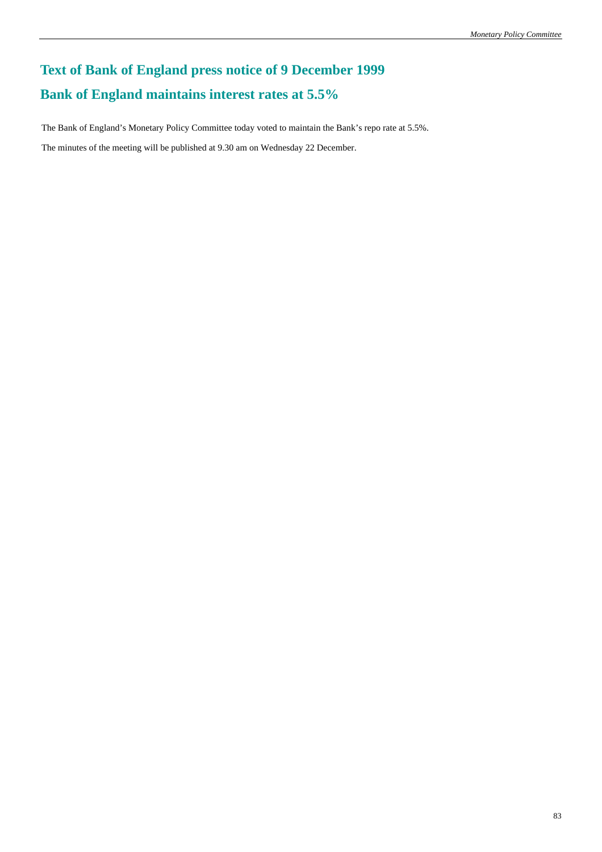# **Text of Bank of England press notice of 9 December 1999 Bank of England maintains interest rates at 5.5%**

The Bank of England's Monetary Policy Committee today voted to maintain the Bank's repo rate at 5.5%.

The minutes of the meeting will be published at 9.30 am on Wednesday 22 December.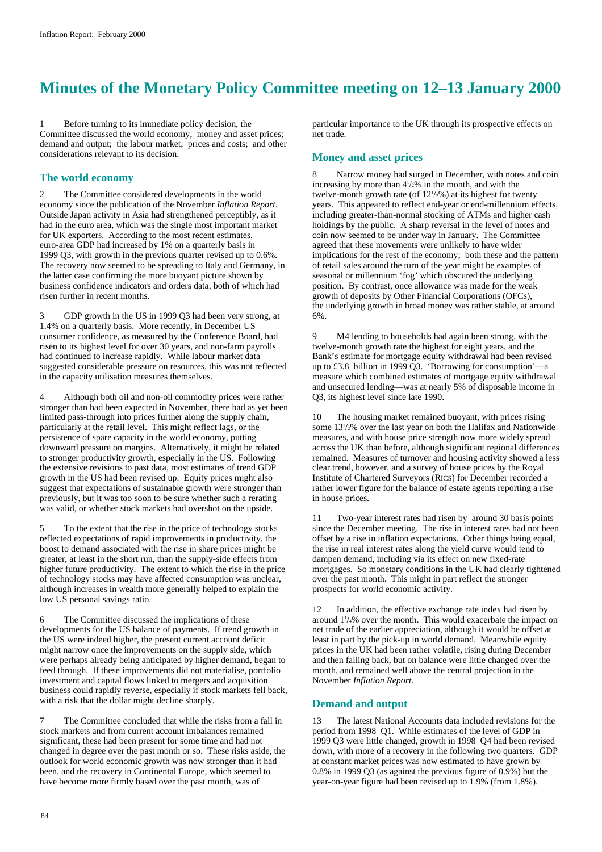# **Minutes of the Monetary Policy Committee meeting on 12–13 January 2000**

1 Before turning to its immediate policy decision, the Committee discussed the world economy; money and asset prices; demand and output; the labour market; prices and costs; and other considerations relevant to its decision.

### **The world economy**

2 The Committee considered developments in the world economy since the publication of the November *Inflation Report*. Outside Japan activity in Asia had strengthened perceptibly, as it had in the euro area, which was the single most important market for UK exporters. According to the most recent estimates, euro-area GDP had increased by 1% on a quarterly basis in 1999 Q3, with growth in the previous quarter revised up to 0.6%. The recovery now seemed to be spreading to Italy and Germany, in the latter case confirming the more buoyant picture shown by business confidence indicators and orders data, both of which had risen further in recent months.

3 GDP growth in the US in 1999 Q3 had been very strong, at 1.4% on a quarterly basis. More recently, in December US consumer confidence, as measured by the Conference Board, had risen to its highest level for over 30 years, and non-farm payrolls had continued to increase rapidly. While labour market data suggested considerable pressure on resources, this was not reflected in the capacity utilisation measures themselves.

4 Although both oil and non-oil commodity prices were rather stronger than had been expected in November, there had as yet been limited pass-through into prices further along the supply chain, particularly at the retail level. This might reflect lags, or the persistence of spare capacity in the world economy, putting downward pressure on margins. Alternatively, it might be related to stronger productivity growth, especially in the US. Following the extensive revisions to past data, most estimates of trend GDP growth in the US had been revised up. Equity prices might also suggest that expectations of sustainable growth were stronger than previously, but it was too soon to be sure whether such a rerating was valid, or whether stock markets had overshot on the upside.

5 To the extent that the rise in the price of technology stocks reflected expectations of rapid improvements in productivity, the boost to demand associated with the rise in share prices might be greater, at least in the short run, than the supply-side effects from higher future productivity. The extent to which the rise in the price of technology stocks may have affected consumption was unclear, although increases in wealth more generally helped to explain the low US personal savings ratio.

6 The Committee discussed the implications of these developments for the US balance of payments. If trend growth in the US were indeed higher, the present current account deficit might narrow once the improvements on the supply side, which were perhaps already being anticipated by higher demand, began to feed through. If these improvements did not materialise, portfolio investment and capital flows linked to mergers and acquisition business could rapidly reverse, especially if stock markets fell back, with a risk that the dollar might decline sharply.

The Committee concluded that while the risks from a fall in stock markets and from current account imbalances remained significant, these had been present for some time and had not changed in degree over the past month or so. These risks aside, the outlook for world economic growth was now stronger than it had been, and the recovery in Continental Europe, which seemed to have become more firmly based over the past month, was of

particular importance to the UK through its prospective effects on net trade.

### **Money and asset prices**

Narrow money had surged in December, with notes and coin increasing by more than  $4\frac{1}{2}\%$  in the month, and with the twelve-month growth rate (of  $12\frac{1}{2}\%$ ) at its highest for twenty years. This appeared to reflect end-year or end-millennium effects, including greater-than-normal stocking of ATMs and higher cash holdings by the public. A sharp reversal in the level of notes and coin now seemed to be under way in January. The Committee agreed that these movements were unlikely to have wider implications for the rest of the economy; both these and the pattern of retail sales around the turn of the year might be examples of seasonal or millennium 'fog' which obscured the underlying position. By contrast, once allowance was made for the weak growth of deposits by Other Financial Corporations (OFCs), the underlying growth in broad money was rather stable, at around 6%.

9 M4 lending to households had again been strong, with the twelve-month growth rate the highest for eight years, and the Bank's estimate for mortgage equity withdrawal had been revised up to £3.8 billion in 1999 Q3.  $\overline{B}$  for consumption  $\overline{B}$  —a measure which combined estimates of mortgage equity withdrawal and unsecured lending—was at nearly 5% of disposable income in Q3, its highest level since late 1990.

10 The housing market remained buoyant, with prices rising some 131 /2% over the last year on both the Halifax and Nationwide measures, and with house price strength now more widely spread across the UK than before, although significant regional differences remained. Measures of turnover and housing activity showed a less clear trend, however, and a survey of house prices by the Royal Institute of Chartered Surveyors (RICS) for December recorded a rather lower figure for the balance of estate agents reporting a rise in house prices.

11 Two-year interest rates had risen by around 30 basis points since the December meeting. The rise in interest rates had not been offset by a rise in inflation expectations. Other things being equal, the rise in real interest rates along the yield curve would tend to dampen demand, including via its effect on new fixed-rate mortgages. So monetary conditions in the UK had clearly tightened over the past month. This might in part reflect the stronger prospects for world economic activity.

12 In addition, the effective exchange rate index had risen by around 11 /4% over the month. This would exacerbate the impact on net trade of the earlier appreciation, although it would be offset at least in part by the pick-up in world demand. Meanwhile equity prices in the UK had been rather volatile, rising during December and then falling back, but on balance were little changed over the month, and remained well above the central projection in the November *Inflation Report.*

### **Demand and output**

The latest National Accounts data included revisions for the period from 1998 Q1. While estimates of the level of GDP in 1999 Q3 were little changed, growth in 1998 Q4 had been revised down, with more of a recovery in the following two quarters. GDP at constant market prices was now estimated to have grown by 0.8% in 1999 Q3 (as against the previous figure of 0.9%) but the year-on-year figure had been revised up to 1.9% (from 1.8%).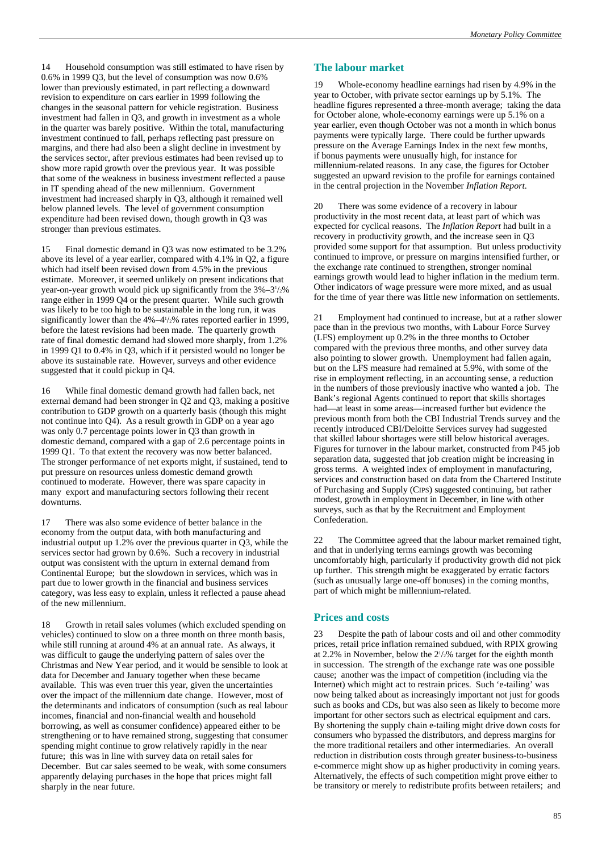14 Household consumption was still estimated to have risen by 0.6% in 1999 Q3, but the level of consumption was now 0.6% lower than previously estimated, in part reflecting a downward revision to expenditure on cars earlier in 1999 following the changes in the seasonal pattern for vehicle registration. Business investment had fallen in Q3, and growth in investment as a whole in the quarter was barely positive. Within the total, manufacturing investment continued to fall, perhaps reflecting past pressure on margins, and there had also been a slight decline in investment by the services sector, after previous estimates had been revised up to show more rapid growth over the previous year. It was possible that some of the weakness in business investment reflected a pause in IT spending ahead of the new millennium. Government investment had increased sharply in Q3, although it remained well below planned levels. The level of government consumption expenditure had been revised down, though growth in Q3 was stronger than previous estimates.

15 Final domestic demand in Q3 was now estimated to be 3.2% above its level of a year earlier, compared with 4.1% in Q2, a figure which had itself been revised down from 4.5% in the previous estimate. Moreover, it seemed unlikely on present indications that year-on-year growth would pick up significantly from the 3%–31 /2% range either in 1999 Q4 or the present quarter. While such growth was likely to be too high to be sustainable in the long run, it was significantly lower than the  $4\% -4\frac{1}{2}\%$  rates reported earlier in 1999, before the latest revisions had been made. The quarterly growth rate of final domestic demand had slowed more sharply, from 1.2% in 1999 Q1 to 0.4% in Q3, which if it persisted would no longer be above its sustainable rate. However, surveys and other evidence suggested that it could pickup in Q4.

16 While final domestic demand growth had fallen back, net external demand had been stronger in Q2 and Q3, making a positive contribution to GDP growth on a quarterly basis (though this might not continue into Q4). As a result growth in GDP on a year ago was only 0.7 percentage points lower in Q3 than growth in domestic demand, compared with a gap of 2.6 percentage points in 1999 Q1. To that extent the recovery was now better balanced. The stronger performance of net exports might, if sustained, tend to put pressure on resources unless domestic demand growth continued to moderate. However, there was spare capacity in many export and manufacturing sectors following their recent downturns.

17 There was also some evidence of better balance in the economy from the output data, with both manufacturing and industrial output up 1.2% over the previous quarter in Q3, while the services sector had grown by 0.6%. Such a recovery in industrial output was consistent with the upturn in external demand from Continental Europe; but the slowdown in services, which was in part due to lower growth in the financial and business services category, was less easy to explain, unless it reflected a pause ahead of the new millennium.

Growth in retail sales volumes (which excluded spending on vehicles) continued to slow on a three month on three month basis, while still running at around 4% at an annual rate. As always, it was difficult to gauge the underlying pattern of sales over the Christmas and New Year period, and it would be sensible to look at data for December and January together when these became available. This was even truer this year, given the uncertainties over the impact of the millennium date change. However, most of the determinants and indicators of consumption (such as real labour incomes, financial and non-financial wealth and household borrowing, as well as consumer confidence) appeared either to be strengthening or to have remained strong, suggesting that consumer spending might continue to grow relatively rapidly in the near future; this was in line with survey data on retail sales for December. But car sales seemed to be weak, with some consumers apparently delaying purchases in the hope that prices might fall sharply in the near future.

### **The labour market**

Whole-economy headline earnings had risen by 4.9% in the year to October, with private sector earnings up by 5.1%. The headline figures represented a three-month average; taking the data for October alone, whole-economy earnings were up 5.1% on a year earlier, even though October was not a month in which bonus payments were typically large. There could be further upwards pressure on the Average Earnings Index in the next few months, if bonus payments were unusually high, for instance for millennium-related reasons. In any case, the figures for October suggested an upward revision to the profile for earnings contained in the central projection in the November *Inflation Report*.

20 There was some evidence of a recovery in labour productivity in the most recent data, at least part of which was expected for cyclical reasons. The *Inflation Report* had built in a recovery in productivity growth, and the increase seen in Q3 provided some support for that assumption. But unless productivity continued to improve, or pressure on margins intensified further, or the exchange rate continued to strengthen, stronger nominal earnings growth would lead to higher inflation in the medium term. Other indicators of wage pressure were more mixed, and as usual for the time of year there was little new information on settlements.

21 Employment had continued to increase, but at a rather slower pace than in the previous two months, with Labour Force Survey (LFS) employment up 0.2% in the three months to October compared with the previous three months, and other survey data also pointing to slower growth. Unemployment had fallen again, but on the LFS measure had remained at 5.9%, with some of the rise in employment reflecting, in an accounting sense, a reduction in the numbers of those previously inactive who wanted a job. The Bank's regional Agents continued to report that skills shortages had—at least in some areas—increased further but evidence the previous month from both the CBI Industrial Trends survey and the recently introduced CBI/Deloitte Services survey had suggested that skilled labour shortages were still below historical averages. Figures for turnover in the labour market, constructed from P45 job separation data, suggested that job creation might be increasing in gross terms. A weighted index of employment in manufacturing, services and construction based on data from the Chartered Institute of Purchasing and Supply (CIPS) suggested continuing, but rather modest, growth in employment in December, in line with other surveys, such as that by the Recruitment and Employment Confederation.

22 The Committee agreed that the labour market remained tight, and that in underlying terms earnings growth was becoming uncomfortably high, particularly if productivity growth did not pick up further. This strength might be exaggerated by erratic factors (such as unusually large one-off bonuses) in the coming months, part of which might be millennium-related.

### **Prices and costs**

23 Despite the path of labour costs and oil and other commodity prices, retail price inflation remained subdued, with RPIX growing at 2.2% in November, below the  $2\frac{1}{2}\%$  target for the eighth month in succession. The strength of the exchange rate was one possible cause; another was the impact of competition (including via the Internet) which might act to restrain prices. Such 'e-tailing' was now being talked about as increasingly important not just for goods such as books and CDs, but was also seen as likely to become more important for other sectors such as electrical equipment and cars. By shortening the supply chain e-tailing might drive down costs for consumers who bypassed the distributors, and depress margins for the more traditional retailers and other intermediaries. An overall reduction in distribution costs through greater business-to-business e-commerce might show up as higher productivity in coming years. Alternatively, the effects of such competition might prove either to be transitory or merely to redistribute profits between retailers; and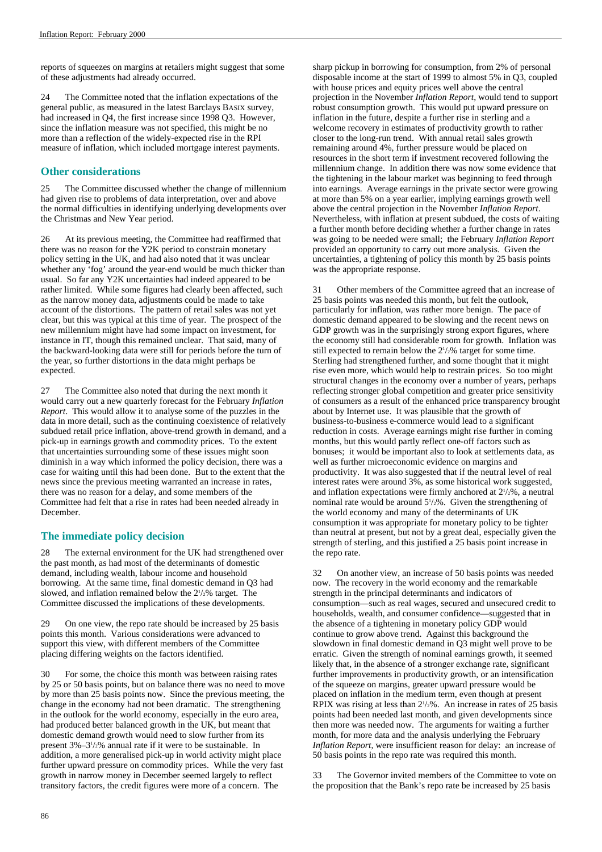reports of squeezes on margins at retailers might suggest that some of these adjustments had already occurred.

24 The Committee noted that the inflation expectations of the general public, as measured in the latest Barclays BASIX survey, had increased in Q4, the first increase since 1998 Q3. However, since the inflation measure was not specified, this might be no more than a reflection of the widely-expected rise in the RPI measure of inflation, which included mortgage interest payments.

### **Other considerations**

25 The Committee discussed whether the change of millennium had given rise to problems of data interpretation, over and above the normal difficulties in identifying underlying developments over the Christmas and New Year period.

26 At its previous meeting, the Committee had reaffirmed that there was no reason for the Y2K period to constrain monetary policy setting in the UK, and had also noted that it was unclear whether any 'fog' around the year-end would be much thicker than usual. So far any Y2K uncertainties had indeed appeared to be rather limited. While some figures had clearly been affected, such as the narrow money data, adjustments could be made to take account of the distortions. The pattern of retail sales was not yet clear, but this was typical at this time of year. The prospect of the new millennium might have had some impact on investment, for instance in IT, though this remained unclear. That said, many of the backward-looking data were still for periods before the turn of the year, so further distortions in the data might perhaps be expected.

27 The Committee also noted that during the next month it would carry out a new quarterly forecast for the February *Inflation Report*. This would allow it to analyse some of the puzzles in the data in more detail, such as the continuing coexistence of relatively subdued retail price inflation, above-trend growth in demand, and a pick-up in earnings growth and commodity prices. To the extent that uncertainties surrounding some of these issues might soon diminish in a way which informed the policy decision, there was a case for waiting until this had been done. But to the extent that the news since the previous meeting warranted an increase in rates, there was no reason for a delay, and some members of the Committee had felt that a rise in rates had been needed already in December.

### **The immediate policy decision**

28 The external environment for the UK had strengthened over the past month, as had most of the determinants of domestic demand, including wealth, labour income and household borrowing. At the same time, final domestic demand in Q3 had slowed, and inflation remained below the  $2\frac{1}{2}\%$  target. The Committee discussed the implications of these developments.

29 On one view, the repo rate should be increased by 25 basis points this month. Various considerations were advanced to support this view, with different members of the Committee placing differing weights on the factors identified.

For some, the choice this month was between raising rates by 25 or 50 basis points, but on balance there was no need to move by more than 25 basis points now. Since the previous meeting, the change in the economy had not been dramatic. The strengthening in the outlook for the world economy, especially in the euro area, had produced better balanced growth in the UK, but meant that domestic demand growth would need to slow further from its present 3%-3<sup>1</sup>/<sub>2</sub>% annual rate if it were to be sustainable. In addition, a more generalised pick-up in world activity might place further upward pressure on commodity prices. While the very fast growth in narrow money in December seemed largely to reflect transitory factors, the credit figures were more of a concern. The

sharp pickup in borrowing for consumption, from 2% of personal disposable income at the start of 1999 to almost 5% in Q3, coupled with house prices and equity prices well above the central projection in the November *Inflation Report*, would tend to support robust consumption growth. This would put upward pressure on inflation in the future, despite a further rise in sterling and a welcome recovery in estimates of productivity growth to rather closer to the long-run trend. With annual retail sales growth remaining around 4%, further pressure would be placed on resources in the short term if investment recovered following the millennium change. In addition there was now some evidence that the tightening in the labour market was beginning to feed through into earnings. Average earnings in the private sector were growing at more than 5% on a year earlier, implying earnings growth well above the central projection in the November *Inflation Report*. Nevertheless, with inflation at present subdued, the costs of waiting a further month before deciding whether a further change in rates was going to be needed were small; the February *Inflation Report* provided an opportunity to carry out more analysis. Given the uncertainties, a tightening of policy this month by 25 basis points was the appropriate response.

31 Other members of the Committee agreed that an increase of 25 basis points was needed this month, but felt the outlook, particularly for inflation, was rather more benign. The pace of domestic demand appeared to be slowing and the recent news on GDP growth was in the surprisingly strong export figures, where the economy still had considerable room for growth. Inflation was still expected to remain below the  $2\frac{1}{2}\%$  target for some time. Sterling had strengthened further, and some thought that it might rise even more, which would help to restrain prices. So too might structural changes in the economy over a number of years, perhaps reflecting stronger global competition and greater price sensitivity of consumers as a result of the enhanced price transparency brought about by Internet use. It was plausible that the growth of business-to-business e-commerce would lead to a significant reduction in costs. Average earnings might rise further in coming months, but this would partly reflect one-off factors such as bonuses; it would be important also to look at settlements data, as well as further microeconomic evidence on margins and productivity. It was also suggested that if the neutral level of real interest rates were around 3%, as some historical work suggested, and inflation expectations were firmly anchored at  $2^{1/2}\%$ , a neutral nominal rate would be around  $5\frac{1}{2}\%$ . Given the strengthening of the world economy and many of the determinants of UK consumption it was appropriate for monetary policy to be tighter than neutral at present, but not by a great deal, especially given the strength of sterling, and this justified a 25 basis point increase in the repo rate.

32 On another view, an increase of 50 basis points was needed now. The recovery in the world economy and the remarkable strength in the principal determinants and indicators of consumption—such as real wages, secured and unsecured credit to households, wealth, and consumer confidence—suggested that in the absence of a tightening in monetary policy GDP would continue to grow above trend. Against this background the slowdown in final domestic demand in Q3 might well prove to be erratic. Given the strength of nominal earnings growth, it seemed likely that, in the absence of a stronger exchange rate, significant further improvements in productivity growth, or an intensification of the squeeze on margins, greater upward pressure would be placed on inflation in the medium term, even though at present RPIX was rising at less than  $2\frac{1}{2}\%$ . An increase in rates of 25 basis points had been needed last month, and given developments since then more was needed now. The arguments for waiting a further month, for more data and the analysis underlying the February *Inflation Report*, were insufficient reason for delay: an increase of 50 basis points in the repo rate was required this month.

33 The Governor invited members of the Committee to vote on the proposition that the Bank's repo rate be increased by 25 basis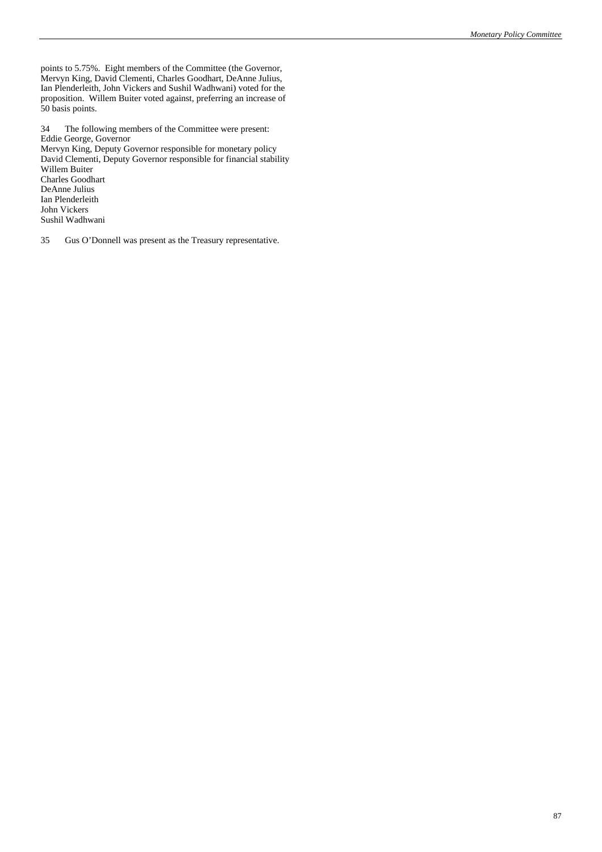points to 5.75%. Eight members of the Committee (the Governor, Mervyn King, David Clementi, Charles Goodhart, DeAnne Julius, Ian Plenderleith, John Vickers and Sushil Wadhwani) voted for the proposition. Willem Buiter voted against, preferring an increase of 50 basis points.

34 The following members of the Committee were present: Eddie George, Governor

Mervyn King, Deputy Governor responsible for monetary policy David Clementi, Deputy Governor responsible for financial stability Willem Buiter Charles Goodhart DeAnne Julius Ian Plenderleith John Vickers Sushil Wadhwani

35 Gus O'Donnell was present as the Treasury representative.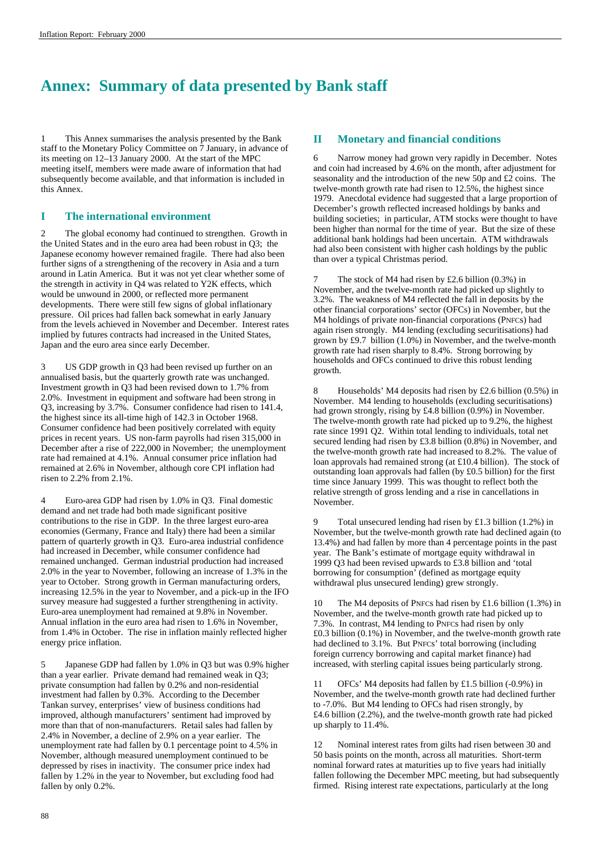# **Annex: Summary of data presented by Bank staff**

1 This Annex summarises the analysis presented by the Bank staff to the Monetary Policy Committee on 7 January, in advance of its meeting on 12–13 January 2000. At the start of the MPC meeting itself, members were made aware of information that had subsequently become available, and that information is included in this Annex.

### **I The international environment**

The global economy had continued to strengthen. Growth in the United States and in the euro area had been robust in Q3; the Japanese economy however remained fragile. There had also been further signs of a strengthening of the recovery in Asia and a turn around in Latin America. But it was not yet clear whether some of the strength in activity in Q4 was related to Y2K effects, which would be unwound in 2000, or reflected more permanent developments. There were still few signs of global inflationary pressure. Oil prices had fallen back somewhat in early January from the levels achieved in November and December. Interest rates implied by futures contracts had increased in the United States, Japan and the euro area since early December.

3 US GDP growth in Q3 had been revised up further on an annualised basis, but the quarterly growth rate was unchanged. Investment growth in Q3 had been revised down to 1.7% from 2.0%. Investment in equipment and software had been strong in Q3, increasing by 3.7%. Consumer confidence had risen to 141.4, the highest since its all-time high of 142.3 in October 1968. Consumer confidence had been positively correlated with equity prices in recent years. US non-farm payrolls had risen 315,000 in December after a rise of 222,000 in November; the unemployment rate had remained at 4.1%. Annual consumer price inflation had remained at 2.6% in November, although core CPI inflation had risen to 2.2% from 2.1%.

4 Euro-area GDP had risen by 1.0% in Q3. Final domestic demand and net trade had both made significant positive contributions to the rise in GDP. In the three largest euro-area economies (Germany, France and Italy) there had been a similar pattern of quarterly growth in Q3. Euro-area industrial confidence had increased in December, while consumer confidence had remained unchanged. German industrial production had increased 2.0% in the year to November, following an increase of 1.3% in the year to October. Strong growth in German manufacturing orders, increasing 12.5% in the year to November, and a pick-up in the IFO survey measure had suggested a further strengthening in activity. Euro-area unemployment had remained at 9.8% in November. Annual inflation in the euro area had risen to 1.6% in November, from 1.4% in October. The rise in inflation mainly reflected higher energy price inflation.

5 Japanese GDP had fallen by 1.0% in Q3 but was 0.9% higher than a year earlier. Private demand had remained weak in Q3; private consumption had fallen by 0.2% and non-residential investment had fallen by 0.3%. According to the December Tankan survey, enterprises' view of business conditions had improved, although manufacturers' sentiment had improved by more than that of non-manufacturers. Retail sales had fallen by 2.4% in November, a decline of 2.9% on a year earlier. The unemployment rate had fallen by 0.1 percentage point to 4.5% in November, although measured unemployment continued to be depressed by rises in inactivity. The consumer price index had fallen by 1.2% in the year to November, but excluding food had fallen by only 0.2%.

### **II Monetary and financial conditions**

6 Narrow money had grown very rapidly in December. Notes and coin had increased by 4.6% on the month, after adjustment for seasonality and the introduction of the new 50p and £2 coins. The twelve-month growth rate had risen to 12.5%, the highest since 1979. Anecdotal evidence had suggested that a large proportion of December's growth reflected increased holdings by banks and building societies; in particular, ATM stocks were thought to have been higher than normal for the time of year. But the size of these additional bank holdings had been uncertain. ATM withdrawals had also been consistent with higher cash holdings by the public than over a typical Christmas period.

7 The stock of M4 had risen by £2.6 billion (0.3%) in November, and the twelve-month rate had picked up slightly to 3.2%. The weakness of M4 reflected the fall in deposits by the other financial corporations' sector (OFCs) in November, but the M4 holdings of private non-financial corporations (PNFCs) had again risen strongly. M4 lending (excluding securitisations) had grown by £9.7 billion (1.0%) in November, and the twelve-month growth rate had risen sharply to 8.4%. Strong borrowing by households and OFCs continued to drive this robust lending growth.

Households' M4 deposits had risen by £2.6 billion  $(0.5\%)$  in November. M4 lending to households (excluding securitisations) had grown strongly, rising by £4.8 billion (0.9%) in November. The twelve-month growth rate had picked up to 9.2%, the highest rate since 1991 Q2. Within total lending to individuals, total net secured lending had risen by £3.8 billion (0.8%) in November, and the twelve-month growth rate had increased to 8.2%. The value of loan approvals had remained strong (at £10.4 billion). The stock of outstanding loan approvals had fallen (by £0.5 billion) for the first time since January 1999. This was thought to reflect both the relative strength of gross lending and a rise in cancellations in November.

9 Total unsecured lending had risen by £1.3 billion (1.2%) in November, but the twelve-month growth rate had declined again (to 13.4%) and had fallen by more than 4 percentage points in the past year. The Bank's estimate of mortgage equity withdrawal in 1999 Q3 had been revised upwards to £3.8 billion and 'total borrowing for consumption' (defined as mortgage equity withdrawal plus unsecured lending) grew strongly.

10 The M4 deposits of PNFCs had risen by £1.6 billion (1.3%) in November, and the twelve-month growth rate had picked up to 7.3%. In contrast, M4 lending to PNFCs had risen by only £0.3 billion (0.1%) in November, and the twelve-month growth rate had declined to 3.1%. But PNFCs' total borrowing (including foreign currency borrowing and capital market finance) had increased, with sterling capital issues being particularly strong.

11 OFCs' M4 deposits had fallen by £1.5 billion (-0.9%) in November, and the twelve-month growth rate had declined further to -7.0%. But M4 lending to OFCs had risen strongly, by £4.6 billion (2.2%), and the twelve-month growth rate had picked up sharply to 11.4%.

12 Nominal interest rates from gilts had risen between 30 and 50 basis points on the month, across all maturities. Short-term nominal forward rates at maturities up to five years had initially fallen following the December MPC meeting, but had subsequently firmed. Rising interest rate expectations, particularly at the long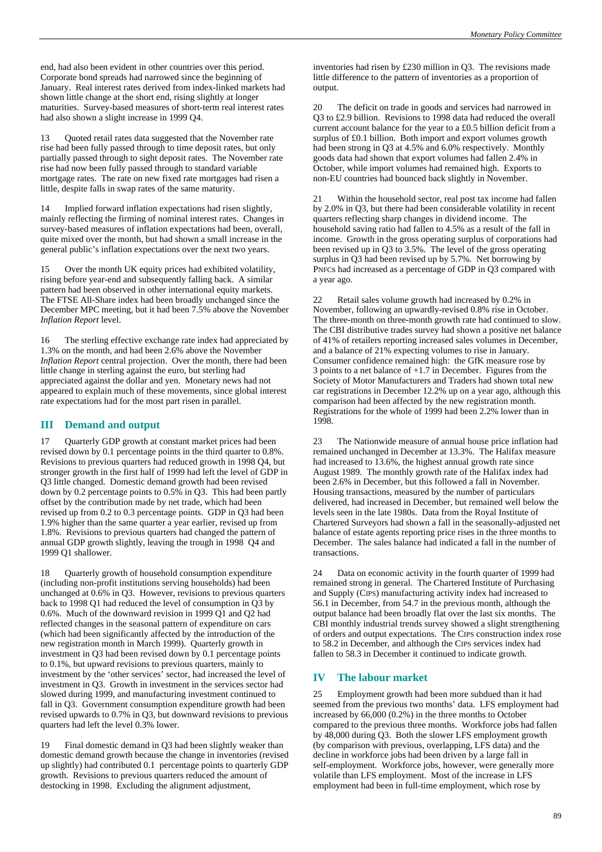end, had also been evident in other countries over this period. Corporate bond spreads had narrowed since the beginning of January. Real interest rates derived from index-linked markets had shown little change at the short end, rising slightly at longer maturities. Survey-based measures of short-term real interest rates had also shown a slight increase in 1999 Q4.

13 Quoted retail rates data suggested that the November rate rise had been fully passed through to time deposit rates, but only partially passed through to sight deposit rates. The November rate rise had now been fully passed through to standard variable mortgage rates. The rate on new fixed rate mortgages had risen a little, despite falls in swap rates of the same maturity.

14 Implied forward inflation expectations had risen slightly, mainly reflecting the firming of nominal interest rates. Changes in survey-based measures of inflation expectations had been, overall, quite mixed over the month, but had shown a small increase in the general public's inflation expectations over the next two years.

15 Over the month UK equity prices had exhibited volatility, rising before year-end and subsequently falling back. A similar pattern had been observed in other international equity markets. The FTSE All-Share index had been broadly unchanged since the December MPC meeting, but it had been 7.5% above the November *Inflation Report* level.

16 The sterling effective exchange rate index had appreciated by 1.3% on the month, and had been 2.6% above the November *Inflation Report* central projection. Over the month, there had been little change in sterling against the euro, but sterling had appreciated against the dollar and yen. Monetary news had not appeared to explain much of these movements, since global interest rate expectations had for the most part risen in parallel.

### **III Demand and output**

17 Quarterly GDP growth at constant market prices had been revised down by 0.1 percentage points in the third quarter to 0.8%. Revisions to previous quarters had reduced growth in 1998 Q4, but stronger growth in the first half of 1999 had left the level of GDP in Q3 little changed. Domestic demand growth had been revised down by 0.2 percentage points to 0.5% in Q3. This had been partly offset by the contribution made by net trade, which had been revised up from 0.2 to 0.3 percentage points. GDP in Q3 had been 1.9% higher than the same quarter a year earlier, revised up from 1.8%. Revisions to previous quarters had changed the pattern of annual GDP growth slightly, leaving the trough in 1998 Q4 and 1999 Q1 shallower.

18 Quarterly growth of household consumption expenditure (including non-profit institutions serving households) had been unchanged at 0.6% in Q3. However, revisions to previous quarters back to 1998 Q1 had reduced the level of consumption in Q3 by 0.6%. Much of the downward revision in 1999 Q1 and Q2 had reflected changes in the seasonal pattern of expenditure on cars (which had been significantly affected by the introduction of the new registration month in March 1999). Quarterly growth in investment in Q3 had been revised down by 0.1 percentage points to 0.1%, but upward revisions to previous quarters, mainly to investment by the 'other services' sector, had increased the level of investment in Q3. Growth in investment in the services sector had slowed during 1999, and manufacturing investment continued to fall in Q3. Government consumption expenditure growth had been revised upwards to 0.7% in Q3, but downward revisions to previous quarters had left the level 0.3% lower.

19 Final domestic demand in Q3 had been slightly weaker than domestic demand growth because the change in inventories (revised up slightly) had contributed 0.1 percentage points to quarterly GDP growth. Revisions to previous quarters reduced the amount of destocking in 1998. Excluding the alignment adjustment,

inventories had risen by £230 million in Q3. The revisions made little difference to the pattern of inventories as a proportion of output.

20 The deficit on trade in goods and services had narrowed in Q3 to £2.9 billion. Revisions to 1998 data had reduced the overall current account balance for the year to a £0.5 billion deficit from a surplus of £0.1 billion. Both import and export volumes growth had been strong in Q3 at 4.5% and 6.0% respectively. Monthly goods data had shown that export volumes had fallen 2.4% in October, while import volumes had remained high. Exports to non-EU countries had bounced back slightly in November.

21 Within the household sector, real post tax income had fallen by 2.0% in Q3, but there had been considerable volatility in recent quarters reflecting sharp changes in dividend income. The household saving ratio had fallen to 4.5% as a result of the fall in income. Growth in the gross operating surplus of corporations had been revised up in Q3 to 3.5%. The level of the gross operating surplus in Q3 had been revised up by 5.7%. Net borrowing by PNFCs had increased as a percentage of GDP in Q3 compared with a year ago.

22 Retail sales volume growth had increased by 0.2% in November, following an upwardly-revised 0.8% rise in October. The three-month on three-month growth rate had continued to slow. The CBI distributive trades survey had shown a positive net balance of 41% of retailers reporting increased sales volumes in December, and a balance of 21% expecting volumes to rise in January. Consumer confidence remained high: the GfK measure rose by 3 points to a net balance of +1.7 in December. Figures from the Society of Motor Manufacturers and Traders had shown total new car registrations in December 12.2% up on a year ago, although this comparison had been affected by the new registration month. Registrations for the whole of 1999 had been 2.2% lower than in 1998.

23 The Nationwide measure of annual house price inflation had remained unchanged in December at 13.3%. The Halifax measure had increased to 13.6%, the highest annual growth rate since August 1989. The monthly growth rate of the Halifax index had been 2.6% in December, but this followed a fall in November. Housing transactions, measured by the number of particulars delivered, had increased in December, but remained well below the levels seen in the late 1980s. Data from the Royal Institute of Chartered Surveyors had shown a fall in the seasonally-adjusted net balance of estate agents reporting price rises in the three months to December. The sales balance had indicated a fall in the number of transactions.

24 Data on economic activity in the fourth quarter of 1999 had remained strong in general. The Chartered Institute of Purchasing and Supply (CIPS) manufacturing activity index had increased to 56.1 in December, from 54.7 in the previous month, although the output balance had been broadly flat over the last six months. The CBI monthly industrial trends survey showed a slight strengthening of orders and output expectations. The CIPS construction index rose to 58.2 in December, and although the CIPS services index had fallen to 58.3 in December it continued to indicate growth.

### **IV The labour market**

25 Employment growth had been more subdued than it had seemed from the previous two months' data. LFS employment had increased by 66,000 (0.2%) in the three months to October compared to the previous three months. Workforce jobs had fallen by 48,000 during Q3. Both the slower LFS employment growth (by comparison with previous, overlapping, LFS data) and the decline in workforce jobs had been driven by a large fall in self-employment. Workforce jobs, however, were generally more volatile than LFS employment. Most of the increase in LFS employment had been in full-time employment, which rose by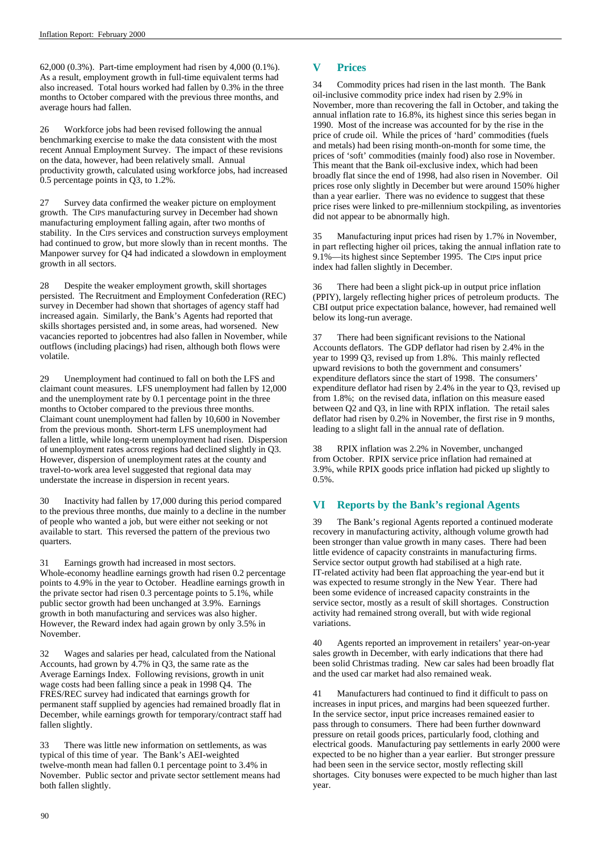62,000 (0.3%). Part-time employment had risen by 4,000 (0.1%). As a result, employment growth in full-time equivalent terms had also increased. Total hours worked had fallen by 0.3% in the three months to October compared with the previous three months, and average hours had fallen.

26 Workforce jobs had been revised following the annual benchmarking exercise to make the data consistent with the most recent Annual Employment Survey. The impact of these revisions on the data, however, had been relatively small. Annual productivity growth, calculated using workforce jobs, had increased 0.5 percentage points in Q3, to 1.2%.

27 Survey data confirmed the weaker picture on employment growth. The CIPS manufacturing survey in December had shown manufacturing employment falling again, after two months of stability. In the CIPS services and construction surveys employment had continued to grow, but more slowly than in recent months. The Manpower survey for Q4 had indicated a slowdown in employment growth in all sectors.

28 Despite the weaker employment growth, skill shortages persisted. The Recruitment and Employment Confederation (REC) survey in December had shown that shortages of agency staff had increased again. Similarly, the Bank's Agents had reported that skills shortages persisted and, in some areas, had worsened. New vacancies reported to jobcentres had also fallen in November, while outflows (including placings) had risen, although both flows were volatile.

29 Unemployment had continued to fall on both the LFS and claimant count measures. LFS unemployment had fallen by 12,000 and the unemployment rate by 0.1 percentage point in the three months to October compared to the previous three months. Claimant count unemployment had fallen by 10,600 in November from the previous month. Short-term LFS unemployment had fallen a little, while long-term unemployment had risen. Dispersion of unemployment rates across regions had declined slightly in Q3. However, dispersion of unemployment rates at the county and travel-to-work area level suggested that regional data may understate the increase in dispersion in recent years.

30 Inactivity had fallen by 17,000 during this period compared to the previous three months, due mainly to a decline in the number of people who wanted a job, but were either not seeking or not available to start. This reversed the pattern of the previous two quarters.

31 Earnings growth had increased in most sectors. Whole-economy headline earnings growth had risen 0.2 percentage points to 4.9% in the year to October. Headline earnings growth in the private sector had risen 0.3 percentage points to 5.1%, while public sector growth had been unchanged at 3.9%. Earnings growth in both manufacturing and services was also higher. However, the Reward index had again grown by only 3.5% in November.

32 Wages and salaries per head, calculated from the National Accounts, had grown by 4.7% in Q3, the same rate as the Average Earnings Index. Following revisions, growth in unit wage costs had been falling since a peak in 1998 Q4. The FRES/REC survey had indicated that earnings growth for permanent staff supplied by agencies had remained broadly flat in December, while earnings growth for temporary/contract staff had fallen slightly.

33 There was little new information on settlements, as was typical of this time of year. The Bank's AEI-weighted twelve-month mean had fallen 0.1 percentage point to 3.4% in November. Public sector and private sector settlement means had both fallen slightly.

### **V Prices**

34 Commodity prices had risen in the last month. The Bank oil-inclusive commodity price index had risen by 2.9% in November, more than recovering the fall in October, and taking the annual inflation rate to 16.8%, its highest since this series began in 1990. Most of the increase was accounted for by the rise in the price of crude oil. While the prices of 'hard' commodities (fuels and metals) had been rising month-on-month for some time, the prices of 'soft' commodities (mainly food) also rose in November. This meant that the Bank oil-exclusive index, which had been broadly flat since the end of 1998, had also risen in November. Oil prices rose only slightly in December but were around 150% higher than a year earlier. There was no evidence to suggest that these price rises were linked to pre-millennium stockpiling, as inventories did not appear to be abnormally high.

35 Manufacturing input prices had risen by 1.7% in November, in part reflecting higher oil prices, taking the annual inflation rate to 9.1%—its highest since September 1995. The CIPS input price index had fallen slightly in December.

36 There had been a slight pick-up in output price inflation (PPIY), largely reflecting higher prices of petroleum products. The CBI output price expectation balance, however, had remained well below its long-run average.

37 There had been significant revisions to the National Accounts deflators. The GDP deflator had risen by 2.4% in the year to 1999 Q3, revised up from 1.8%. This mainly reflected upward revisions to both the government and consumers' expenditure deflators since the start of 1998. The consumers' expenditure deflator had risen by 2.4% in the year to Q3, revised up from 1.8%; on the revised data, inflation on this measure eased between Q2 and Q3, in line with RPIX inflation. The retail sales deflator had risen by 0.2% in November, the first rise in 9 months, leading to a slight fall in the annual rate of deflation.

38 RPIX inflation was 2.2% in November, unchanged from October. RPIX service price inflation had remained at 3.9%, while RPIX goods price inflation had picked up slightly to 0.5%.

### **VI Reports by the Bank's regional Agents**

39 The Bank's regional Agents reported a continued moderate recovery in manufacturing activity, although volume growth had been stronger than value growth in many cases. There had been little evidence of capacity constraints in manufacturing firms. Service sector output growth had stabilised at a high rate. IT-related activity had been flat approaching the year-end but it was expected to resume strongly in the New Year. There had been some evidence of increased capacity constraints in the service sector, mostly as a result of skill shortages. Construction activity had remained strong overall, but with wide regional variations.

40 Agents reported an improvement in retailers' year-on-year sales growth in December, with early indications that there had been solid Christmas trading. New car sales had been broadly flat and the used car market had also remained weak.

41 Manufacturers had continued to find it difficult to pass on increases in input prices, and margins had been squeezed further. In the service sector, input price increases remained easier to pass through to consumers. There had been further downward pressure on retail goods prices, particularly food, clothing and electrical goods. Manufacturing pay settlements in early 2000 were expected to be no higher than a year earlier. But stronger pressure had been seen in the service sector, mostly reflecting skill shortages. City bonuses were expected to be much higher than last year.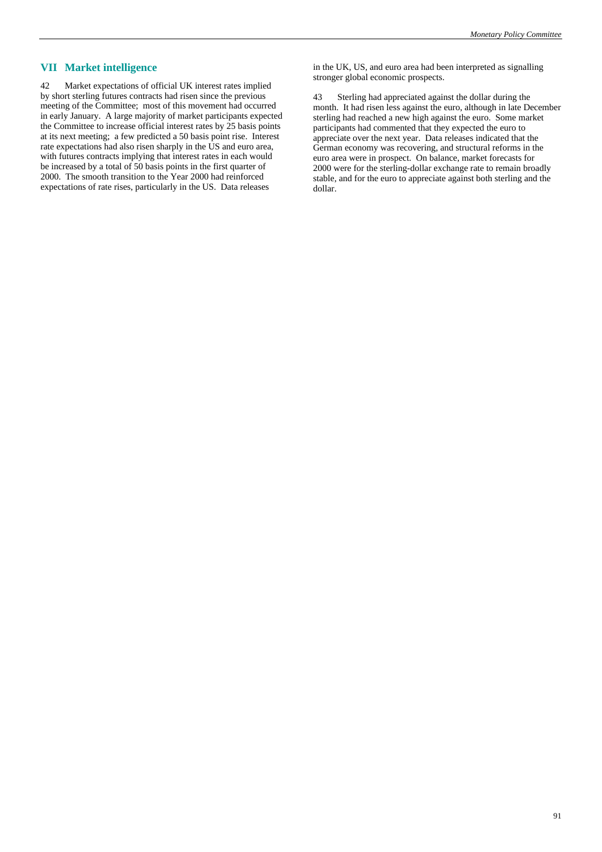### **VII Market intelligence**

42 Market expectations of official UK interest rates implied by short sterling futures contracts had risen since the previous meeting of the Committee; most of this movement had occurred in early January. A large majority of market participants expected the Committee to increase official interest rates by 25 basis points at its next meeting; a few predicted a 50 basis point rise. Interest rate expectations had also risen sharply in the US and euro area, with futures contracts implying that interest rates in each would be increased by a total of 50 basis points in the first quarter of 2000. The smooth transition to the Year 2000 had reinforced expectations of rate rises, particularly in the US. Data releases

in the UK, US, and euro area had been interpreted as signalling stronger global economic prospects.

43 Sterling had appreciated against the dollar during the month. It had risen less against the euro, although in late December sterling had reached a new high against the euro. Some market participants had commented that they expected the euro to appreciate over the next year. Data releases indicated that the German economy was recovering, and structural reforms in the euro area were in prospect. On balance, market forecasts for 2000 were for the sterling-dollar exchange rate to remain broadly stable, and for the euro to appreciate against both sterling and the dollar.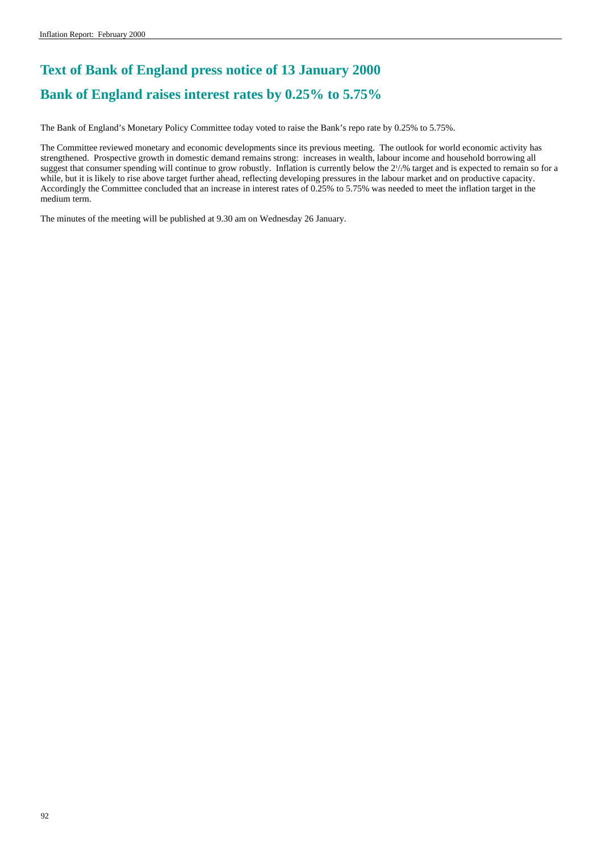# **Text of Bank of England press notice of 13 January 2000 Bank of England raises interest rates by 0.25% to 5.75%**

The Bank of England's Monetary Policy Committee today voted to raise the Bank's repo rate by 0.25% to 5.75%.

The Committee reviewed monetary and economic developments since its previous meeting. The outlook for world economic activity has strengthened. Prospective growth in domestic demand remains strong: increases in wealth, labour income and household borrowing all suggest that consumer spending will continue to grow robustly. Inflation is currently below the  $2\frac{1}{2}\%$  target and is expected to remain so for a while, but it is likely to rise above target further ahead, reflecting developing pressures in the labour market and on productive capacity. Accordingly the Committee concluded that an increase in interest rates of 0.25% to 5.75% was needed to meet the inflation target in the medium term.

The minutes of the meeting will be published at 9.30 am on Wednesday 26 January.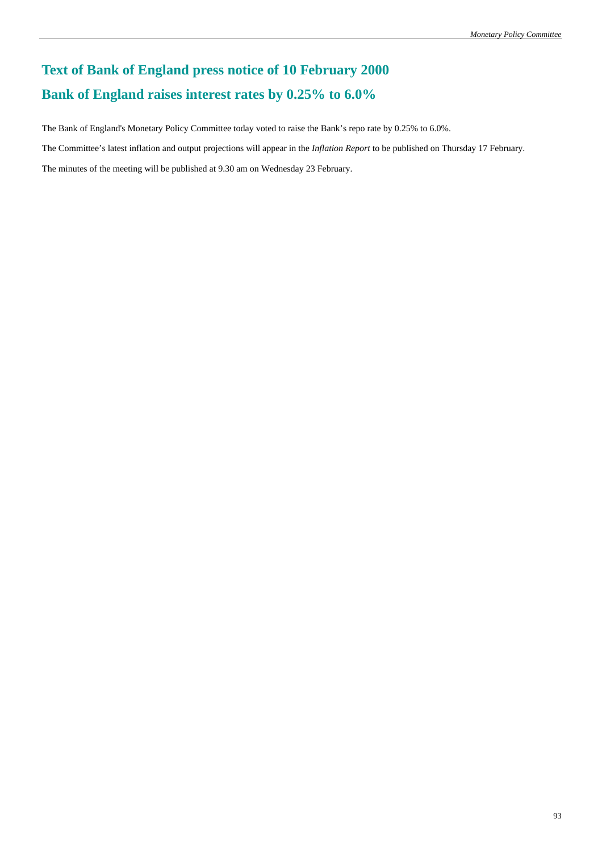# **Text of Bank of England press notice of 10 February 2000 Bank of England raises interest rates by 0.25% to 6.0%**

The Bank of England's Monetary Policy Committee today voted to raise the Bank's repo rate by 0.25% to 6.0%.

The Committee's latest inflation and output projections will appear in the *Inflation Report* to be published on Thursday 17 February.

The minutes of the meeting will be published at 9.30 am on Wednesday 23 February.